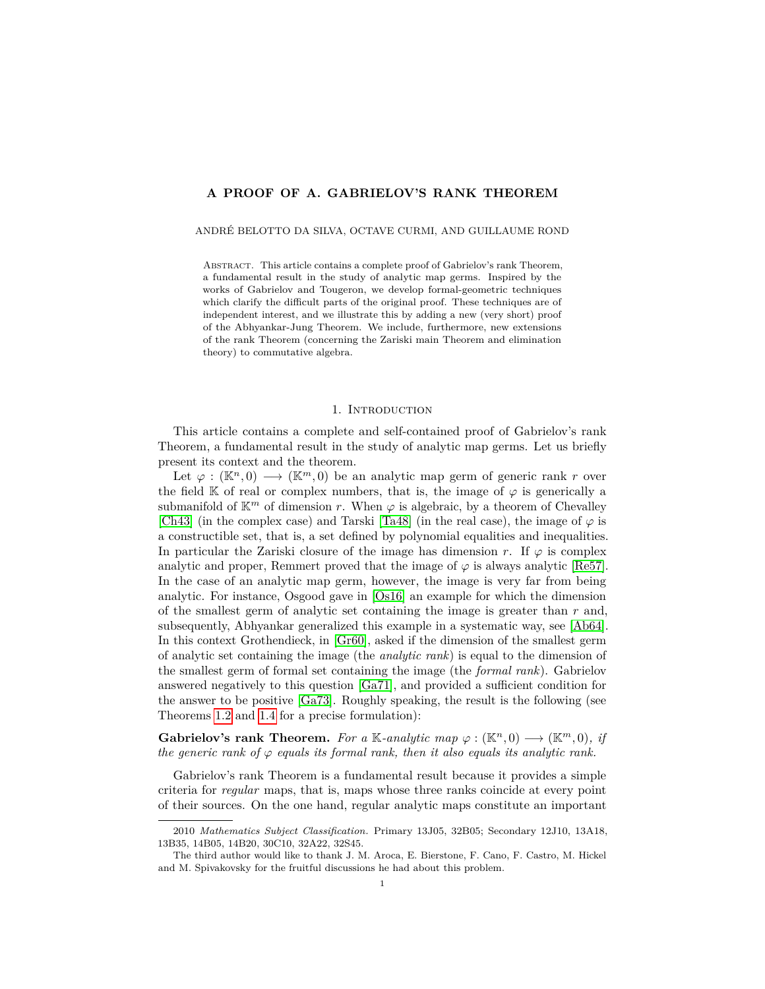# **A PROOF OF A. GABRIELOV'S RANK THEOREM**

#### ANDRÉ BELOTTO DA SILVA, OCTAVE CURMI, AND GUILLAUME ROND

Abstract. This article contains a complete proof of Gabrielov's rank Theorem, a fundamental result in the study of analytic map germs. Inspired by the works of Gabrielov and Tougeron, we develop formal-geometric techniques which clarify the difficult parts of the original proof. These techniques are of independent interest, and we illustrate this by adding a new (very short) proof of the Abhyankar-Jung Theorem. We include, furthermore, new extensions of the rank Theorem (concerning the Zariski main Theorem and elimination theory) to commutative algebra.

#### 1. INTRODUCTION

This article contains a complete and self-contained proof of Gabrielov's rank Theorem, a fundamental result in the study of analytic map germs. Let us briefly present its context and the theorem.

Let  $\varphi : (\mathbb{K}^n, 0) \longrightarrow (\mathbb{K}^m, 0)$  be an analytic map germ of generic rank *r* over the field K of real or complex numbers, that is, the image of  $\varphi$  is generically a submanifold of  $\mathbb{K}^m$  of dimension *r*. When  $\varphi$  is algebraic, by a theorem of Chevalley [\[Ch43\]](#page-60-0) (in the complex case) and Tarski [\[Ta48\]](#page-61-0) (in the real case), the image of  $\varphi$  is a constructible set, that is, a set defined by polynomial equalities and inequalities. In particular the Zariski closure of the image has dimension *r*. If  $\varphi$  is complex analytic and proper, Remmert proved that the image of  $\varphi$  is always analytic [\[Re57\]](#page-61-1). In the case of an analytic map germ, however, the image is very far from being analytic. For instance, Osgood gave in [\[Os16\]](#page-61-2) an example for which the dimension of the smallest germ of analytic set containing the image is greater than *r* and, subsequently, Abhyankar generalized this example in a systematic way, see [\[Ab64\]](#page-59-0). In this context Grothendieck, in [\[Gr60\]](#page-60-1), asked if the dimension of the smallest germ of analytic set containing the image (the *analytic rank*) is equal to the dimension of the smallest germ of formal set containing the image (the *formal rank*). Gabrielov answered negatively to this question [\[Ga71\]](#page-60-2), and provided a sufficient condition for the answer to be positive [\[Ga73\]](#page-60-3). Roughly speaking, the result is the following (see Theorems [1.2](#page-3-0) and [1.4](#page-3-1) for a precise formulation):

**Gabrielov's rank Theorem.** For a K-analytic map  $\varphi : (\mathbb{K}^n, 0) \longrightarrow (\mathbb{K}^m, 0)$ , if *the generic rank of*  $\varphi$  *equals its formal rank, then it also equals its analytic rank.* 

Gabrielov's rank Theorem is a fundamental result because it provides a simple criteria for *regular* maps, that is, maps whose three ranks coincide at every point of their sources. On the one hand, regular analytic maps constitute an important

<sup>2010</sup> *Mathematics Subject Classification.* Primary 13J05, 32B05; Secondary 12J10, 13A18, 13B35, 14B05, 14B20, 30C10, 32A22, 32S45.

The third author would like to thank J. M. Aroca, E. Bierstone, F. Cano, F. Castro, M. Hickel and M. Spivakovsky for the fruitful discussions he had about this problem.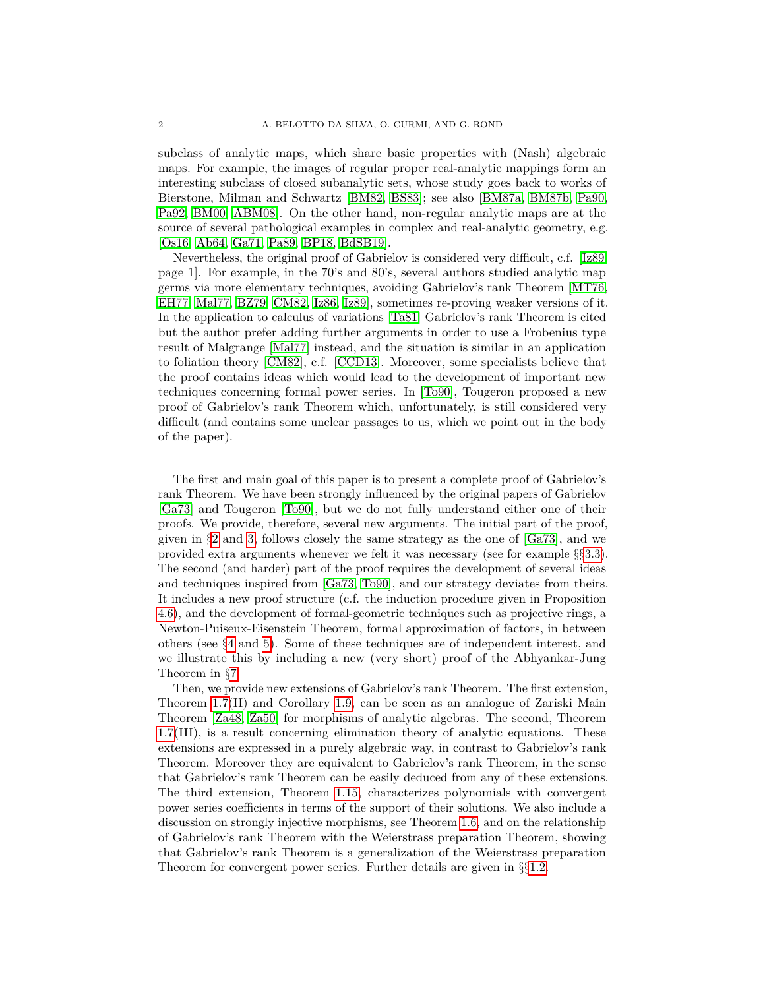subclass of analytic maps, which share basic properties with (Nash) algebraic maps. For example, the images of regular proper real-analytic mappings form an interesting subclass of closed subanalytic sets, whose study goes back to works of Bierstone, Milman and Schwartz [\[BM82,](#page-59-1) [BS83\]](#page-59-2); see also [\[BM87a,](#page-59-3) [BM87b,](#page-59-4) [Pa90,](#page-61-3) [Pa92,](#page-61-4) [BM00,](#page-59-5) [ABM08\]](#page-59-6). On the other hand, non-regular analytic maps are at the source of several pathological examples in complex and real-analytic geometry, e.g. [\[Os16,](#page-61-2) [Ab64,](#page-59-0) [Ga71,](#page-60-2) [Pa89,](#page-61-5) [BP18,](#page-59-7) [BdSB19\]](#page-59-8).

Nevertheless, the original proof of Gabrielov is considered very difficult, c.f. [\[Iz89,](#page-60-4) page 1]. For example, in the 70's and 80's, several authors studied analytic map germs via more elementary techniques, avoiding Gabrielov's rank Theorem [\[MT76,](#page-60-5) [EH77,](#page-60-6) [Mal77,](#page-60-7) [BZ79,](#page-59-9) [CM82,](#page-60-8) [Iz86,](#page-60-9) [Iz89\]](#page-60-4), sometimes re-proving weaker versions of it. In the application to calculus of variations [\[Ta81\]](#page-61-6) Gabrielov's rank Theorem is cited but the author prefer adding further arguments in order to use a Frobenius type result of Malgrange [\[Mal77\]](#page-60-7) instead, and the situation is similar in an application to foliation theory [\[CM82\]](#page-60-8), c.f. [\[CCD13\]](#page-60-10). Moreover, some specialists believe that the proof contains ideas which would lead to the development of important new techniques concerning formal power series. In [\[To90\]](#page-61-7), Tougeron proposed a new proof of Gabrielov's rank Theorem which, unfortunately, is still considered very difficult (and contains some unclear passages to us, which we point out in the body of the paper).

The first and main goal of this paper is to present a complete proof of Gabrielov's rank Theorem. We have been strongly influenced by the original papers of Gabrielov [\[Ga73\]](#page-60-3) and Tougeron [\[To90\]](#page-61-7), but we do not fully understand either one of their proofs. We provide, therefore, several new arguments. The initial part of the proof, given in §[2](#page-10-0) and [3,](#page-14-0) follows closely the same strategy as the one of [\[Ga73\]](#page-60-3), and we provided extra arguments whenever we felt it was necessary (see for example §§[3.3\)](#page-18-0). The second (and harder) part of the proof requires the development of several ideas and techniques inspired from [\[Ga73,](#page-60-3) [To90\]](#page-61-7), and our strategy deviates from theirs. It includes a new proof structure (c.f. the induction procedure given in Proposition [4.6\)](#page-23-0), and the development of formal-geometric techniques such as projective rings, a Newton-Puiseux-Eisenstein Theorem, formal approximation of factors, in between others (see §[4](#page-21-0) and [5\)](#page-29-0). Some of these techniques are of independent interest, and we illustrate this by including a new (very short) proof of the Abhyankar-Jung Theorem in §[7.](#page-57-0)

Then, we provide new extensions of Gabrielov's rank Theorem. The first extension, Theorem [1.7\(](#page-5-0)II) and Corollary [1.9,](#page-5-1) can be seen as an analogue of Zariski Main Theorem [\[Za48,](#page-61-8) [Za50\]](#page-61-9) for morphisms of analytic algebras. The second, Theorem [1.7\(](#page-5-0)III), is a result concerning elimination theory of analytic equations. These extensions are expressed in a purely algebraic way, in contrast to Gabrielov's rank Theorem. Moreover they are equivalent to Gabrielov's rank Theorem, in the sense that Gabrielov's rank Theorem can be easily deduced from any of these extensions. The third extension, Theorem [1.15,](#page-8-0) characterizes polynomials with convergent power series coefficients in terms of the support of their solutions. We also include a discussion on strongly injective morphisms, see Theorem [1.6,](#page-4-0) and on the relationship of Gabrielov's rank Theorem with the Weierstrass preparation Theorem, showing that Gabrielov's rank Theorem is a generalization of the Weierstrass preparation Theorem for convergent power series. Further details are given in §§[1.2.](#page-4-1)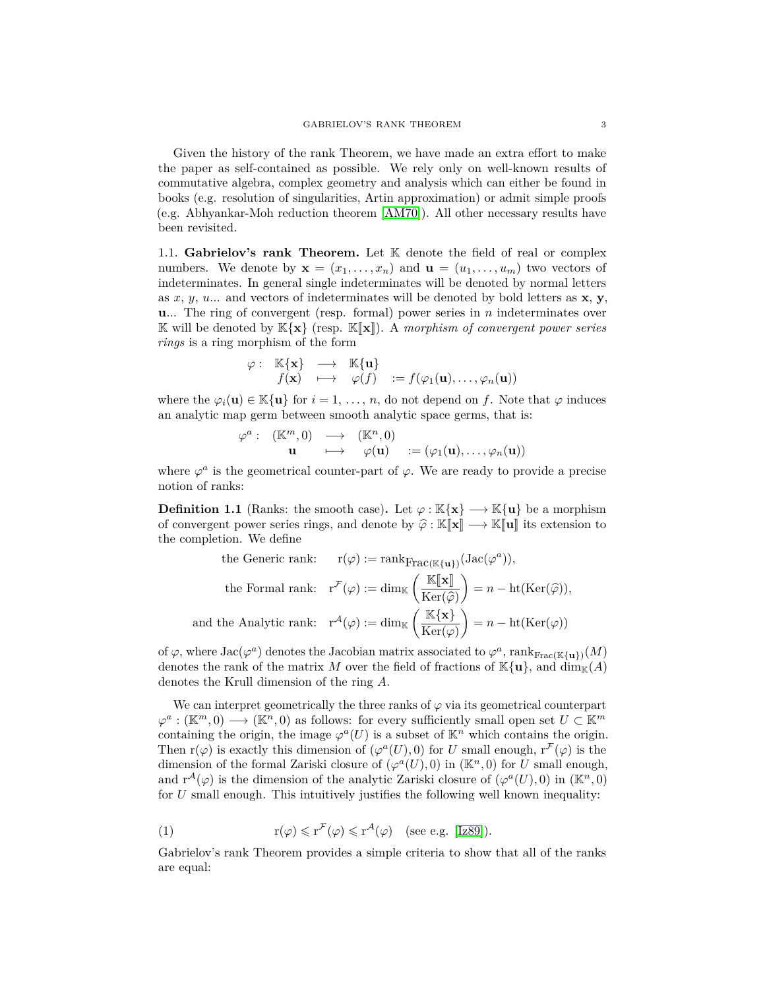Given the history of the rank Theorem, we have made an extra effort to make the paper as self-contained as possible. We rely only on well-known results of commutative algebra, complex geometry and analysis which can either be found in books (e.g. resolution of singularities, Artin approximation) or admit simple proofs (e.g. Abhyankar-Moh reduction theorem [\[AM70\]](#page-59-10)). All other necessary results have been revisited.

<span id="page-2-2"></span>1.1. Gabrielov's rank Theorem. Let K denote the field of real or complex numbers. We denote by  $\mathbf{x} = (x_1, \ldots, x_n)$  and  $\mathbf{u} = (u_1, \ldots, u_m)$  two vectors of indeterminates. In general single indeterminates will be denoted by normal letters as *x*, *y*, *u*... and vectors of indeterminates will be denoted by bold letters as **x**, **y**, **u**... The ring of convergent (resp. formal) power series in *n* indeterminates over K will be denoted by  $\mathbb{K}\{\mathbf{x}\}$  (resp.  $\mathbb{K}\{\mathbf{x}\}\}\)$ . A *morphism of convergent power series rings* is a ring morphism of the form

$$
\varphi: \mathbb{K}\{\mathbf{x}\} \longrightarrow \mathbb{K}\{\mathbf{u}\}f(\mathbf{x}) \longrightarrow \varphi(f) := f(\varphi_1(\mathbf{u}), \dots, \varphi_n(\mathbf{u}))
$$

where the  $\varphi_i(\mathbf{u}) \in \mathbb{K}\{\mathbf{u}\}\$  for  $i = 1, \ldots, n$ , do not depend on f. Note that  $\varphi$  induces an analytic map germ between smooth analytic space germs, that is:

$$
\varphi^a: (\mathbb{K}^m, 0) \longrightarrow (\mathbb{K}^n, 0)
$$
  

$$
\mathbf{u} \longmapsto \varphi(\mathbf{u}) := (\varphi_1(\mathbf{u}), \dots, \varphi_n(\mathbf{u}))
$$

where  $\varphi^a$  is the geometrical counter-part of  $\varphi$ . We are ready to provide a precise notion of ranks:

<span id="page-2-0"></span>**Definition 1.1** (Ranks: the smooth case). Let  $\varphi : \mathbb{K}\{\mathbf{x}\} \longrightarrow \mathbb{K}\{\mathbf{u}\}\$  be a morphism of convergent power series rings, and denote by  $\hat{\varphi} : \mathbb{K}[\![\mathbf{x}]\!] \longrightarrow \mathbb{K}[\![\mathbf{u}]\!]$  its extension to the completion. We define

the Generic rank: 
$$
r(\varphi) := \text{rank}_{\text{Frac}(\mathbb{K}\{\mathbf{u}\})}(\text{Jac}(\varphi^a)),
$$
  
\nthe Formal rank:  $r^{\mathcal{F}}(\varphi) := \dim_{\mathbb{K}} \left( \frac{\mathbb{K}[\mathbf{x}]}{\text{Ker}(\hat{\varphi})} \right) = n - \text{ht}(\text{Ker}(\hat{\varphi})),$   
\nand the Analytic rank:  $r^{\mathcal{A}}(\varphi) := \dim_{\mathbb{K}} \left( \frac{\mathbb{K}\{\mathbf{x}\}}{\text{Ker}(\varphi)} \right) = n - \text{ht}(\text{Ker}(\varphi))$ 

of  $\varphi$ , where  $Jac(\varphi^a)$  denotes the Jacobian matrix associated to  $\varphi^a$ , rank $_{\text{Frac}(\mathbb{K}\{\mathbf{u}\})}(M)$ denotes the rank of the matrix *M* over the field of fractions of  $\mathbb{K}\{\mathbf{u}\}\text{, and } \dim_{\mathbb{K}}(A)$ denotes the Krull dimension of the ring *A*.

We can interpret geometrically the three ranks of  $\varphi$  via its geometrical counterpart  $\varphi^a : (\mathbb{K}^m, 0) \longrightarrow (\mathbb{K}^n, 0)$  as follows: for every sufficiently small open set  $U \subset \mathbb{K}^m$ containing the origin, the image  $\varphi^a(U)$  is a subset of  $\mathbb{K}^n$  which contains the origin. Then  $r(\varphi)$  is exactly this dimension of  $(\varphi^a(U), 0)$  for *U* small enough,  $r^{\mathcal{F}}(\varphi)$  is the dimension of the formal Zariski closure of  $(\varphi^{\alpha}(U), 0)$  in  $(\mathbb{K}^{n}, 0)$  for *U* small enough, and  $r^{\mathcal{A}}(\varphi)$  is the dimension of the analytic Zariski closure of  $(\varphi^{\mathcal{a}}(U),0)$  in  $(\mathbb{K}^{n},0)$ for *U* small enough. This intuitively justifies the following well known inequality:

<span id="page-2-1"></span>(1) 
$$
r(\varphi) \leq r^{\mathcal{F}}(\varphi) \leq r^{\mathcal{A}}(\varphi) \quad \text{(see e.g. [Iz89]).}
$$

Gabrielov's rank Theorem provides a simple criteria to show that all of the ranks are equal: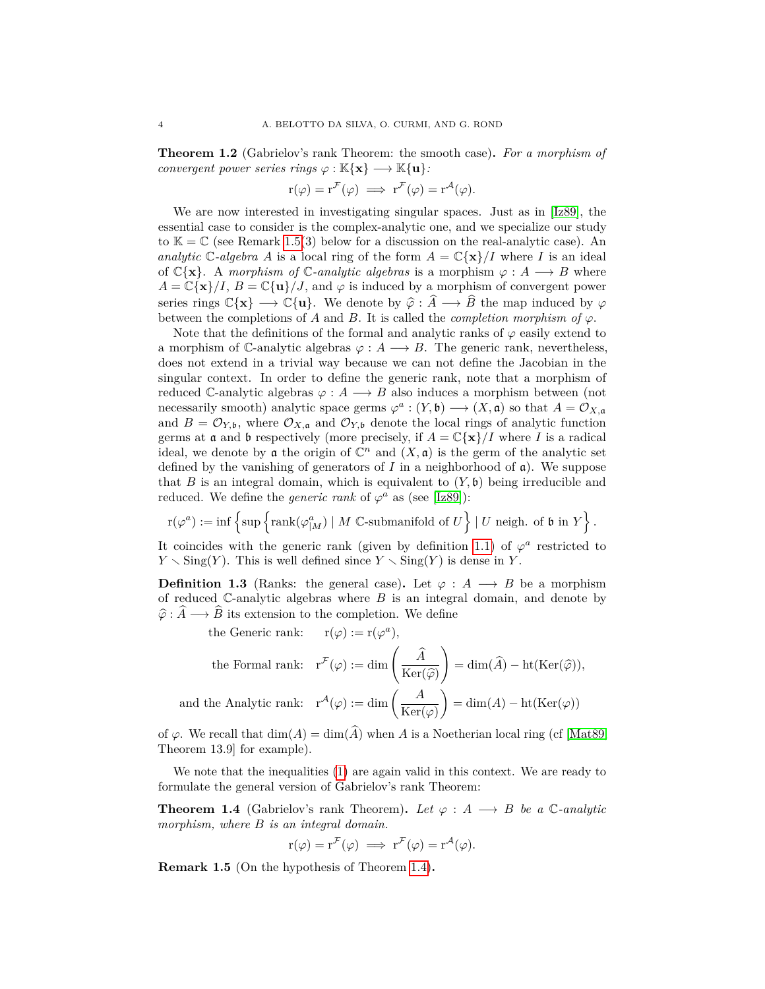<span id="page-3-0"></span>**Theorem 1.2** (Gabrielov's rank Theorem: the smooth case)**.** *For a morphism of convergent power series rings*  $\varphi : \mathbb{K}\{\mathbf{x}\} \longrightarrow \mathbb{K}\{\mathbf{u}\}$ :

$$
r(\varphi) = r^{\mathcal{F}}(\varphi) \implies r^{\mathcal{F}}(\varphi) = r^{\mathcal{A}}(\varphi).
$$

We are now interested in investigating singular spaces. Just as in [\[Iz89\]](#page-60-4), the essential case to consider is the complex-analytic one, and we specialize our study to  $\mathbb{K} = \mathbb{C}$  (see Remark [1.5\(](#page-3-2)3) below for a discussion on the real-analytic case). An *analytic*  $\mathbb{C}$ *-algebra A* is a local ring of the form  $A = \mathbb{C}\{\mathbf{x}\}/I$  where *I* is an ideal of  $\mathbb{C}\{\mathbf{x}\}\$ . A *morphism of*  $\mathbb{C}$ *-analytic algebras* is a morphism  $\varphi : A \longrightarrow B$  where  $A = \mathbb{C}\{\mathbf{x}\}/I$ ,  $B = \mathbb{C}\{\mathbf{u}\}/J$ , and  $\varphi$  is induced by a morphism of convergent power series rings  $\mathbb{C}\{\mathbf{x}\} \longrightarrow \mathbb{C}\{\mathbf{u}\}\$ . We denote by  $\hat{\varphi} : \hat{A} \longrightarrow \hat{B}$  the map induced by  $\varphi$ between the completions of *A* and *B*. It is called the *completion morphism of*  $\varphi$ .

Note that the definitions of the formal and analytic ranks of  $\varphi$  easily extend to a morphism of  $\mathbb{C}$ -analytic algebras  $\varphi : A \longrightarrow B$ . The generic rank, nevertheless, does not extend in a trivial way because we can not define the Jacobian in the singular context. In order to define the generic rank, note that a morphism of reduced  $\mathbb{C}$ -analytic algebras  $\varphi: A \longrightarrow B$  also induces a morphism between (not necessarily smooth) analytic space germs  $\varphi^a : (Y, \mathfrak{b}) \longrightarrow (X, \mathfrak{a})$  so that  $A = \mathcal{O}_{X, \mathfrak{a}}$ and  $B = \mathcal{O}_{Y, \mathfrak{b}}$ , where  $\mathcal{O}_{X, \mathfrak{a}}$  and  $\mathcal{O}_{Y, \mathfrak{b}}$  denote the local rings of analytic function germs at **a** and **b** respectively (more precisely, if  $A = \mathbb{C}\{\mathbf{x}\}/I$  where *I* is a radical ideal, we denote by a the origin of  $\mathbb{C}^n$  and  $(X, \mathfrak{a})$  is the germ of the analytic set defined by the vanishing of generators of  $I$  in a neighborhood of  $\mathfrak{a}$ ). We suppose that *B* is an integral domain, which is equivalent to  $(Y, \mathfrak{b})$  being irreducible and reduced. We define the *generic rank* of  $\varphi^a$  as (see [\[Iz89\]](#page-60-4)):

$$
\textstyle\mathrm{r}(\varphi^a):=\inf\left\{\sup\left\{\mathrm{rank}(\varphi_{|M}^a)\mid M\ \mathbb{C}\text{-submanifold of }U\right\}\mid U\text{ neigh. of }\mathfrak{b}\text{ in }Y\right\}.
$$

It coincides with the generic rank (given by definition [1.1\)](#page-2-0) of  $\varphi^a$  restricted to  $Y \setminus Sing(Y)$ . This is well defined since  $Y \setminus Sing(Y)$  is dense in *Y*.

<span id="page-3-3"></span>**Definition 1.3** (Ranks: the general case). Let  $\varphi : A \longrightarrow B$  be a morphism of reduced C-analytic algebras where *B* is an integral domain, and denote by  $\hat{\varphi}$  :  $\hat{A} \longrightarrow \hat{B}$  its extension to the completion. We define

the Generic rank: 
$$
r(\varphi) := r(\varphi^a)
$$
,  
\nthe Formal rank:  $r^{\mathcal{F}}(\varphi) := \dim\left(\frac{\widehat{A}}{\mathrm{Ker}(\widehat{\varphi})}\right) = \dim(\widehat{A}) - \mathrm{ht}(\mathrm{Ker}(\widehat{\varphi})),$   
\nand the Analytic rank:  $r^{\mathcal{A}}(\varphi) := \dim\left(\frac{A}{\mathrm{Ker}(\varphi)}\right) = \dim(A) - \mathrm{ht}(\mathrm{Ker}(\varphi))$ 

of  $\varphi$ . We recall that  $\dim(A) = \dim(\widehat{A})$  when *A* is a Noetherian local ring (cf [\[Mat89,](#page-60-11) Theorem 13.9] for example).

We note that the inequalities [\(1\)](#page-2-1) are again valid in this context. We are ready to formulate the general version of Gabrielov's rank Theorem:

<span id="page-3-1"></span>**Theorem 1.4** (Gabrielov's rank Theorem). Let  $\varphi : A \longrightarrow B$  be a  $\mathbb{C}\text{-analytic}$ *morphism, where B is an integral domain.*

$$
r(\varphi) = r^{\mathcal{F}}(\varphi) \implies r^{\mathcal{F}}(\varphi) = r^{\mathcal{A}}(\varphi).
$$

<span id="page-3-2"></span>**Remark 1.5** (On the hypothesis of Theorem [1.4\)](#page-3-1)**.**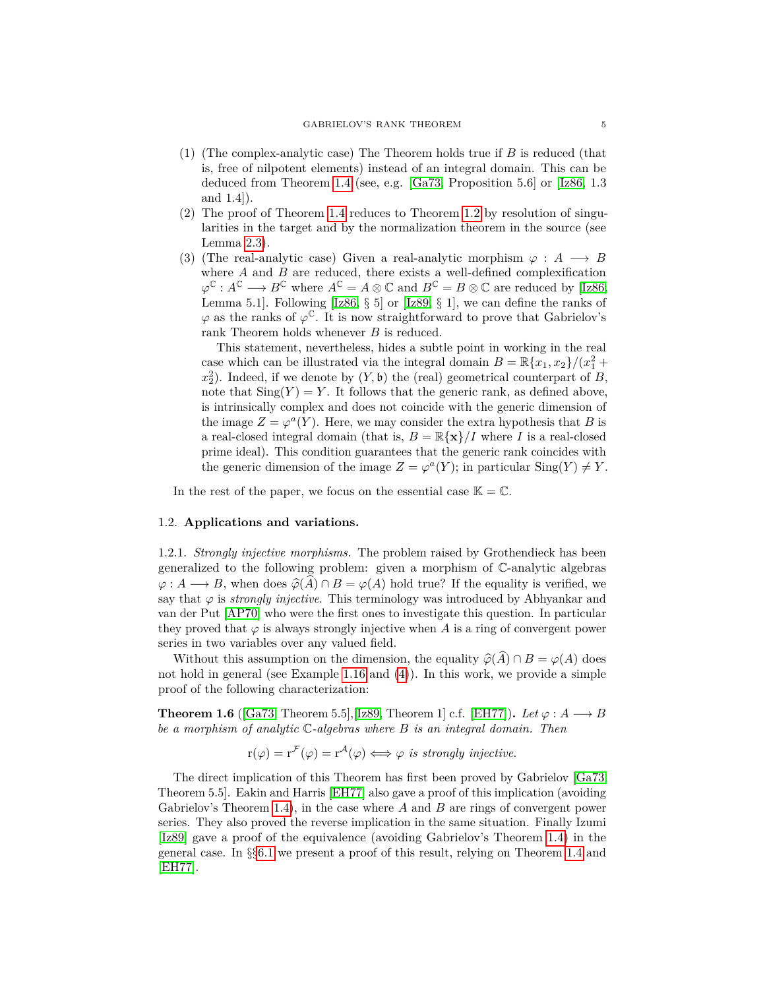- (1) (The complex-analytic case) The Theorem holds true if *B* is reduced (that is, free of nilpotent elements) instead of an integral domain. This can be deduced from Theorem [1.4](#page-3-1) (see, e.g. [\[Ga73,](#page-60-3) Proposition 5.6] or [\[Iz86,](#page-60-9) 1.3 and 1.4]).
- (2) The proof of Theorem [1.4](#page-3-1) reduces to Theorem [1.2](#page-3-0) by resolution of singularities in the target and by the normalization theorem in the source (see Lemma [2.3\)](#page-11-0).
- (3) (The real-analytic case) Given a real-analytic morphism  $\varphi : A \longrightarrow B$ where *A* and *B* are reduced, there exists a well-defined complexification  $\varphi^{\mathbb{C}}: A^{\mathbb{C}} \longrightarrow B^{\mathbb{C}}$  where  $A^{\mathbb{C}} = A \otimes \mathbb{C}$  and  $B^{\mathbb{C}} = B \otimes \mathbb{C}$  are reduced by [\[Iz86,](#page-60-9) Lemma 5.1]. Following  $[Iz86, \S 5]$  $[Iz86, \S 5]$  or  $[Iz89, \S 1]$  $[Iz89, \S 1]$ , we can define the ranks of  $\varphi$  as the ranks of  $\varphi^{\mathbb{C}}$ . It is now straightforward to prove that Gabrielov's rank Theorem holds whenever *B* is reduced.

This statement, nevertheless, hides a subtle point in working in the real case which can be illustrated via the integral domain  $B = \mathbb{R}\{x_1, x_2\}/(x_1^2 +$  $x_2^2$ ). Indeed, if we denote by  $(Y, \mathfrak{b})$  the (real) geometrical counterpart of *B*, note that  $\text{Sing}(Y) = Y$ . It follows that the generic rank, as defined above, is intrinsically complex and does not coincide with the generic dimension of the image  $Z = \varphi^a(Y)$ . Here, we may consider the extra hypothesis that *B* is a real-closed integral domain (that is,  $B = \mathbb{R}\{\mathbf{x}\}/I$  where *I* is a real-closed prime ideal). This condition guarantees that the generic rank coincides with the generic dimension of the image  $Z = \varphi^a(Y)$ ; in particular  $\text{Sing}(Y) \neq Y$ .

In the rest of the paper, we focus on the essential case  $\mathbb{K} = \mathbb{C}$ .

## <span id="page-4-1"></span>1.2. **Applications and variations.**

1.2.1. *Strongly injective morphisms.* The problem raised by Grothendieck has been generalized to the following problem: given a morphism of C-analytic algebras  $\varphi: A \longrightarrow B$ , when does  $\widehat{\varphi}(A) \cap B = \varphi(A)$  hold true? If the equality is verified, we say that  $\varphi$  is *strongly injective*. This terminology was introduced by Abhyankar and van der Put [\[AP70\]](#page-59-11) who were the first ones to investigate this question. In particular they proved that  $\varphi$  is always strongly injective when A is a ring of convergent power series in two variables over any valued field.

Without this assumption on the dimension, the equality  $\widehat{\varphi}(A) \cap B = \varphi(A)$  does not hold in general (see Example [1.16](#page-8-1) and [\(4\)](#page-9-0)). In this work, we provide a simple proof of the following characterization:

<span id="page-4-0"></span>**Theorem 1.6** ([\[Ga73,](#page-60-3) Theorem 5.5],[\[Iz89,](#page-60-4) Theorem 1] c.f. [\[EH77\]](#page-60-6)). *Let*  $\varphi : A \longrightarrow B$ *be a morphism of analytic* C*-algebras where B is an integral domain. Then*

 $r(\varphi) = r^{\mathcal{F}}(\varphi) = r^{\mathcal{A}}(\varphi) \Longleftrightarrow \varphi$  *is strongly injective.* 

The direct implication of this Theorem has first been proved by Gabrielov [\[Ga73,](#page-60-3) Theorem 5.5]. Eakin and Harris [\[EH77\]](#page-60-6) also gave a proof of this implication (avoiding Gabrielov's Theorem [1.4\)](#page-3-1), in the case where *A* and *B* are rings of convergent power series. They also proved the reverse implication in the same situation. Finally Izumi [\[Iz89\]](#page-60-4) gave a proof of the equivalence (avoiding Gabrielov's Theorem [1.4\)](#page-3-1) in the general case. In §§[6.1](#page-54-0) we present a proof of this result, relying on Theorem [1.4](#page-3-1) and [\[EH77\]](#page-60-6).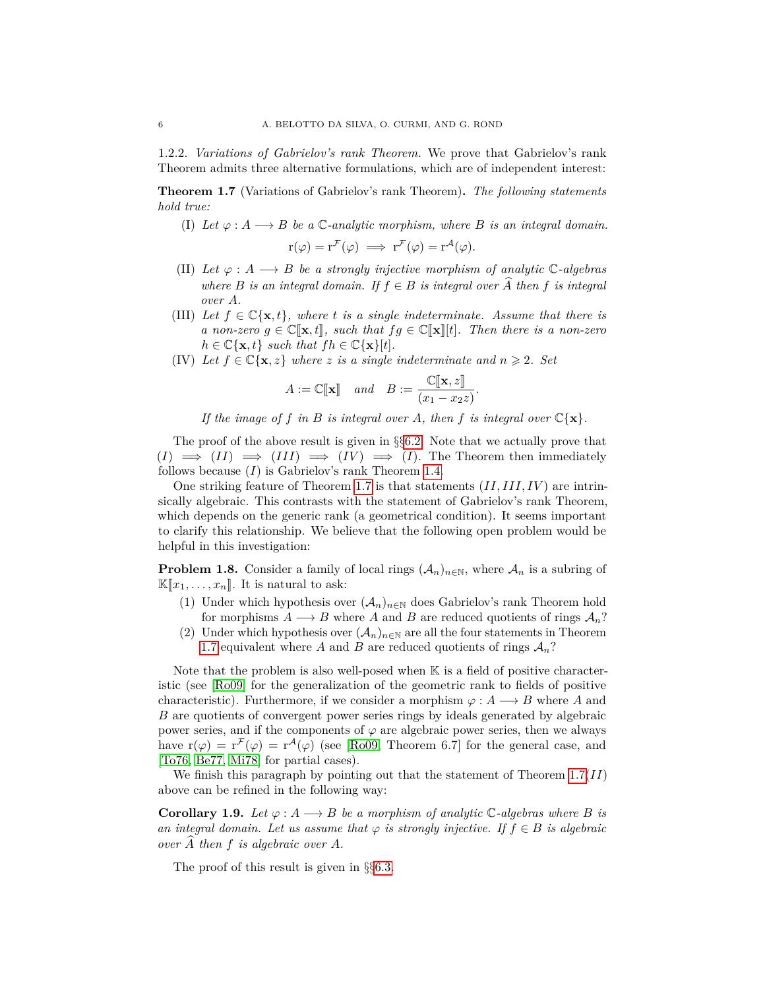1.2.2. *Variations of Gabrielov's rank Theorem.* We prove that Gabrielov's rank Theorem admits three alternative formulations, which are of independent interest:

<span id="page-5-0"></span>**Theorem 1.7** (Variations of Gabrielov's rank Theorem)**.** *The following statements hold true:*

(I) Let  $\varphi : A \longrightarrow B$  be a  $\mathbb{C}$ -analytic morphism, where B is an integral domain.

$$
r(\varphi) = r^{\mathcal{F}}(\varphi) \implies r^{\mathcal{F}}(\varphi) = r^{\mathcal{A}}(\varphi).
$$

- (II) *Let*  $\varphi : A \longrightarrow B$  *be a strongly injective morphism of analytic*  $\mathbb{C}$ *-algebras where B is an integral domain.* If  $f \in B$  *is integral over*  $\widehat{A}$  *then*  $f$  *is integral over A.*
- (III) Let  $f \in \mathbb{C}\{\mathbf{x},t\}$ , where *t* is a single indeterminate. Assume that there is *a* non-zero  $g \in \mathbb{C}[\mathbf{x}, t]$ , such that  $fg \in \mathbb{C}[\mathbf{x}][t]$ . Then there is a non-zero  $h \in \mathbb{C}\{\mathbf{x}, t\}$  *such that*  $fh \in \mathbb{C}\{\mathbf{x}\}[t]$ *.*
- (IV) Let  $f \in \mathbb{C}\{\mathbf{x}, z\}$  where z is a single indeterminate and  $n \geq 2$ . Set

$$
A := \mathbb{C}[\![\mathbf{x}]\!] \quad and \quad B := \frac{\mathbb{C}[\![\mathbf{x}, z]\!] }{(x_1 - x_2 z)}.
$$

If the image of f in B is integral over A, then f is integral over  $\mathbb{C}\{\mathbf{x}\}.$ 

The proof of the above result is given in §§[6.2.](#page-55-0) Note that we actually prove that  $(I) \implies (II) \implies (III) \implies (IV) \implies (I)$ . The Theorem then immediately follows because (*I*) is Gabrielov's rank Theorem [1.4.](#page-3-1)

One striking feature of Theorem [1.7](#page-5-0) is that statements (*II, III, IV* ) are intrinsically algebraic. This contrasts with the statement of Gabrielov's rank Theorem, which depends on the generic rank (a geometrical condition). It seems important to clarify this relationship. We believe that the following open problem would be helpful in this investigation:

<span id="page-5-2"></span>**Problem 1.8.** Consider a family of local rings  $(A_n)_{n\in\mathbb{N}}$ , where  $A_n$  is a subring of  $\mathbb{K}[x_1,\ldots,x_n]$ . It is natural to ask:

- (1) Under which hypothesis over  $(\mathcal{A}_n)_{n\in\mathbb{N}}$  does Gabrielov's rank Theorem hold for morphisms  $A \longrightarrow B$  where  $A$  and  $B$  are reduced quotients of rings  $A_n$ ?
- (2) Under which hypothesis over  $(\mathcal{A}_n)_{n\in\mathbb{N}}$  are all the four statements in Theorem [1.7](#page-5-0) equivalent where A and B are reduced quotients of rings  $A_n$ ?

Note that the problem is also well-posed when  $\mathbb K$  is a field of positive characteristic (see [\[Ro09\]](#page-61-10) for the generalization of the geometric rank to fields of positive characteristic). Furthermore, if we consider a morphism  $\varphi : A \longrightarrow B$  where A and *B* are quotients of convergent power series rings by ideals generated by algebraic power series, and if the components of  $\varphi$  are algebraic power series, then we always have  $r(\varphi) = r^{\mathcal{F}}(\varphi) = r^{\mathcal{A}}(\varphi)$  (see [\[Ro09,](#page-61-10) Theorem 6.7] for the general case, and [\[To76,](#page-61-11) [Be77,](#page-59-12) [Mi78\]](#page-60-12) for partial cases).

We finish this paragraph by pointing out that the statement of Theorem [1.7\(](#page-5-0)*II*) above can be refined in the following way:

<span id="page-5-1"></span>**Corollary 1.9.** Let  $\varphi: A \longrightarrow B$  be a morphism of analytic C-algebras where B is *an integral domain. Let us assume that*  $\varphi$  *is strongly injective. If*  $f \in B$  *is algebraic over*  $\overline{A}$  *then*  $f$  *is algebraic over*  $A$ *.* 

The proof of this result is given in §§[6.3.](#page-57-1)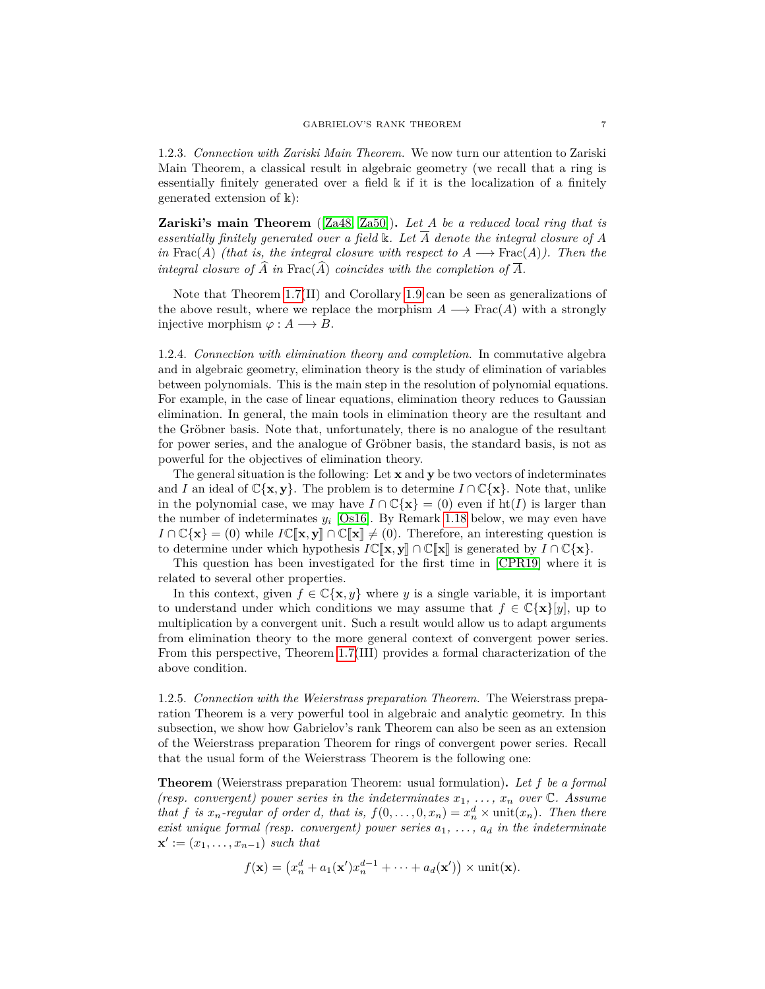1.2.3. *Connection with Zariski Main Theorem.* We now turn our attention to Zariski Main Theorem, a classical result in algebraic geometry (we recall that a ring is essentially finitely generated over a field k if it is the localization of a finitely generated extension of k):

**Zariski's main Theorem** ([\[Za48,](#page-61-8) [Za50\]](#page-61-9))**.** *Let A be a reduced local ring that is essentially finitely generated over a field* k*. Let A denote the integral closure of A in* Frac(*A*) *(that is, the integral closure with respect to*  $A \longrightarrow \text{Frac}(A)$ *). Then the integral closure of*  $\widehat{A}$  *in* Frac( $\widehat{A}$ ) *coincides with the completion of*  $\overline{A}$ *.* 

Note that Theorem [1.7\(](#page-5-0)II) and Corollary [1.9](#page-5-1) can be seen as generalizations of the above result, where we replace the morphism  $A \longrightarrow \text{Frac}(A)$  with a strongly injective morphism  $\varphi : A \longrightarrow B$ .

1.2.4. *Connection with elimination theory and completion.* In commutative algebra and in algebraic geometry, elimination theory is the study of elimination of variables between polynomials. This is the main step in the resolution of polynomial equations. For example, in the case of linear equations, elimination theory reduces to Gaussian elimination. In general, the main tools in elimination theory are the resultant and the Gröbner basis. Note that, unfortunately, there is no analogue of the resultant for power series, and the analogue of Gröbner basis, the standard basis, is not as powerful for the objectives of elimination theory.

The general situation is the following: Let **x** and **y** be two vectors of indeterminates and *I* an ideal of  $\mathbb{C}\{\mathbf{x},\mathbf{y}\}\$ . The problem is to determine  $I \cap \mathbb{C}\{\mathbf{x}\}\$ . Note that, unlike in the polynomial case, we may have  $I \cap \mathbb{C}\{\mathbf{x}\} = (0)$  even if ht(*I*) is larger than the number of indeterminates  $y_i$  [\[Os16\]](#page-61-2). By Remark [1.18](#page-10-1) below, we may even have *I* ∩  $\mathbb{C}\{\mathbf{x}\} = (0)$  while *I* $\mathbb{C}[\mathbf{x}, \mathbf{y}]$  ∩  $\mathbb{C}[\mathbf{x}] \neq (0)$ . Therefore, an interesting question is to determine under which hypothesis  $I\mathbb{C}[\![\mathbf{x},\mathbf{y}]\!] \cap \mathbb{C}[\![\mathbf{x}]\!]$  is generated by  $I \cap \mathbb{C}\{\mathbf{x}\}$ .

This question has been investigated for the first time in [\[CPR19\]](#page-60-13) where it is related to several other properties.

In this context, given  $f \in \mathbb{C}\{\mathbf{x},y\}$  where y is a single variable, it is important to understand under which conditions we may assume that  $f \in \mathbb{C}\{\mathbf{x}\}\mathbf{y}$ , up to multiplication by a convergent unit. Such a result would allow us to adapt arguments from elimination theory to the more general context of convergent power series. From this perspective, Theorem [1.7\(](#page-5-0)III) provides a formal characterization of the above condition.

1.2.5. *Connection with the Weierstrass preparation Theorem.* The Weierstrass preparation Theorem is a very powerful tool in algebraic and analytic geometry. In this subsection, we show how Gabrielov's rank Theorem can also be seen as an extension of the Weierstrass preparation Theorem for rings of convergent power series. Recall that the usual form of the Weierstrass Theorem is the following one:

**Theorem** (Weierstrass preparation Theorem: usual formulation)**.** *Let f be a formal (resp. convergent) power series in the indeterminates*  $x_1, \ldots, x_n$  *over*  $\mathbb{C}$ *. Assume that f is*  $x_n$ -regular of order *d*, that is,  $f(0, \ldots, 0, x_n) = x_n^d \times \text{unit}(x_n)$ *. Then there exist unique formal (resp. convergent) power series a*1*, . . . , a<sup>d</sup> in the indeterminate*  $\mathbf{x}' := (x_1, \ldots, x_{n-1})$  *such that* 

$$
f(\mathbf{x}) = (x_n^d + a_1(\mathbf{x}')x_n^{d-1} + \dots + a_d(\mathbf{x}')) \times \text{unit}(\mathbf{x}).
$$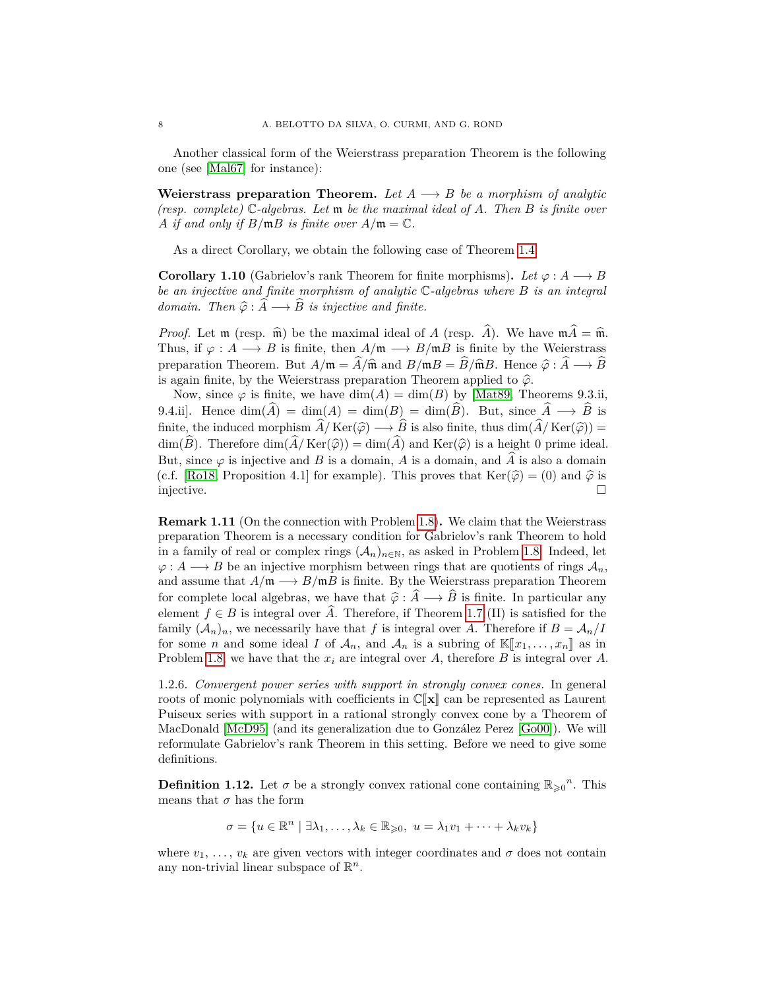Another classical form of the Weierstrass preparation Theorem is the following one (see [\[Mal67\]](#page-60-14) for instance):

**Weierstrass preparation Theorem.** Let  $A \rightarrow B$  be a morphism of analytic *(resp. complete)* C*-algebras. Let* m *be the maximal ideal of A. Then B is finite over A if and only if*  $B/\mathfrak{m}B$  *is finite over*  $A/\mathfrak{m} = \mathbb{C}$ *.* 

As a direct Corollary, we obtain the following case of Theorem [1.4:](#page-3-1)

<span id="page-7-0"></span>**Corollary 1.10** (Gabrielov's rank Theorem for finite morphisms). Let  $\varphi : A \longrightarrow B$ *be an injective and finite morphism of analytic* C*-algebras where B is an integral domain.* Then  $\hat{\varphi}$  :  $\hat{A} \longrightarrow \hat{B}$  *is injective and finite.* 

*Proof.* Let  $\mathfrak{m}$  (resp.  $\widehat{\mathfrak{m}}$ ) be the maximal ideal of *A* (resp.  $\widehat{A}$ ). We have  $\mathfrak{m}\widehat{A}=\widehat{\mathfrak{m}}$ . Thus, if  $\varphi : A \longrightarrow B$  is finite, then  $A/\mathfrak{m} \longrightarrow B/\mathfrak{m}B$  is finite by the Weierstrass preparation Theorem. But  $A/\mathfrak{m} = \widehat{A}/\widehat{\mathfrak{m}}$  and  $B/\mathfrak{m}B = \widehat{B}/\widehat{\mathfrak{m}}B$ . Hence  $\widehat{\varphi} : \widehat{A} \longrightarrow \widehat{B}$ is again finite, by the Weierstrass preparation Theorem applied to  $\hat{\varphi}$ .

Now, since  $\varphi$  is finite, we have  $\dim(A) = \dim(B)$  by [\[Mat89,](#page-60-11) Theorems 9.3.ii, 9.4.ii. Hence  $\dim(\widehat{A}) = \dim(A) = \dim(B) = \dim(\widehat{B})$ . But, since  $\widehat{A} \longrightarrow \widehat{B}$  is finite, the induced morphism  $\hat{A}/\text{Ker}(\hat{\varphi}) \longrightarrow \hat{B}$  is also finite, thus dim $(\hat{A}/\text{Ker}(\hat{\varphi})) =$ dim( $\widehat{B}$ ). Therefore dim( $\widehat{A}/\text{Ker}(\widehat{\varphi})$ ) = dim( $\widehat{A}$ ) and Ker( $\widehat{\varphi}$ ) is a height 0 prime ideal. But, since  $\varphi$  is injective and *B* is a domain, *A* is a domain, and  $\widehat{A}$  is also a domain (c.f. [\[Ro18,](#page-61-12) Proposition 4.1] for example). This proves that  $\text{Ker}(\hat{\varphi}) = (0)$  and  $\hat{\varphi}$  is injective. injective.

**Remark 1.11** (On the connection with Problem [1.8\)](#page-5-2)**.** We claim that the Weierstrass preparation Theorem is a necessary condition for Gabrielov's rank Theorem to hold in a family of real or complex rings  $(\mathcal{A}_n)_{n\in\mathbb{N}}$ , as asked in Problem [1.8.](#page-5-2) Indeed, let  $\varphi: A \longrightarrow B$  be an injective morphism between rings that are quotients of rings  $A_n$ , and assume that  $A/\mathfrak{m} \longrightarrow B/\mathfrak{m}B$  is finite. By the Weierstrass preparation Theorem for complete local algebras, we have that  $\hat{\varphi} : \hat{A} \longrightarrow \hat{B}$  is finite. In particular any element  $f \in B$  is integral over A. Therefore, if Theorem [1.7](#page-5-0) (II) is satisfied for the family  $(A_n)_n$ , we necessarily have that f is integral over A. Therefore if  $B = A_n/I$ for some *n* and some ideal *I* of  $\mathcal{A}_n$ , and  $\mathcal{A}_n$  is a subring of  $\mathbb{K}[\![x_1,\ldots,x_n]\!]$  as in Problem [1.8,](#page-5-2) we have that the *x<sup>i</sup>* are integral over *A*, therefore *B* is integral over *A*.

1.2.6. *Convergent power series with support in strongly convex cones.* In general roots of monic polynomials with coefficients in  $\mathbb{C}[\mathbf{x}]$  can be represented as Laurent Puiseux series with support in a rational strongly convex cone by a Theorem of MacDonald [\[McD95\]](#page-60-15) (and its generalization due to González Perez [\[Go00\]](#page-60-16)). We will reformulate Gabrielov's rank Theorem in this setting. Before we need to give some definitions.

**Definition 1.12.** Let  $\sigma$  be a strongly convex rational cone containing  $\mathbb{R}_{\geq 0}^n$ . This means that  $\sigma$  has the form

$$
\sigma = \{ u \in \mathbb{R}^n \mid \exists \lambda_1, \ldots, \lambda_k \in \mathbb{R}_{\geqslant 0}, u = \lambda_1 v_1 + \cdots + \lambda_k v_k \}
$$

where  $v_1, \ldots, v_k$  are given vectors with integer coordinates and  $\sigma$  does not contain any non-trivial linear subspace of  $\mathbb{R}^n$ .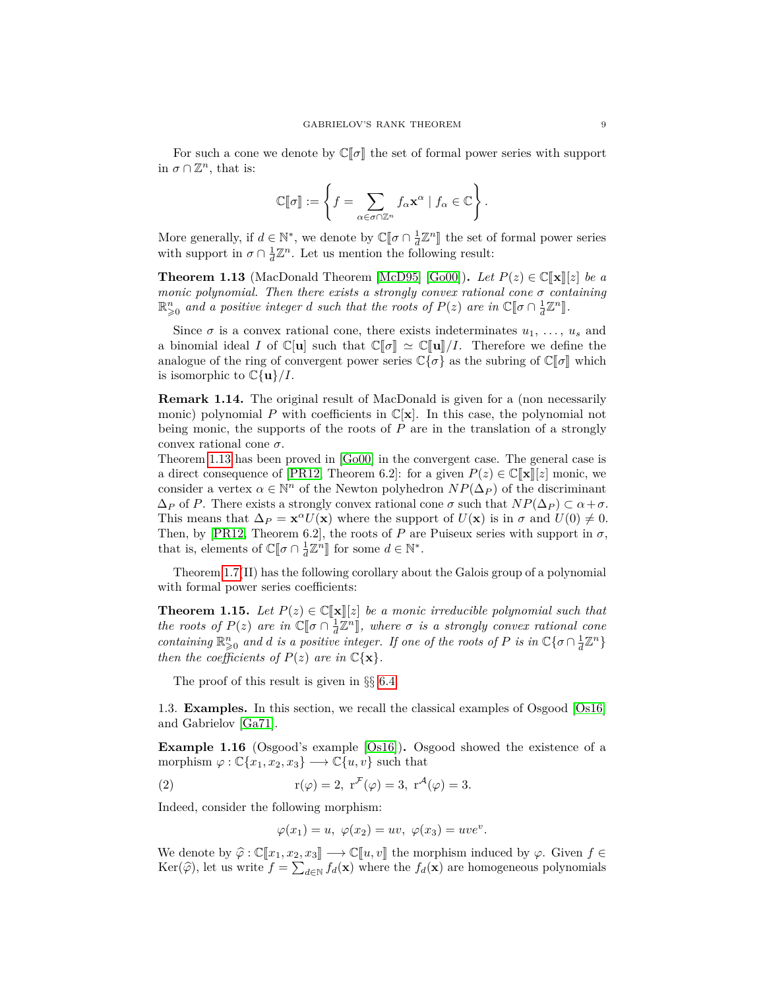For such a cone we denote by  $\mathbb{C}[\sigma]$  the set of formal power series with support in  $\sigma \cap \mathbb{Z}^n$ , that is:

$$
\mathbb{C}[\![\sigma]\!]:=\left\{f=\sum_{\alpha\in\sigma\cap\mathbb{Z}^n}f_{\alpha}\mathbf{x}^{\alpha}\mid f_{\alpha}\in\mathbb{C}\right\}.
$$

More generally, if  $d \in \mathbb{N}^*$ , we denote by  $\mathbb{C}[\![\sigma \cap \frac{1}{d}\mathbb{Z}^n]\!]$  the set of formal power series with support in  $\sigma \cap \frac{1}{d}\mathbb{Z}^n$ . Let us mention the following result:

<span id="page-8-2"></span>**Theorem 1.13** (MacDonald Theorem [\[McD95\]](#page-60-15) [\[Go00\]](#page-60-16)). Let  $P(z) \in \mathbb{C}[\mathbf{x}][z]$  be a *monic polynomial. Then there exists a strongly convex rational cone*  $\sigma$  *containing*  $\mathbb{R}^n_{\geq 0}$  and a positive integer *d* such that the roots of  $P(z)$  are in  $\mathbb{C}[\![\sigma \cap \frac{1}{d}\mathbb{Z}^n]\!]$ .

Since  $\sigma$  is a convex rational cone, there exists indeterminates  $u_1, \ldots, u_s$  and a binomial ideal *I* of  $\mathbb{C}[u]$  such that  $\mathbb{C}[\![\sigma]\!] \simeq \mathbb{C}[\![u]\!]/I$ . Therefore we define the analogue of the ring of convergent power series  $\mathbb{C}\{\sigma\}$  as the subring of  $\mathbb{C}[\sigma]$  which is isomorphic to  $\mathbb{C}\{\mathbf{u}\}/I$ .

**Remark 1.14.** The original result of MacDonald is given for a (non necessarily monic) polynomial P with coefficients in  $\mathbb{C}[\mathbf{x}]$ . In this case, the polynomial not being monic, the supports of the roots of *P* are in the translation of a strongly convex rational cone *σ*.

Theorem [1.13](#page-8-2) has been proved in [\[Go00\]](#page-60-16) in the convergent case. The general case is a direct consequence of [\[PR12,](#page-61-13) Theorem 6.2]: for a given  $P(z) \in \mathbb{C}[\mathbf{x}][z]$  monic, we consider a vertex  $\alpha \in \mathbb{N}^n$  of the Newton polyhedron  $NP(\Delta_P)$  of the discriminant  $\Delta_P$  of *P*. There exists a strongly convex rational cone  $\sigma$  such that  $NP(\Delta_P) \subset \alpha + \sigma$ . This means that  $\Delta_P = \mathbf{x}^\alpha U(\mathbf{x})$  where the support of  $U(\mathbf{x})$  is in  $\sigma$  and  $U(0) \neq 0$ . Then, by [\[PR12,](#page-61-13) Theorem 6.2], the roots of *P* are Puiseux series with support in  $\sigma$ , that is, elements of  $\mathbb{C}[\![\sigma \cap \frac{1}{d}\mathbb{Z}^n]\!]$  for some  $d \in \mathbb{N}^*$ .

Theorem [1.7\(](#page-5-0)II) has the following corollary about the Galois group of a polynomial with formal power series coefficients:

<span id="page-8-0"></span>**Theorem 1.15.** Let  $P(z) \in \mathbb{C}[\![\mathbf{x}]\!] [z]$  be a monic irreducible polynomial such that *the roots of*  $P(z)$  *are in*  $\mathbb{C}[\sigma \cap \frac{1}{d}\mathbb{Z}^n]$ , where  $\sigma$  *is a strongly convex rational cone*<br>containing  $\mathbb{R}^n$ , and d is a positive integer. If and of the mate of *B* is in  $\mathbb{C}$  [*n*  $\Omega$ <sup>17</sup><sup>n</sup>] *containing*  $\mathbb{R}^n_{\geq 0}$  *and d is a positive integer. If one of the roots of P is in*  $\mathbb{C}\{\sigma \cap \frac{1}{d}\mathbb{Z}^n\}$ *then the coefficients of*  $P(z)$  *are in*  $\mathbb{C}\{\mathbf{x}\}.$ 

The proof of this result is given in §§ [6.4.](#page-57-2)

1.3. **Examples.** In this section, we recall the classical examples of Osgood [\[Os16\]](#page-61-2) and Gabrielov [\[Ga71\]](#page-60-2).

<span id="page-8-1"></span>**Example 1.16** (Osgood's example [\[Os16\]](#page-61-2))**.** Osgood showed the existence of a morphism  $\varphi : \mathbb{C}\{x_1, x_2, x_3\} \longrightarrow \mathbb{C}\{u, v\}$  such that

(2) 
$$
r(\varphi) = 2, r^{\mathcal{F}}(\varphi) = 3, r^{\mathcal{A}}(\varphi) = 3.
$$

Indeed, consider the following morphism:

$$
\varphi(x_1) = u, \ \varphi(x_2) = uv, \ \varphi(x_3) = uve^v.
$$

We denote by  $\hat{\varphi} : \mathbb{C}[\![x_1, x_2, x_3]\!] \longrightarrow \mathbb{C}[\![u, v]\!]$  the morphism induced by  $\varphi$ . Given  $f \in$ Ker( $\widehat{\varphi}$ ), let us write  $f = \sum_{d \in \mathbb{N}} f_d(\mathbf{x})$  where the  $f_d(\mathbf{x})$  are homogeneous polynomials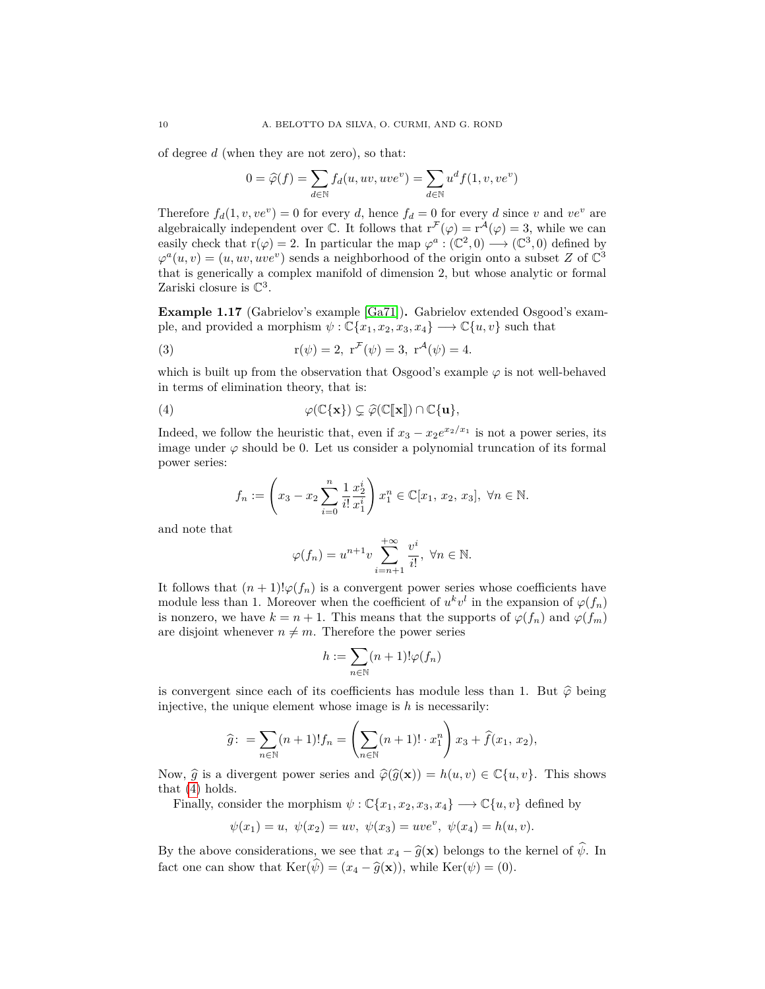of degree *d* (when they are not zero), so that:

$$
0 = \widehat{\varphi}(f) = \sum_{d \in \mathbb{N}} f_d(u, uv, uve^v) = \sum_{d \in \mathbb{N}} u^d f(1, v, ve^v)
$$

Therefore  $f_d(1, v, ve^v) = 0$  for every *d*, hence  $f_d = 0$  for every *d* since *v* and *ve*<sup>*v*</sup> are algebraically independent over  $\mathbb{C}$ . It follows that  $r^{\mathcal{F}}(\varphi) = r^{\mathcal{A}}(\varphi) = 3$ , while we can easily check that  $r(\varphi) = 2$ . In particular the map  $\varphi^a : (\mathbb{C}^2, 0) \longrightarrow (\mathbb{C}^3, 0)$  defined by  $\varphi^a(u, v) = (u, uv, uve^v)$  sends a neighborhood of the origin onto a subset *Z* of  $\mathbb{C}^3$ that is generically a complex manifold of dimension 2, but whose analytic or formal Zariski closure is  $\mathbb{C}^3$ .

**Example 1.17** (Gabrielov's example [\[Ga71\]](#page-60-2))**.** Gabrielov extended Osgood's example, and provided a morphism  $\psi$  :  $\mathbb{C}\{x_1, x_2, x_3, x_4\} \longrightarrow \mathbb{C}\{u, v\}$  such that

(3) 
$$
r(\psi) = 2, r^{\mathcal{F}}(\psi) = 3, r^{\mathcal{A}}(\psi) = 4.
$$

which is built up from the observation that Osgood's example  $\varphi$  is not well-behaved in terms of elimination theory, that is:

(4) 
$$
\varphi(\mathbb{C}\{\mathbf{x}\}) \subsetneq \widehat{\varphi}(\mathbb{C}[\![\mathbf{x}]\!]) \cap \mathbb{C}\{\mathbf{u}\},
$$

Indeed, we follow the heuristic that, even if  $x_3 - x_2e^{x_2/x_1}$  is not a power series, its image under  $\varphi$  should be 0. Let us consider a polynomial truncation of its formal power series:

<span id="page-9-0"></span>
$$
f_n := \left(x_3 - x_2 \sum_{i=0}^n \frac{1}{i!} \frac{x_2^i}{x_1^i}\right) x_1^n \in \mathbb{C}[x_1, x_2, x_3], \ \forall n \in \mathbb{N}.
$$

and note that

$$
\varphi(f_n) = u^{n+1}v \sum_{i=n+1}^{+\infty} \frac{v^i}{i!}, \ \forall n \in \mathbb{N}.
$$

It follows that  $(n+1)! \varphi(f_n)$  is a convergent power series whose coefficients have module less than 1. Moreover when the coefficient of  $u^k v^l$  in the expansion of  $\varphi(f_n)$ is nonzero, we have  $k = n + 1$ . This means that the supports of  $\varphi(f_n)$  and  $\varphi(f_m)$ are disjoint whenever  $n \neq m$ . Therefore the power series

$$
h := \sum_{n \in \mathbb{N}} (n+1)! \varphi(f_n)
$$

is convergent since each of its coefficients has module less than 1. But  $\hat{\varphi}$  being injective, the unique element whose image is *h* is necessarily:

$$
\widehat{g} \colon = \sum_{n \in \mathbb{N}} (n+1)! f_n = \left( \sum_{n \in \mathbb{N}} (n+1)! \cdot x_1^n \right) x_3 + \widehat{f}(x_1, x_2),
$$

Now,  $\hat{g}$  is a divergent power series and  $\hat{\varphi}(\hat{g}(\mathbf{x})) = h(u, v) \in \mathbb{C}\{u, v\}$ . This shows that [\(4\)](#page-9-0) holds.

Finally, consider the morphism  $\psi$  :  $\mathbb{C}\{x_1, x_2, x_3, x_4\} \longrightarrow \mathbb{C}\{u, v\}$  defined by

$$
\psi(x_1) = u, \ \psi(x_2) = uv, \ \psi(x_3) = u v e^v, \ \psi(x_4) = h(u, v).
$$

By the above considerations, we see that  $x_4 - \hat{g}(\mathbf{x})$  belongs to the kernel of  $\hat{\psi}$ . In fact one can show that  $\text{Ker}(\widehat{\psi}) = (x_4 - \widehat{g}(\mathbf{x}))$ , while  $\text{Ker}(\psi) = (0)$ .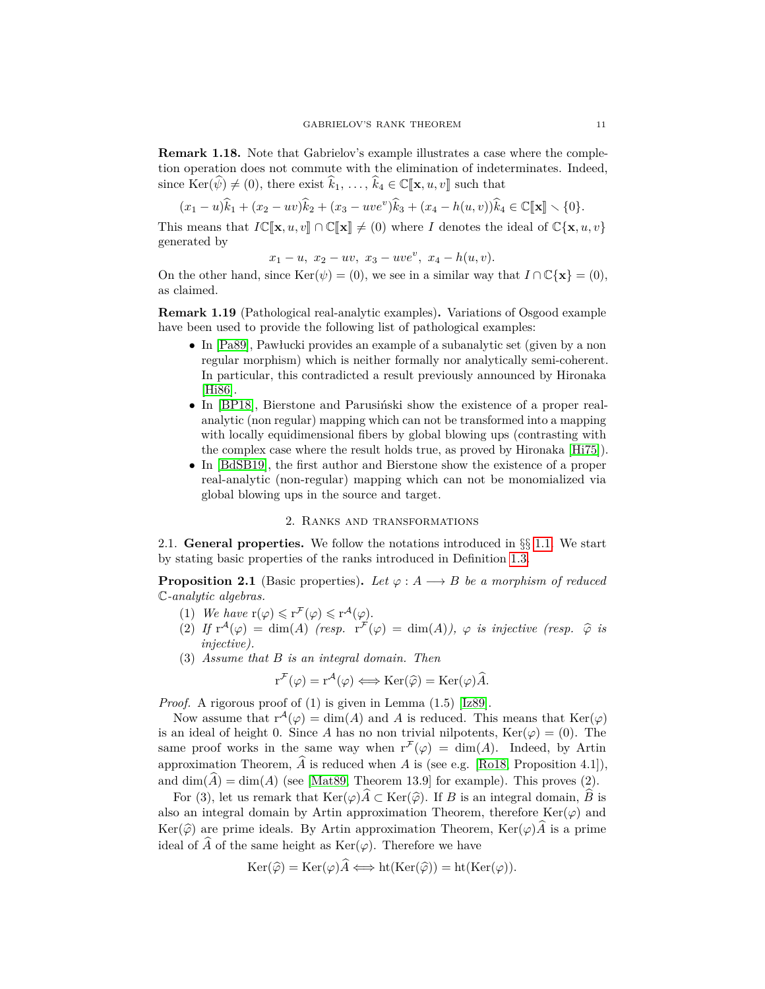<span id="page-10-1"></span>**Remark 1.18.** Note that Gabrielov's example illustrates a case where the completion operation does not commute with the elimination of indeterminates. Indeed, since  $\text{Ker}(\hat{\psi}) \neq (0)$ , there exist  $\hat{k}_1, \ldots, \hat{k}_4 \in \mathbb{C}[\![\mathbf{x}, u, v]\!]$  such that

$$
(x_1 - u)\hat{k}_1 + (x_2 - uv)\hat{k}_2 + (x_3 - uve^v)\hat{k}_3 + (x_4 - h(u, v))\hat{k}_4 \in \mathbb{C}[\mathbf{x}] \setminus \{0\}.
$$

This means that  $I\mathbb{C}[\mathbf{x}, u, v] \cap \mathbb{C}[\mathbf{x}] \neq (0)$  where *I* denotes the ideal of  $\mathbb{C}\{\mathbf{x}, u, v\}$ generated by

$$
x_1 - u
$$
,  $x_2 - uv$ ,  $x_3 - uve^v$ ,  $x_4 - h(u, v)$ .

On the other hand, since  $\text{Ker}(\psi) = (0)$ , we see in a similar way that  $I \cap \mathbb{C}\{\mathbf{x}\} = (0)$ , as claimed.

**Remark 1.19** (Pathological real-analytic examples)**.** Variations of Osgood example have been used to provide the following list of pathological examples:

- In [\[Pa89\]](#page-61-5), Pawłucki provides an example of a subanalytic set (given by a non regular morphism) which is neither formally nor analytically semi-coherent. In particular, this contradicted a result previously announced by Hironaka [\[Hi86\]](#page-60-17).
- In [\[BP18\]](#page-59-7), Bierstone and Parusiński show the existence of a proper realanalytic (non regular) mapping which can not be transformed into a mapping with locally equidimensional fibers by global blowing ups (contrasting with the complex case where the result holds true, as proved by Hironaka [\[Hi75\]](#page-60-18)).
- In [\[BdSB19\]](#page-59-8), the first author and Bierstone show the existence of a proper real-analytic (non-regular) mapping which can not be monomialized via global blowing ups in the source and target.

## 2. Ranks and transformations

<span id="page-10-0"></span>2.1. **General properties.** We follow the notations introduced in §§ [1.1.](#page-2-2) We start by stating basic properties of the ranks introduced in Definition [1.3.](#page-3-3)

<span id="page-10-2"></span>**Proposition 2.1** (Basic properties). Let  $\varphi : A \longrightarrow B$  be a morphism of reduced C*-analytic algebras.*

- (1) We have  $r(\varphi) \leq r^{\mathcal{F}}(\varphi) \leq r^{\mathcal{A}}(\varphi)$ .
- (2) If  $r^A(\varphi) = \dim(A)$  (resp.  $r^F(\varphi) = \dim(A)$ ),  $\varphi$  *is injective* (resp.  $\hat{\varphi}$  *is injective*) *injective).*
- (3) *Assume that B is an integral domain. Then*

$$
r^{\mathcal{F}}(\varphi) = r^{\mathcal{A}}(\varphi) \Longleftrightarrow \text{Ker}(\widehat{\varphi}) = \text{Ker}(\varphi)\widehat{A}.
$$

*Proof.* A rigorous proof of (1) is given in Lemma (1.5) [\[Iz89\]](#page-60-4).

Now assume that  $r^{\mathcal{A}}(\varphi) = \dim(A)$  and A is reduced. This means that  $\text{Ker}(\varphi)$ is an ideal of height 0. Since *A* has no non trivial nilpotents,  $\text{Ker}(\varphi) = (0)$ . The same proof works in the same way when  $r^{\mathcal{F}}(\varphi) = \dim(A)$ . Indeed, by Artin approximation Theorem,  $\widehat{A}$  is reduced when *A* is (see e.g. [\[Ro18,](#page-61-12) Proposition 4.1]), and  $\dim(A) = \dim(A)$  (see [\[Mat89,](#page-60-11) Theorem 13.9] for example). This proves (2).

For (3), let us remark that  $\text{Ker}(\varphi) \widehat{A} \subset \text{Ker}(\widehat{\varphi})$ . If *B* is an integral domain,  $\widehat{B}$  is also an integral domain by Artin approximation Theorem, therefore  $\text{Ker}(\varphi)$  and Ker( $\widehat{\varphi}$ ) are prime ideals. By Artin approximation Theorem, Ker( $\varphi$ ) $\widehat{A}$  is a prime ideal of  $\widehat{A}$  of the same height as  $\text{Ker}(\varphi)$ . Therefore we have

$$
\operatorname{Ker}(\widehat{\varphi}) = \operatorname{Ker}(\varphi)\widehat{A} \Longleftrightarrow \operatorname{ht}(\operatorname{Ker}(\widehat{\varphi})) = \operatorname{ht}(\operatorname{Ker}(\varphi)).
$$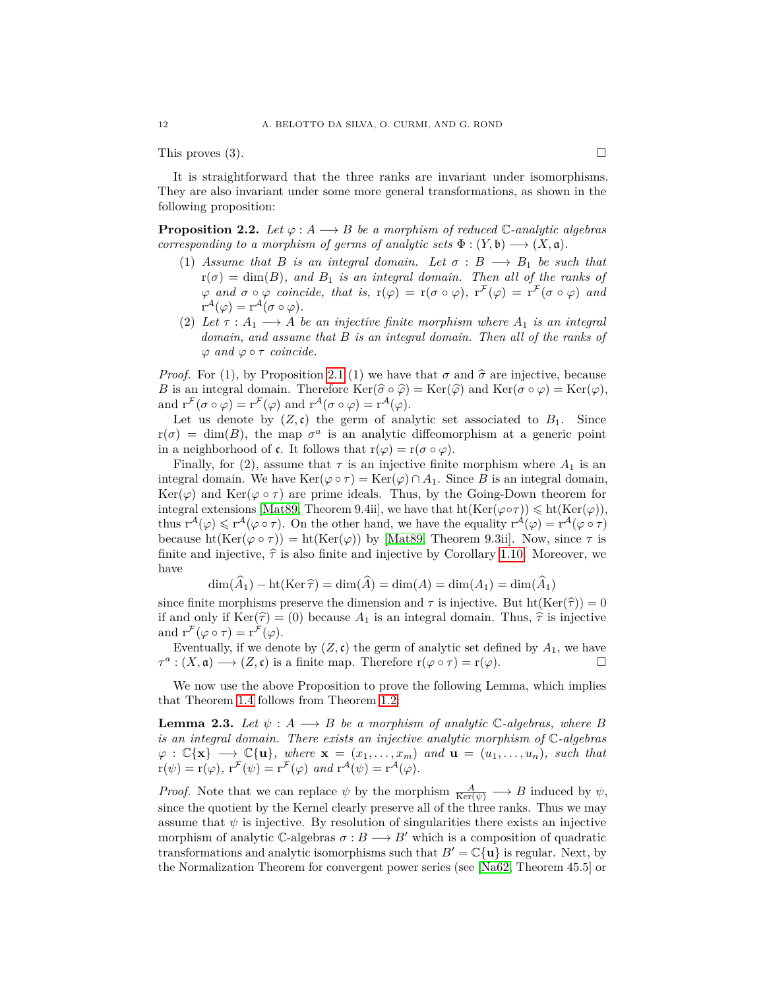This proves  $(3)$ .

It is straightforward that the three ranks are invariant under isomorphisms. They are also invariant under some more general transformations, as shown in the following proposition:

<span id="page-11-1"></span>**Proposition 2.2.** *Let*  $\varphi: A \longrightarrow B$  *be a morphism of reduced* C-analytic algebras *corresponding to a morphism of germs of analytic sets*  $\Phi : (Y, \mathfrak{b}) \longrightarrow (X, \mathfrak{a})$ .

- (1) *Assume that B is an integral domain.* Let  $\sigma : B \longrightarrow B_1$  be such that  $r(\sigma) = \dim(B)$ , and  $B_1$  *is an integral domain. Then all of the ranks of*  $\varphi$  *and*  $\sigma \circ \varphi$  *coincide, that is,*  $r(\varphi) = r(\sigma \circ \varphi)$ ,  $r^{\mathcal{F}}(\varphi) = r^{\mathcal{F}}(\sigma \circ \varphi)$  *and*  $r^{\mathcal{A}}(\varphi) = r^{\mathcal{A}}(\sigma \circ \varphi).$
- (2) *Let*  $\tau : A_1 \longrightarrow A$  *be an injective finite morphism where*  $A_1$  *is an integral domain, and assume that B is an integral domain. Then all of the ranks of*  $\varphi$  *and*  $\varphi \circ \tau$  *coincide.*

*Proof.* For (1), by Proposition [2.1](#page-10-2) (1) we have that  $\sigma$  and  $\hat{\sigma}$  are injective, because *B* is an integral domain. Therefore  $\text{Ker}(\hat{\sigma} \circ \hat{\varphi}) = \text{Ker}(\hat{\varphi})$  and  $\text{Ker}(\sigma \circ \varphi) = \text{Ker}(\varphi)$ , and  $r^{\mathcal{F}}(\sigma \circ \varphi) = r^{\mathcal{F}}(\varphi)$  and  $r^{\mathcal{A}}(\sigma \circ \varphi) = r^{\mathcal{A}}(\varphi)$ .

Let us denote by  $(Z, \mathfrak{c})$  the germ of analytic set associated to  $B_1$ . Since  $r(\sigma) = \dim(B)$ , the map  $\sigma^a$  is an analytic diffeomorphism at a generic point in a neighborhood of **c**. It follows that  $r(\varphi) = r(\sigma \circ \varphi)$ .

Finally, for (2), assume that  $\tau$  is an injective finite morphism where  $A_1$  is an integral domain. We have  $\text{Ker}(\varphi \circ \tau) = \text{Ker}(\varphi) \cap A_1$ . Since *B* is an integral domain, Ker( $\varphi$ ) and Ker( $\varphi \circ \tau$ ) are prime ideals. Thus, by the Going-Down theorem for integral extensions [\[Mat89,](#page-60-11) Theorem 9.4ii], we have that  $\text{ht}(\text{Ker}(\varphi \circ \tau)) \leq \text{ht}(\text{Ker}(\varphi)),$ thus  $r^{\mathcal{A}}(\varphi) \leq r^{\mathcal{A}}(\varphi \circ \tau)$ . On the other hand, we have the equality  $r^{\mathcal{A}}(\varphi) = r^{\mathcal{A}}(\varphi \circ \tau)$ because  $ht(Ker(\varphi \circ \tau)) = ht(Ker(\varphi))$  by [\[Mat89,](#page-60-11) Theorem 9.3ii]. Now, since  $\tau$  is finite and injective,  $\hat{\tau}$  is also finite and injective by Corollary [1.10.](#page-7-0) Moreover, we have

$$
\dim(A_1) - \text{ht}(\text{Ker }\widehat{\tau}) = \dim(A) = \dim(A) = \dim(A_1) = \dim(A_1)
$$

since finite morphisms preserve the dimension and  $\tau$  is injective. But ht(Ker( $\hat{\tau}$ )) = 0<br>if and only if  $Ker(\hat{\tau}) = (0)$  because  $A_t$  is an integral demain. Thus  $\hat{\hat{\tau}}$  is injective if and only if  $\text{Ker}(\hat{\tau}) = (0)$  because  $A_1$  is an integral domain. Thus,  $\hat{\tau}$  is injective and  $\mathbf{r}^{\mathcal{F}}(\varphi \circ \tau) = \mathbf{r}^{\mathcal{F}}(\varphi)$ .

Eventually, if we denote by  $(Z, \mathfrak{c})$  the germ of analytic set defined by  $A_1$ , we have  $\tau^a$ :  $(X, \mathfrak{a}) \longrightarrow (Z, \mathfrak{c})$  is a finite map. Therefore  $r(\varphi \circ \tau) = r(\varphi)$ .

We now use the above Proposition to prove the following Lemma, which implies that Theorem [1.4](#page-3-1) follows from Theorem [1.2:](#page-3-0)

<span id="page-11-0"></span>**Lemma 2.3.** *Let*  $\psi : A \longrightarrow B$  *be a morphism of analytic*  $\mathbb{C}$ *-algebras, where B is an integral domain. There exists an injective analytic morphism of* C*-algebras*  $\varphi : \mathbb{C}\{\mathbf{x}\} \longrightarrow \mathbb{C}\{\mathbf{u}\},\$  where  $\mathbf{x} = (x_1, \ldots, x_m)\$  and  $\mathbf{u} = (u_1, \ldots, u_n),\$  such that  $r(\psi) = r(\varphi), r^{\mathcal{F}}(\psi) = r^{\mathcal{F}}(\varphi) \text{ and } r^{\mathcal{A}}(\psi) = r^{\mathcal{A}}(\varphi).$ 

*Proof.* Note that we can replace  $\psi$  by the morphism  $\frac{A}{\text{Ker}(\psi)} \longrightarrow B$  induced by  $\psi$ , since the quotient by the Kernel clearly preserve all of the three ranks. Thus we may assume that  $\psi$  is injective. By resolution of singularities there exists an injective morphism of analytic  $\mathbb{C}$ -algebras  $\sigma : B \longrightarrow B'$  which is a composition of quadratic transformations and analytic isomorphisms such that  $B' = \mathbb{C}\{\mathbf{u}\}\$ is regular. Next, by the Normalization Theorem for convergent power series (see [\[Na62,](#page-60-19) Theorem 45.5] or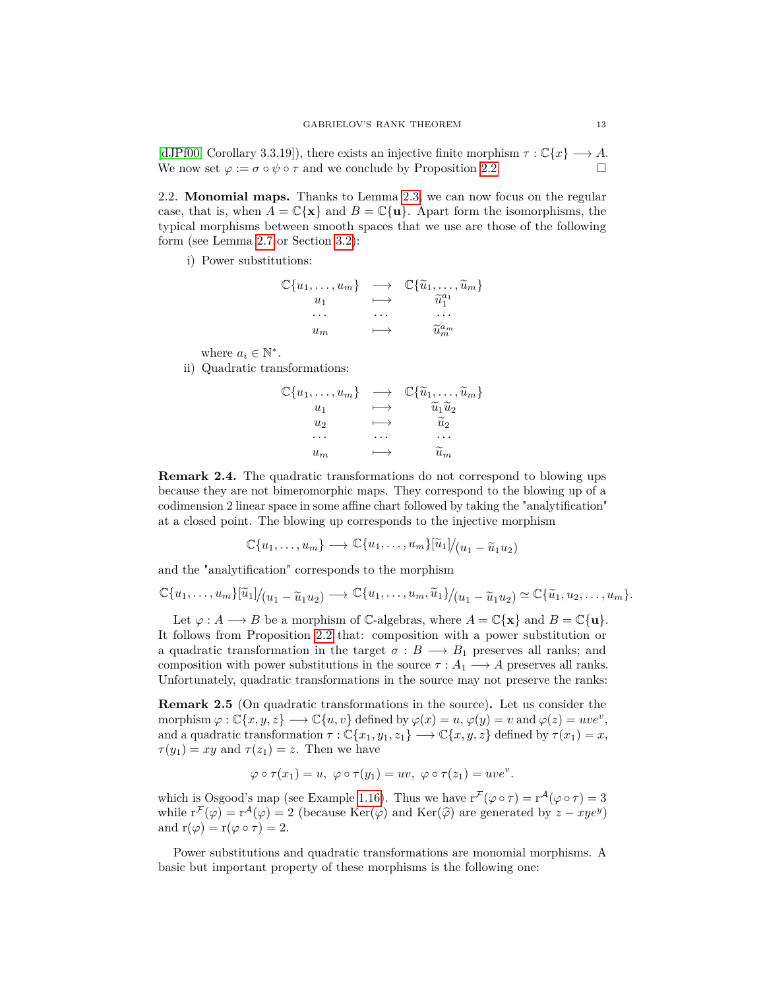[\[dJPf00,](#page-60-20) Corollary 3.3.19]), there exists an injective finite morphism  $\tau : \mathbb{C}\lbrace x \rbrace \longrightarrow A$ . We now set  $\varphi := \sigma \circ \psi \circ \tau$  and we conclude by Proposition [2.2.](#page-11-1)

2.2. **Monomial maps.** Thanks to Lemma [2.3,](#page-11-0) we can now focus on the regular case, that is, when  $A = \mathbb{C}\{\mathbf{x}\}\$ and  $B = \mathbb{C}\{\mathbf{u}\}\$ . Apart form the isomorphisms, the typical morphisms between smooth spaces that we use are those of the following form (see Lemma [2.7](#page-13-0) or Section [3.2\)](#page-15-0):

i) Power substitutions:

$$
\mathbb{C}\{u_1, \ldots, u_m\} \longrightarrow \mathbb{C}\{\widetilde{u}_1, \ldots, \widetilde{u}_m\}
$$
  
\n
$$
u_1 \longrightarrow \widetilde{u}_1^{a_1}
$$
  
\n... ... ...  
\n
$$
u_m \longrightarrow \widetilde{u}_m^{a_m}
$$

where  $a_i \in \mathbb{N}^*$ .

ii) Quadratic transformations:

$$
\mathbb{C}\{u_1, \ldots, u_m\} \longrightarrow \mathbb{C}\{\widetilde{u}_1, \ldots, \widetilde{u}_m\}
$$
  
\n
$$
u_1 \longrightarrow \widetilde{u}_1 \widetilde{u}_2
$$
  
\n
$$
u_2 \longrightarrow \widetilde{u}_2
$$
  
\n
$$
\ldots \qquad \ldots
$$
  
\n
$$
u_m \longrightarrow \widetilde{u}_m
$$

**Remark 2.4.** The quadratic transformations do not correspond to blowing ups because they are not bimeromorphic maps. They correspond to the blowing up of a codimension 2 linear space in some affine chart followed by taking the "analytification" at a closed point. The blowing up corresponds to the injective morphism

$$
\mathbb{C}\{u_1,\ldots,u_m\}\longrightarrow \mathbb{C}\{u_1,\ldots,u_m\}[\widetilde{u}_1]/(u_1-\widetilde{u}_1u_2)
$$

and the "analytification" corresponds to the morphism

$$
\mathbb{C}\{u_1,\ldots,u_m\}[\widetilde{u}_1]/(u_1-\widetilde{u}_1u_2)\longrightarrow \mathbb{C}\{u_1,\ldots,u_m,\widetilde{u}_1\}/(u_1-\widetilde{u}_1u_2)\simeq \mathbb{C}\{\widetilde{u}_1,u_2,\ldots,u_m\}.
$$

Let  $\varphi : A \longrightarrow B$  be a morphism of C-algebras, where  $A = \mathbb{C}\{\mathbf{x}\}\$  and  $B = \mathbb{C}\{\mathbf{u}\}.$ It follows from Proposition [2.2](#page-11-1) that: composition with a power substitution or a quadratic transformation in the target  $\sigma : B \longrightarrow B_1$  preserves all ranks; and composition with power substitutions in the source  $\tau : A_1 \longrightarrow A$  preserves all ranks. Unfortunately, quadratic transformations in the source may not preserve the ranks:

<span id="page-12-0"></span>**Remark 2.5** (On quadratic transformations in the source)**.** Let us consider the  $\text{morphism } \varphi : \mathbb{C}\{x, y, z\} \longrightarrow \mathbb{C}\{u, v\} \text{ defined by } \varphi(x) = u, \varphi(y) = v \text{ and } \varphi(z) = uve^v,$ and a quadratic transformation  $\tau : \mathbb{C}\{x_1, y_1, z_1\} \longrightarrow \mathbb{C}\{x, y, z\}$  defined by  $\tau(x_1) = x$ ,  $\tau(y_1) = xy$  and  $\tau(z_1) = z$ . Then we have

$$
\varphi \circ \tau(x_1) = u, \ \varphi \circ \tau(y_1) = uv, \ \varphi \circ \tau(z_1) = uve^v.
$$

which is Osgood's map (see Example [1.16\)](#page-8-1). Thus we have  $r^{\mathcal{F}}(\varphi \circ \tau) = r^{\mathcal{A}}(\varphi \circ \tau) = 3$ while  $\mathbf{r}^{\mathcal{F}}(\varphi) = \mathbf{r}^{\mathcal{A}}(\varphi) = 2$  (because Ker( $\varphi$ ) and Ker( $\widehat{\varphi}$ ) are generated by  $z - xye^y$ ) and  $r(\varphi) = r(\varphi \circ \tau) = 2$ .

Power substitutions and quadratic transformations are monomial morphisms. A basic but important property of these morphisms is the following one: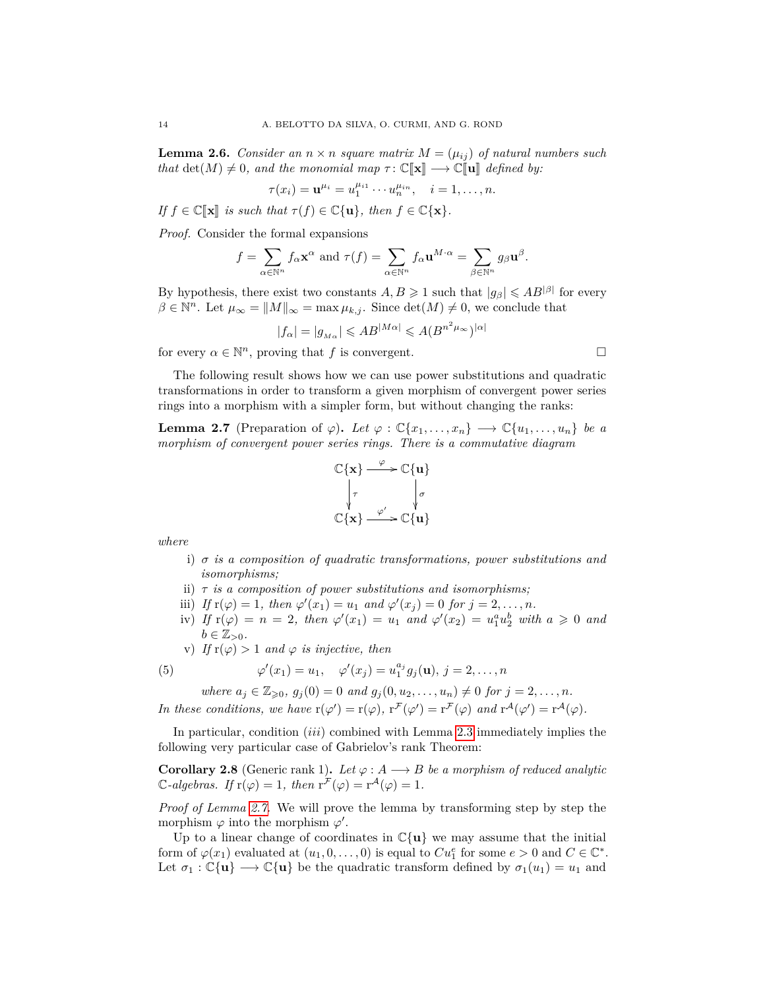<span id="page-13-1"></span>**Lemma 2.6.** *Consider an*  $n \times n$  *square matrix*  $M = (\mu_{ij})$  *of natural numbers such that*  $\det(M) \neq 0$ *, and the monomial map*  $\tau : \mathbb{C}[\![\mathbf{x}]\!] \longrightarrow \mathbb{C}[\![\mathbf{u}]\!]$  *defined by:* 

$$
\tau(x_i) = \mathbf{u}^{\mu_i} = u_1^{\mu_{i1}} \cdots u_n^{\mu_{in}}, \quad i = 1, \ldots, n.
$$

*If*  $f \in \mathbb{C}[\mathbf{x}]$  *is such that*  $\tau(f) \in \mathbb{C}\{\mathbf{u}\}$ *, then*  $f \in \mathbb{C}\{\mathbf{x}\}$ *.* 

*Proof.* Consider the formal expansions

$$
f = \sum_{\alpha \in \mathbb{N}^n} f_{\alpha} \mathbf{x}^{\alpha} \text{ and } \tau(f) = \sum_{\alpha \in \mathbb{N}^n} f_{\alpha} \mathbf{u}^{M \cdot \alpha} = \sum_{\beta \in \mathbb{N}^n} g_{\beta} \mathbf{u}^{\beta}.
$$

By hypothesis, there exist two constants  $A, B \geq 1$  such that  $|g_{\beta}| \leqslant AB^{|\beta|}$  for every  $\beta \in \mathbb{N}^n$ . Let  $\mu_{\infty} = ||M||_{\infty} = \max \mu_{k,j}$ . Since  $\det(M) \neq 0$ , we conclude that

$$
|f_{\alpha}| = |g_{M\alpha}| \leqslant AB^{|M\alpha|} \leqslant A(B^{n^2\mu_{\infty}})^{|\alpha|}
$$

for every  $\alpha \in \mathbb{N}^n$ , proving that *f* is convergent.

The following result shows how we can use power substitutions and quadratic transformations in order to transform a given morphism of convergent power series rings into a morphism with a simpler form, but without changing the ranks:

<span id="page-13-0"></span>**Lemma 2.7** (Preparation of  $\varphi$ ). Let  $\varphi : \mathbb{C}\{x_1, \ldots, x_n\} \longrightarrow \mathbb{C}\{u_1, \ldots, u_n\}$  be a *morphism of convergent power series rings. There is a commutative diagram*



*where*

- i) *σ is a composition of quadratic transformations, power substitutions and isomorphisms;*
- ii) *τ is a composition of power substitutions and isomorphisms;*
- iii) *If*  $r(\varphi) = 1$ *, then*  $\varphi'(x_1) = u_1$  *and*  $\varphi'(x_j) = 0$  *for*  $j = 2, ..., n$ *.*
- iv) *If*  $r(\varphi) = n = 2$ , then  $\varphi'(x_1) = u_1$  and  $\varphi'(x_2) = u_1^a u_2^b$  with  $a \geq 0$  and  $b \in \mathbb{Z}_{>0}$ .
- v) *If*  $r(\varphi) > 1$  *and*  $\varphi$  *is injective, then*

(5) 
$$
\varphi'(x_1) = u_1, \quad \varphi'(x_j) = u_1^{a_j} g_j(\mathbf{u}), j = 2, ..., n
$$

<span id="page-13-2"></span>*where*  $a_j \in \mathbb{Z}_{\geq 0}$ ,  $g_j(0) = 0$  *and*  $g_j(0, u_2, \ldots, u_n) \neq 0$  *for*  $j = 2, \ldots, n$ *.* 

*In these conditions, we have*  $r(\varphi') = r(\varphi)$ ,  $r^{\mathcal{F}}(\varphi') = r^{\mathcal{F}}(\varphi)$  *and*  $r^{\mathcal{A}}(\varphi') = r^{\mathcal{A}}(\varphi)$ *.* 

In particular, condition (*iii*) combined with Lemma [2.3](#page-11-0) immediately implies the following very particular case of Gabrielov's rank Theorem:

**Corollary 2.8** (Generic rank 1). Let  $\varphi : A \longrightarrow B$  be a morphism of reduced analytic  $\mathbb{C}$ -algebras. If  $\mathbf{r}(\varphi) = 1$ , then  $\mathbf{r}^{\mathcal{F}}(\varphi) = \mathbf{r}^{\mathcal{A}}(\varphi) = 1$ .

*Proof of Lemma [2.7.](#page-13-0)* We will prove the lemma by transforming step by step the morphism  $\varphi$  into the morphism  $\varphi'$ .

Up to a linear change of coordinates in  $\mathbb{C}\{\mathbf{u}\}\$  we may assume that the initial form of  $\varphi(x_1)$  evaluated at  $(u_1, 0, \ldots, 0)$  is equal to  $Cu_1^e$  for some  $e > 0$  and  $C \in \mathbb{C}^*$ . Let  $\sigma_1 : \mathbb{C}\{\mathbf{u}\} \longrightarrow \mathbb{C}\{\mathbf{u}\}\$ be the quadratic transform defined by  $\sigma_1(u_1) = u_1$  and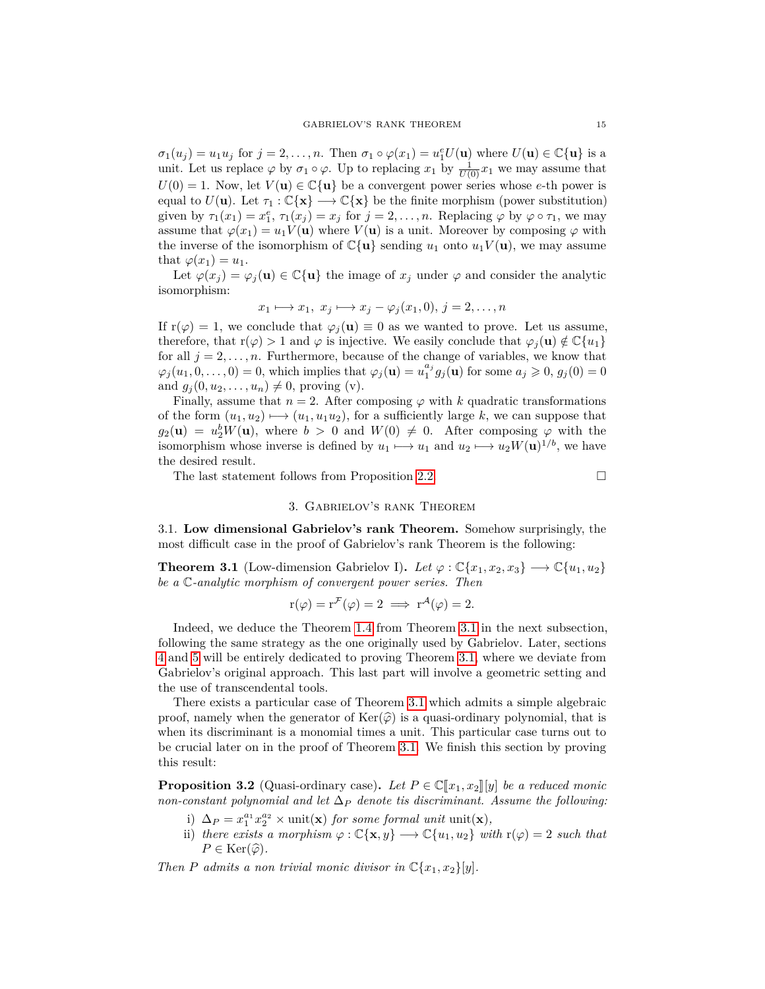$\sigma_1(u_j) = u_1 u_j$  for  $j = 2, \ldots, n$ . Then  $\sigma_1 \circ \varphi(x_1) = u_1^e U(\mathbf{u})$  where  $U(\mathbf{u}) \in \mathbb{C}\{\mathbf{u}\}\$ is a unit. Let us replace  $\varphi$  by  $\sigma_1 \circ \varphi$ . Up to replacing  $x_1$  by  $\frac{1}{U(0)}x_1$  we may assume that  $U(0) = 1$ . Now, let  $V(\mathbf{u}) \in \mathbb{C}\{\mathbf{u}\}\$ be a convergent power series whose *e*-th power is equal to  $U(\mathbf{u})$ . Let  $\tau_1 : \mathbb{C}\{\mathbf{x}\} \longrightarrow \mathbb{C}\{\mathbf{x}\}\$  be the finite morphism (power substitution) given by  $\tau_1(x_1) = x_1^e$ ,  $\tau_1(x_j) = x_j$  for  $j = 2, \ldots, n$ . Replacing  $\varphi$  by  $\varphi \circ \tau_1$ , we may assume that  $\varphi(x_1) = u_1 V(\mathbf{u})$  where  $V(\mathbf{u})$  is a unit. Moreover by composing  $\varphi$  with the inverse of the isomorphism of  $\mathbb{C}\{\mathbf{u}\}\$  sending  $u_1$  onto  $u_1V(\mathbf{u})$ , we may assume that  $\varphi(x_1) = u_1$ .

Let  $\varphi(x_i) = \varphi_i(\mathbf{u}) \in \mathbb{C}\{\mathbf{u}\}\$ the image of  $x_i$  under  $\varphi$  and consider the analytic isomorphism:

$$
x_1 \longmapsto x_1, \ x_j \longmapsto x_j - \varphi_j(x_1, 0), \ j = 2, \dots, n
$$

If  $r(\varphi) = 1$ , we conclude that  $\varphi_j(\mathbf{u}) \equiv 0$  as we wanted to prove. Let us assume, therefore, that  $r(\varphi) > 1$  and  $\varphi$  is injective. We easily conclude that  $\varphi_i(\mathbf{u}) \notin \mathbb{C}\{u_1\}$ for all  $j = 2, \ldots, n$ . Furthermore, because of the change of variables, we know that  $\varphi_j(u_1, 0, \ldots, 0) = 0$ , which implies that  $\varphi_j(\mathbf{u}) = u_1^{a_j} g_j(\mathbf{u})$  for some  $a_j \geqslant 0$ ,  $g_j(0) = 0$ and  $g_j(0, u_2, ..., u_n) \neq 0$ , proving (v).

Finally, assume that  $n = 2$ . After composing  $\varphi$  with *k* quadratic transformations of the form  $(u_1, u_2) \mapsto (u_1, u_1u_2)$ , for a sufficiently large *k*, we can suppose that  $g_2(\mathbf{u}) = u_2^b W(\mathbf{u})$ , where  $b > 0$  and  $W(0) \neq 0$ . After composing  $\varphi$  with the isomorphism whose inverse is defined by  $u_1 \mapsto u_1$  and  $u_2 \mapsto u_2 W(\mathbf{u})^{1/b}$ , we have the desired result.

The last statement follows from Proposition [2.2.](#page-11-1)

## 3. Gabrielov's rank Theorem

<span id="page-14-0"></span>3.1. **Low dimensional Gabrielov's rank Theorem.** Somehow surprisingly, the most difficult case in the proof of Gabrielov's rank Theorem is the following:

<span id="page-14-1"></span>**Theorem 3.1** (Low-dimension Gabrielov I). Let  $\varphi : \mathbb{C}\{x_1, x_2, x_3\} \longrightarrow \mathbb{C}\{u_1, u_2\}$ *be a* C*-analytic morphism of convergent power series. Then*

$$
r(\varphi) = r^{\mathcal{F}}(\varphi) = 2 \implies r^{\mathcal{A}}(\varphi) = 2.
$$

Indeed, we deduce the Theorem [1.4](#page-3-1) from Theorem [3.1](#page-14-1) in the next subsection, following the same strategy as the one originally used by Gabrielov. Later, sections [4](#page-21-0) and [5](#page-29-0) will be entirely dedicated to proving Theorem [3.1,](#page-14-1) where we deviate from Gabrielov's original approach. This last part will involve a geometric setting and the use of transcendental tools.

There exists a particular case of Theorem [3.1](#page-14-1) which admits a simple algebraic proof, namely when the generator of  $\text{Ker}(\hat{\varphi})$  is a quasi-ordinary polynomial, that is when its discriminant is a monomial times a unit. This particular case turns out to be crucial later on in the proof of Theorem [3.1.](#page-14-1) We finish this section by proving this result:

<span id="page-14-2"></span>**Proposition 3.2** (Quasi-ordinary case). Let  $P \in \mathbb{C}[[x_1, x_2]][y]$  be a reduced monic *non-constant polynomial and let*  $\Delta_P$  *denote tis discriminant. Assume the following:* 

- i)  $\Delta_P = x_1^{a_1} x_2^{a_2} \times \text{unit}(\mathbf{x})$  *for some formal unit* unit(**x**)*,*
- ii) *there exists a morphism*  $\varphi : \mathbb{C}\{\mathbf{x},y\} \longrightarrow \mathbb{C}\{u_1,u_2\}$  *with*  $\mathbf{r}(\varphi) = 2$  *such that*  $P \in \text{Ker}(\widehat{\varphi})$ .

*Then P admits a non trivial monic divisor in*  $\mathbb{C}\{x_1, x_2\}[y]$ *.*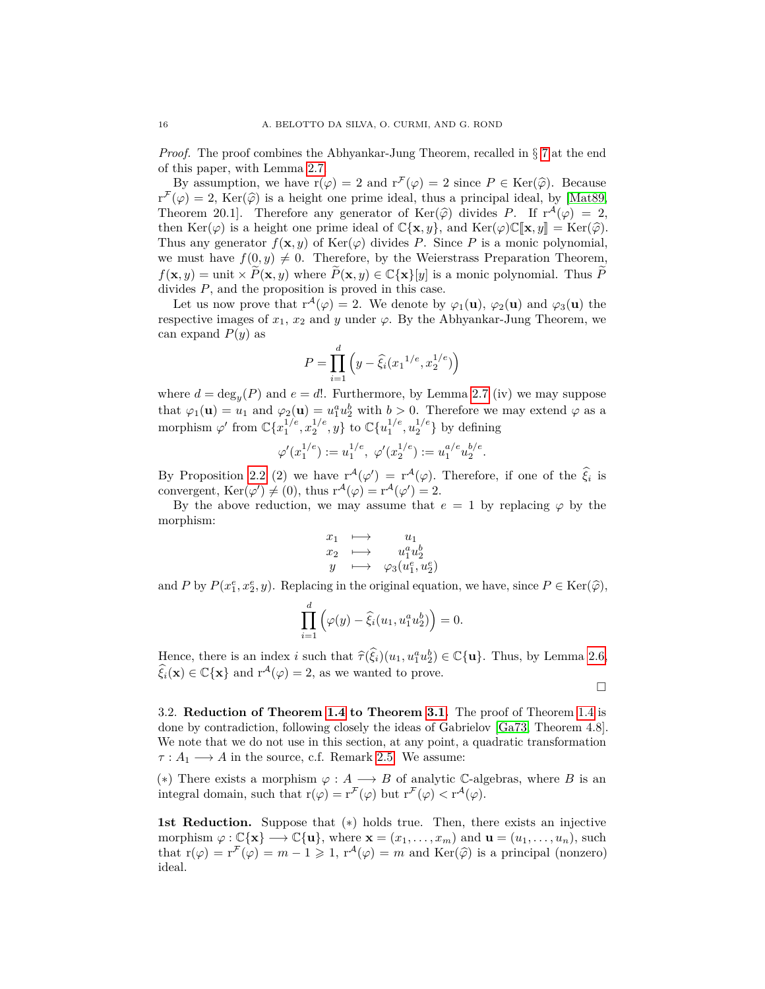*Proof.* The proof combines the Abhyankar-Jung Theorem, recalled in § [7](#page-57-0) at the end of this paper, with Lemma [2.7.](#page-13-0)

By assumption, we have  $r(\varphi) = 2$  and  $r^{\mathcal{F}}(\varphi) = 2$  since  $P \in \text{Ker}(\widehat{\varphi})$ . Because  $r^{\mathcal{F}}(\varphi) = 2$ , Ker $(\widehat{\varphi})$  is a height one prime ideal, thus a principal ideal, by [\[Mat89,](#page-60-11)<br>Theorem 20.1] Therefore any generator of Ker $(\widehat{\varphi})$  divides  $P$  If  $r^{\mathcal{A}}(\varphi) = 2$ . Theorem 20.1]. Therefore any generator of  $\text{Ker}(\hat{\varphi})$  divides *P*. If  $r^A(\varphi) = 2$ ,<br>then  $\text{Ker}(\hat{\varphi})$  is a height one prime ideal of  $\mathbb{C}^f$  x at and  $\text{Ker}(\hat{\varphi})\mathbb{C}^T$  x all  $-\text{Ker}(\hat{\varphi})$ then Ker( $\varphi$ ) is a height one prime ideal of  $\mathbb{C}\{\mathbf{x},y\}$ , and Ker( $\varphi$ ) $\mathbb{C}[\mathbf{x},y] = \text{Ker}(\widehat{\varphi})$ . Thus any generator  $f(\mathbf{x}, y)$  of Ker( $\varphi$ ) divides *P*. Since *P* is a monic polynomial, we must have  $f(0, y) \neq 0$ . Therefore, by the Weierstrass Preparation Theorem,  $f(\mathbf{x}, y) = \text{unit} \times \tilde{P}(\mathbf{x}, y)$  where  $\tilde{P}(\mathbf{x}, y) \in \mathbb{C} {\{\mathbf{x}\}}[y]$  is a monic polynomial. Thus  $\tilde{P}$ divides  $P$ , and the proposition is proved in this case.

Let us now prove that  $r^{\mathcal{A}}(\varphi) = 2$ . We denote by  $\varphi_1(\mathbf{u}), \varphi_2(\mathbf{u})$  and  $\varphi_3(\mathbf{u})$  the respective images of  $x_1, x_2$  and *y* under  $\varphi$ . By the Abhyankar-Jung Theorem, we can expand *P*(*y*) as

$$
P = \prod_{i=1}^{d} \left( y - \hat{\xi}_i (x_1^{1/e}, x_2^{1/e}) \right)
$$

where  $d = \deg_y(P)$  and  $e = d!$ . Furthermore, by Lemma [2.7](#page-13-0) (iv) we may suppose that  $\varphi_1(\mathbf{u}) = u_1$  and  $\varphi_2(\mathbf{u}) = u_1^a u_2^b$  with  $b > 0$ . Therefore we may extend  $\varphi$  as a morphism  $\varphi'$  from  $\mathbb{C}\{x_1^{1/e}, x_2^{1/e}, y\}$  to  $\mathbb{C}\{u_1^{1/e}, u_2^{1/e}\}$  by defining

$$
\varphi'(x_1^{1/e}):=u_1^{1/e},\ \varphi'(x_2^{1/e}):=u_1^{a/e}u_2^{b/e}.
$$

By Proposition [2.2](#page-11-1) (2) we have  $r^{\mathcal{A}}(\varphi') = r^{\mathcal{A}}(\varphi)$ . Therefore, if one of the  $\hat{\xi}_i$  is convergent,  $\text{Ker}(\varphi') \neq (0)$ , thus  $r^{\mathcal{A}}(\varphi) = r^{\mathcal{A}}(\varphi') = 2$ .

By the above reduction, we may assume that  $e = 1$  by replacing  $\varphi$  by the morphism:

$$
\begin{array}{ccc}\nx_1 & \longmapsto & u_1 \\
x_2 & \longmapsto & u_1^a u_2^b \\
y & \longmapsto & \varphi_3(u_1^e, u_2^e)\n\end{array}
$$

and *P* by  $P(x_1^e, x_2^e, y)$ . Replacing in the original equation, we have, since  $P \in \text{Ker}(\hat{\varphi})$ ,

$$
\prod_{i=1}^d \left( \varphi(y) - \widehat{\xi}_i(u_1, u_1^a u_2^b) \right) = 0.
$$

Hence, there is an index *i* such that  $\hat{\tau}(\hat{\xi}_i)(u_1, u_1^a u_2^b) \in \mathbb{C}\{\mathbf{u}\}\)$ . Thus, by Lemma [2.6,](#page-13-1)  $\widehat{\xi}_i(\mathbf{x}) \in \mathbb{C}\{\mathbf{x}\}\$ and  $\mathbf{r}^{\mathcal{A}}(\varphi) = 2$ , as we wanted to prove.

 $\Box$ 

<span id="page-15-0"></span>3.2. **Reduction of Theorem [1.4](#page-3-1) to Theorem [3.1.](#page-14-1)** The proof of Theorem [1.4](#page-3-1) is done by contradiction, following closely the ideas of Gabrielov [\[Ga73,](#page-60-3) Theorem 4.8]. We note that we do not use in this section, at any point, a quadratic transformation  $\tau: A_1 \longrightarrow A$  in the source, c.f. Remark [2.5.](#page-12-0) We assume:

(\*) There exists a morphism  $\varphi : A \longrightarrow B$  of analytic C-algebras, where *B* is an integral domain, such that  $r(\varphi) = r^{\mathcal{F}}(\varphi)$  but  $r^{\mathcal{F}}(\varphi) < r^{\mathcal{A}}(\varphi)$ .

**1st Reduction.** Suppose that (∗) holds true. Then, there exists an injective morphism  $\varphi : \mathbb{C}\{\mathbf{x}\} \longrightarrow \mathbb{C}\{\mathbf{u}\}$ , where  $\mathbf{x} = (x_1, \dots, x_m)$  and  $\mathbf{u} = (u_1, \dots, u_n)$ , such that  $r(\varphi) = r^{\mathcal{F}}(\varphi) = m - 1 \geq 1$ ,  $r^{\mathcal{A}}(\varphi) = m$  and  $\text{Ker}(\widehat{\varphi})$  is a principal (nonzero) ideal ideal.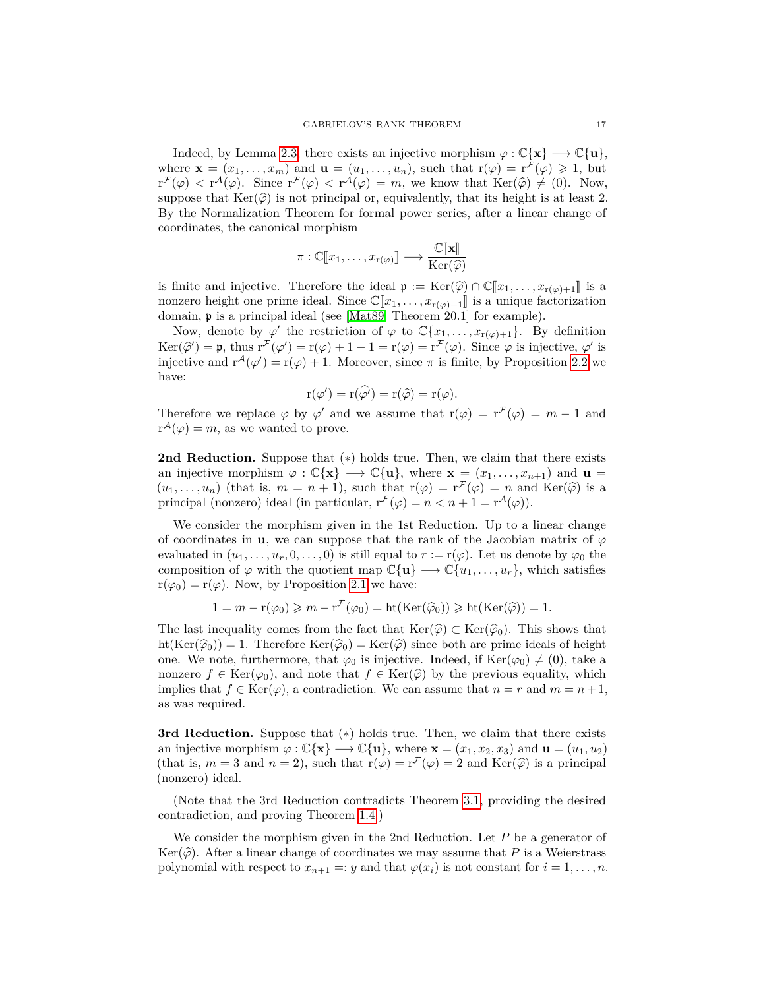Indeed, by Lemma [2.3,](#page-11-0) there exists an injective morphism  $\varphi : \mathbb{C}\{\mathbf{x}\} \longrightarrow \mathbb{C}\{\mathbf{u}\},\$ where  $\mathbf{x} = (x_1, \ldots, x_m)$  and  $\mathbf{u} = (u_1, \ldots, u_n)$ , such that  $r(\varphi) = r^{\tilde{\mathcal{F}}}(\varphi) \geq 1$ , but  $r^{\mathcal{F}}(\varphi) < r^{\mathcal{A}}(\varphi)$ . Since  $r^{\mathcal{F}}(\varphi) < r^{\mathcal{A}}(\varphi) = m$ , we know that  $\text{Ker}(\widehat{\varphi}) \neq (0)$ . Now, suppose that  $\text{Ker}(\widehat{\varphi})$  is not principal or, equivalently, that its height is at least 2. By the Normalization Theorem for formal power series, after a linear change of coordinates, the canonical morphism

$$
\pi : \mathbb{C}[\![x_1,\ldots,x_{r(\varphi)}]\!] \longrightarrow \frac{\mathbb{C}[\![\mathbf{x}]\!]}{\mathrm{Ker}(\widehat{\varphi})}
$$

is finite and injective. Therefore the ideal  $\mathfrak{p} := \text{Ker}(\widehat{\varphi}) \cap \mathbb{C}[\![x_1, \ldots, x_{r(\varphi)+1}]\!]$  is a nonzero height one prime ideal. Since  $\mathbb{C}[x_1,\ldots,x_{r(\varphi)+1}]$  is a unique factorization domain, p is a principal ideal (see [\[Mat89,](#page-60-11) Theorem 20.1] for example).

Now, denote by  $\varphi'$  the restriction of  $\varphi$  to  $\mathbb{C}\{x_1,\ldots,x_{r(\varphi)+1}\}$ . By definition Ker( $\hat{\varphi}'$ ) = p, thus  $r^{\mathcal{F}}(\varphi') = r(\varphi) + 1 - 1 = r(\varphi) = r^{\mathcal{F}}(\varphi)$ . Since  $\varphi$  is injective,  $\varphi'$  is injective,  $\varphi'$  is injective and  $r^{\mathcal{A}}(\varphi') = r(\varphi) + 1$ . Moreover, since  $\pi$  is finite, by Proposition 2.2 we injective and  $r^{\mathcal{A}}(\varphi') = r(\varphi) + 1$ . Moreover, since  $\pi$  is finite, by Proposition [2.2](#page-11-1) we have:

$$
\mathrm{r}(\varphi') = \mathrm{r}(\widehat{\varphi'}) = \mathrm{r}(\widehat{\varphi}) = \mathrm{r}(\varphi).
$$

Therefore we replace  $\varphi$  by  $\varphi'$  and we assume that  $r(\varphi) = r^{\mathcal{F}}(\varphi) = m - 1$  and  $r^{\mathcal{A}}(\varphi) = m$ , as we wanted to prove.

**2nd Reduction.** Suppose that  $(*)$  holds true. Then, we claim that there exists an injective morphism  $\varphi : \mathbb{C}\{\mathbf{x}\} \longrightarrow \mathbb{C}\{\mathbf{u}\}\text{, where } \mathbf{x} = (x_1, \ldots, x_{n+1})$  and  $\mathbf{u} =$  $(u_1, \ldots, u_n)$  (that is,  $m = n + 1$ ), such that  $r(\varphi) = r^{\mathcal{F}}(\varphi) = n$  and Ker $(\widehat{\varphi})$  is a principal (popzero) ideal (in particular  $r^{\mathcal{F}}(0) = n \le n + 1 - r^{\mathcal{A}}(\varphi)$ ) principal (nonzero) ideal (in particular,  $r^{\mathcal{F}}(\varphi) = n < n + 1 = r^{\mathcal{A}}(\varphi)$ ).

We consider the morphism given in the 1st Reduction. Up to a linear change of coordinates in **u**, we can suppose that the rank of the Jacobian matrix of  $\varphi$ evaluated in  $(u_1, \ldots, u_r, 0, \ldots, 0)$  is still equal to  $r := r(\varphi)$ . Let us denote by  $\varphi_0$  the composition of  $\varphi$  with the quotient map  $\mathbb{C}\{\mathbf{u}\}\longrightarrow \mathbb{C}\{u_1,\ldots,u_r\}$ , which satisfies  $r(\varphi_0) = r(\varphi)$ . Now, by Proposition [2.1](#page-10-2) we have:

$$
1 = m - r(\varphi_0) \geq m - r^{\mathcal{F}}(\varphi_0) = ht(\text{Ker}(\widehat{\varphi}_0)) \geqslant ht(\text{Ker}(\widehat{\varphi})) = 1.
$$

The last inequality comes from the fact that  $\text{Ker}(\widehat{\varphi}) \subset \text{Ker}(\widehat{\varphi}_0)$ . This shows that  $ht(Ker(\hat{\varphi}_0)) = 1$ . Therefore  $Ker(\hat{\varphi}_0) = Ker(\hat{\varphi})$  since both are prime ideals of height one. We note, furthermore, that  $\varphi_0$  is injective. Indeed, if Ker( $\varphi_0 \neq (0)$ , take a nonzero  $f \in \text{Ker}(\varphi_0)$ , and note that  $f \in \text{Ker}(\hat{\varphi})$  by the previous equality, which implies that  $f \in \text{Ker}(\varphi)$ , a contradiction. We can assume that  $n = r$  and  $m = n + 1$ , as was required.

**3rd Reduction.** Suppose that (∗) holds true. Then, we claim that there exists an injective morphism  $\varphi : \mathbb{C}\{\mathbf{x}\} \longrightarrow \mathbb{C}\{\mathbf{u}\}\text{, where } \mathbf{x} = (x_1, x_2, x_3) \text{ and } \mathbf{u} = (u_1, u_2)$ (that is,  $m = 3$  and  $n = 2$ ), such that  $r(\varphi) = r^{\mathcal{F}}(\varphi) = 2$  and  $\text{Ker}(\widehat{\varphi})$  is a principal (poprare) ideal (nonzero) ideal.

(Note that the 3rd Reduction contradicts Theorem [3.1,](#page-14-1) providing the desired contradiction, and proving Theorem [1.4.](#page-3-1))

We consider the morphism given in the 2nd Reduction. Let *P* be a generator of Ker( $\widehat{\varphi}$ ). After a linear change of coordinates we may assume that *P* is a Weierstrass polynomial with respect to  $x_{n+1} =: y$  and that  $\varphi(x_i)$  is not constant for  $i = 1, \ldots, n$ .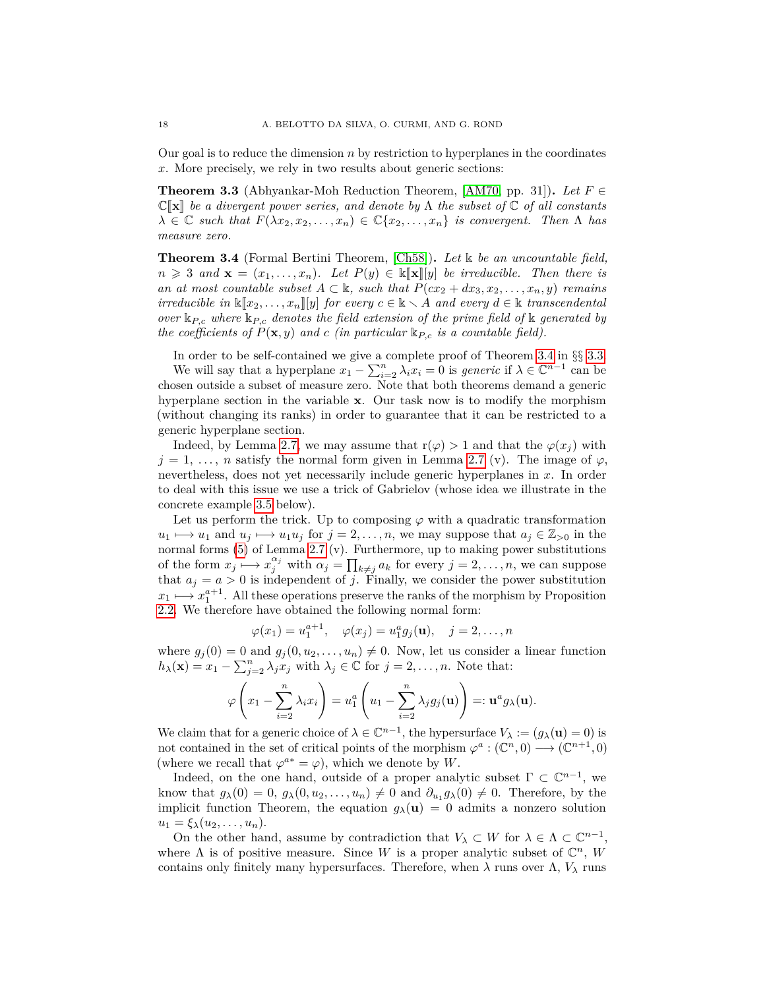Our goal is to reduce the dimension *n* by restriction to hyperplanes in the coordinates *x*. More precisely, we rely in two results about generic sections:

<span id="page-17-1"></span>**Theorem 3.3** (Abhyankar-Moh Reduction Theorem, [\[AM70,](#page-59-10) pp. 31]). Let  $F \in$  $\mathbb{C}[\![\mathbf{x}]\!]$  be a divergent power series, and denote by  $\Lambda$  the subset of  $\mathbb{C}$  of all constants  $\lambda \in \mathbb{C}$  *such that*  $F(\lambda x_2, x_2, \ldots, x_n) \in \mathbb{C}\{x_2, \ldots, x_n\}$  *is convergent. Then*  $\Lambda$  *has measure zero.*

<span id="page-17-0"></span>**Theorem 3.4** (Formal Bertini Theorem, [\[Ch58\]](#page-60-21))**.** *Let* k *be an uncountable field,*  $n \geq 3$  *and*  $\mathbf{x} = (x_1, \ldots, x_n)$ *. Let*  $P(y) \in \mathbb{K}[\![\mathbf{x}]\!][y]$  *be irreducible. Then there is an at most countable subset*  $A \subset \mathbb{k}$ *, such that*  $P(cx_2 + dx_3, x_2, \ldots, x_n, y)$  *remains irreducible in*  $\mathbb{K}[x_2, \ldots, x_n][y]$  *for every*  $c \in \mathbb{K} \setminus A$  *and every*  $d \in \mathbb{K}$  *transcendental over* k*P,c where* k*P,c denotes the field extension of the prime field of* k *generated by the coefficients of*  $P(\mathbf{x}, y)$  *and c (in particular*  $\mathbb{k}_{P,c}$  *is a countable field).* 

In order to be self-contained we give a complete proof of Theorem [3.4](#page-17-0) in §§ [3.3.](#page-18-0)

We will say that a hyperplane  $x_1 - \sum_{i=2}^n \lambda_i x_i = 0$  is *generic* if  $\lambda \in \mathbb{C}^{n-1}$  can be chosen outside a subset of measure zero. Note that both theorems demand a generic hyperplane section in the variable **x**. Our task now is to modify the morphism (without changing its ranks) in order to guarantee that it can be restricted to a generic hyperplane section.

Indeed, by Lemma [2.7,](#page-13-0) we may assume that  $r(\varphi) > 1$  and that the  $\varphi(x_i)$  with  $j = 1, \ldots, n$  satisfy the normal form given in Lemma [2.7](#page-13-0) (v). The image of  $\varphi$ , nevertheless, does not yet necessarily include generic hyperplanes in *x*. In order to deal with this issue we use a trick of Gabrielov (whose idea we illustrate in the concrete example [3.5](#page-18-1) below).

Let us perform the trick. Up to composing  $\varphi$  with a quadratic transformation  $u_1 \mapsto u_1$  and  $u_j \mapsto u_1 u_j$  for  $j = 2, \ldots, n$ , we may suppose that  $a_j \in \mathbb{Z}_{>0}$  in the normal forms [\(5\)](#page-13-2) of Lemma [2.7](#page-13-0) (v). Furthermore, up to making power substitutions of the form  $x_j \nightharpoonup x_j^{\alpha_j}$  with  $\alpha_j = \prod_{k \neq j} a_k$  for every  $j = 2, \ldots, n$ , we can suppose that  $a_j = a > 0$  is independent of *j*. Finally, we consider the power substitution  $x_1 \mapsto x_1^{a+1}$ . All these operations preserve the ranks of the morphism by Proposition [2.2.](#page-11-1) We therefore have obtained the following normal form:

$$
\varphi(x_1) = u_1^{a+1}, \quad \varphi(x_j) = u_1^a g_j(\mathbf{u}), \quad j = 2, ..., n
$$

where  $g_j(0) = 0$  and  $g_j(0, u_2, \dots, u_n) \neq 0$ . Now, let us consider a linear function  $h_{\lambda}(\mathbf{x}) = x_1 - \sum_{j=2}^n \lambda_j x_j$  with  $\lambda_j \in \mathbb{C}$  for  $j = 2, \ldots, n$ . Note that:

$$
\varphi\left(x_1-\sum_{i=2}^n\lambda_ix_i\right)=u_1^a\left(u_1-\sum_{i=2}^n\lambda_jg_j(\mathbf{u})\right)=:\mathbf{u}^ag_\lambda(\mathbf{u}).
$$

We claim that for a generic choice of  $\lambda \in \mathbb{C}^{n-1}$ , the hypersurface  $V_{\lambda} := (g_{\lambda}(\mathbf{u}) = 0)$  is not contained in the set of critical points of the morphism  $\varphi^a : (\mathbb{C}^n, 0) \longrightarrow (\mathbb{C}^{n+1}, 0)$ (where we recall that  $\varphi^{a*} = \varphi$ ), which we denote by *W*.

Indeed, on the one hand, outside of a proper analytic subset  $\Gamma \subset \mathbb{C}^{n-1}$ , we know that  $g_{\lambda}(0) = 0$ ,  $g_{\lambda}(0, u_2, \ldots, u_n) \neq 0$  and  $\partial_{u_1} g_{\lambda}(0) \neq 0$ . Therefore, by the implicit function Theorem, the equation  $g_{\lambda}(\mathbf{u}) = 0$  admits a nonzero solution  $u_1 = \xi_\lambda(u_2, \ldots, u_n).$ 

On the other hand, assume by contradiction that  $V_\lambda \subset W$  for  $\lambda \in \Lambda \subset \mathbb{C}^{n-1}$ , where  $\Lambda$  is of positive measure. Since W is a proper analytic subset of  $\mathbb{C}^n$ , W contains only finitely many hypersurfaces. Therefore, when  $\lambda$  runs over  $\Lambda$ ,  $V_{\lambda}$  runs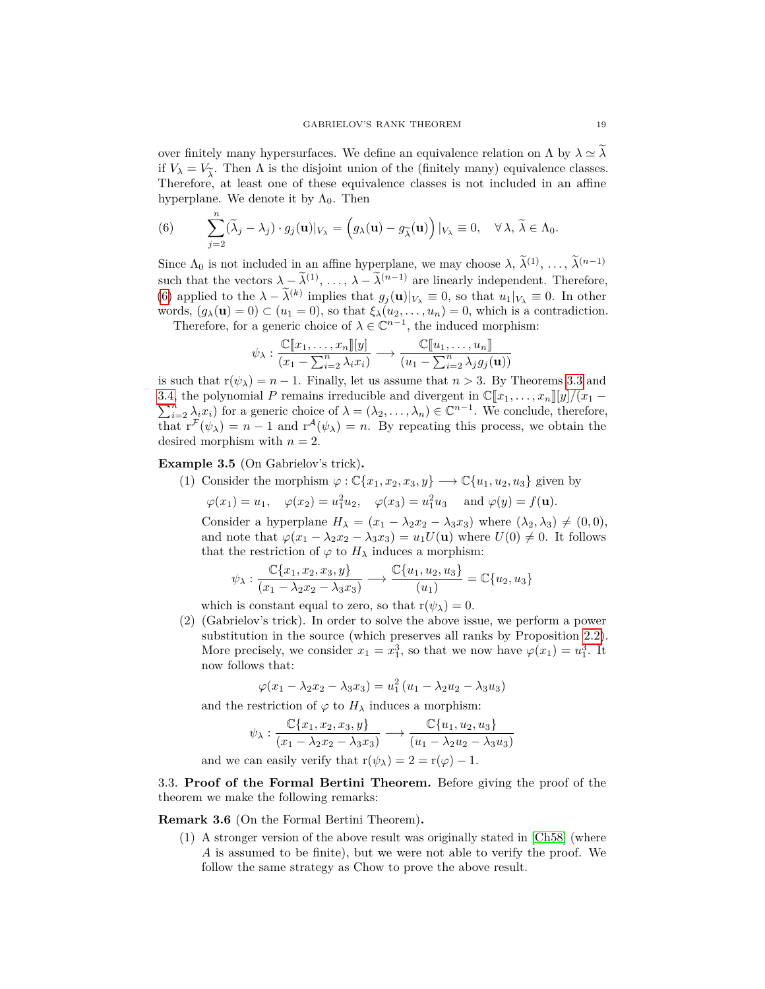over finitely many hypersurfaces. We define an equivalence relation on  $\Lambda$  by  $\lambda \simeq \lambda$ if  $V_{\lambda} = V_{\tilde{\lambda}}$ . Then  $\Lambda$  is the disjoint union of the (finitely many) equivalence classes. Therefore, at least one of these equivalence classes is not included in an affine Therefore, at least one of these equivalence classes is not included in an affine hyperplane. We denote it by  $\Lambda_0$ . Then

<span id="page-18-2"></span>(6) 
$$
\sum_{j=2}^{n} (\widetilde{\lambda}_{j} - \lambda_{j}) \cdot g_{j}(\mathbf{u})|_{V_{\lambda}} = (g_{\lambda}(\mathbf{u}) - g_{\widetilde{\lambda}}(\mathbf{u}))|_{V_{\lambda}} \equiv 0, \quad \forall \lambda, \widetilde{\lambda} \in \Lambda_{0}.
$$

Since  $\Lambda_0$  is not included in an affine hyperplane, we may choose  $\lambda$ ,  $\tilde{\lambda}^{(1)}$ , ...,  $\tilde{\lambda}^{(n-1)}$ such that the vectors  $\lambda - \tilde{\lambda}^{(1)}, \ldots, \lambda - \tilde{\lambda}^{(n-1)}$  are linearly independent. Therefore, [\(6\)](#page-18-2) applied to the  $\lambda - \tilde{\lambda}^{(k)}$  implies that  $g_j(\mathbf{u})|_{V_\lambda} \equiv 0$ , so that  $u_1|_{V_\lambda} \equiv 0$ . In other words,  $(g_{\lambda}(\mathbf{u}) = 0) \subset (u_1 = 0)$ , so that  $\xi_{\lambda}(u_2, \ldots, u_n) = 0$ , which is a contradiction. Therefore, for a generic choice of  $\lambda \in \mathbb{C}^{n-1}$ , the induced morphism:

$$
\psi_{\lambda}: \frac{\mathbb{C}[\![x_1,\ldots,x_n]\!][y]}{(x_1-\sum_{i=2}^n \lambda_i x_i)} \longrightarrow \frac{\mathbb{C}[\![u_1,\ldots,u_n]\!]}{(u_1-\sum_{i=2}^n \lambda_j g_j(\mathbf{u}))}
$$

is such that  $r(\psi_{\lambda}) = n - 1$ . Finally, let us assume that  $n > 3$ . By Theorems [3.3](#page-17-1) and [3.4,](#page-17-0) the polynomial P remains irreducible and divergent in  $\mathbb{C}[x_1, \ldots, x_n][y]/(x_1 - \nabla^n)$  for a generic sheige of  $\lambda = (\lambda_1, \ldots, \lambda_n) \in \mathbb{C}^{n-1}$ . We conclude therefore  $\sum_{i=2}^{n} \lambda_i x_i$ ) for a generic choice of  $\lambda = (\lambda_2, \ldots, \lambda_n) \in \mathbb{C}^{n-1}$ . We conclude, therefore, that  $r^{\mathcal{F}}(\psi_{\lambda}) = n - 1$  and  $r^{\mathcal{A}}(\psi_{\lambda}) = n$ . By repeating this process, we obtain the desired morphism with  $n = 2$ .

<span id="page-18-1"></span>**Example 3.5** (On Gabrielov's trick)**.**

(1) Consider the morphism  $\varphi : \mathbb{C}\{x_1, x_2, x_3, y\} \longrightarrow \mathbb{C}\{u_1, u_2, u_3\}$  given by  $\varphi(x_1) = u_1, \quad \varphi(x_2) = u_1^2 u_2, \quad \varphi(x_3) = u_1^2 u_3 \quad \text{and } \varphi(y) = f(\mathbf{u}).$ 

Consider a hyperplane  $H_{\lambda} = (x_1 - \lambda_2 x_2 - \lambda_3 x_3)$  where  $(\lambda_2, \lambda_3) \neq (0, 0)$ , and note that  $\varphi(x_1 - \lambda_2 x_2 - \lambda_3 x_3) = u_1 U(\mathbf{u})$  where  $U(0) \neq 0$ . It follows that the restriction of  $\varphi$  to  $H_{\lambda}$  induces a morphism:

$$
\psi_\lambda: \frac{\mathbb{C}\{x_1,x_2,x_3,y\}}{(x_1-\lambda_2x_2-\lambda_3x_3)} \longrightarrow \frac{\mathbb{C}\{u_1,u_2,u_3\}}{(u_1)} = \mathbb{C}\{u_2,u_3\}
$$

which is constant equal to zero, so that  $r(\psi_{\lambda}) = 0$ .

(2) (Gabrielov's trick). In order to solve the above issue, we perform a power substitution in the source (which preserves all ranks by Proposition [2.2\)](#page-11-1). More precisely, we consider  $x_1 = x_1^3$ , so that we now have  $\varphi(x_1) = u_1^3$ . It now follows that:

$$
\varphi(x_1 - \lambda_2 x_2 - \lambda_3 x_3) = u_1^2 (u_1 - \lambda_2 u_2 - \lambda_3 u_3)
$$

and the restriction of  $\varphi$  to  $H_{\lambda}$  induces a morphism:

$$
\psi_{\lambda} : \frac{\mathbb{C}\{x_1, x_2, x_3, y\}}{(x_1 - \lambda_2 x_2 - \lambda_3 x_3)} \longrightarrow \frac{\mathbb{C}\{u_1, u_2, u_3\}}{(u_1 - \lambda_2 u_2 - \lambda_3 u_3)}
$$
  
and we can easily verify that  $r(\psi_{\lambda}) = 2 = r(\varphi) - 1$ .

<span id="page-18-0"></span>3.3. **Proof of the Formal Bertini Theorem.** Before giving the proof of the theorem we make the following remarks:

### **Remark 3.6** (On the Formal Bertini Theorem)**.**

(1) A stronger version of the above result was originally stated in [\[Ch58\]](#page-60-21) (where *A* is assumed to be finite), but we were not able to verify the proof. We follow the same strategy as Chow to prove the above result.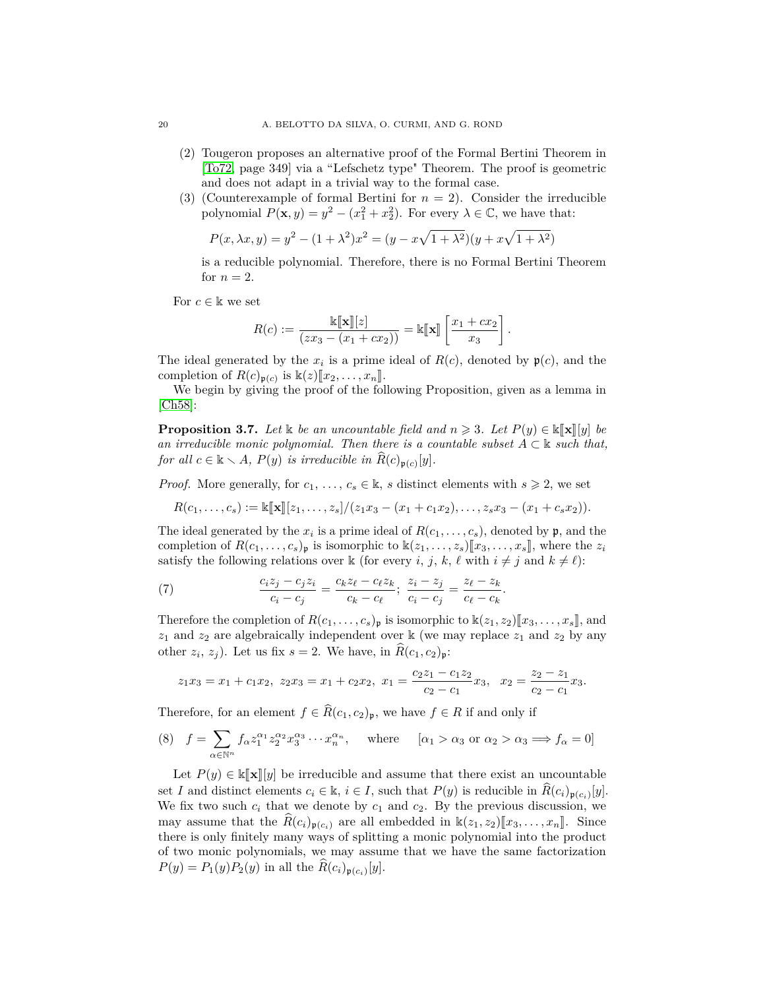- (2) Tougeron proposes an alternative proof of the Formal Bertini Theorem in [\[To72,](#page-61-14) page 349] via a "Lefschetz type" Theorem. The proof is geometric and does not adapt in a trivial way to the formal case.
- (3) (Counterexample of formal Bertini for  $n = 2$ ). Consider the irreducible polynomial  $P(\mathbf{x}, y) = y^2 - (x_1^2 + x_2^2)$ . For every  $\lambda \in \mathbb{C}$ , we have that:

$$
P(x, \lambda x, y) = y^2 - (1 + \lambda^2)x^2 = (y - x\sqrt{1 + \lambda^2})(y + x\sqrt{1 + \lambda^2})
$$

is a reducible polynomial. Therefore, there is no Formal Bertini Theorem for  $n=2$ .

For  $c \in \mathbb{k}$  we set

$$
R(c) := \frac{\mathbb{k}[\mathbf{x}][z]}{(zx_3 - (x_1 + cx_2))} = \mathbb{k}[\![\mathbf{x}]\!]\left[\frac{x_1 + cx_2}{x_3}\right].
$$

The ideal generated by the  $x_i$  is a prime ideal of  $R(c)$ , denoted by  $\mathfrak{p}(c)$ , and the completion of  $R(c)_{\mathfrak{p}(c)}$  is  $\mathbb{k}(z)[[x_2, \ldots, x_n]]$ .<br>We begin by giving the proof of the fol-

We begin by giving the proof of the following Proposition, given as a lemma in [\[Ch58\]](#page-60-21):

<span id="page-19-2"></span>**Proposition 3.7.** *Let* <sup>k</sup> *be an uncountable field and <sup>n</sup>* <sup>&</sup>gt; <sup>3</sup>*. Let <sup>P</sup>*(*y*) <sup>∈</sup> <sup>k</sup>J**x**K[*y*] *be an irreducible monic polynomial. Then there is a countable subset*  $A \subset \mathbb{k}$  *such that, for all*  $c \in \mathbb{k} \setminus A$ *,*  $P(y)$  *is irreducible in*  $\widehat{R}(c)_{\mathfrak{p}(c)}[y]$ *.* 

*Proof.* More generally, for  $c_1, \ldots, c_s \in \mathbb{k}$ , *s* distinct elements with  $s \geq 2$ , we set

 $R(c_1, \ldots, c_s) := \mathbb{K}[\![\mathbf{x}]\!][z_1, \ldots, z_s]/(z_1x_3 - (x_1 + c_1x_2), \ldots, z_sx_3 - (x_1 + c_sx_2)).$ 

The ideal generated by the  $x_i$  is a prime ideal of  $R(c_1, \ldots, c_s)$ , denoted by  $\mathfrak{p}$ , and the completion of  $R(c_1, \ldots, c_s)$  is isomorphic to  $\mathbb{K}(z_1, \ldots, z_s)[x_3, \ldots, x_s]$ , where the  $z_i$ satisfy the following relations over  $\Bbbk$  (for every *i*, *j*, *k*,  $\ell$  with  $i \neq j$  and  $k \neq \ell$ ):

<span id="page-19-0"></span>(7) 
$$
\frac{c_iz_j - c_jz_i}{c_i - c_j} = \frac{c_kz_\ell - c_\ell z_k}{c_k - c_\ell}; \frac{z_i - z_j}{c_i - c_j} = \frac{z_\ell - z_k}{c_\ell - c_k}.
$$

Therefore the completion of  $R(c_1, \ldots, c_s)_{\mathfrak{p}}$  is isomorphic to  $\mathbb{K}(z_1, z_2)[x_3, \ldots, x_s]$ , and  $z_1$  and  $z_2$  are algebraically independent over k (we may replace  $z_1$  and  $z_2$  by any other  $z_i$ ,  $z_j$ ). Let us fix  $s = 2$ . We have, in  $R(c_1, c_2)_{\mathfrak{p}}$ :

$$
z_1x_3 = x_1 + c_1x_2, \ z_2x_3 = x_1 + c_2x_2, \ x_1 = \frac{c_2z_1 - c_1z_2}{c_2 - c_1}x_3, \ x_2 = \frac{z_2 - z_1}{c_2 - c_1}x_3.
$$

Therefore, for an element  $f \in \widehat{R}(c_1, c_2)$ <sub>p</sub>, we have  $f \in R$  if and only if

<span id="page-19-1"></span>(8) 
$$
f = \sum_{\alpha \in \mathbb{N}^n} f_{\alpha} z_1^{\alpha_1} z_2^{\alpha_2} x_3^{\alpha_3} \cdots x_n^{\alpha_n}
$$
, where  $[\alpha_1 > \alpha_3 \text{ or } \alpha_2 > \alpha_3 \Longrightarrow f_{\alpha} = 0]$ 

Let  $P(y) \in \mathbb{K}[\![\mathbf{x}]\!][y]$  be irreducible and assume that there exist an uncountable set *I* and distinct elements  $c_i \in \mathbb{k}$ ,  $i \in I$ , such that  $P(y)$  is reducible in  $\widehat{R}(c_i)_{\mathfrak{p}(c_i)}[y]$ . We fix two such  $c_i$  that we denote by  $c_1$  and  $c_2$ . By the previous discussion, we may assume that the  $\hat{R}(c_i)_{\mathfrak{p}(c_i)}$  are all embedded in  $\mathbb{k}(z_1, z_2)[x_3, \ldots, x_n]$ . Since there is only finitely many ways of splitting a monic polynomial into the product of two monic polynomials, we may assume that we have the same factorization  $P(y) = P_1(y)P_2(y)$  in all the  $R(c_i)_{\mathfrak{p}(c_i)}[y]$ .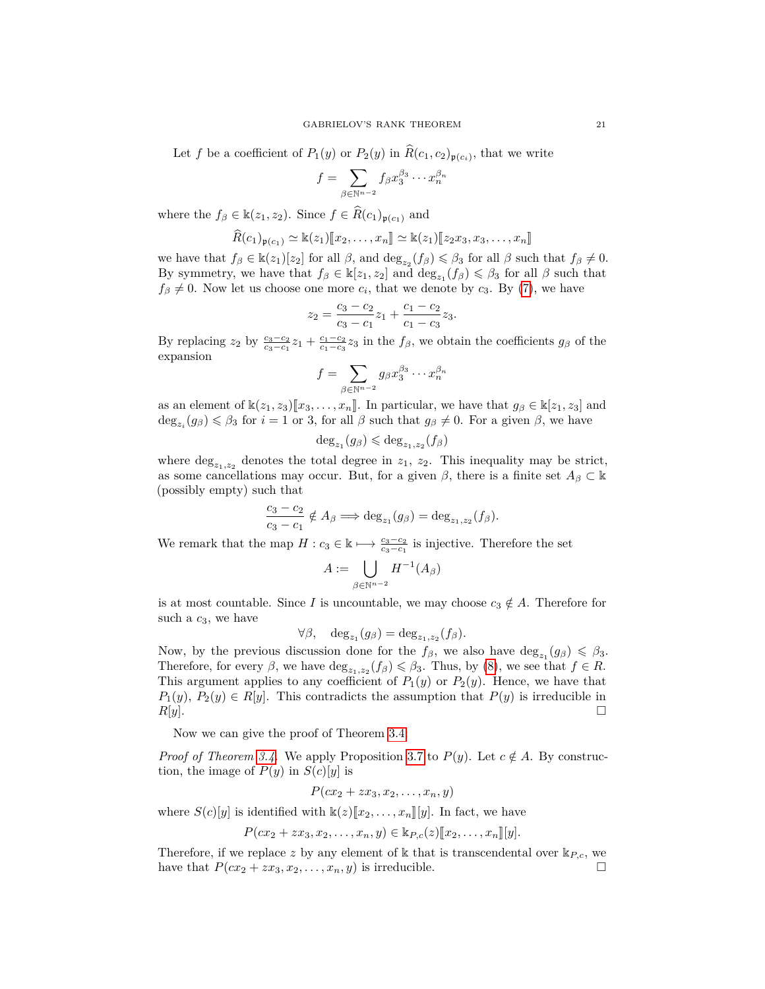Let *f* be a coefficient of  $P_1(y)$  or  $P_2(y)$  in  $R(c_1, c_2)_{\mathfrak{p}(c_i)}$ , that we write

$$
f = \sum_{\beta \in \mathbb{N}^{n-2}} f_{\beta} x_3^{\beta_3} \cdots x_n^{\beta_n}
$$

where the  $f_{\beta} \in \mathbb{k}(z_1, z_2)$ . Since  $f \in \widehat{R}(c_1)_{\mathfrak{p}(c_1)}$  and

$$
\widehat{R}(c_1)_{\mathfrak{p}(c_1)} \simeq \mathbb{k}(z_1)[\![x_2,\ldots,x_n]\!] \simeq \mathbb{k}(z_1)[\![z_2x_3,x_3,\ldots,x_n]\!]
$$

we have that  $f_{\beta} \in \mathbb{k}(z_1)[z_2]$  for all  $\beta$ , and  $\deg_{z_2}(f_{\beta}) \leq \beta_3$  for all  $\beta$  such that  $f_{\beta} \neq 0$ . By symmetry, we have that  $f_\beta \in \mathbb{k}[z_1, z_2]$  and  $\deg_{z_1}(f_\beta) \leq \beta_3$  for all  $\beta$  such that  $f_\beta \neq 0$ . Now let us choose one more  $c_i$ , that we denote by  $c_3$ . By [\(7\)](#page-19-0), we have

$$
z_2 = \frac{c_3 - c_2}{c_3 - c_1} z_1 + \frac{c_1 - c_2}{c_1 - c_3} z_3.
$$

By replacing  $z_2$  by  $\frac{c_3-c_2}{c_3-c_1}z_1 + \frac{c_1-c_2}{c_1-c_3}z_3$  in the  $f_\beta$ , we obtain the coefficients  $g_\beta$  of the expansion

$$
f = \sum_{\beta \in \mathbb{N}^{n-2}} g_{\beta} x_3^{\beta_3} \cdots x_n^{\beta_n}
$$

as an element of  $\kappa(z_1, z_3)[x_3, \ldots, x_n]$ . In particular, we have that  $g_\beta \in \kappa[z_1, z_3]$  and  $deg_{z_i}(g_{\beta}) \leq \beta_3$  for  $i = 1$  or 3, for all  $\beta$  such that  $g_{\beta} \neq 0$ . For a given  $\beta$ , we have

$$
\deg_{z_1}(g_{\beta}) \leqslant \deg_{z_1,z_2}(f_{\beta})
$$

where  $\deg_{z_1,z_2}$  denotes the total degree in  $z_1, z_2$ . This inequality may be strict, as some cancellations may occur. But, for a given  $\beta$ , there is a finite set  $A_{\beta} \subset \mathbb{k}$ (possibly empty) such that

$$
\frac{c_3 - c_2}{c_3 - c_1} \notin A_\beta \Longrightarrow \deg_{z_1}(g_\beta) = \deg_{z_1, z_2}(f_\beta).
$$

We remark that the map  $H: c_3 \in \mathbb{k} \longmapsto \frac{c_3-c_2}{c_3-c_1}$  is injective. Therefore the set

$$
A:=\bigcup_{\beta\in\mathbb{N}^{n-2}}H^{-1}(A_{\beta})
$$

is at most countable. Since *I* is uncountable, we may choose  $c_3 \notin A$ . Therefore for such a *c*3, we have

$$
\forall \beta, \quad \deg_{z_1}(g_{\beta}) = \deg_{z_1, z_2}(f_{\beta}).
$$

Now, by the previous discussion done for the  $f_\beta$ , we also have  $\deg_{z_1}(g_\beta) \leq \beta_3$ . Therefore, for every  $\beta$ , we have  $\deg_{z_1,z_2}(f_{\beta}) \leq \beta_3$ . Thus, by [\(8\)](#page-19-1), we see that  $f \in R$ . This argument applies to any coefficient of  $P_1(y)$  or  $P_2(y)$ . Hence, we have that  $P_1(y), P_2(y) \in R[y]$ . This contradicts the assumption that  $P(y)$  is irreducible in *R*[*y*]. □

Now we can give the proof of Theorem [3.4:](#page-17-0)

*Proof of Theorem [3.4.](#page-17-0)* We apply Proposition [3.7](#page-19-2) to  $P(y)$ . Let  $c \notin A$ . By construction, the image of  $P(y)$  in  $S(c)[y]$  is

$$
P(cx_2 + zx_3, x_2, \ldots, x_n, y)
$$

where  $S(c)[y]$  is identified with  $\kappa(z)[x_2, \ldots, x_n][y]$ . In fact, we have

$$
P(cx_2 + zx_3, x_2, \ldots, x_n, y) \in \mathbb{k}_{P,c}(z)[[x_2, \ldots, x_n][y].
$$

Therefore, if we replace z by any element of  $\Bbbk$  that is transcendental over  $\Bbbk_{P,c}$ , we have that  $P(cx_2 + zx_3, x_2, \ldots, x_n, y)$  is irreducible.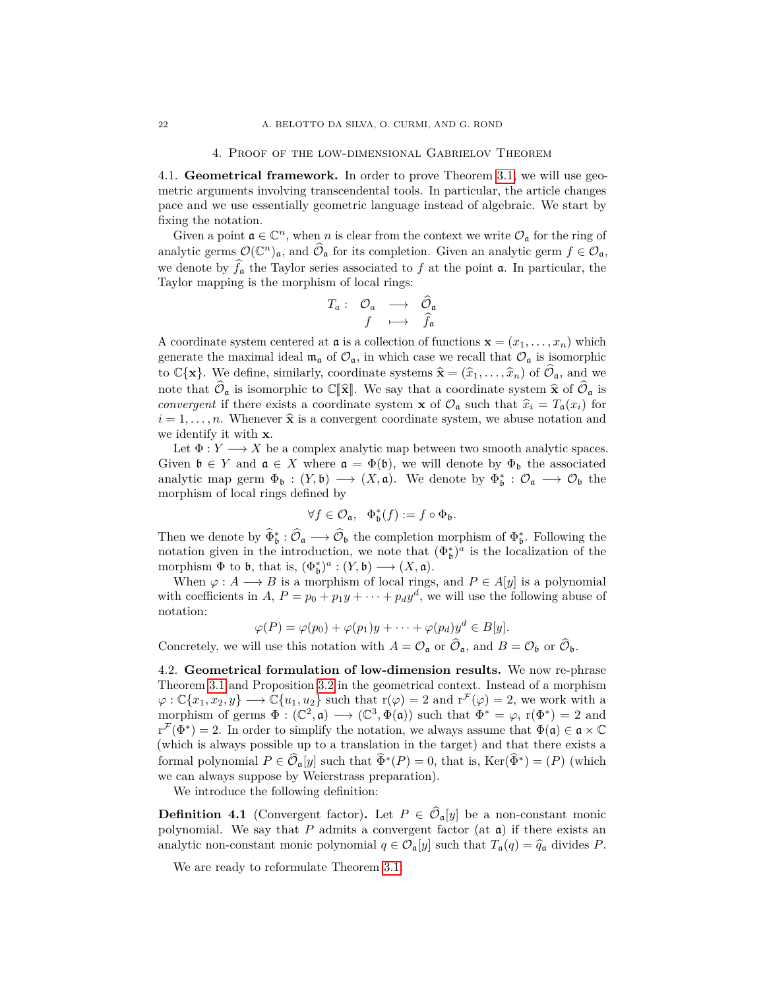## 4. Proof of the low-dimensional Gabrielov Theorem

<span id="page-21-0"></span>4.1. **Geometrical framework.** In order to prove Theorem [3.1,](#page-14-1) we will use geometric arguments involving transcendental tools. In particular, the article changes pace and we use essentially geometric language instead of algebraic. We start by fixing the notation.

Given a point  $\mathfrak{a} \in \mathbb{C}^n$ , when *n* is clear from the context we write  $\mathcal{O}_{\mathfrak{a}}$  for the ring of analytic germs  $\mathcal{O}(\mathbb{C}^n)_{\mathfrak{a}}$ , and  $\widehat{\mathcal{O}}_{\mathfrak{a}}$  for its completion. Given an analytic germ  $f \in \mathcal{O}_{\mathfrak{a}}$ , we denote by  $\hat{f}_a$  the Taylor series associated to f at the point  $\mathfrak{a}$ . In particular, the Taylor mapping is the morphism of local rings:

$$
\begin{array}{cccc}\nT_a: & \mathcal{O}_a & \longrightarrow & \widehat{\mathcal{O}}_a \\
f & \longmapsto & \widehat{f}_a\n\end{array}
$$

A coordinate system centered at  $\mathfrak{a}$  is a collection of functions  $\mathbf{x} = (x_1, \ldots, x_n)$  which generate the maximal ideal  $\mathfrak{m}_\mathfrak{a}$  of  $\mathcal{O}_\mathfrak{a}$ , in which case we recall that  $\mathcal{O}_\mathfrak{a}$  is isomorphic to  $\mathbb{C}\{\mathbf{x}\}\$ . We define, similarly, coordinate systems  $\hat{\mathbf{x}} = (\hat{x}_1, \dots, \hat{x}_n)$  of  $\hat{\mathcal{O}}_{\mathfrak{a}}$ , and we note that  $\hat{\mathcal{O}}_{\mathfrak{a}}$  is isomorphic to  $\mathbb{C}[\hat{\mathbf{x}}]$ . We say that a coordinate system  $\hat{\mathbf{x}}$  of  $\hat{\mathcal{O}}_{\mathfrak{a}}$  is *convergent* if there exists a coordinate system **x** of  $\mathcal{O}_\mathfrak{a}$  such that  $\hat{x}_i = T_\mathfrak{a}(x_i)$  for  $i = 1, \ldots, n$ . Whenever  $\hat{\mathbf{x}}$  is a convergent coordinate system, we abuse notation and we identify it with **x**.

Let  $\Phi: Y \longrightarrow X$  be a complex analytic map between two smooth analytic spaces. Given  $\mathfrak{b} \in Y$  and  $\mathfrak{a} \in X$  where  $\mathfrak{a} = \Phi(\mathfrak{b})$ , we will denote by  $\Phi_{\mathfrak{b}}$  the associated analytic map germ  $\Phi_{\mathfrak{b}} : (Y, \mathfrak{b}) \longrightarrow (X, \mathfrak{a})$ . We denote by  $\Phi_{\mathfrak{b}}^* : \mathcal{O}_{\mathfrak{a}} \longrightarrow \mathcal{O}_{\mathfrak{b}}$  the morphism of local rings defined by

$$
\forall f \in \mathcal{O}_{\mathfrak{a}}, \quad \Phi_{\mathfrak{b}}^{*}(f) := f \circ \Phi_{\mathfrak{b}}.
$$

Then we denote by  $\widehat{\Phi}_{\mathfrak{b}}^* : \widehat{\mathcal{O}}_{\mathfrak{a}} \longrightarrow \widehat{\mathcal{O}}_{\mathfrak{b}}$  the completion morphism of  $\Phi_{\mathfrak{b}}^*$ . Following the notation given in the introduction, we note that  $(\Phi_{\mathfrak{b}}^*)^a$  is the localization of the morphism  $\Phi$  to  $\mathfrak{b}$ , that is,  $(\Phi_{\mathfrak{b}}^*)^a : (Y, \mathfrak{b}) \longrightarrow (X, \mathfrak{a})$ .

When  $\varphi: A \longrightarrow B$  is a morphism of local rings, and  $P \in A[y]$  is a polynomial with coefficients in *A*,  $P = p_0 + p_1y + \cdots + p_dy^d$ , we will use the following abuse of notation:

$$
\varphi(P) = \varphi(p_0) + \varphi(p_1)y + \cdots + \varphi(p_d)y^d \in B[y].
$$

Concretely, we will use this notation with  $A = \mathcal{O}_{\mathfrak{a}}$  or  $\mathcal{O}_{\mathfrak{a}}$ , and  $B = \mathcal{O}_{\mathfrak{b}}$  or  $\mathcal{O}_{\mathfrak{b}}$ .

4.2. **Geometrical formulation of low-dimension results.** We now re-phrase Theorem [3.1](#page-14-1) and Proposition [3.2](#page-14-2) in the geometrical context. Instead of a morphism  $\varphi:\mathbb{C}\{x_1,x_2,y\}\longrightarrow\mathbb{C}\{u_1,u_2\}$  such that  $r(\varphi)=2$  and  $r^{\mathcal{F}}(\varphi)=2$ , we work with a morphism of germs  $\Phi : (\mathbb{C}^2, \mathfrak{a}) \longrightarrow (\mathbb{C}^3, \Phi(\mathfrak{a}))$  such that  $\Phi^* = \varphi$ ,  $r(\Phi^*) = 2$  and  $r^{\mathcal{F}}(\Phi^*)=2$ . In order to simplify the notation, we always assume that  $\Phi(\mathfrak{a}) \in \mathfrak{a} \times \mathbb{C}$ (which is always possible up to a translation in the target) and that there exists a formal polynomial  $P \in \widehat{\mathcal{O}}_{\mathfrak{a}}[y]$  such that  $\widehat{\Phi}^*(P) = 0$ , that is, Ker $(\widehat{\Phi}^*) = (P)$  (which we can always suppose by Weierstrass preparation).

We introduce the following definition:

**Definition 4.1** (Convergent factor). Let  $P \in \widehat{\mathcal{O}}_{\mathfrak{a}}[y]$  be a non-constant monic polynomial. We say that  $P$  admits a convergent factor (at  $a$ ) if there exists an analytic non-constant monic polynomial  $q \in \mathcal{O}_{\mathfrak{a}}[y]$  such that  $T_{\mathfrak{a}}(q) = \hat{q}_{\mathfrak{a}}$  divides *P*.

We are ready to reformulate Theorem [3.1:](#page-14-1)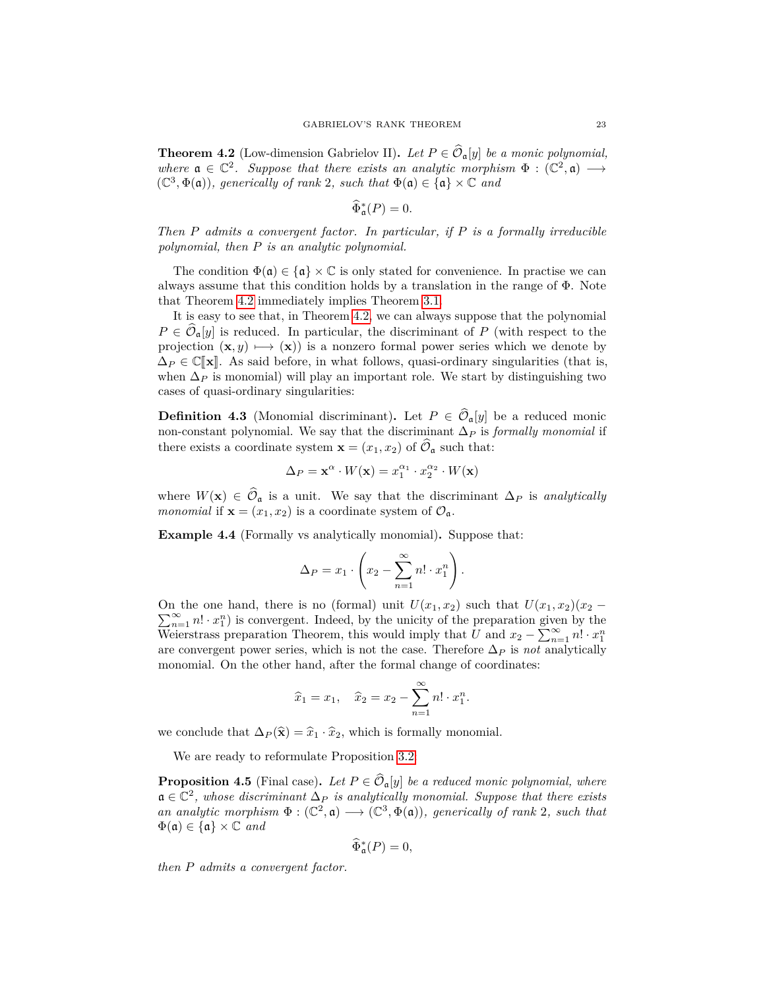<span id="page-22-0"></span>**Theorem 4.2** (Low-dimension Gabrielov II). Let  $P \in \widehat{\mathcal{O}}_{\mathfrak{a}}[y]$  *be a monic polynomial,* where  $\mathfrak{a} \in \mathbb{C}^2$ . Suppose that there exists an analytic morphism  $\Phi : (\mathbb{C}^2, \mathfrak{a}) \longrightarrow$  $(\mathbb{C}^3, \Phi(\mathfrak{a}))$ *, generically of rank* 2*, such that*  $\Phi(\mathfrak{a}) \in {\mathfrak{a}} \times \mathbb{C}$  and

$$
\widehat{\Phi}_{\mathfrak{a}}^*(P)=0.
$$

*Then P admits a convergent factor. In particular, if P is a formally irreducible polynomial, then P is an analytic polynomial.*

The condition  $\Phi(\mathfrak{a}) \in {\mathfrak{a}} \times \mathbb{C}$  is only stated for convenience. In practise we can always assume that this condition holds by a translation in the range of  $\Phi$ . Note that Theorem [4.2](#page-22-0) immediately implies Theorem [3.1.](#page-14-1)

It is easy to see that, in Theorem [4.2,](#page-22-0) we can always suppose that the polynomial  $P \in \widehat{\mathcal{O}}_{\mathfrak{a}}[y]$  is reduced. In particular, the discriminant of *P* (with respect to the projection  $(\mathbf{x}, y) \mapsto (\mathbf{x})$  is a nonzero formal power series which we denote by  $\Delta_P \in \mathbb{C}[\mathbf{x}]$ . As said before, in what follows, quasi-ordinary singularities (that is, when  $\Delta_P$  is monomial) will play an important role. We start by distinguishing two cases of quasi-ordinary singularities:

**Definition 4.3** (Monomial discriminant). Let  $P \in \widehat{\mathcal{O}}_{\mathfrak{a}}[y]$  be a reduced monic non-constant polynomial. We say that the discriminant ∆*<sup>P</sup>* is *formally monomial* if there exists a coordinate system  $\mathbf{x} = (x_1, x_2)$  of  $\widehat{\mathcal{O}}_{\mathfrak{a}}$  such that:

$$
\Delta_P = \mathbf{x}^\alpha \cdot W(\mathbf{x}) = x_1^{\alpha_1} \cdot x_2^{\alpha_2} \cdot W(\mathbf{x})
$$

where  $W(\mathbf{x}) \in \hat{\mathcal{O}}_{\mathfrak{a}}$  is a unit. We say that the discriminant  $\Delta_P$  is *analytically monomial* if  $\mathbf{x} = (x_1, x_2)$  is a coordinate system of  $\mathcal{O}_a$ .

<span id="page-22-2"></span>**Example 4.4** (Formally vs analytically monomial)**.** Suppose that:

$$
\Delta_P = x_1 \cdot \left( x_2 - \sum_{n=1}^{\infty} n! \cdot x_1^n \right).
$$

On the one hand, there is no (formal) unit  $U(x_1, x_2)$  such that  $U(x_1, x_2)(x_2 \sum_{n=1}^{\infty} n! \cdot x_1^n$  is convergent. Indeed, by the unicity of the preparation given by the Weierstrass preparation Theorem, this would imply that *U* and  $x_2 - \sum_{n=1}^{\infty} n! \cdot x_1^n$ are convergent power series, which is not the case. Therefore  $\Delta_P$  is *not* analytically monomial. On the other hand, after the formal change of coordinates:

$$
\hat{x}_1 = x_1, \quad \hat{x}_2 = x_2 - \sum_{n=1}^{\infty} n! \cdot x_1^n.
$$

we conclude that  $\Delta_P(\hat{\mathbf{x}}) = \hat{x}_1 \cdot \hat{x}_2$ , which is formally monomial.

We are ready to reformulate Proposition [3.2:](#page-14-2)

<span id="page-22-1"></span>**Proposition 4.5** (Final case). Let  $P \in \widehat{\mathcal{O}}_{\mathfrak{a}}[y]$  be a reduced monic polynomial, where a ∈ C 2 *, whose discriminant* ∆*<sup>P</sup> is analytically monomial. Suppose that there exists an analytic morphism*  $\Phi : (\mathbb{C}^2, \mathfrak{a}) \longrightarrow (\mathbb{C}^3, \Phi(\mathfrak{a}))$ *, generically of rank* 2*, such that*  $\Phi(\mathfrak{a}) \in {\mathfrak{a}} \times \mathbb{C}$  and

$$
\widehat{\Phi}_{\mathfrak{a}}^*(P)=0,
$$

*then P admits a convergent factor.*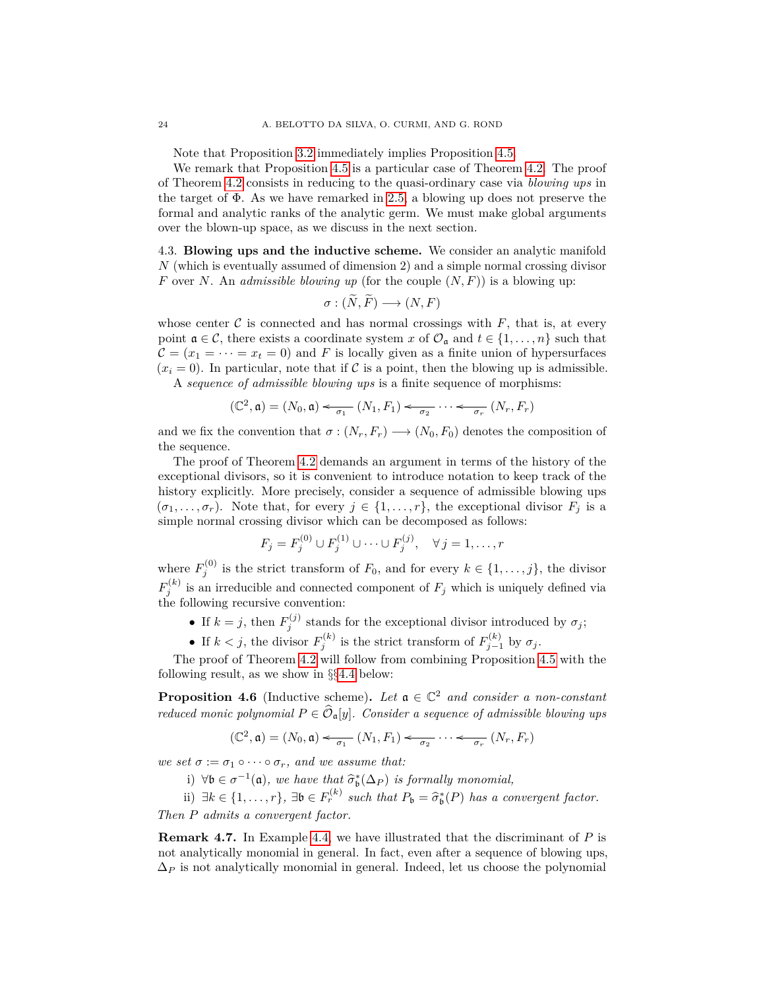Note that Proposition [3.2](#page-14-2) immediately implies Proposition [4.5.](#page-22-1)

We remark that Proposition [4.5](#page-22-1) is a particular case of Theorem [4.2.](#page-22-0) The proof of Theorem [4.2](#page-22-0) consists in reducing to the quasi-ordinary case via *blowing ups* in the target of  $\Phi$ . As we have remarked in [2.5,](#page-12-0) a blowing up does not preserve the formal and analytic ranks of the analytic germ. We must make global arguments over the blown-up space, as we discuss in the next section.

4.3. **Blowing ups and the inductive scheme.** We consider an analytic manifold *N* (which is eventually assumed of dimension 2) and a simple normal crossing divisor *F* over *N*. An *admissible blowing up* (for the couple (*N, F*)) is a blowing up:

$$
\sigma : (\tilde{N}, \tilde{F}) \longrightarrow (N, F)
$$

whose center  $\mathcal C$  is connected and has normal crossings with  $F$ , that is, at every point  $\mathfrak{a} \in \mathcal{C}$ , there exists a coordinate system *x* of  $\mathcal{O}_{\mathfrak{a}}$  and  $t \in \{1, \ldots, n\}$  such that  $C = (x_1 = \cdots = x_t = 0)$  and F is locally given as a finite union of hypersurfaces  $(x<sub>i</sub> = 0)$ . In particular, note that if C is a point, then the blowing up is admissible. A *sequence of admissible blowing ups* is a finite sequence of morphisms:

$$
(\mathbb{C}^2, \mathfrak{a}) = (N_0, \mathfrak{a}) \xleftarrow[\sigma_1]{} (N_1, F_1) \xleftarrow[\sigma_2]{} \cdots \xleftarrow[\sigma_r]{} (N_r, F_r)
$$

and we fix the convention that  $\sigma : (N_r, F_r) \longrightarrow (N_0, F_0)$  denotes the composition of the sequence.

The proof of Theorem [4.2](#page-22-0) demands an argument in terms of the history of the exceptional divisors, so it is convenient to introduce notation to keep track of the history explicitly. More precisely, consider a sequence of admissible blowing ups  $(\sigma_1, \ldots, \sigma_r)$ . Note that, for every  $j \in \{1, \ldots, r\}$ , the exceptional divisor  $F_j$  is a simple normal crossing divisor which can be decomposed as follows:

$$
F_j = F_j^{(0)} \cup F_j^{(1)} \cup \dots \cup F_j^{(j)}, \quad \forall j = 1, \dots, r
$$

where  $F_j^{(0)}$  is the strict transform of  $F_0$ , and for every  $k \in \{1, \ldots, j\}$ , the divisor  $F_j^{(k)}$  is an irreducible and connected component of  $F_j$  which is uniquely defined via the following recursive convention:

- If  $k = j$ , then  $F_j^{(j)}$  stands for the exceptional divisor introduced by  $\sigma_j$ ;
- If  $k < j$ , the divisor  $F_j^{(k)}$  is the strict transform of  $F_{j-1}^{(k)}$  by  $\sigma_j$ .

The proof of Theorem [4.2](#page-22-0) will follow from combining Proposition [4.5](#page-22-1) with the following result, as we show in §§[4.4](#page-24-0) below:

<span id="page-23-0"></span>**Proposition 4.6** (Inductive scheme). Let  $a \in \mathbb{C}^2$  and consider a non-constant *reduced monic polynomial*  $P \in \widehat{\mathcal{O}}_{\mathfrak{a}}[y]$ *. Consider a sequence of admissible blowing ups* 

$$
(\mathbb{C}^2, \mathfrak{a}) = (N_0, \mathfrak{a}) \leftarrow_{\sigma_1} (N_1, F_1) \leftarrow_{\sigma_2} \cdots \leftarrow_{\sigma_r} (N_r, F_r)
$$

*we set*  $\sigma := \sigma_1 \circ \cdots \circ \sigma_r$ *, and we assume that:* 

i)  $\forall \mathbf{b} \in \sigma^{-1}(\mathfrak{a})$ , we have that  $\widehat{\sigma}_{\mathbf{b}}^*(\Delta_P)$  is formally monomial,

ii)  $\exists k \in \{1, \ldots, r\}$ ,  $\exists \mathfrak{b} \in F_r^{(k)}$  such that  $P_{\mathfrak{b}} = \widehat{\sigma}_{\mathfrak{b}}^*(P)$  has a convergent factor. *Then P admits a convergent factor.*

**Remark 4.7.** In Example [4.4,](#page-22-2) we have illustrated that the discriminant of *P* is not analytically monomial in general. In fact, even after a sequence of blowing ups,  $\Delta_P$  is not analytically monomial in general. Indeed, let us choose the polynomial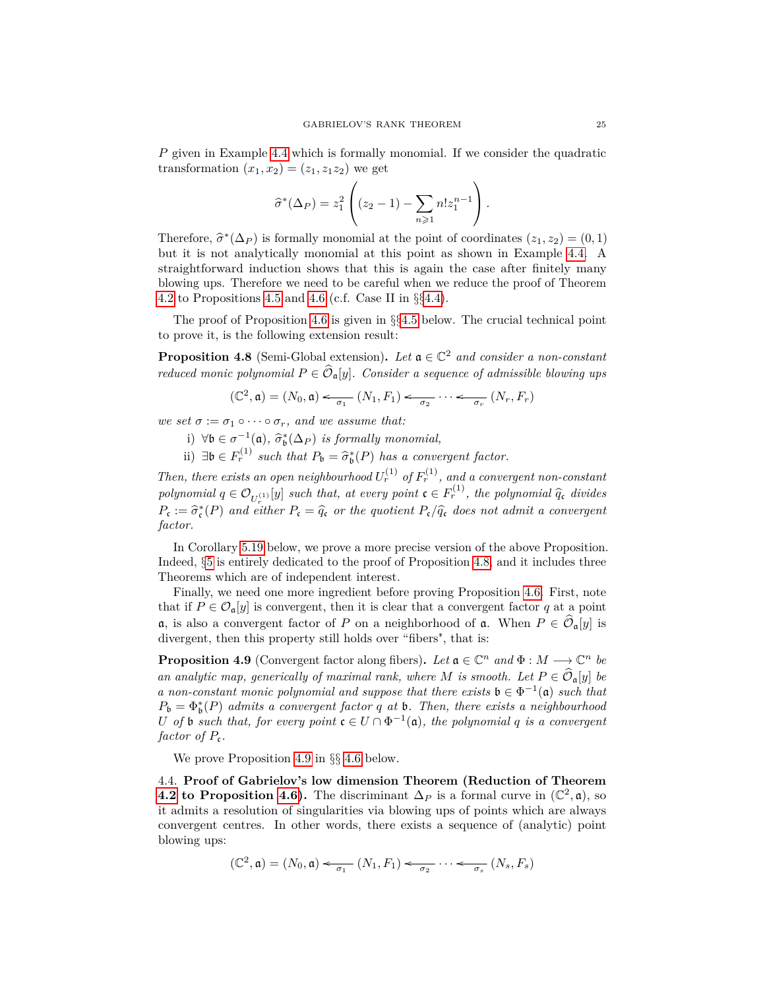*P* given in Example [4.4](#page-22-2) which is formally monomial. If we consider the quadratic transformation  $(x_1, x_2) = (z_1, z_1z_2)$  we get

$$
\hat{\sigma}^*(\Delta_P) = z_1^2 \left( (z_2 - 1) - \sum_{n \geq 1} n! z_1^{n-1} \right).
$$

Therefore,  $\hat{\sigma}^*(\Delta_P)$  is formally monomial at the point of coordinates  $(z_1, z_2) = (0, 1)$ <br>but it is not applytically monomial at this point as shown in Example 4.4. A but it is not analytically monomial at this point as shown in Example [4.4.](#page-22-2) A straightforward induction shows that this is again the case after finitely many blowing ups. Therefore we need to be careful when we reduce the proof of Theorem [4.2](#page-22-0) to Propositions [4.5](#page-22-1) and [4.6](#page-23-0) (c.f. Case II in  $\S 4.4$ ).

The proof of Proposition [4.6](#page-23-0) is given in  $\S$ §[4.5](#page-26-0) below. The crucial technical point to prove it, is the following extension result:

<span id="page-24-1"></span>**Proposition 4.8** (Semi-Global extension). Let  $a \in \mathbb{C}^2$  and consider a non-constant *reduced monic polynomial*  $P \in \widehat{\mathcal{O}}_{\mathfrak{a}}[y]$ *. Consider a sequence of admissible blowing ups* 

$$
(\mathbb{C}^2, \mathfrak{a}) = (N_0, \mathfrak{a}) \leftarrow_{\sigma_1} (N_1, F_1) \leftarrow_{\sigma_2} \cdots \leftarrow_{\sigma_r} (N_r, F_r)
$$

*we set*  $\sigma := \sigma_1 \circ \cdots \circ \sigma_r$ *, and we assume that:* 

i)  $∀b ∈ σ<sup>-1</sup>(a),  $\hat{\sigma}_b^*(\Delta_P)$  is formally monomial,$ 

ii)  $\exists \mathfrak{b} \in F_r^{(1)}$  such that  $P_{\mathfrak{b}} = \widehat{\sigma}_{\mathfrak{b}}^*(P)$  has a convergent factor.

*Then, there exists an open neighbourhood*  $U_r^{(1)}$  *of*  $F_r^{(1)}$ *, and a convergent non-constant polynomial*  $q \in \mathcal{O}_{U_r^{(1)}}[y]$  *such that, at every point*  $\mathfrak{c} \in F_r^{(1)}$ *, the polynomial*  $\widehat{q}_{\mathfrak{c}}$  *divides*  $P_{\mathbf{c}} := \hat{\sigma}_{\mathbf{c}}^*(P)$  *and either*  $P_{\mathbf{c}} = \hat{q}_{\mathbf{c}}$  *or the quotient*  $P_{\mathbf{c}}/\hat{q}_{\mathbf{c}}$  *does not admit a convergent factor.*

In Corollary [5.19](#page-36-0) below, we prove a more precise version of the above Proposition. Indeed,  $\S 5$  $\S 5$  is entirely dedicated to the proof of Proposition [4.8,](#page-24-1) and it includes three Theorems which are of independent interest.

Finally, we need one more ingredient before proving Proposition [4.6.](#page-23-0) First, note that if  $P \in \mathcal{O}_{\mathfrak{a}}[y]$  is convergent, then it is clear that a convergent factor q at a point a, is also a convergent factor of *P* on a neighborhood of a. When  $P \in \widehat{\mathcal{O}}_{\mathfrak{a}}[y]$  is divergent, then this property still holds over "fibers", that is:

<span id="page-24-2"></span>**Proposition 4.9** (Convergent factor along fibers). Let  $\mathfrak{a} \in \mathbb{C}^n$  and  $\Phi : M \longrightarrow \mathbb{C}^n$  be *an analytic map, generically of maximal rank, where M is smooth. Let*  $P \in \widehat{\mathcal{O}}_{\mathfrak{a}}[y]$  *be a* non-constant monic polynomial and suppose that there exists  $\mathfrak{b} \in \Phi^{-1}(\mathfrak{a})$  such that  $P_{\mathfrak{b}} = \Phi_{\mathfrak{b}}^{*}(P)$  *admits a convergent factor q at* **b**. Then, there exists a neighbourhood *U* of **b** such that, for every point  $c \in U \cap \Phi^{-1}(\mathfrak{a})$ , the polynomial q is a convergent *factor of*  $P_c$ .

We prove Proposition [4.9](#page-24-2) in §§ [4.6](#page-28-0) below.

<span id="page-24-0"></span>4.4. **Proof of Gabrielov's low dimension Theorem (Reduction of Theorem [4.2](#page-22-0) to Proposition [4.6\)](#page-23-0).** The discriminant  $\Delta_P$  is a formal curve in  $(\mathbb{C}^2, \mathfrak{a})$ , so it admits a resolution of singularities via blowing ups of points which are always convergent centres. In other words, there exists a sequence of (analytic) point blowing ups:

$$
(\mathbb{C}^2, \mathfrak{a}) = (N_0, \mathfrak{a}) \leftarrow_{\sigma_1} (N_1, F_1) \leftarrow_{\sigma_2} \cdots \leftarrow_{\sigma_s} (N_s, F_s)
$$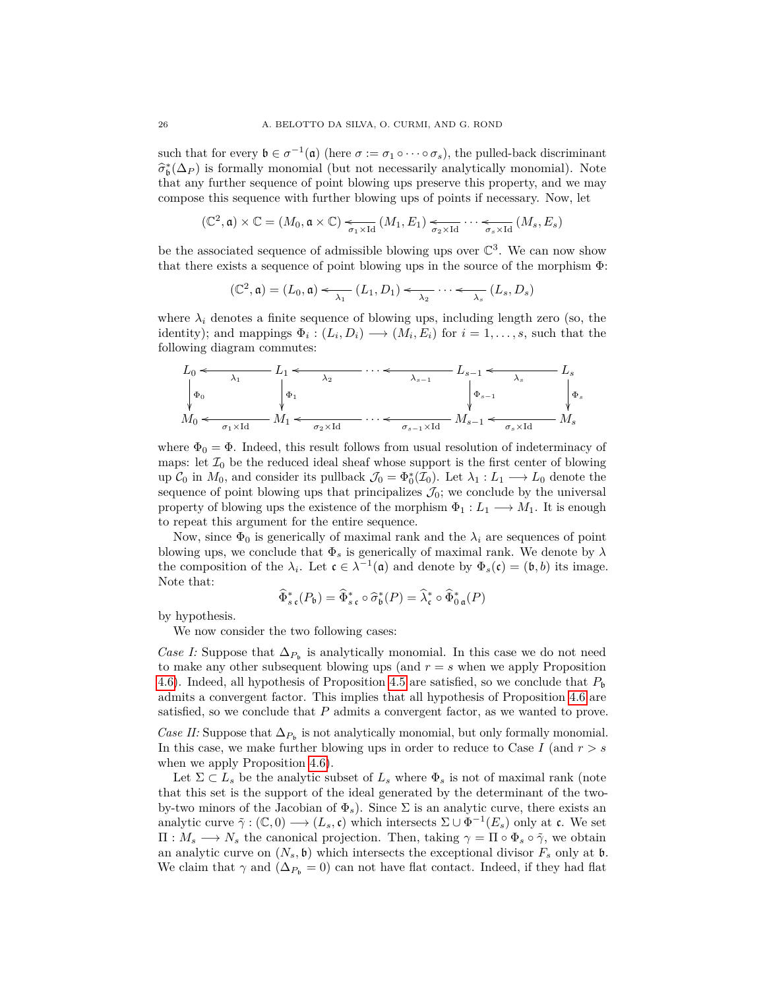such that for every  $\mathfrak{b} \in \sigma^{-1}(\mathfrak{a})$  (here  $\sigma := \sigma_1 \circ \cdots \circ \sigma_s$ ), the pulled-back discriminant  $\hat{\sigma}_{\mathbf{b}}^*(\Delta_P)$  is formally monomial (but not necessarily analytically monomial). Note that any further sequence of point blowing ups preserve this property, and we may compose this sequence with further blowing ups of points if necessary. Now, let

$$
(\mathbb{C}^2, \mathfrak{a}) \times \mathbb{C} = (M_0, \mathfrak{a} \times \mathbb{C}) \underset{\sigma_1 \times \text{Id}}{\longleftarrow} (M_1, E_1) \underset{\sigma_2 \times \text{Id}}{\longleftarrow} \cdots \underset{\sigma_s \times \text{Id}}{\longleftarrow} (M_s, E_s)
$$

be the associated sequence of admissible blowing ups over  $\mathbb{C}^3$ . We can now show that there exists a sequence of point blowing ups in the source of the morphism Φ:

$$
(\mathbb{C}^2, \mathfrak{a}) = (L_0, \mathfrak{a}) \xleftarrow[\lambda_1]{} (L_1, D_1) \xleftarrow[\lambda_2]{} \cdots \xleftarrow[\lambda_s]{} (L_s, D_s)
$$

where  $\lambda_i$  denotes a finite sequence of blowing ups, including length zero (so, the identity); and mappings  $\Phi_i : (L_i, D_i) \longrightarrow (M_i, E_i)$  for  $i = 1, \ldots, s$ , such that the following diagram commutes:

*L*0 Φ<sup>0</sup> *L*1 Φ<sup>1</sup> *λ*<sup>1</sup> o · · · *λ*<sup>2</sup> o *Ls*−<sup>1</sup> Φ*s*−<sup>1</sup> *λs*−<sup>1</sup> o *L<sup>s</sup>* Φ*<sup>s</sup> λ<sup>s</sup>* o *M*<sup>0</sup> *M*<sup>1</sup> *σ*1×Id o · · · *σ*2×Id o *Ms*−<sup>1</sup> *σs*−1×Id o *M<sup>s</sup> σs*×Id o

where  $\Phi_0 = \Phi$ . Indeed, this result follows from usual resolution of indeterminacy of maps: let  $\mathcal{I}_0$  be the reduced ideal sheaf whose support is the first center of blowing up  $C_0$  in  $M_0$ , and consider its pullback  $\mathcal{J}_0 = \Phi_0^*(\mathcal{I}_0)$ . Let  $\lambda_1 : L_1 \longrightarrow L_0$  denote the sequence of point blowing ups that principalizes  $\mathcal{J}_0$ ; we conclude by the universal property of blowing ups the existence of the morphism  $\Phi_1: L_1 \longrightarrow M_1$ . It is enough to repeat this argument for the entire sequence.

Now, since  $\Phi_0$  is generically of maximal rank and the  $\lambda_i$  are sequences of point blowing ups, we conclude that  $\Phi_s$  is generically of maximal rank. We denote by  $\lambda$ the composition of the  $\lambda_i$ . Let  $\mathfrak{c} \in \lambda^{-1}(\mathfrak{a})$  and denote by  $\Phi_s(\mathfrak{c}) = (\mathfrak{b}, b)$  its image. Note that:

$$
\widehat{\Phi}_{s\,\mathfrak{c}}^*(P_{\mathfrak{b}}) = \widehat{\Phi}_{s\,\mathfrak{c}}^* \circ \widehat{\sigma}_{\mathfrak{b}}^*(P) = \widehat{\lambda}_{\mathfrak{c}}^* \circ \widehat{\Phi}_{0\,\mathfrak{a}}^*(P)
$$

by hypothesis.

We now consider the two following cases:

*Case I:* Suppose that  $\Delta_{P_b}$  is analytically monomial. In this case we do not need to make any other subsequent blowing ups (and  $r = s$  when we apply Proposition [4.6\)](#page-23-0). Indeed, all hypothesis of Proposition [4.5](#page-22-1) are satisfied, so we conclude that  $P_b$ admits a convergent factor. This implies that all hypothesis of Proposition [4.6](#page-23-0) are satisfied, so we conclude that *P* admits a convergent factor, as we wanted to prove.

*Case II:* Suppose that  $\Delta_{P_b}$  is not analytically monomial, but only formally monomial. In this case, we make further blowing ups in order to reduce to Case *I* (and *r > s* when we apply Proposition [4.6\)](#page-23-0).

Let  $\Sigma \subset L_s$  be the analytic subset of  $L_s$  where  $\Phi_s$  is not of maximal rank (note that this set is the support of the ideal generated by the determinant of the twoby-two minors of the Jacobian of  $\Phi_s$ ). Since  $\Sigma$  is an analytic curve, there exists an analytic curve  $\tilde{\gamma}: (\mathbb{C}, 0) \longrightarrow (L_s, \mathfrak{c})$  which intersects  $\Sigma \cup \Phi^{-1}(E_s)$  only at  $\mathfrak{c}$ . We set  $\Pi: M_s \longrightarrow N_s$  the canonical projection. Then, taking  $\gamma = \Pi \circ \Phi_s \circ \tilde{\gamma}$ , we obtain an analytic curve on  $(N_s, \mathfrak{b})$  which intersects the exceptional divisor  $F_s$  only at  $\mathfrak{b}$ . We claim that  $\gamma$  and ( $\Delta_{P_b} = 0$ ) can not have flat contact. Indeed, if they had flat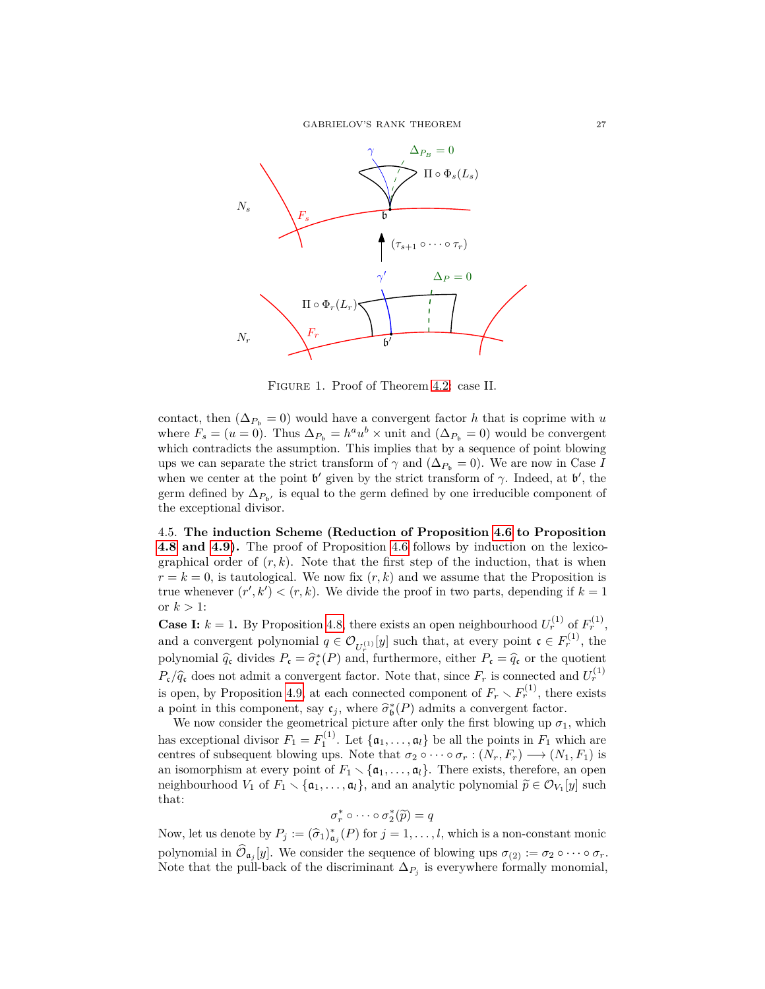GABRIELOV'S RANK THEOREM 27



Figure 1. Proof of Theorem [4.2:](#page-22-0) case II.

contact, then  $(\Delta_{P_b} = 0)$  would have a convergent factor *h* that is coprime with *u* where  $F_s = (u = 0)$ . Thus  $\Delta_{P_b} = h^a u^b \times \text{unit}$  and  $(\Delta_{P_b} = 0)$  would be convergent which contradicts the assumption. This implies that by a sequence of point blowing ups we can separate the strict transform of  $\gamma$  and  $(\Delta_{P_b} = 0)$ . We are now in Case *I* when we center at the point  $\mathfrak{b}'$  given by the strict transform of  $\gamma$ . Indeed, at  $\mathfrak{b}'$ , the germ defined by  $\Delta_{P_{\mathfrak{b}'}}$  is equal to the germ defined by one irreducible component of the exceptional divisor.

<span id="page-26-0"></span>4.5. **The induction Scheme (Reduction of Proposition [4.6](#page-23-0) to Proposition [4.8](#page-24-1) and [4.9\)](#page-24-2).** The proof of Proposition [4.6](#page-23-0) follows by induction on the lexicographical order of  $(r, k)$ . Note that the first step of the induction, that is when  $r = k = 0$ , is tautological. We now fix  $(r, k)$  and we assume that the Proposition is true whenever  $(r', k') < (r, k)$ . We divide the proof in two parts, depending if  $k = 1$ or  $k > 1$ :

**Case I:**  $k = 1$ . By Proposition [4.8,](#page-24-1) there exists an open neighbourhood  $U_r^{(1)}$  of  $F_r^{(1)}$ , and a convergent polynomial  $q \in \mathcal{O}_{U_r^{(1)}}[y]$  such that, at every point  $\mathfrak{c} \in F_r^{(1)}$ , the polynomial  $\hat{q}_c$  divides  $P_c = \hat{\sigma}_c^*(P)$  and, furthermore, either  $P_c = \hat{q}_c$  or the quotient  $P_c/\hat{q}_c$  does not admit a convergent factor. Note that, since  $F_r$  is connected and  $U_r^{(1)}$ is open, by Proposition [4.9,](#page-24-2) at each connected component of  $F_r \setminus F_r^{(1)}$ , there exists a point in this component, say  $c_j$ , where  $\hat{\sigma}_{\mathfrak{b}}^*(P)$  admits a convergent factor.<br>We now consider the geometrical picture ofter only the first blowing up  $\sigma$ .

We now consider the geometrical picture after only the first blowing up  $\sigma_1$ , which has exceptional divisor  $F_1 = F_1^{(1)}$ . Let  $\{a_1, \ldots, a_l\}$  be all the points in  $F_1$  which are centres of subsequent blowing ups. Note that  $\sigma_2 \circ \cdots \circ \sigma_r : (N_r, F_r) \longrightarrow (N_1, F_1)$  is an isomorphism at every point of  $F_1 \setminus \{a_1, \ldots, a_l\}$ . There exists, therefore, an open neighbourhood *V*<sub>1</sub> of *F*<sub>1</sub>  $\lt$  { $\mathfrak{a}_1, \ldots, \mathfrak{a}_l$ }, and an analytic polynomial  $\widetilde{p} \in \mathcal{O}_{V_1}[y]$  such that that:

$$
\sigma_r^* \circ \cdots \circ \sigma_2^* (\widetilde{p}) = q
$$

Now, let us denote by  $P_j := (\hat{\sigma}_1)^*_{\mathfrak{a}_j}(P)$  for  $j = 1, \ldots, l$ , which is a non-constant monic polynomial in  $\mathcal{O}_{\mathfrak{a}_j}[y]$ . We consider the sequence of blowing ups  $\sigma_{(2)} := \sigma_2 \circ \cdots \circ \sigma_r$ . Note that the pull-back of the discriminant  $\Delta_{P_j}$  is everywhere formally monomial,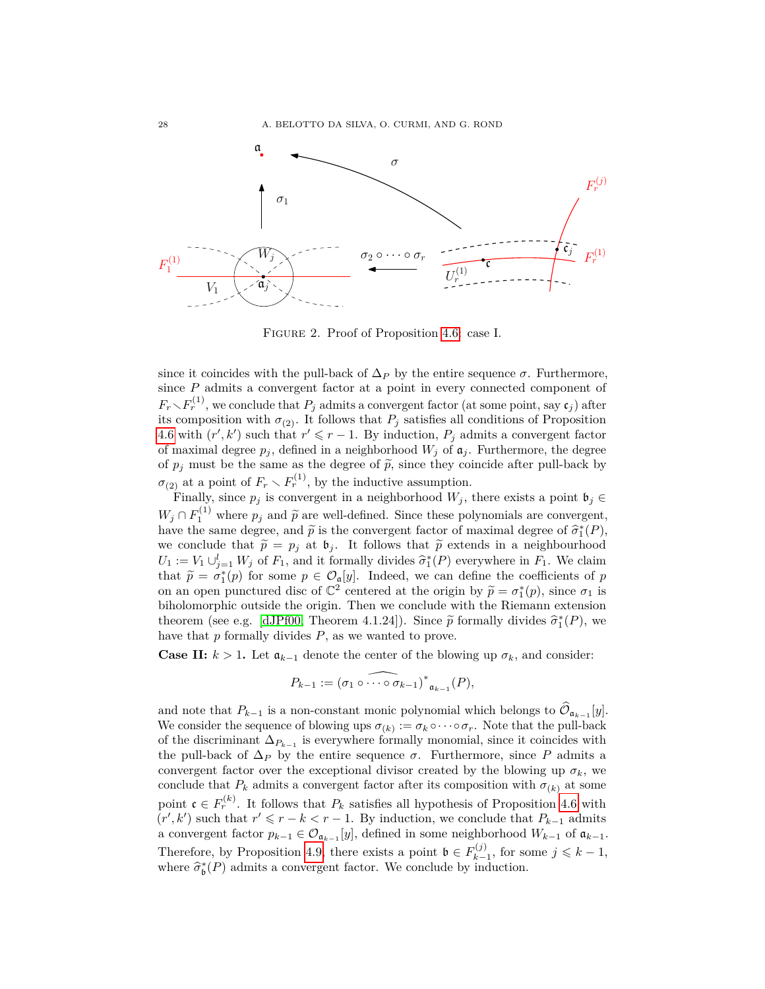

Figure 2. Proof of Proposition [4.6:](#page-23-0) case I.

since it coincides with the pull-back of  $\Delta_P$  by the entire sequence  $\sigma$ . Furthermore, since *P* admits a convergent factor at a point in every connected component of  $F_r \setminus F_r^{(1)}$ , we conclude that  $P_j$  admits a convergent factor (at some point, say  $\mathfrak{c}_j$ ) after its composition with  $\sigma_{(2)}$ . It follows that  $P_j$  satisfies all conditions of Proposition [4.6](#page-23-0) with  $(r', k')$  such that  $r' \leq r - 1$ . By induction,  $P_j$  admits a convergent factor of maximal degree  $p_j$ , defined in a neighborhood  $W_j$  of  $\mathfrak{a}_j$ . Furthermore, the degree of  $p_j$  must be the same as the degree of  $\tilde{p}$ , since they coincide after pull-back by  $\sigma$ <sub>(2)</sub> at a point of  $F_r \setminus F_r^{(1)}$ , by the inductive assumption.

Finally, since  $p_j$  is convergent in a neighborhood  $W_j$ , there exists a point  $\mathfrak{b}_j \in$  $W_j \cap F_1^{(1)}$  where  $p_j$  and  $\tilde{p}$  are well-defined. Since these polynomials are convergent, have the same degree, and  $\tilde{p}$  is the convergent factor of maximal degree of  $\hat{\sigma}_{1}^{*}(P)$ , we conclude that  $\tilde{p} = p_j$  at  $\mathfrak{b}_j$ . It follows that  $\tilde{p}$  extends in a neighbourhood  $U_1 := V_1 \cup_{j=1}^l W_j$  of  $F_1$ , and it formally divides  $\hat{\sigma}_1^*(P)$  everywhere in  $F_1$ . We claim that  $\tilde{\sigma} = \sigma^*(e)$  for some  $r \in Q$  [*w*]. Indeed, we see define the soofficients of m that  $\tilde{p} = \sigma_1^*(p)$  for some  $p \in \mathcal{O}_q[y]$ . Indeed, we can define the coefficients of *p*<br>con an open punctured disc of  $\mathbb{C}^2$  contendent the origin by  $\tilde{p} = \sigma^*(p)$  since  $\sigma_i$  is on an open punctured disc of  $\mathbb{C}^2$  centered at the origin by  $\tilde{p} = \sigma_1^*(p)$ , since  $\sigma_1$  is<br>bibolomorphic outside the origin. Then we conclude with the Biomann oxtonsion biholomorphic outside the origin. Then we conclude with the Riemann extension theorem (see e.g. [\[dJPf00,](#page-60-20) Theorem 4.1.24]). Since  $\tilde{p}$  formally divides  $\tilde{\sigma}_1^*(P)$ , we have that *p* formally divides *P*, as we wanted to prove.

**Case II:**  $k > 1$ . Let  $\mathfrak{a}_{k-1}$  denote the center of the blowing up  $\sigma_k$ , and consider:

$$
P_{k-1} := \widehat{(\sigma_1 \circ \cdots \circ \sigma_{k-1})^*}_{\mathfrak{a}_{k-1}}(P),
$$

and note that  $P_{k-1}$  is a non-constant monic polynomial which belongs to  $\mathcal{O}_{\mathfrak{a}_{k-1}}[y]$ . We consider the sequence of blowing ups  $\sigma_{(k)} := \sigma_k \circ \cdots \circ \sigma_r$ . Note that the pull-back of the discriminant  $\Delta_{P_{k-1}}$  is everywhere formally monomial, since it coincides with the pull-back of  $\Delta_P$  by the entire sequence  $\sigma$ . Furthermore, since *P* admits a convergent factor over the exceptional divisor created by the blowing up  $\sigma_k$ , we conclude that  $P_k$  admits a convergent factor after its composition with  $\sigma_{(k)}$  at some point  $\mathfrak{c} \in F_r^{(k)}$ . It follows that  $P_k$  satisfies all hypothesis of Proposition [4.6](#page-23-0) with  $(r', k')$  such that  $r' \leq r - k < r - 1$ . By induction, we conclude that  $P_{k-1}$  admits a convergent factor  $p_{k-1} \in \mathcal{O}_{\mathfrak{a}_{k-1}}[y]$ , defined in some neighborhood  $W_{k-1}$  of  $\mathfrak{a}_{k-1}$ . Therefore, by Proposition [4.9,](#page-24-2) there exists a point  $\mathfrak{b} \in F_{k-}^{(j)}$  $y_{k-1}^{(j)}$ , for some  $j \leq k-1$ , where  $\widehat{\sigma}_{\mathfrak{b}}^*(P)$  admits a convergent factor. We conclude by induction.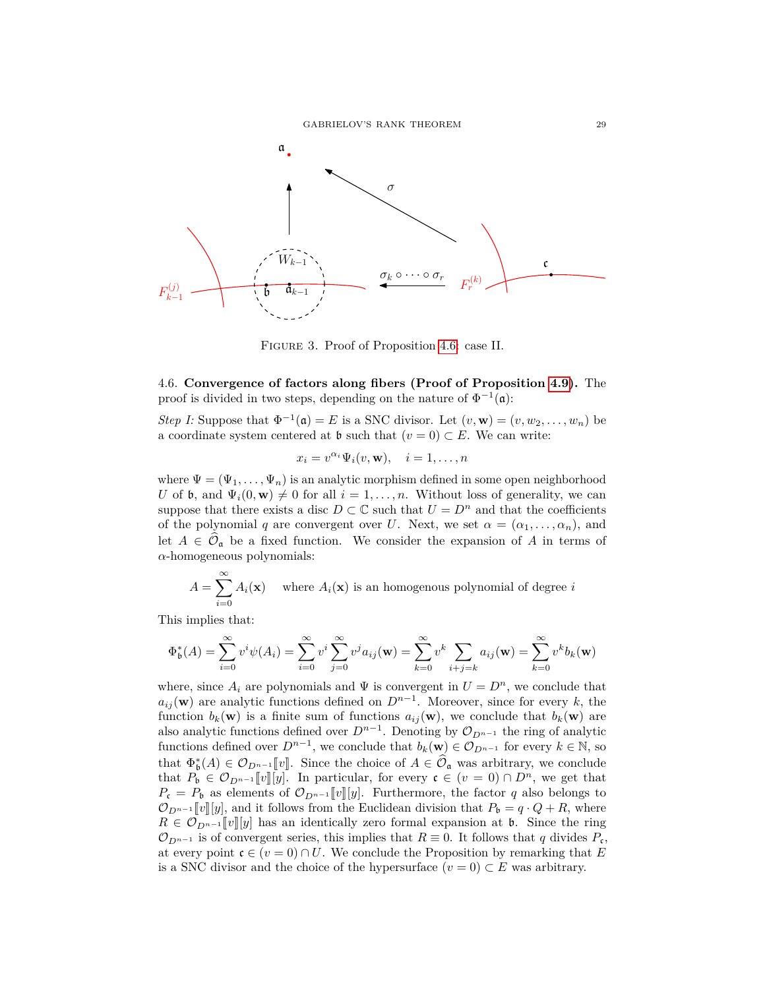

Figure 3. Proof of Proposition [4.6:](#page-23-0) case II.

<span id="page-28-0"></span>4.6. **Convergence of factors along fibers (Proof of Proposition [4.9\)](#page-24-2).** The proof is divided in two steps, depending on the nature of  $\Phi^{-1}(\mathfrak{a})$ :

*Step I:* Suppose that  $\Phi^{-1}(\mathfrak{a}) = E$  is a SNC divisor. Let  $(v, \mathbf{w}) = (v, w_2, \dots, w_n)$  be a coordinate system centered at  $\mathfrak b$  such that  $(v = 0) \subset E$ . We can write:

$$
x_i = v^{\alpha_i} \Psi_i(v, \mathbf{w}), \quad i = 1, \dots, n
$$

where  $\Psi = (\Psi_1, \ldots, \Psi_n)$  is an analytic morphism defined in some open neighborhood *U* of **b**, and  $\Psi_i(0, \mathbf{w}) \neq 0$  for all  $i = 1, \ldots, n$ . Without loss of generality, we can suppose that there exists a disc  $D \subset \mathbb{C}$  such that  $U = D^n$  and that the coefficients of the polynomial *q* are convergent over *U*. Next, we set  $\alpha = (\alpha_1, \ldots, \alpha_n)$ , and let  $A \in \mathcal{O}_\mathfrak{a}$  be a fixed function. We consider the expansion of A in terms of *α*-homogeneous polynomials:

$$
A = \sum_{i=0}^{\infty} A_i(\mathbf{x})
$$
 where  $A_i(\mathbf{x})$  is an homogeneous polynomial of degree *i*

This implies that:

$$
\Phi_{\mathfrak{b}}^*(A) = \sum_{i=0}^{\infty} v^i \psi(A_i) = \sum_{i=0}^{\infty} v^i \sum_{j=0}^{\infty} v^j a_{ij}(\mathbf{w}) = \sum_{k=0}^{\infty} v^k \sum_{i+j=k} a_{ij}(\mathbf{w}) = \sum_{k=0}^{\infty} v^k b_k(\mathbf{w})
$$

where, since  $A_i$  are polynomials and  $\Psi$  is convergent in  $U = D^n$ , we conclude that  $a_{ij}$  (**w**) are analytic functions defined on  $D^{n-1}$ . Moreover, since for every *k*, the function  $b_k(\mathbf{w})$  is a finite sum of functions  $a_{ij}(\mathbf{w})$ , we conclude that  $b_k(\mathbf{w})$  are also analytic functions defined over  $D^{n-1}$ . Denoting by  $\mathcal{O}_{D^{n-1}}$  the ring of analytic functions defined over  $D^{n-1}$ , we conclude that  $b_k(\mathbf{w}) \in \mathcal{O}_{D^{n-1}}$  for every  $k \in \mathbb{N}$ , so that  $\Phi_{\mathfrak{b}}^{*}(A) \in \mathcal{O}_{D^{n-1}}[\![v]\!]$ . Since the choice of  $A \in \widehat{\mathcal{O}}_{\mathfrak{a}}$  was arbitrary, we conclude that  $P_{\mathfrak{b}} \in \mathcal{O}_{D^{n-1}}[v][y]$ . In particular, for every  $\mathfrak{c} \in (v = 0) \cap D^n$ , we get that  $P_c = P_b$  as elements of  $\mathcal{O}_{D^{n-1}}[v][y]$ . Furthermore, the factor *q* also belongs to  $\mathcal{O}_{D^{n-1}}[v][y]$ , and it follows from the Euclidean division that  $P_b = q \cdot Q + R$ , where  $R \in \mathcal{O}_{D^{n-1}}[v][y]$  has an identically zero formal expansion at **b**. Since the ring  $\mathcal{O}_{D^{n-1}}$  is of convergent series, this implies that  $R \equiv 0$ . It follows that q divides  $P_{\mathfrak{c}}$ , at every point  $c \in (v = 0) \cap U$ . We conclude the Proposition by remarking that E is a SNC divisor and the choice of the hypersurface  $(v = 0) \subset E$  was arbitrary.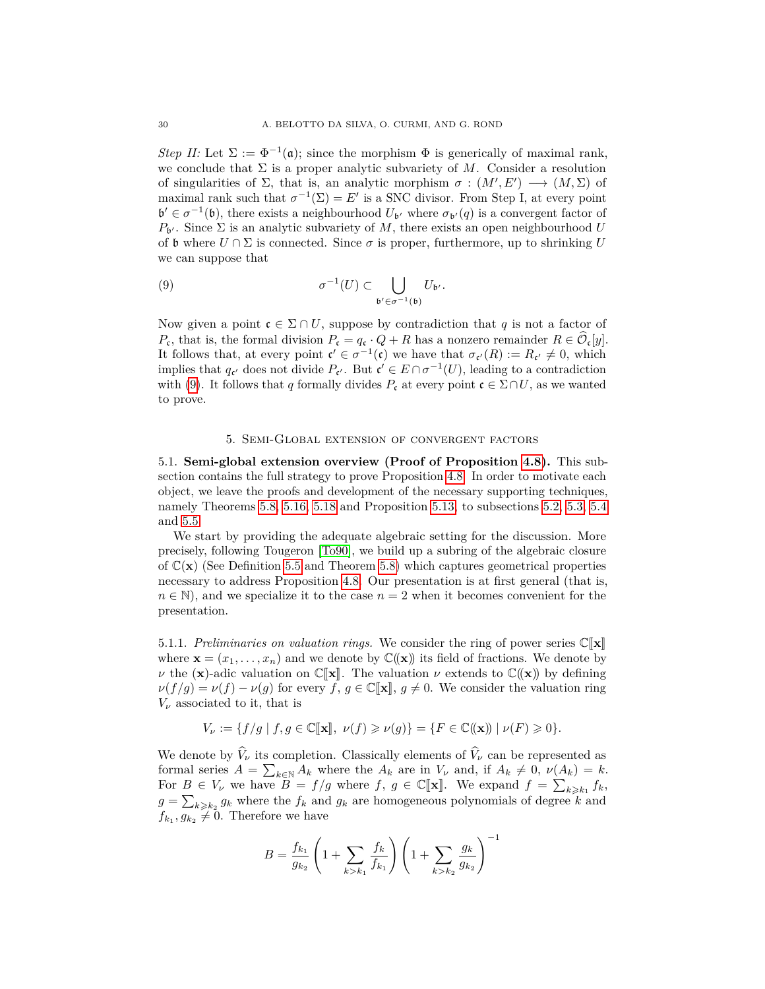*Step II:* Let  $\Sigma := \Phi^{-1}(\mathfrak{a})$ ; since the morphism  $\Phi$  is generically of maximal rank, we conclude that  $\Sigma$  is a proper analytic subvariety of M. Consider a resolution of singularities of  $\Sigma$ , that is, an analytic morphism  $\sigma : (M', E') \longrightarrow (M, \Sigma)$  of maximal rank such that  $\sigma^{-1}(\Sigma) = E'$  is a SNC divisor. From Step I, at every point  $\mathfrak{b}' \in \sigma^{-1}(\mathfrak{b})$ , there exists a neighbourhood  $U_{\mathfrak{b}'}$  where  $\sigma_{\mathfrak{b}'}(q)$  is a convergent factor of  $P_{\mathbf{b}'}$ . Since  $\Sigma$  is an analytic subvariety of M, there exists an open neighbourhood *U* of b where  $U \cap \Sigma$  is connected. Since  $\sigma$  is proper, furthermore, up to shrinking U we can suppose that

<span id="page-29-1"></span>(9) 
$$
\sigma^{-1}(U) \subset \bigcup_{\mathfrak{b}' \in \sigma^{-1}(\mathfrak{b})} U_{\mathfrak{b}'}.
$$

Now given a point  $c \in \Sigma \cap U$ , suppose by contradiction that q is not a factor of *P*<sub>c</sub>, that is, the formal division  $P_c = q_c \cdot Q + R$  has a nonzero remainder  $R \in \mathcal{O}_c[y]$ . It follows that, at every point  $\mathfrak{c}' \in \sigma^{-1}(\mathfrak{c})$  we have that  $\sigma_{\mathfrak{c}'}(R) := R_{\mathfrak{c}'} \neq 0$ , which implies that  $q_{\mathfrak{c}}$  does not divide  $P_{\mathfrak{c}}$ . But  $\mathfrak{c}' \in E \cap \sigma^{-1}(U)$ , leading to a contradiction with [\(9\)](#page-29-1). It follows that *q* formally divides  $P_c$  at every point  $c \in \Sigma \cap U$ , as we wanted to prove.

## 5. Semi-Global extension of convergent factors

<span id="page-29-0"></span>5.1. **Semi-global extension overview (Proof of Proposition [4.8\)](#page-24-1).** This subsection contains the full strategy to prove Proposition [4.8.](#page-24-1) In order to motivate each object, we leave the proofs and development of the necessary supporting techniques, namely Theorems [5.8,](#page-32-0) [5.16,](#page-34-0) [5.18](#page-35-0) and Proposition [5.13,](#page-33-0) to subsections [5.2,](#page-36-1) [5.3,](#page-41-0) [5.4](#page-44-0) and [5.5.](#page-49-0)

We start by providing the adequate algebraic setting for the discussion. More precisely, following Tougeron [\[To90\]](#page-61-7), we build up a subring of the algebraic closure of  $\mathbb{C}(\mathbf{x})$  (See Definition [5.5](#page-31-0) and Theorem [5.8\)](#page-32-0) which captures geometrical properties necessary to address Proposition [4.8.](#page-24-1) Our presentation is at first general (that is,  $n \in \mathbb{N}$ , and we specialize it to the case  $n = 2$  when it becomes convenient for the presentation.

5.1.1. *Preliminaries on valuation rings.* We consider the ring of power series  $\mathbb{C}[\mathbf{x}]$ where  $\mathbf{x} = (x_1, \dots, x_n)$  and we denote by  $\mathbb{C}(\mathbf{x})$  its field of fractions. We denote by *ν* the (**x**)-adic valuation on  $\mathbb{C}[\mathbf{x}]$ . The valuation *ν* extends to  $\mathbb{C}(\mathbf{x})$  by defining  $\nu(f/g) = \nu(f) - \nu(g)$  for every *f*,  $g \in \mathbb{C}[\mathbf{x}], g \neq 0$ . We consider the valuation ring  $V_\nu$  associated to it, that is

$$
V_{\nu} := \{ f/g \mid f, g \in \mathbb{C}[\![\mathbf{x}]\!], \ \nu(f) \geqslant \nu(g) \} = \{ F \in \mathbb{C}(\!(\mathbf{x})\!) \mid \nu(F) \geqslant 0 \}.
$$

We denote by  $\hat{V}_\nu$  its completion. Classically elements of  $\hat{V}_\nu$  can be represented as formal series  $A = \sum_{k \in \mathbb{N}} A_k$  where the  $A_k$  are in  $V_\nu$  and, if  $A_k \neq 0$ ,  $\nu(A_k) = k$ . For  $B \in V_\nu$  we have  $B = f/g$  where  $f, g \in \mathbb{C}[\mathbf{x}]$ . We expand  $f = \sum_{k \geq k_1} f_k$ ,  $g = \sum_{k \geq k_2} g_k$  where the  $f_k$  and  $g_k$  are homogeneous polynomials of degree  $k$  and  $f_{k_1}, g_{k_2} \neq 0$ . Therefore we have

$$
B = \frac{f_{k_1}}{g_{k_2}} \left( 1 + \sum_{k > k_1} \frac{f_k}{f_{k_1}} \right) \left( 1 + \sum_{k > k_2} \frac{g_k}{g_{k_2}} \right)^{-1}
$$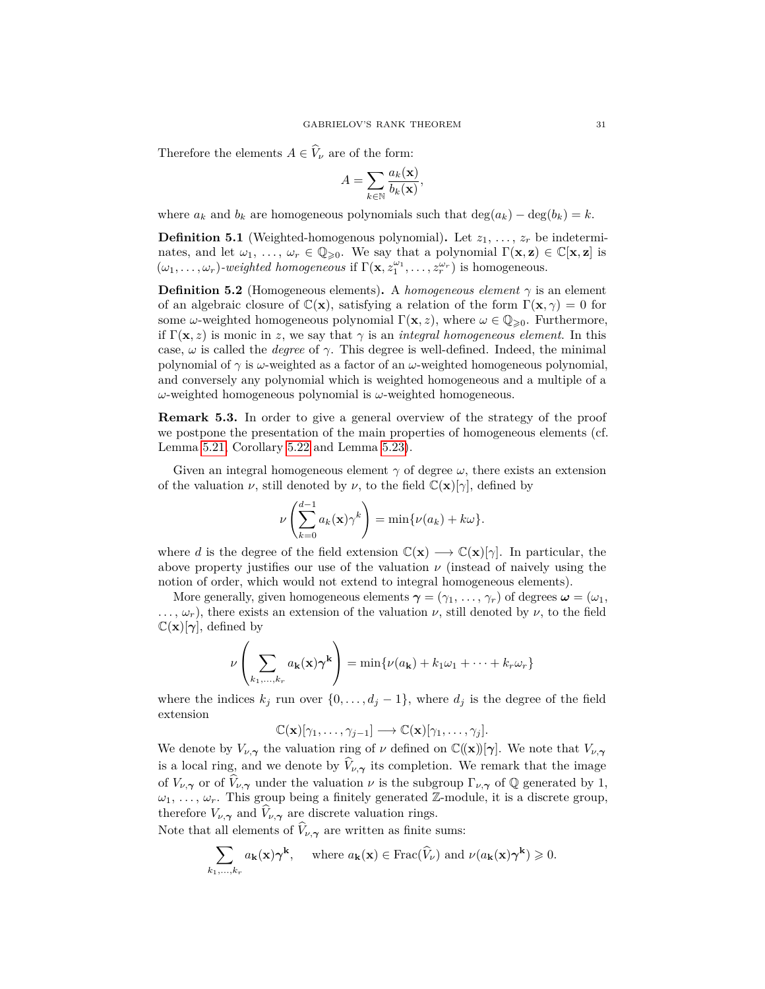Therefore the elements  $A \in \widehat{V}_{\nu}$  are of the form:

$$
A = \sum_{k \in \mathbb{N}} \frac{a_k(\mathbf{x})}{b_k(\mathbf{x})},
$$

where  $a_k$  and  $b_k$  are homogeneous polynomials such that  $\deg(a_k) - \deg(b_k) = k$ .

**Definition 5.1** (Weighted-homogenous polynomial). Let  $z_1, \ldots, z_r$  be indeterminates, and let  $\omega_1, \ldots, \omega_r \in \mathbb{Q}_{\geqslant 0}$ . We say that a polynomial  $\Gamma(\mathbf{x}, \mathbf{z}) \in \mathbb{C}[\mathbf{x}, \mathbf{z}]$  is  $(\omega_1, \ldots, \omega_r)$ *-weighted homogeneous* if  $\Gamma(\mathbf{x}, z_1^{\omega_1}, \ldots, z_r^{\omega_r})$  is homogeneous.

**Definition 5.2** (Homogeneous elements). A *homogeneous element*  $\gamma$  is an element of an algebraic closure of  $\mathbb{C}(\mathbf{x})$ , satisfying a relation of the form  $\Gamma(\mathbf{x}, \gamma) = 0$  for some *ω*-weighted homogeneous polynomial  $\Gamma(\mathbf{x}, z)$ , where  $\omega \in \mathbb{Q}_{\geq 0}$ . Furthermore, if  $\Gamma(\mathbf{x}, z)$  is monic in *z*, we say that  $\gamma$  is an *integral homogeneous element*. In this case, *ω* is called the *degree* of *γ*. This degree is well-defined. Indeed, the minimal polynomial of *γ* is *ω*-weighted as a factor of an *ω*-weighted homogeneous polynomial, and conversely any polynomial which is weighted homogeneous and a multiple of a *ω*-weighted homogeneous polynomial is *ω*-weighted homogeneous.

**Remark 5.3.** In order to give a general overview of the strategy of the proof we postpone the presentation of the main properties of homogeneous elements (cf. Lemma [5.21,](#page-37-0) Corollary [5.22](#page-37-1) and Lemma [5.23\)](#page-38-0).

Given an integral homogeneous element *γ* of degree *ω*, there exists an extension of the valuation *ν*, still denoted by *ν*, to the field  $\mathbb{C}(\mathbf{x})[\gamma]$ , defined by

$$
\nu\left(\sum_{k=0}^{d-1} a_k(\mathbf{x})\gamma^k\right) = \min\{\nu(a_k) + k\omega\}.
$$

where *d* is the degree of the field extension  $\mathbb{C}(\mathbf{x}) \longrightarrow \mathbb{C}(\mathbf{x})[\gamma]$ . In particular, the above property justifies our use of the valuation  $\nu$  (instead of naively using the notion of order, which would not extend to integral homogeneous elements).

More generally, given homogeneous elements  $\gamma = (\gamma_1, \ldots, \gamma_r)$  of degrees  $\omega = (\omega_1, \ldots, \omega_r)$  $..., \omega_r$ , there exists an extension of the valuation  $\nu$ , still denoted by  $\nu$ , to the field  $\mathbb{C}(\mathbf{x})[\gamma]$ , defined by

$$
\nu\left(\sum_{k_1,\dots,k_r} a_{\mathbf{k}}(\mathbf{x})\gamma^{\mathbf{k}}\right) = \min\{\nu(a_{\mathbf{k}}) + k_1\omega_1 + \dots + k_r\omega_r\}
$$

where the indices  $k_j$  run over  $\{0, \ldots, d_j - 1\}$ , where  $d_j$  is the degree of the field extension

$$
\mathbb{C}(\mathbf{x})[\gamma_1,\ldots,\gamma_{j-1}] \longrightarrow \mathbb{C}(\mathbf{x})[\gamma_1,\ldots,\gamma_j].
$$

We denote by  $V_{\nu,\gamma}$  the valuation ring of  $\nu$  defined on  $\mathbb{C}((\mathbf{x}))[\gamma]$ . We note that  $V_{\nu,\gamma}$ is a local ring, and we denote by  $V_{\nu,\gamma}$  its completion. We remark that the image of  $V_{\nu,\gamma}$  or of  $\hat{V}_{\nu,\gamma}$  under the valuation  $\nu$  is the subgroup  $\Gamma_{\nu,\gamma}$  of  $\mathbb Q$  generated by 1,  $\omega_1, \ldots, \omega_r$ . This group being a finitely generated Z-module, it is a discrete group, therefore  $V_{\nu,\gamma}$  and  $V_{\nu,\gamma}$  are discrete valuation rings.

Note that all elements of  $\hat{V}_{\nu,\gamma}$  are written as finite sums:

$$
\sum_{k_1,\ldots,k_r} a_{\mathbf{k}}(\mathbf{x}) \boldsymbol{\gamma}^{\mathbf{k}}, \quad \text{where } a_{\mathbf{k}}(\mathbf{x}) \in \text{Frac}(\widehat{V}_{\nu}) \text{ and } \nu(a_{\mathbf{k}}(\mathbf{x}) \boldsymbol{\gamma}^{\mathbf{k}}) \geqslant 0.
$$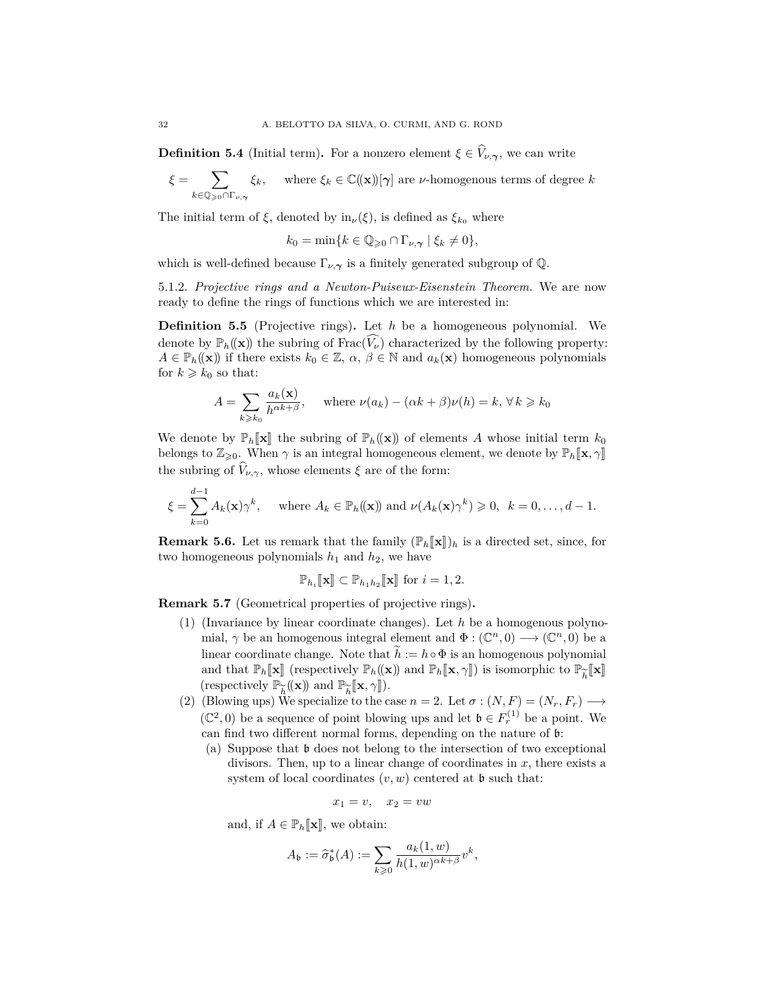**Definition 5.4** (Initial term). For a nonzero element  $\xi \in V_{\nu,\gamma}$ , we can write

$$
\xi = \sum_{k \in \mathbb{Q}_{\geqslant 0} \cap \Gamma_{\nu, \gamma}} \xi_k, \quad \text{ where } \xi_k \in \mathbb{C}(\mathbf{x})[\gamma] \text{ are } \nu\text{-homogenous terms of degree } k
$$

The initial term of  $\xi$ , denoted by in<sub>*v*</sub>( $\xi$ ), is defined as  $\xi_{k_0}$  where

$$
k_0 = \min\{k \in \mathbb{Q}_{\geqslant 0} \cap \Gamma_{\nu, \gamma} \mid \xi_k \neq 0\},\
$$

which is well-defined because  $\Gamma_{\nu,\gamma}$  is a finitely generated subgroup of Q.

5.1.2. *Projective rings and a Newton-Puiseux-Eisenstein Theorem.* We are now ready to define the rings of functions which we are interested in:

<span id="page-31-0"></span>**Definition 5.5** (Projective rings)**.** Let *h* be a homogeneous polynomial. We denote by  $\mathbb{P}_h((\mathbf{x}))$  the subring of Frac $(\widehat{V}_\nu)$  characterized by the following property:  $A \in \mathbb{P}_h((\mathbf{x}))$  if there exists  $k_0 \in \mathbb{Z}$ ,  $\alpha, \beta \in \mathbb{N}$  and  $a_k(\mathbf{x})$  homogeneous polynomials for  $k \geq k_0$  so that:

$$
A = \sum_{k \ge k_0} \frac{a_k(\mathbf{x})}{h^{\alpha k + \beta}}, \quad \text{where } \nu(a_k) - (\alpha k + \beta)\nu(h) = k, \forall k \ge k_0
$$

We denote by  $\mathbb{P}_h[\mathbf{x}]$  the subring of  $\mathbb{P}_h(\mathbf{x})$  of elements *A* whose initial term  $k_0$ belongs to  $\mathbb{Z}_{\geqslant 0}$ . When  $\gamma$  is an integral homogeneous element, we denote by  $\mathbb{P}_h[\![\mathbf{x}, \gamma]\!]$ the subring of  $\widehat{V}_{\nu,\gamma}$ , whose elements  $\xi$  are of the form:

$$
\xi = \sum_{k=0}^{d-1} A_k(\mathbf{x}) \gamma^k, \quad \text{where } A_k \in \mathbb{P}_h((\mathbf{x})) \text{ and } \nu(A_k(\mathbf{x}) \gamma^k) \geqslant 0, \ \ k = 0, \dots, d-1.
$$

**Remark 5.6.** Let us remark that the family  $(\mathbb{P}_h[\![\mathbf{x}]\!])_h$  is a directed set, since, for two homogeneous polynomials  $h_1$  and  $h_2$ , we have

$$
\mathbb{P}_{h_i}[\![\mathbf{x}]\!] \subset \mathbb{P}_{h_1h_2}[\![\mathbf{x}]\!] \text{ for } i = 1, 2.
$$

<span id="page-31-1"></span>**Remark 5.7** (Geometrical properties of projective rings)**.**

- (1) (Invariance by linear coordinate changes). Let *h* be a homogenous polynomial,  $\gamma$  be an homogenous integral element and  $\Phi : (\mathbb{C}^n, 0) \longrightarrow (\mathbb{C}^n, 0)$  be a linear coordinate change. Note that  $\hat{h} := h \circ \Phi$  is an homogenous polynomial and that  $\mathbb{P}_h[\![\mathbf{x}]\!]$  (respectively  $\mathbb{P}_h((\mathbf{x}))$  and  $\mathbb{P}_h[\![\mathbf{x}, \gamma]\!]$ ) is isomorphic to  $\mathbb{P}_{\widetilde{h}}[\![\mathbf{x}]\!]$ <br>(respectively  $\mathbb{P}_{\widetilde{\gamma}}([\![\mathbf{x}]\!])$  and  $\mathbb{P}_{\widetilde{\gamma}}[\![\mathbf{x}, \gamma]\!]$ ). (respectively P $((\mathbf{x})\)$  and  $\mathbb{P}$
- e*h* (respectively  $\mathbb{P}_{\widetilde{h}}(\mathbf{x})$  and  $\mathbb{P}_{\widetilde{h}}[\mathbf{x}, \gamma]$ ).<br>
(2) (Blowing ups) We specialize to the case *n* = 2. Let *σ* : (*N, F*) = (*N<sub>r</sub>, F<sub>r</sub>*) → ( $\mathbb{C}^2$ , 0) be a sequence of point blowing ups and let **b** ∈  $F_r^{(1)}$  be a point. We can find two different normal forms, depending on the nature of b:
	- (a) Suppose that b does not belong to the intersection of two exceptional divisors. Then, up to a linear change of coordinates in *x*, there exists a system of local coordinates  $(v, w)$  centered at  $\mathfrak b$  such that:

$$
x_1 = v, \quad x_2 = vw
$$

and, if  $A \in \mathbb{P}_h[\![\mathbf{x}]\!],$  we obtain:

$$
A_{\mathfrak{b}} := \widehat{\sigma}_{\mathfrak{b}}^*(A) := \sum_{k \geqslant 0} \frac{a_k(1, w)}{h(1, w)^{\alpha k + \beta}} v^k,
$$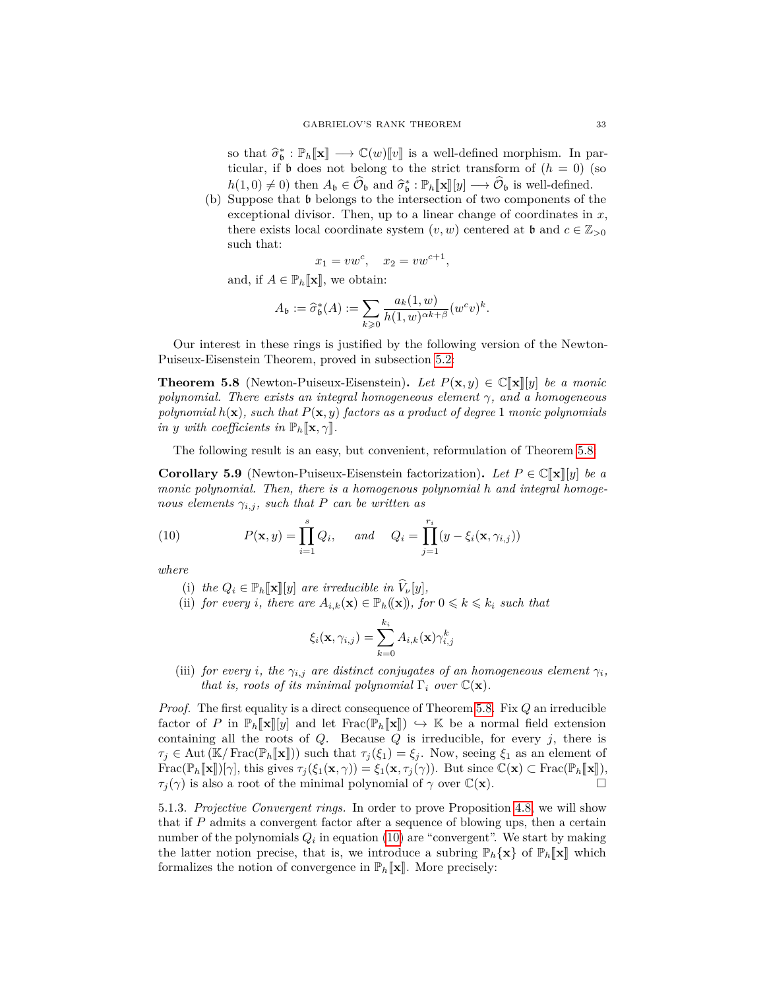so that  $\hat{\sigma}_{\mathbf{b}}^* : \mathbb{P}_h[\mathbf{x}] \longrightarrow \mathbb{C}(w)[v]$  is a well-defined morphism. In particular, if **b** does not belong to the strict transform of  $(h = 0)$  (so ticular, if  $\mathfrak b$  does not belong to the strict transform of  $(h = 0)$  (so  $h(1,0) \neq 0$ ) then  $A_{\mathfrak{b}} \in \widehat{\mathcal{O}}_{\mathfrak{b}}$  and  $\widehat{\sigma}_{\mathfrak{b}}^* : \mathbb{P}_{h}[\mathbf{x}][y] \longrightarrow \widehat{\mathcal{O}}_{\mathfrak{b}}$  is well-defined.<br>Suppose that **b** belongs to the intersection of two components of t

(b) Suppose that b belongs to the intersection of two components of the exceptional divisor. Then, up to a linear change of coordinates in *x*, there exists local coordinate system  $(v, w)$  centered at **b** and  $c \in \mathbb{Z}_{>0}$ such that:

$$
x_1 = vw^c, \quad x_2 = vw^{c+1},
$$

and, if  $A \in \mathbb{P}_h[\![\mathbf{x}]\!],$  we obtain:

$$
A_{\mathfrak{b}} := \widehat{\sigma}_{\mathfrak{b}}^*(A) := \sum_{k \geq 0} \frac{a_k(1, w)}{h(1, w)^{\alpha k + \beta}} (w^c v)^k.
$$

Our interest in these rings is justified by the following version of the Newton-Puiseux-Eisenstein Theorem, proved in subsection [5.2:](#page-36-1)

<span id="page-32-0"></span>**Theorem 5.8** (Newton-Puiseux-Eisenstein). Let  $P(\mathbf{x}, y) \in \mathbb{C}[\![\mathbf{x}]\!][y]$  be a monic *polynomial. There exists an integral homogeneous element γ, and a homogeneous polynomial*  $h(\mathbf{x})$ *, such that*  $P(\mathbf{x}, y)$  *factors as a product of degree* 1 *monic polynomials in y with coefficients in*  $\mathbb{P}_h[\mathbf{x}, \gamma]$ 

The following result is an easy, but convenient, reformulation of Theorem [5.8:](#page-32-0)

<span id="page-32-2"></span>**Corollary 5.9** (Newton-Puiseux-Eisenstein factorization). Let  $P \in \mathbb{C}[\![\mathbf{x}]\!]$  *be a monic polynomial. Then, there is a homogenous polynomial h and integral homogenous elements*  $\gamma_{i,j}$ *, such that P can be written as* 

(10) 
$$
P(\mathbf{x}, y) = \prod_{i=1}^{s} Q_i, \quad \text{and} \quad Q_i = \prod_{j=1}^{r_i} (y - \xi_i(\mathbf{x}, \gamma_{i,j}))
$$

*where*

- <span id="page-32-1"></span>(i) the  $Q_i \in \mathbb{P}_h[\![\mathbf{x}]\!][y]$  are irreducible in  $\hat{V}_\nu[y]$ ,
- (ii) *for every i*, *there are*  $A_{i,k}(\mathbf{x}) \in \mathbb{P}_h((\mathbf{x}))$ *, for*  $0 \leq k \leq k_i$  *such that*

$$
\xi_i(\mathbf{x}, \gamma_{i,j}) = \sum_{k=0}^{k_i} A_{i,k}(\mathbf{x}) \gamma_{i,j}^k
$$

(iii) *for every i*, the  $\gamma_{i,j}$  are distinct conjugates of an homogeneous element  $\gamma_i$ , *that is, roots of its minimal polynomial*  $\Gamma_i$  *over*  $\mathbb{C}(\mathbf{x})$ *.* 

*Proof.* The first equality is a direct consequence of Theorem [5.8.](#page-32-0) Fix *Q* an irreducible factor of *P* in  $\mathbb{P}_h[\![\mathbf{x}]\!][y]$  and let  $\text{Frac}(\mathbb{P}_h[\![\mathbf{x}]\!]) \hookrightarrow \mathbb{K}$  be a normal field extension containing all the roots of *Q*. Because *Q* is irreducible, for every *j*, there is  $\tau_j \in$  Aut (K/Frac( $\mathbb{P}_h[\![\mathbf{x}]\!])$ ) such that  $\tau_j(\xi_1) = \xi_j$ . Now, seeing  $\xi_1$  as an element of Frac( $\mathbb{P}_h[\![\mathbf{x}]\!](\gamma)$ , this gives  $\tau_j(\xi_1(\mathbf{x}, \gamma)) = \xi_1(\mathbf{x}, \tau_j(\gamma))$ . But since  $\mathbb{C}(\mathbf{x}) \subset \text{Frac}(\mathbb{P}_h[\![\mathbf{x}]\!])$ ,  $\tau_i(\gamma)$  is also a root of the minimal polynomial of  $\gamma$  over  $\mathbb{C}(\mathbf{x})$ . *τ*<sub>*j*</sub>( $\gamma$ ) is also a root of the minimal polynomial of  $\gamma$  over  $\mathbb{C}(\mathbf{x})$ .

5.1.3. *Projective Convergent rings.* In order to prove Proposition [4.8,](#page-24-1) we will show that if *P* admits a convergent factor after a sequence of blowing ups, then a certain number of the polynomials  $Q_i$  in equation [\(10\)](#page-32-1) are "convergent". We start by making the latter notion precise, that is, we introduce a subring  $\mathbb{P}_h{\mathbf{x}}$  of  $\mathbb{P}_h{\mathbf{x}}$  which formalizes the notion of convergence in  $\mathbb{P}_h[\![\mathbf{x}]\!]$ . More precisely: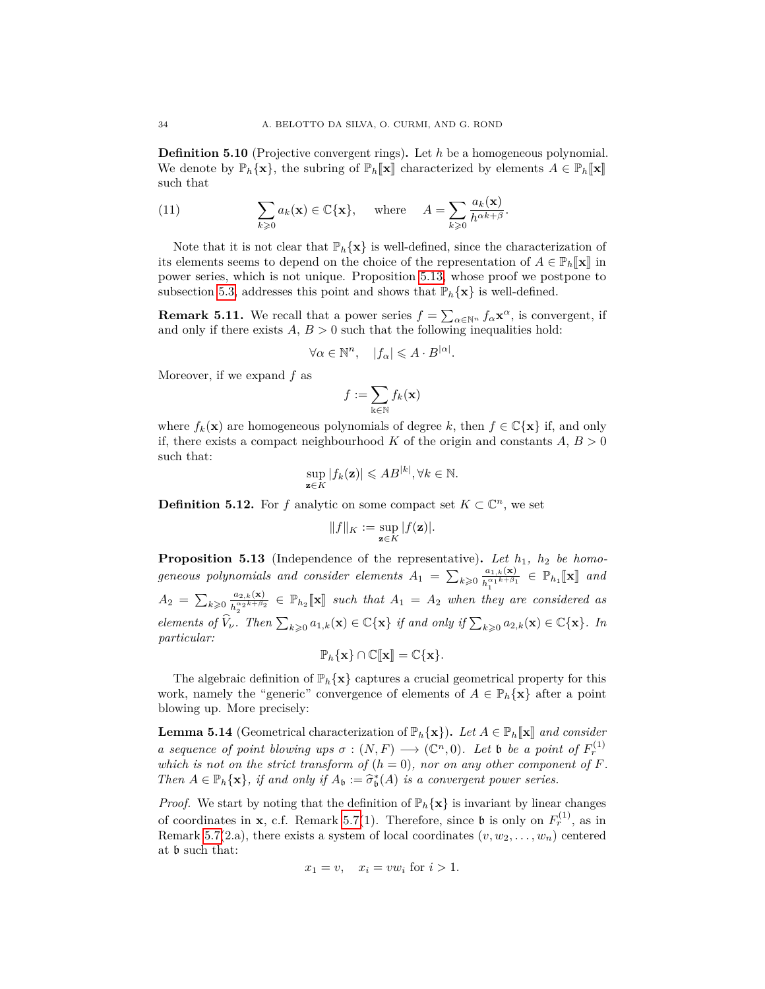**Definition 5.10** (Projective convergent rings)**.** Let *h* be a homogeneous polynomial. We denote by  $\mathbb{P}_h{\mathbf{x}}$ , the subring of  $\mathbb{P}_h[\mathbf{x}]$  characterized by elements  $A \in \mathbb{P}_h[\mathbf{x}]$ such that

<span id="page-33-1"></span>(11) 
$$
\sum_{k\geqslant 0} a_k(\mathbf{x}) \in \mathbb{C}\{\mathbf{x}\}, \text{ where } A = \sum_{k\geqslant 0} \frac{a_k(\mathbf{x})}{h^{\alpha k + \beta}}.
$$

Note that it is not clear that  $\mathbb{P}_h{\mathbf{x}}$  is well-defined, since the characterization of its elements seems to depend on the choice of the representation of  $A \in \mathbb{P}_h[\![\mathbf{x}]\!]$  in power series, which is not unique. Proposition [5.13,](#page-33-0) whose proof we postpone to subsection [5.3,](#page-41-0) addresses this point and shows that  $\mathbb{P}_h{\mathbf{x}}$  is well-defined.

<span id="page-33-3"></span>**Remark 5.11.** We recall that a power series  $f = \sum_{\alpha \in \mathbb{N}^n} f_{\alpha} \mathbf{x}^{\alpha}$ , is convergent, if and only if there exists  $A, B > 0$  such that the following inequalities hold:

$$
\forall \alpha \in \mathbb{N}^n, \quad |f_{\alpha}| \leqslant A \cdot B^{|\alpha|}.
$$

Moreover, if we expand *f* as

$$
f:=\sum_{\Bbbk\in\mathbb{N}}f_{k}(\mathbf{x})
$$

where  $f_k(\mathbf{x})$  are homogeneous polynomials of degree k, then  $f \in \mathbb{C}\{\mathbf{x}\}\$ if, and only if, there exists a compact neighbourhood  $K$  of the origin and constants  $A, B > 0$ such that:

$$
\sup_{\mathbf{z}\in K}|f_k(\mathbf{z})|\leqslant AB^{|k|}, \forall k\in\mathbb{N}.
$$

**Definition 5.12.** For *f* analytic on some compact set  $K \subset \mathbb{C}^n$ , we set

$$
||f||_K := \sup_{\mathbf{z}\in K} |f(\mathbf{z})|.
$$

<span id="page-33-0"></span>**Proposition 5.13** (Independence of the representative)**.** *Let h*1*, h*<sup>2</sup> *be homogeneous polynomials and consider elements*  $A_1 = \sum_{k \geqslant 0} \frac{a_{1,k}(\mathbf{x})}{b^{\alpha_1 k + \beta_1}}$  $\frac{a_{1,k}(\mathbf{x})}{h_1^{\alpha_1 k + \beta_1}} \in \mathbb{P}_{h_1}[\![\mathbf{x}]\!]$  and  $A_2 = \sum_{k \geqslant 0} \frac{a_{2,k}(\mathbf{x})}{h^{\alpha_2 k + \beta_2}}$  $\frac{a_{2,k}(\mathbf{x})}{h_2^{\alpha_2 k + \beta_2}} \in \mathbb{P}_{h_2}[\![\mathbf{x}]\!]$  such that  $A_1 = A_2$  when they are considered as *elements of*  $\widehat{V}_{\nu}$ *. Then*  $\sum_{k\geqslant 0} a_{1,k}(\mathbf{x}) \in \mathbb{C}\{\mathbf{x}\}\$  *if and only if*  $\sum_{k\geqslant 0} a_{2,k}(\mathbf{x}) \in \mathbb{C}\{\mathbf{x}\}\$ *. In particular:*

$$
\mathbb{P}_h\{\mathbf{x}\}\cap\mathbb{C}[\![\mathbf{x}]\!]=\mathbb{C}\{\mathbf{x}\}.
$$

The algebraic definition of  $\mathbb{P}_h{\mathbf{x}}$  captures a crucial geometrical property for this work, namely the "generic" convergence of elements of  $A \in \mathbb{P}_h{\{\mathbf{x}\}\}\$ after a point blowing up. More precisely:

<span id="page-33-2"></span>**Lemma 5.14** (Geometrical characterization of  $\mathbb{P}_h{\mathbf{x}}\}$ ). Let  $A \in \mathbb{P}_h[\![\mathbf{x}]\!]$  and consider *a sequence of point blowing ups*  $\sigma : (N, F) \longrightarrow (\mathbb{C}^n, 0)$ *. Let* b *be a point of*  $F_r^{(1)}$ *which is not on the strict transform of*  $(h = 0)$ *, nor on any other component of*  $F$ *. Then*  $A \in \mathbb{P}_h{\{\mathbf{x}\}}$ *, if and only if*  $A_{\mathbf{b}} := \widehat{\sigma}_{\mathbf{b}}^*(A)$  *is a convergent power series.* 

*Proof.* We start by noting that the definition of  $\mathbb{P}_h{\mathbf{x}}$  is invariant by linear changes of coordinates in **x**, c.f. Remark [5.7\(](#page-31-1)1). Therefore, since **b** is only on  $F_r^{(1)}$ , as in Remark [5.7\(](#page-31-1)2.a), there exists a system of local coordinates  $(v, w_2, \ldots, w_n)$  centered at b such that:

$$
x_1 = v, \quad x_i = vw_i \text{ for } i > 1.
$$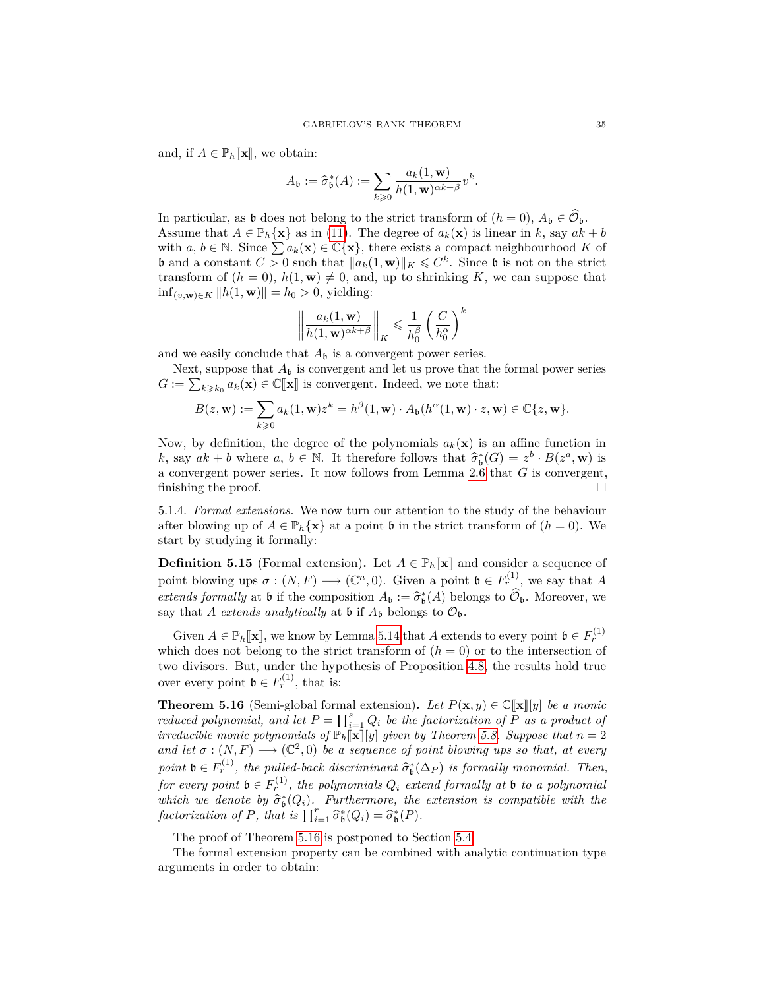and, if  $A \in \mathbb{P}_h[\![\mathbf{x}]\!],$  we obtain:

$$
A_{\mathfrak{b}} := \widehat{\sigma}_{\mathfrak{b}}^*(A) := \sum_{k \geq 0} \frac{a_k(1, \mathbf{w})}{h(1, \mathbf{w})^{\alpha k + \beta}} v^k.
$$

In particular, as **b** does not belong to the strict transform of  $(h = 0)$ ,  $A_{\mathfrak{b}} \in \widehat{\mathcal{O}}_{\mathfrak{b}}$ . Assume that  $A \in \mathbb{P}_h{\{\mathbf{x}\}}$  as in [\(11\)](#page-33-1). The degree of  $a_k(\mathbf{x})$  is linear in *k*, say  $ak + b$ with *a*,  $b \in \mathbb{N}$ . Since  $\sum a_k(\mathbf{x}) \in \mathbb{C}\{\mathbf{x}\}\$ , there exists a compact neighbourhood *K* of **b** and a constant  $C > 0$  such that  $||a_k(1, \mathbf{w})||_K \leq C^k$ . Since **b** is not on the strict transform of  $(h = 0)$ ,  $h(1, \mathbf{w}) \neq 0$ , and, up to shrinking *K*, we can suppose that  $\inf_{(v,\mathbf{w}) \in K}$  || $h(1,\mathbf{w})$ || =  $h_0 > 0$ , yielding:

$$
\left\|\frac{a_k(1,\mathbf{w})}{h(1,\mathbf{w})^{\alpha k+\beta}}\right\|_K \leqslant \frac{1}{h_0^{\beta}}\left(\frac{C}{h_0^{\alpha}}\right)^k
$$

and we easily conclude that  $A_{\mathfrak{b}}$  is a convergent power series.

Next, suppose that  $A_{\mathfrak{b}}$  is convergent and let us prove that the formal power series  $G := \sum_{k \geq k_0} a_k(\mathbf{x}) \in \mathbb{C}[\![\mathbf{x}]\!]$  is convergent. Indeed, we note that:

$$
B(z, \mathbf{w}) := \sum_{k \geq 0} a_k(1, \mathbf{w}) z^k = h^{\beta}(1, \mathbf{w}) \cdot A_{\mathfrak{b}}(h^{\alpha}(1, \mathbf{w}) \cdot z, \mathbf{w}) \in \mathbb{C}\{z, \mathbf{w}\}.
$$

Now, by definition, the degree of the polynomials  $a_k(\mathbf{x})$  is an affine function in *k*, say  $ak + b$  where  $a, b \in \mathbb{N}$ . It therefore follows that  $\hat{\sigma}_b^*(G) = z^b \cdot B(z^a, \mathbf{w})$  is convergent power series. It pow follows from Lemma 2.6 that *G* is convergent. a convergent power series. It now follows from Lemma [2.6](#page-13-1) that *G* is convergent, finishing the proof.

5.1.4. *Formal extensions.* We now turn our attention to the study of the behaviour after blowing up of  $A \in \mathbb{P}_h{\{\mathbf{x}\}\}\$ at a point **b** in the strict transform of  $(h = 0)$ . We start by studying it formally:

**Definition 5.15** (Formal extension). Let  $A \in \mathbb{P}_h[\mathbf{x}]$  and consider a sequence of point blowing ups  $\sigma : (N, F) \longrightarrow (\mathbb{C}^n, 0)$ . Given a point  $\mathfrak{b} \in F_r^{(1)}$ , we say that A *extends formally* at **b** if the composition  $A_{\mathfrak{b}} := \hat{\sigma}_{\mathfrak{b}}^{*}(A)$  belongs to  $\hat{\mathcal{O}}_{\mathfrak{b}}$ . Moreover, we say that *A* extends angletically at **b** if  $A_{\mathfrak{b}}$  belongs to  $\hat{\mathcal{O}}_{\mathfrak{c}}$ . say that *A extends* analytically at **b** if  $A_{\mathfrak{b}}$  belongs to  $\mathcal{O}_{\mathfrak{b}}$ .

Given  $A \in \mathbb{P}_h[\mathbf{x}]$ , we know by Lemma [5.14](#page-33-2) that  $A$  extends to every point  $\mathfrak{b} \in F_r^{(1)}$  is the doop not belong to the strict transform of  $(h = 0)$  or to the intersection of which does not belong to the strict transform of  $(h = 0)$  or to the intersection of two divisors. But, under the hypothesis of Proposition [4.8,](#page-24-1) the results hold true over every point  $\mathfrak{b} \in F_r^{(1)}$ , that is:

<span id="page-34-0"></span>**Theorem 5.16** (Semi-global formal extension). Let  $P(\mathbf{x}, y) \in \mathbb{C}[\![\mathbf{x}]\!][y]$  *be a monic reduced polynomial, and let*  $P = \prod_{i=1}^{s} Q_i$  *be the factorization of*  $\overline{P}$  *as a product of irreducible monic polynomials of*  $\mathbb{P}_h[\![\mathbf{x}]\!]$  *given by Theorem [5.8.](#page-32-0) Suppose that*  $n = 2$ and let  $\sigma : (N, F) \longrightarrow (\mathbb{C}^2, 0)$  be a sequence of point blowing ups so that, at every *point*  $\mathfrak{b} \in F_r^{(1)}$ , the pulled-back discriminant  $\widehat{\sigma}_{\mathfrak{b}}^*(\Delta_P)$  *is formally monomial. Then,*  $for\ every\ point\ \mathfrak{b}\in F_r^{(1)}$ , the polynomials  $Q_i$  extend formally at  $\mathfrak b$  to a polynomial which we denote by  $\hat{\sigma}_{\mathfrak{b}}^*(Q_i)$ . Furthermore, the extension is compatible with the factorization of  $P$ , that is  $\Pi^r \quad \hat{\sigma}^*(Q_i) - \hat{\sigma}^*(P_i)$  $factorization$  *of*  $P$ *, that is*  $\prod_{i=1}^{r} \hat{\sigma}_{\mathfrak{b}}^{*}(Q_{i}) = \hat{\sigma}_{\mathfrak{b}}^{*}(P)$ *.* 

The proof of Theorem [5.16](#page-34-0) is postponed to Section [5.4.](#page-44-0)

The formal extension property can be combined with analytic continuation type arguments in order to obtain: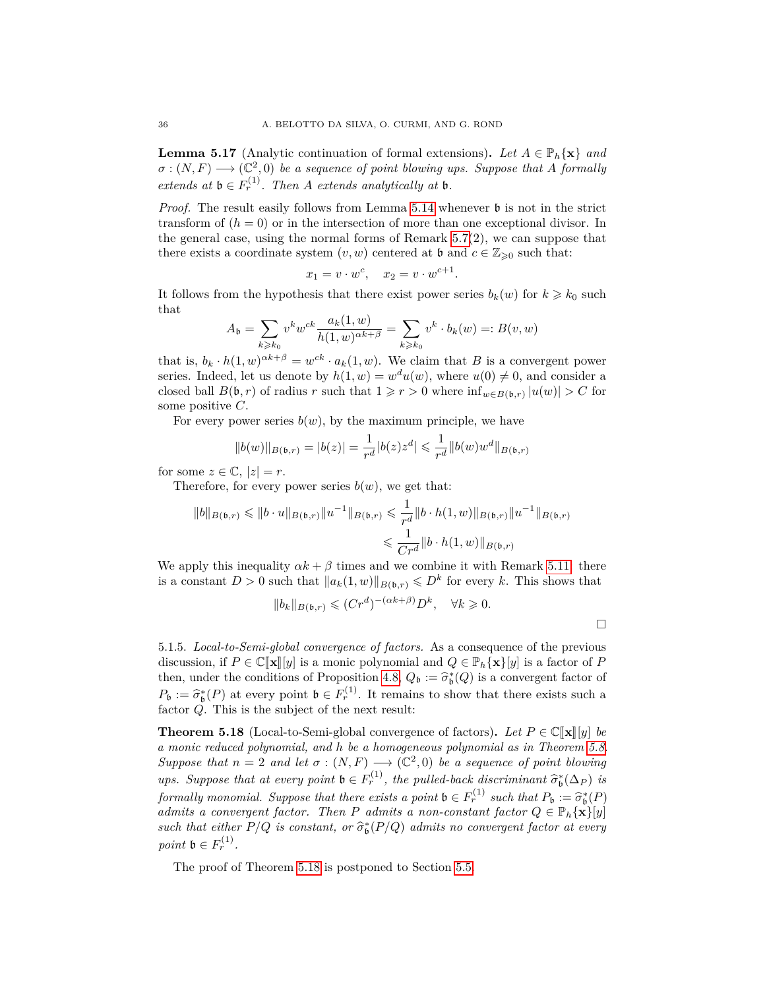<span id="page-35-1"></span>**Lemma 5.17** (Analytic continuation of formal extensions). Let  $A \in \mathbb{P}_h\{\mathbf{x}\}\$  and  $\sigma : (N, F) \longrightarrow (\mathbb{C}^2, 0)$  *be a sequence of point blowing ups. Suppose that A formally extends at*  $\mathfrak{b} \in F_r^{(1)}$ *. Then A extends analytically at*  $\mathfrak{b}$ *.* 

*Proof.* The result easily follows from Lemma [5.14](#page-33-2) whenever  $\mathfrak b$  is not in the strict transform of  $(h = 0)$  or in the intersection of more than one exceptional divisor. In the general case, using the normal forms of Remark  $5.7(2)$ , we can suppose that there exists a coordinate system  $(v, w)$  centered at **b** and  $c \in \mathbb{Z}_{\geq 0}$  such that:

$$
x_1 = v \cdot w^c, \quad x_2 = v \cdot w^{c+1}
$$

*.*

It follows from the hypothesis that there exist power series  $b_k(w)$  for  $k \geq k_0$  such that

$$
A_{\mathfrak{b}} = \sum_{k \geq k_0} v^k w^{ck} \frac{a_k(1, w)}{h(1, w)^{\alpha k + \beta}} = \sum_{k \geq k_0} v^k \cdot b_k(w) =: B(v, w)
$$

that is,  $b_k \cdot h(1, w)^{\alpha k + \beta} = w^{ck} \cdot a_k(1, w)$ . We claim that *B* is a convergent power series. Indeed, let us denote by  $h(1, w) = w<sup>d</sup>u(w)$ , where  $u(0) \neq 0$ , and consider a closed ball  $B(\mathfrak{b}, r)$  of radius *r* such that  $1 \geq r > 0$  where  $\inf_{w \in B(\mathfrak{b}, r)} |u(w)| > C$  for some positive *C*.

For every power series  $b(w)$ , by the maximum principle, we have

$$
||b(w)||_{B(\mathfrak{b},r)} = |b(z)| = \frac{1}{r^d}|b(z)z^d| \leq \frac{1}{r^d}||b(w)w^d||_{B(\mathfrak{b},r)}
$$

for some  $z \in \mathbb{C}, |z| = r$ .

Therefore, for every power series  $b(w)$ , we get that:

$$
||b||_{B(\mathfrak{b},r)} \leq ||b \cdot u||_{B(\mathfrak{b},r)} ||u^{-1}||_{B(\mathfrak{b},r)} \leq \frac{1}{r^d} ||b \cdot h(1,w)||_{B(\mathfrak{b},r)} ||u^{-1}||_{B(\mathfrak{b},r)}
$$
  

$$
\leq \frac{1}{Cr^d} ||b \cdot h(1,w)||_{B(\mathfrak{b},r)}
$$

We apply this inequality  $\alpha k + \beta$  times and we combine it with Remark [5.11:](#page-33-3) there is a constant  $D > 0$  such that  $||a_k(1, w)||_{B(\mathfrak{b}, r)} \leqslant D^k$  for every *k*. This shows that

$$
||b_k||_{B(\mathfrak{b},r)} \leqslant (Cr^d)^{-(\alpha k+\beta)}D^k, \quad \forall k \geqslant 0.
$$

5.1.5. *Local-to-Semi-global convergence of factors.* As a consequence of the previous discussion, if  $P \in \mathbb{C}[\![\mathbf{x}]\!] [y]$  is a monic polynomial and  $Q \in \mathbb{P}_h {\mathbf{x}}[y]$  is a factor of P then, under the conditions of Proposition [4.8,](#page-24-1)  $Q_{\mathfrak{b}} := \hat{\sigma}_{\mathfrak{b}}^*(Q)$  is a convergent factor of  $P_{\mathbf{b}} := \hat{\sigma}_{\mathbf{b}}^*(P)$  at every point  $\mathbf{b} \in F_r^{(1)}$ . It remains to show that there exists such a factor  $\hat{O}$ . This is the subject of the next result: factor *Q*. This is the subject of the next result:

<span id="page-35-0"></span>**Theorem 5.18** (Local-to-Semi-global convergence of factors). Let  $P \in \mathbb{C}[\mathbf{x}][y]$  be *a monic reduced polynomial, and h be a homogeneous polynomial as in Theorem [5.8.](#page-32-0) Suppose that*  $n = 2$  *and let*  $\sigma : (N, F) \longrightarrow (\mathbb{C}^2, 0)$  *be a sequence of point blowing ups.* Suppose that at every point  $\mathfrak{b} \in F_r^{(1)}$ , the pulled-back discriminant  $\widehat{\sigma}_{\mathfrak{b}}^*(\Delta_P)$  is *formally monomial. Suppose that there exists a point*  $\mathfrak{b} \in F_r^{(1)}$  such that  $P_{\mathfrak{b}} := \hat{\sigma}_{\mathfrak{b}}^*(P)$ <br>*gdmits a convergent factor. Then P* admits a non constant factor  $O \in \mathbb{P}$ . *x* liab *admits a convergent factor. Then P admits a non-constant factor*  $Q \in \mathbb{P}_h{\mathbf{x}[y]}$ *such that either*  $P/Q$  *is constant, or*  $\hat{\sigma}_{\mathfrak{b}}^{*}(P/Q)$  *admits no convergent factor at every point*  $\mathfrak{b} \in F_r^{(1)}$ .

The proof of Theorem [5.18](#page-35-0) is postponed to Section [5.5.](#page-49-0)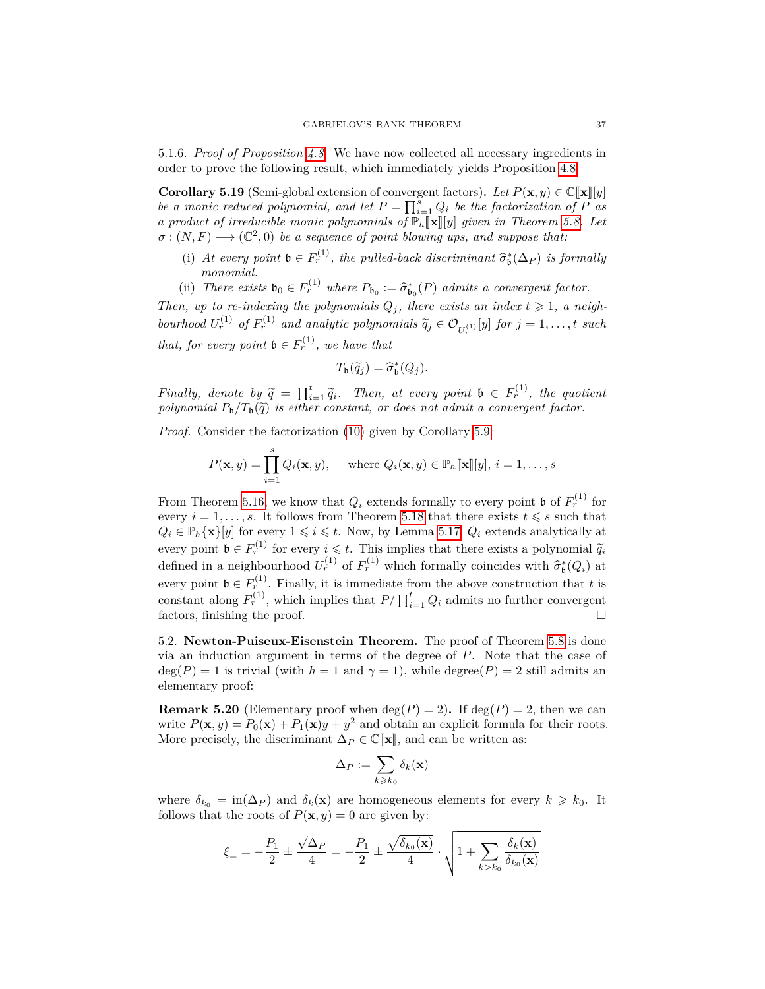5.1.6. *Proof of Proposition [4.8.](#page-24-1)* We have now collected all necessary ingredients in order to prove the following result, which immediately yields Proposition [4.8:](#page-24-1)

<span id="page-36-0"></span>**Corollary 5.19** (Semi-global extension of convergent factors). Let  $P(\mathbf{x}, y) \in \mathbb{C}[\![\mathbf{x}]\!][y]$ *be a monic reduced polynomial, and let*  $P = \prod_{i=1}^{s} Q_i$  *be the factorization of*  $P$  *as a product of irreducible monic polynomials of*  $\mathbb{P}_h[\![\mathbf{x}]\!][y]$  *given in Theorem [5.8.](#page-32-0)* Let  $\sigma : (N, F) \longrightarrow (\mathbb{C}^2, 0)$  *be a sequence of point blowing ups, and suppose that:* 

- (i) At every point  $\mathfrak{b} \in F_r^{(1)}$ , the pulled-back discriminant  $\widehat{\sigma}_{\mathfrak{b}}^*(\Delta_P)$  is formally *monomial.*
- (ii) *There exists*  $\mathfrak{b}_0 \in F_r^{(1)}$  *where*  $P_{\mathfrak{b}_0} := \hat{\sigma}_{\mathfrak{b}_0}^*(P)$  *admits a convergent factor.*

*Then, up to re-indexing the polynomials*  $Q_j$ , there exists an index  $t \geq 1$ , a neigh*bourhood*  $U_r^{(1)}$  *of*  $F_r^{(1)}$  *and analytic polynomials*  $\widetilde{q}_j \in \mathcal{O}_{U_r^{(1)}}[y]$  *for*  $j = 1, \ldots, t$  *such that, for every point*  $\mathfrak{b} \in F_r^{(1)}$ *, we have that* 

$$
T_{\mathfrak{b}}(\widetilde{q}_j)=\widehat{\sigma}_{\mathfrak{b}}^*(Q_j).
$$

*Finally, denote by*  $\widetilde{q} = \prod_{i=1}^{t} \widetilde{q}_i$ . Then, at every point  $\mathfrak{b} \in F_r^{(1)}$ , the quotient<br>redunctional *P* /*T* ( $\widetilde{q}_i$ ) is either constant, or does not admit a convergent factor  $polynomial P_{\mathfrak{b}}/T_{\mathfrak{b}}(\widetilde{q})$  *is either constant, or does not admit a convergent factor.* 

*Proof.* Consider the factorization [\(10\)](#page-32-1) given by Corollary [5.9:](#page-32-2)

$$
P(\mathbf{x}, y) = \prod_{i=1}^{s} Q_i(\mathbf{x}, y), \quad \text{where } Q_i(\mathbf{x}, y) \in \mathbb{P}_h[\![\mathbf{x}]\!][y], i = 1, \dots, s
$$

From Theorem [5.16,](#page-34-0) we know that  $Q_i$  extends formally to every point **b** of  $F_r^{(1)}$  for every  $i = 1, \ldots, s$ . It follows from Theorem [5.18](#page-35-0) that there exists  $t \leq s$  such that  $Q_i \in \mathbb{P}_h{\{\mathbf{x}\}}[y]$  for every  $1 \leq i \leq t$ . Now, by Lemma [5.17,](#page-35-1)  $Q_i$  extends analytically at every point  $\mathfrak{b} \in F_r^{(1)}$  for every  $i \leq t$ . This implies that there exists a polynomial  $\widetilde{q}_i$ <br>defined in a neighbourhood  $U_r^{(1)}$  of  $F_r^{(1)}$  which formally coincides with  $\widehat{\sigma}_{\mathfrak{b}}^*(Q_i)$  at every point  $\mathfrak{b} \in F_r^{(1)}$ . Finally, it is immediate from the above construction that *t* is constant along  $F_r^{(1)}$ , which implies that  $P/\prod_{i=1}^t Q_i$  admits no further convergent factors, finishing the proof.  $\hfill \square$ 

<span id="page-36-1"></span>5.2. **Newton-Puiseux-Eisenstein Theorem.** The proof of Theorem [5.8](#page-32-0) is done via an induction argument in terms of the degree of *P*. Note that the case of  $deg(P) = 1$  is trivial (with  $h = 1$  and  $\gamma = 1$ ), while degree(*P*) = 2 still admits an elementary proof:

**Remark 5.20** (Elementary proof when  $\deg(P) = 2$ ). If  $\deg(P) = 2$ , then we can write  $P(\mathbf{x}, y) = P_0(\mathbf{x}) + P_1(\mathbf{x})y + y^2$  and obtain an explicit formula for their roots. More precisely, the discriminant  $\Delta_P \in \mathbb{C}[\![\mathbf{x}]\!]$ , and can be written as:

$$
\Delta_P := \sum_{k \geqslant k_0} \delta_k(\mathbf{x})
$$

where  $\delta_{k_0} = \text{in}(\Delta_P)$  and  $\delta_k(\mathbf{x})$  are homogeneous elements for every  $k \geq k_0$ . It follows that the roots of  $P(\mathbf{x}, y) = 0$  are given by:

$$
\xi_{\pm} = - \frac{P_1}{2} \pm \frac{\sqrt{\Delta_P}}{4} = - \frac{P_1}{2} \pm \frac{\sqrt{\delta_{k_0}({\bf x})}}{4} \cdot \sqrt{1 + \sum_{k > k_0} \frac{\delta_k({\bf x})}{\delta_{k_0}({\bf x})}}
$$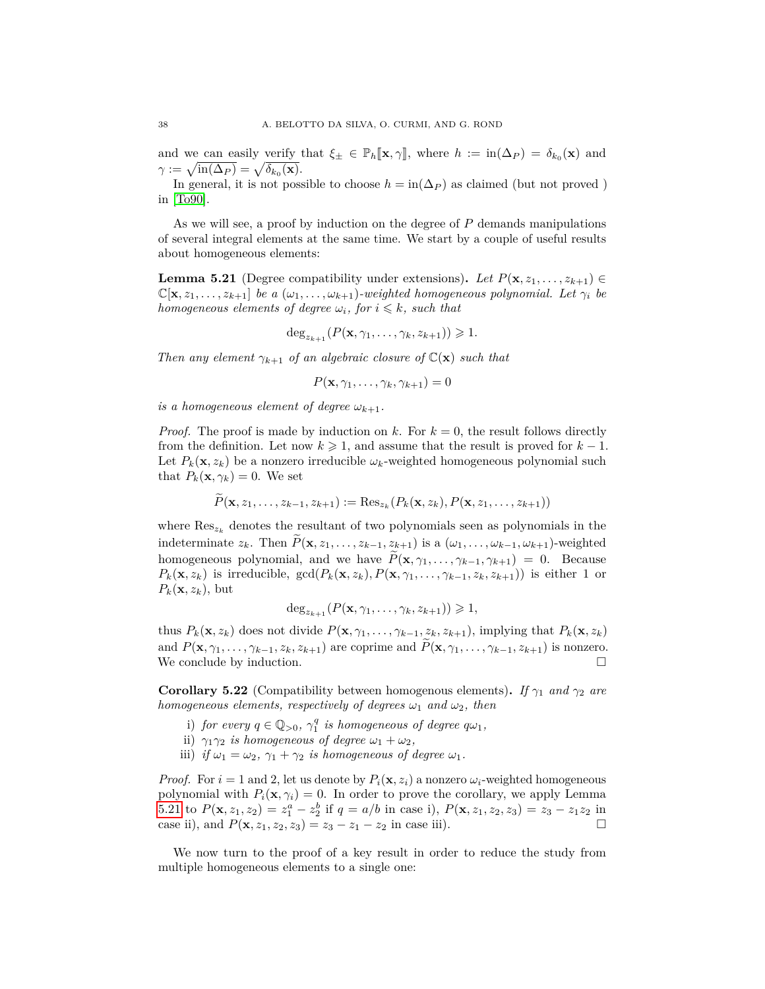and we can easily verify that  $\xi_{\pm} \in \mathbb{P}_h[\mathbf{x}, \gamma]$ , where  $h := \text{in}(\Delta_P) = \delta_{k_0}(\mathbf{x})$  and  $\gamma := \sqrt{\text{in}(\Delta_P)} = \sqrt{\delta_{k_0}(\mathbf{x})}.$ 

In general, it is not possible to choose  $h = \text{in}(\Delta_P)$  as claimed (but not proved) in [\[To90\]](#page-61-7).

As we will see, a proof by induction on the degree of *P* demands manipulations of several integral elements at the same time. We start by a couple of useful results about homogeneous elements:

<span id="page-37-0"></span>**Lemma 5.21** (Degree compatibility under extensions). Let  $P(\mathbf{x}, z_1, \ldots, z_{k+1}) \in$  $\mathbb{C}[\mathbf{x}, z_1, \ldots, z_{k+1}]$  *be a*  $(\omega_1, \ldots, \omega_{k+1})$ *-weighted homogeneous polynomial. Let*  $\gamma_i$  *be homogeneous elements of degree*  $\omega_i$ *, for*  $i \leq k$ *, such that* 

$$
\deg_{z_{k+1}}(P(\mathbf{x},\gamma_1,\ldots,\gamma_k,z_{k+1}))\geqslant 1.
$$

*Then any element*  $\gamma_{k+1}$  *of an algebraic closure of*  $\mathbb{C}(\mathbf{x})$  *such that* 

 $P(\mathbf{x}, \gamma_1, \ldots, \gamma_k, \gamma_{k+1}) = 0$ 

*is a homogeneous element of degree*  $\omega_{k+1}$ .

*Proof.* The proof is made by induction on  $k$ . For  $k = 0$ , the result follows directly from the definition. Let now  $k \geq 1$ , and assume that the result is proved for  $k-1$ . Let  $P_k(\mathbf{x}, z_k)$  be a nonzero irreducible  $\omega_k$ -weighted homogeneous polynomial such that  $P_k(\mathbf{x}, \gamma_k) = 0$ . We set

$$
P(\mathbf{x}, z_1, \ldots, z_{k-1}, z_{k+1}) := \text{Res}_{z_k}(P_k(\mathbf{x}, z_k), P(\mathbf{x}, z_1, \ldots, z_{k+1}))
$$

where  $\text{Res}_{z_k}$  denotes the resultant of two polynomials seen as polynomials in the indeterminate  $z_k$ . Then  $\widetilde{P}(\mathbf{x}, z_1, \ldots, z_{k-1}, z_{k+1})$  is a  $(\omega_1, \ldots, \omega_{k-1}, \omega_{k+1})$ -weighted homogeneous polynomial, and we have  $\widetilde{P}(\mathbf{x}, \gamma_1, \ldots, \gamma_{k-1}, \gamma_{k+1}) = 0$ . Because  $P_k(\mathbf{x}, z_k)$  is irreducible,  $gcd(P_k(\mathbf{x}, z_k), P(\mathbf{x}, \gamma_1, \ldots, \gamma_{k-1}, z_k, z_{k+1}))$  is either 1 or  $P_k(\mathbf{x}, z_k)$ , but

$$
\deg_{z_{k+1}}(P(\mathbf{x},\gamma_1,\ldots,\gamma_k,z_{k+1}))\geqslant 1,
$$

thus  $P_k(\mathbf{x}, z_k)$  does not divide  $P(\mathbf{x}, \gamma_1, \ldots, \gamma_{k-1}, z_k, z_{k+1})$ , implying that  $P_k(\mathbf{x}, z_k)$ and  $P(\mathbf{x}, \gamma_1, \ldots, \gamma_{k-1}, z_k, z_{k+1})$  are coprime and  $\tilde{P}(\mathbf{x}, \gamma_1, \ldots, \gamma_{k-1}, z_{k+1})$  is nonzero.<br>We conclude by induction. We conclude by induction.

<span id="page-37-1"></span>**Corollary 5.22** (Compatibility between homogenous elements). *If*  $\gamma_1$  *and*  $\gamma_2$  *are homogeneous elements, respectively of degrees*  $\omega_1$  *and*  $\omega_2$ *, then* 

- i) *for every*  $q \in \mathbb{Q}_{>0}$ ,  $\gamma_1^q$  *is homogeneous of degree*  $q\omega_1$ ,
- ii)  $\gamma_1 \gamma_2$  *is homogeneous of degree*  $\omega_1 + \omega_2$ ,
- iii) *if*  $\omega_1 = \omega_2$ ,  $\gamma_1 + \gamma_2$  *is homogeneous of degree*  $\omega_1$ *.*

*Proof.* For  $i = 1$  and 2, let us denote by  $P_i(\mathbf{x}, z_i)$  a nonzero  $\omega_i$ -weighted homogeneous polynomial with  $P_i(\mathbf{x}, \gamma_i) = 0$ . In order to prove the corollary, we apply Lemma [5.21](#page-37-0) to  $P(\mathbf{x}, z_1, z_2) = z_1^a - z_2^b$  if  $q = a/b$  in case i),  $P(\mathbf{x}, z_1, z_2, z_3) = z_3 - z_1 z_2$  in case ii), and  $P(\mathbf{x}, z_1, z_2, z_3) = z_3 - z_1 - z_2$  in case iii).

We now turn to the proof of a key result in order to reduce the study from multiple homogeneous elements to a single one: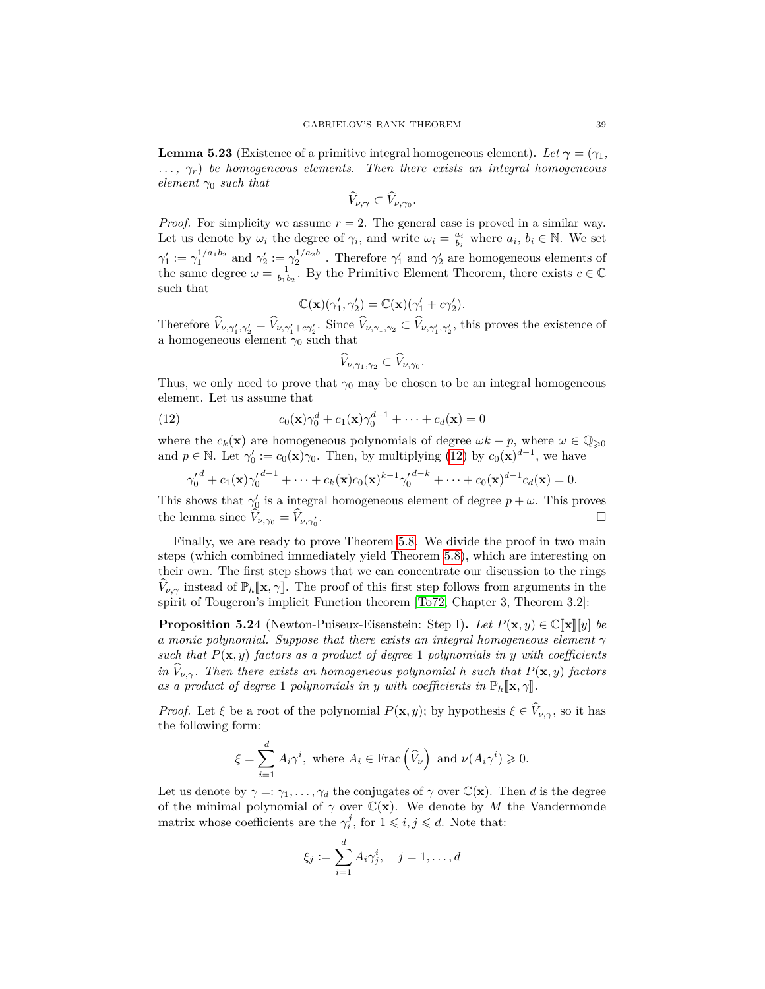<span id="page-38-0"></span>**Lemma 5.23** (Existence of a primitive integral homogeneous element). Let  $\gamma = (\gamma_1, \gamma_2)$ *. . . , γr*) *be homogeneous elements. Then there exists an integral homogeneous element γ*<sup>0</sup> *such that*

$$
\widehat{V}_{\nu,\boldsymbol{\gamma}}\subset\widehat{V}_{\nu,\gamma_0}.
$$

*Proof.* For simplicity we assume *r* = 2. The general case is proved in a similar way. Let us denote by  $\omega_i$  the degree of  $\gamma_i$ , and write  $\omega_i = \frac{a_i}{b_i}$  where  $a_i, b_i \in \mathbb{N}$ . We set  $\gamma'_1 := \gamma_1^{1/a_1b_2}$  and  $\gamma'_2 := \gamma_2^{1/a_2b_1}$ . Therefore  $\gamma'_1$  and  $\gamma'_2$  are homogeneous elements of the same degree  $\omega = \frac{1}{b_1 b_2}$ . By the Primitive Element Theorem, there exists  $c \in \mathbb{C}$ such that

$$
\mathbb{C}(\mathbf{x})(\gamma'_1, \gamma'_2) = \mathbb{C}(\mathbf{x})(\gamma'_1 + c\gamma'_2).
$$

Therefore  $V_{\nu,\gamma'_1,\gamma'_2} = V_{\nu,\gamma'_1+\epsilon\gamma'_2}$ . Since  $V_{\nu,\gamma_1,\gamma_2} \subset V_{\nu,\gamma'_1,\gamma'_2}$ , this proves the existence of a homogeneous element  $\gamma_0$  such that

<span id="page-38-1"></span>
$$
\widehat{V}_{\nu,\gamma_1,\gamma_2}\subset \widehat{V}_{\nu,\gamma_0}.
$$

Thus, we only need to prove that  $\gamma_0$  may be chosen to be an integral homogeneous element. Let us assume that

(12) 
$$
c_0(\mathbf{x})\gamma_0^d + c_1(\mathbf{x})\gamma_0^{d-1} + \cdots + c_d(\mathbf{x}) = 0
$$

where the  $c_k(\mathbf{x})$  are homogeneous polynomials of degree  $\omega k + p$ , where  $\omega \in \mathbb{Q}_{\geqslant 0}$ and  $p \in \mathbb{N}$ . Let  $\gamma'_0 := c_0(\mathbf{x})\gamma_0$ . Then, by multiplying [\(12\)](#page-38-1) by  $c_0(\mathbf{x})^{d-1}$ , we have

$$
{\gamma'_0}^d + c_1(\mathbf{x}) {\gamma'_0}^{d-1} + \cdots + c_k(\mathbf{x}) c_0(\mathbf{x})^{k-1} {\gamma'_0}^{d-k} + \cdots + c_0(\mathbf{x})^{d-1} c_d(\mathbf{x}) = 0.
$$

This shows that  $\gamma_0'$  is a integral homogeneous element of degree  $p + \omega$ . This proves the lemma since  $V_{\nu,\gamma_0} = V_{\nu,\gamma'_0}$ . В последните поставите на селото на селото на селото на селото на селото на селото на селото на селото на се<br>Селото на селото на селото на селото на селото на селото на селото на селото на селото на селото на селото на

Finally, we are ready to prove Theorem [5.8.](#page-32-0) We divide the proof in two main steps (which combined immediately yield Theorem [5.8\)](#page-32-0), which are interesting on their own. The first step shows that we can concentrate our discussion to the rings *V*<sub>*ν*,γ</sub> instead of  $\mathbb{P}_h[\![\mathbf{x}, \gamma]\!]$ . The proof of this first step follows from arguments in the spirit of Tougeron's implicit Function theorem [\[To72,](#page-61-14) Chapter 3, Theorem 3.2]:

**Proposition 5.24** (Newton-Puiseux-Eisenstein: Step I). Let  $P(\mathbf{x}, y) \in \mathbb{C}[\mathbf{x}][y]$  be *a monic polynomial. Suppose that there exists an integral homogeneous element γ such that*  $P(\mathbf{x}, y)$  *factors as a product of degree* 1 *polynomials in y with coefficients in*  $\hat{V}_{\nu,\gamma}$ *. Then there exists an homogeneous polynomial h such that*  $P(\mathbf{x}, y)$  *factors as a product of degree* 1 *polynomials in y with coefficients in*  $\mathbb{P}_h[\mathbf{x}, \gamma]$ *.* 

*Proof.* Let *ξ* be a root of the polynomial  $P(\mathbf{x}, y)$ ; by hypothesis  $\xi \in \widehat{V}_{\nu, \gamma}$ , so it has the following form:

$$
\xi = \sum_{i=1}^{d} A_i \gamma^i, \text{ where } A_i \in \text{Frac}(\widehat{V}_{\nu}) \text{ and } \nu(A_i \gamma^i) \geq 0.
$$

Let us denote by  $\gamma =: \gamma_1, \ldots, \gamma_d$  the conjugates of  $\gamma$  over  $\mathbb{C}(\mathbf{x})$ . Then *d* is the degree of the minimal polynomial of  $\gamma$  over  $\mathbb{C}(\mathbf{x})$ . We denote by *M* the Vandermonde matrix whose coefficients are the  $\gamma_i^j$ , for  $1 \leqslant i, j \leqslant d$ . Note that:

$$
\xi_j := \sum_{i=1}^d A_i \gamma_j^i, \quad j = 1, \dots, d
$$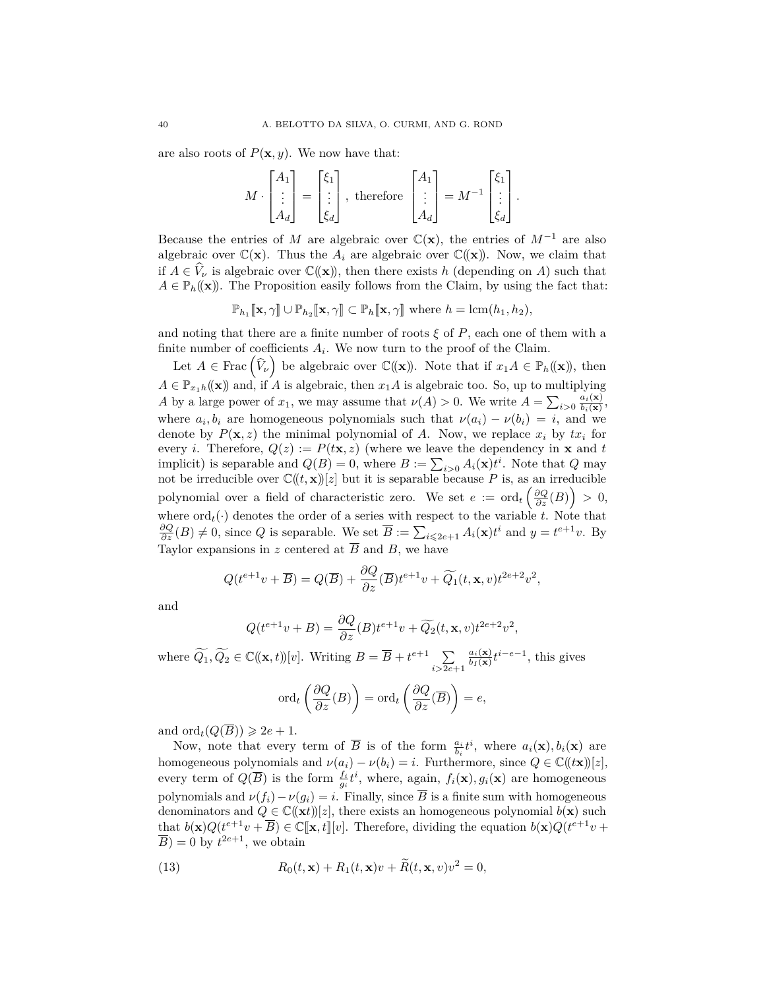are also roots of  $P(\mathbf{x}, y)$ . We now have that:

$$
M \cdot \begin{bmatrix} A_1 \\ \vdots \\ A_d \end{bmatrix} = \begin{bmatrix} \xi_1 \\ \vdots \\ \xi_d \end{bmatrix}, \text{ therefore } \begin{bmatrix} A_1 \\ \vdots \\ A_d \end{bmatrix} = M^{-1} \begin{bmatrix} \xi_1 \\ \vdots \\ \xi_d \end{bmatrix}.
$$

Because the entries of *M* are algebraic over  $\mathbb{C}(\mathbf{x})$ , the entries of  $M^{-1}$  are also algebraic over  $\mathbb{C}(\mathbf{x})$ . Thus the  $A_i$  are algebraic over  $\mathbb{C}(\mathbf{x})$ . Now, we claim that if  $A \in \hat{V}_\nu$  is algebraic over  $\mathbb{C}(\mathbf{x})$ , then there exists *h* (depending on *A*) such that  $A \in \mathbb{P}_h((\mathbf{x}))$ . The Proposition easily follows from the Claim, by using the fact that:

$$
\mathbb{P}_{h_1}[\![\mathbf{x},\gamma]\!]\cup\mathbb{P}_{h_2}[\![\mathbf{x},\gamma]\!] \subset \mathbb{P}_h[\![\mathbf{x},\gamma]\!]\ \text{where } h=\text{lcm}(h_1,h_2),
$$

and noting that there are a finite number of roots  $\xi$  of  $P$ , each one of them with a finite number of coefficients  $A_i$ . We now turn to the proof of the Claim.

Let  $A \in \text{Frac}(\widehat{V}_\nu)$  be algebraic over  $\mathbb{C}(\mathbf{x})$ . Note that if  $x_1A \in \mathbb{P}_h(\mathbf{x})$ , then  $A \in \mathbb{P}_{x_1h}((\mathbf{x}))$  and, if *A* is algebraic, then  $x_1A$  is algebraic too. So, up to multiplying *A* by a large power of  $x_1$ , we may assume that  $\nu(A) > 0$ . We write  $A = \sum_{i>0} \frac{a_i(\mathbf{x})}{b_i(\mathbf{x})}$  $\frac{a_i(\mathbf{x})}{b_i(\mathbf{x})},$ where  $a_i, b_i$  are homogeneous polynomials such that  $\nu(a_i) - \nu(b_i) = i$ , and we denote by  $P(\mathbf{x}, z)$  the minimal polynomial of A. Now, we replace  $x_i$  by  $tx_i$  for every *i*. Therefore,  $Q(z) := P(t\mathbf{x}, z)$  (where we leave the dependency in **x** and *t* implicit) is separable and  $Q(B) = 0$ , where  $B := \sum_{i>0} A_i(\mathbf{x}) t^i$ . Note that  $Q$  may not be irreducible over  $\mathbb{C}(\!(t, \mathbf{x})\!) [z]$  but it is separable because P is, as an irreducible polynomial over a field of characteristic zero. We set  $e := \text{ord}_{t} \left( \frac{\partial Q}{\partial z}(B) \right) > 0$ , where  $\text{ord}_t(\cdot)$  denotes the order of a series with respect to the variable *t*. Note that  $\frac{\partial Q}{\partial z}(B) \neq 0$ , since *Q* is separable. We set  $\overline{B} := \sum_{i \leqslant 2e+1} A_i(\mathbf{x}) t^i$  and  $y = t^{e+1}v$ . By Taylor expansions in *z* centered at  $\overline{B}$  and *B*, we have

$$
Q(t^{e+1}v + \overline{B}) = Q(\overline{B}) + \frac{\partial Q}{\partial z}(\overline{B})t^{e+1}v + \widetilde{Q}_1(t, \mathbf{x}, v)t^{2e+2}v^2,
$$

and

$$
Q(t^{e+1}v+B) = \frac{\partial Q}{\partial z}(B)t^{e+1}v + \widetilde{Q_2}(t, \mathbf{x}, v)t^{2e+2}v^2,
$$

where  $\widetilde{Q}_1, \widetilde{Q}_2 \in \mathbb{C}((\mathbf{x}, t))[v]$ . Writing  $B = \overline{B} + t^{e+1} \sum_{i \geq 2e}$ *i>*2*e*+1  $a_i(\mathbf{x})$  $\frac{a_i(\mathbf{x})}{b_I(\mathbf{x})} t^{i-e-1}$ , this gives

$$
\mathrm{ord}_{t}\left(\frac{\partial Q}{\partial z}(B)\right)=\mathrm{ord}_{t}\left(\frac{\partial Q}{\partial z}(\overline{B})\right)=e,
$$

and  $\text{ord}_t(Q(\overline{B})) \geqslant 2e + 1$ .

Now, note that every term of  $\overline{B}$  is of the form  $\frac{a_i}{b_i}t^i$ , where  $a_i(\mathbf{x}), b_i(\mathbf{x})$  are homogeneous polynomials and  $\nu(a_i) - \nu(b_i) = i$ . Furthermore, since  $Q \in \mathbb{C}(\ell \times \mathbb{C})[z]$ , every term of  $Q(\overline{B})$  is the form  $\frac{f_i}{g_i}t^i$ , where, again,  $f_i(\mathbf{x}), g_i(\mathbf{x})$  are homogeneous polynomials and  $\nu(f_i) - \nu(g_i) = i$ . Finally, since  $\overline{B}$  is a finite sum with homogeneous denominators and  $Q \in \mathbb{C}(\mathbf{x}^t)[z]$ , there exists an homogeneous polynomial  $b(\mathbf{x})$  such that  $b(\mathbf{x})Q(t^{e+1}v + \overline{B}) \in \mathbb{C}[\![\mathbf{x}, t]\!][v]$ . Therefore, dividing the equation  $b(\mathbf{x})Q(t^{e+1}v + \overline{B}) = 0$  by  $t^{2e+1}$  we obtain  $\overline{B}$ ) = 0 by  $t^{2e+1}$ , we obtain

<span id="page-39-0"></span>(13) 
$$
R_0(t, \mathbf{x}) + R_1(t, \mathbf{x})v + \widetilde{R}(t, \mathbf{x}, v)v^2 = 0,
$$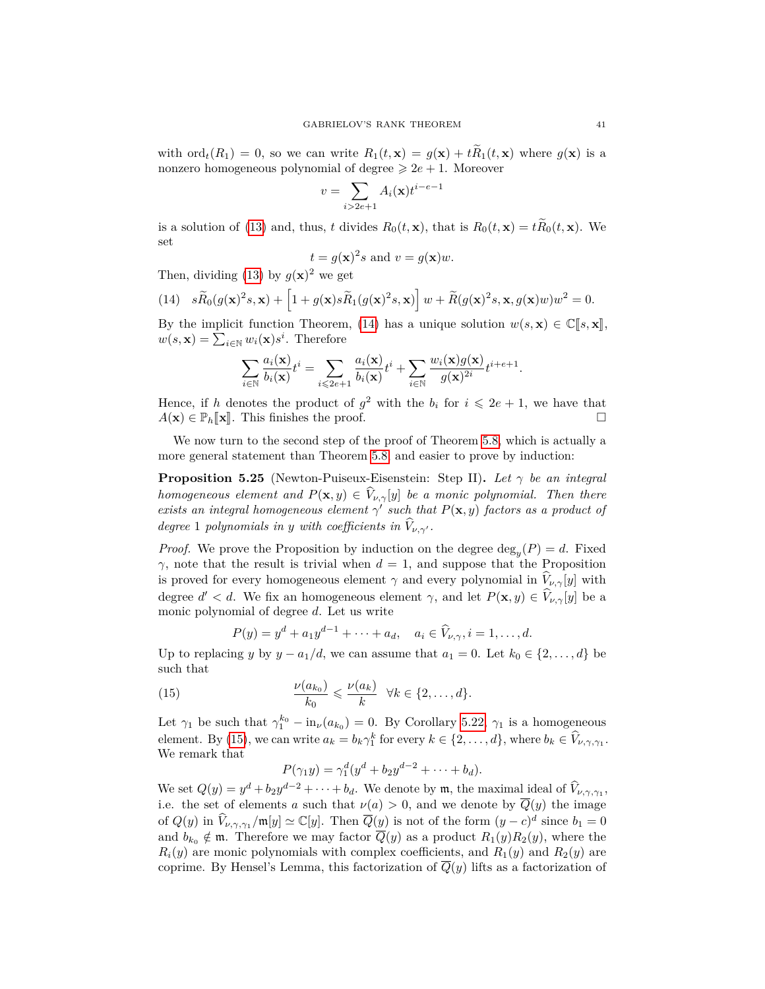with ord $_t(R_1) = 0$ , so we can write  $R_1(t, \mathbf{x}) = g(\mathbf{x}) + tR_1(t, \mathbf{x})$  where  $g(\mathbf{x})$  is a nonzero homogeneous polynomial of degree  $\geq 2e + 1$ . Moreover

$$
v = \sum_{i>2e+1} A_i(\mathbf{x}) t^{i-e-1}
$$

is a solution of [\(13\)](#page-39-0) and, thus, *t* divides  $R_0(t, \mathbf{x})$ , that is  $R_0(t, \mathbf{x}) = t\widetilde{R}_0(t, \mathbf{x})$ . We set

$$
t = g(\mathbf{x})^2 s
$$
 and  $v = g(\mathbf{x})w$ .

Then, dividing [\(13\)](#page-39-0) by  $g(\mathbf{x})^2$  we get

<span id="page-40-0"></span>(14) 
$$
s\widetilde{R}_0(g(\mathbf{x})^2s, \mathbf{x}) + \left[1 + g(\mathbf{x})s\widetilde{R}_1(g(\mathbf{x})^2s, \mathbf{x})\right]w + \widetilde{R}(g(\mathbf{x})^2s, \mathbf{x}, g(\mathbf{x})w)w^2 = 0.
$$

By the implicit function Theorem, [\(14\)](#page-40-0) has a unique solution  $w(s, \mathbf{x}) \in \mathbb{C}[\![s, \mathbf{x}]\!]$ ,  $w(s, \mathbf{x}) = \sum_{i \in \mathbb{N}} w_i(\mathbf{x}) s^i$ . Therefore

$$
\sum_{i\in\mathbb{N}}\frac{a_i(\mathbf{x})}{b_i(\mathbf{x})}t^i=\sum_{i\leqslant 2e+1}\frac{a_i(\mathbf{x})}{b_i(\mathbf{x})}t^i+\sum_{i\in\mathbb{N}}\frac{w_i(\mathbf{x})g(\mathbf{x})}{g(\mathbf{x})^{2i}}t^{i+e+1}.
$$

Hence, if *h* denotes the product of  $g^2$  with the  $b_i$  for  $i \leq 2e + 1$ , we have that  $A(\mathbf{x}) \in \mathbb{P}_h[\mathbf{x}]$ . This finishes the proof.

We now turn to the second step of the proof of Theorem [5.8,](#page-32-0) which is actually a more general statement than Theorem [5.8,](#page-32-0) and easier to prove by induction:

<span id="page-40-2"></span>**Proposition 5.25** (Newton-Puiseux-Eisenstein: Step II)**.** *Let γ be an integral homogeneous element and*  $P(\mathbf{x}, y) \in \widehat{V}_{\nu, \gamma}[y]$  *be a monic polynomial. Then there exists an integral homogeneous element*  $\gamma'$  *such that*  $P(\mathbf{x}, y)$  *factors as a product of degree* 1 *polynomials in y with coefficients in*  $\hat{V}_{\nu,\gamma}$ .

*Proof.* We prove the Proposition by induction on the degree  $\deg_y(P) = d$ . Fixed *γ*, note that the result is trivial when  $d = 1$ , and suppose that the Proposition is proved for every homogeneous element  $\gamma$  and every polynomial in  $\hat{V}_{\nu,\gamma}[y]$  with degree  $d' < d$ . We fix an homogeneous element  $\gamma$ , and let  $P(\mathbf{x}, y) \in \hat{V}_{\nu, \gamma}[y]$  be a monic polynomial of degree *d*. Let us write

$$
P(y) = y^{d} + a_{1}y^{d-1} + \cdots + a_{d}, \quad a_{i} \in \widehat{V}_{\nu, \gamma}, i = 1, \ldots, d.
$$

Up to replacing *y* by  $y - a_1/d$ , we can assume that  $a_1 = 0$ . Let  $k_0 \in \{2, ..., d\}$  be such that

(15) 
$$
\frac{\nu(a_{k_0})}{k_0} \leqslant \frac{\nu(a_k)}{k} \quad \forall k \in \{2, \ldots, d\}.
$$

Let  $\gamma_1$  be such that  $\gamma_1^{k_0} - \text{in}_{\nu}(a_{k_0}) = 0$ . By Corollary [5.22,](#page-37-1)  $\gamma_1$  is a homogeneous element. By [\(15\)](#page-40-1), we can write  $a_k = b_k \gamma_1^k$  for every  $k \in \{2, \ldots, d\}$ , where  $b_k \in \hat{V}_{\nu, \gamma, \gamma_1}$ . We remark that

<span id="page-40-1"></span>
$$
P(\gamma_1 y) = \gamma_1^d (y^d + b_2 y^{d-2} + \dots + b_d).
$$

We set  $Q(y) = y^d + b_2y^{d-2} + \cdots + b_d$ . We denote by **m**, the maximal ideal of  $\hat{V}_{\nu,\gamma,\gamma_1}$ , i.e. the set of elements *a* such that  $\nu(a) > 0$ , and we denote by  $\overline{Q}(y)$  the image of  $Q(y)$  in  $\hat{V}_{\nu,\gamma,\gamma_1}/\mathfrak{m}[y] \simeq \mathbb{C}[y]$ . Then  $\overline{Q}(y)$  is not of the form  $(y-c)^d$  since  $b_1 = 0$ and  $b_{k_0} \notin \mathfrak{m}$ . Therefore we may factor  $\overline{Q}(y)$  as a product  $R_1(y)R_2(y)$ , where the  $R_i(y)$  are monic polynomials with complex coefficients, and  $R_1(y)$  and  $R_2(y)$  are coprime. By Hensel's Lemma, this factorization of  $\overline{Q}(y)$  lifts as a factorization of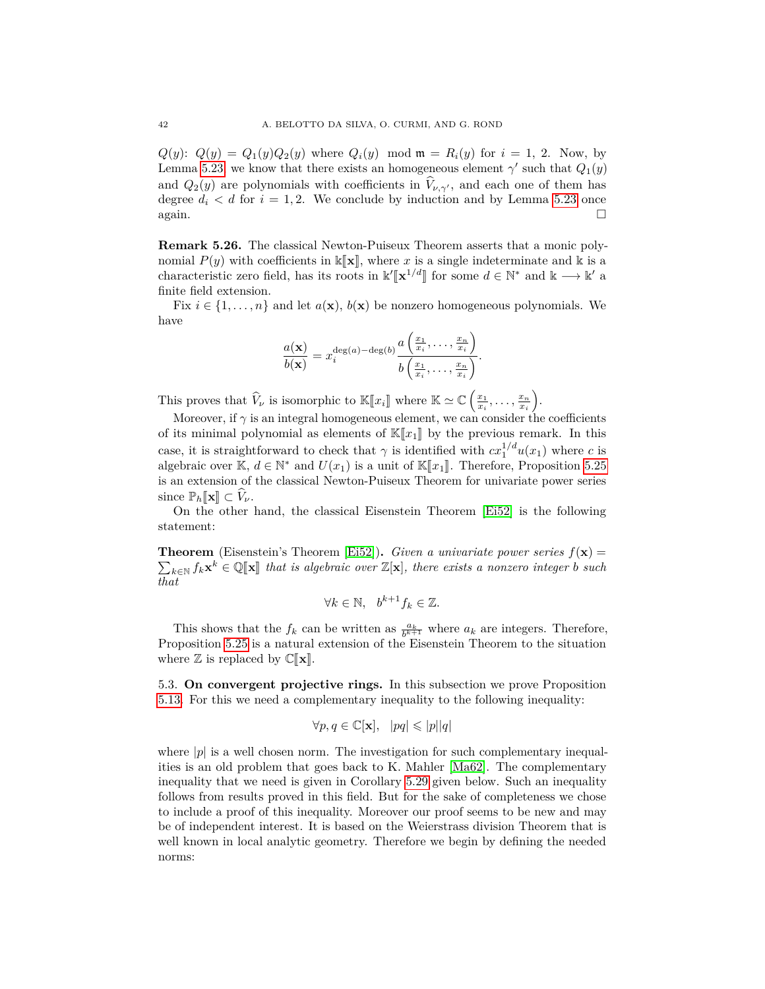$Q(y)$ :  $Q(y) = Q_1(y)Q_2(y)$  where  $Q_i(y)$  mod  $\mathfrak{m} = R_i(y)$  for  $i = 1, 2$ . Now, by Lemma [5.23,](#page-38-0) we know that there exists an homogeneous element  $\gamma'$  such that  $Q_1(y)$ and  $Q_2(y)$  are polynomials with coefficients in  $\hat{V}_{\nu,\gamma}$ , and each one of them has degree  $d_i < d$  for  $i = 1, 2$ . We conclude by induction and by Lemma [5.23](#page-38-0) once  $\Box$  again.

**Remark 5.26.** The classical Newton-Puiseux Theorem asserts that a monic polynomial  $P(y)$  with coefficients in  $\mathbb{K}[\mathbf{x}]$ , where *x* is a single indeterminate and k is a characteristic zero field, has its roots in  $\mathbb{k}'[\mathbf{x}^{1/d}]$  for some  $d \in \mathbb{N}^*$  and  $\mathbb{k} \longrightarrow \mathbb{k}'$  a<br>finite field ortangion finite field extension.

Fix  $i \in \{1, \ldots, n\}$  and let  $a(\mathbf{x}), b(\mathbf{x})$  be nonzero homogeneous polynomials. We have

$$
\frac{a(\mathbf{x})}{b(\mathbf{x})} = x_i^{\deg(a) - \deg(b)} \frac{a\left(\frac{x_1}{x_i}, \dots, \frac{x_n}{x_i}\right)}{b\left(\frac{x_1}{x_i}, \dots, \frac{x_n}{x_i}\right)}.
$$

This proves that  $\widehat{V}_{\nu}$  is isomorphic to  $\mathbb{K}[x_i]$  where  $\mathbb{K} \simeq \mathbb{C}\left(\frac{x_1}{x_i}, \ldots, \frac{x_n}{x_i}\right)$ .

Moreover, if  $\gamma$  is an integral homogeneous element, we can consider the coefficients of its minimal polynomial as elements of  $\mathbb{K}[\![x_1]\!]$  by the previous remark. In this case, it is straightforward to check that  $\gamma$  is identified with  $cx_1^{1/d}u(x_1)$  where *c* is algebraic over  $\mathbb{K}, d \in \mathbb{N}^*$  and  $U(x_1)$  is a unit of  $\mathbb{K}[x_1]$ . Therefore, Proposition [5.25](#page-40-2)<br>is an extension of the classical Neuton Puiseux Theorem for university power series is an extension of the classical Newton-Puiseux Theorem for univariate power series since  $\mathbb{P}_h[\![\mathbf{x}]\!] \subset V_\nu$ .

On the other hand, the classical Eisenstein Theorem [\[Ei52\]](#page-60-22) is the following statement:

**Theorem** (Eisenstein's Theorem [\[Ei52\]](#page-60-22)). *Given a univariate power series*  $f(\mathbf{x}) =$  $\sum_{k \in \mathbb{N}} f_k \mathbf{x}^k \in \mathbb{Q}[\![\mathbf{x}]\!]$  that is algebraic over  $\mathbb{Z}[\mathbf{x}]$ , there exists a nonzero integer *b* such *that*

$$
\forall k \in \mathbb{N}, \quad b^{k+1} f_k \in \mathbb{Z}.
$$

This shows that the  $f_k$  can be written as  $\frac{a_k}{b^{k+1}}$  where  $a_k$  are integers. Therefore, Proposition [5.25](#page-40-2) is a natural extension of the Eisenstein Theorem to the situation where  $\mathbb{Z}$  is replaced by  $\mathbb{C}[\![\mathbf{x}]\!]$ .

<span id="page-41-0"></span>5.3. **On convergent projective rings.** In this subsection we prove Proposition [5.13.](#page-33-0) For this we need a complementary inequality to the following inequality:

$$
\forall p, q \in \mathbb{C}[\mathbf{x}], \ \ |pq| \leqslant |p||q|
$$

where  $|p|$  is a well chosen norm. The investigation for such complementary inequalities is an old problem that goes back to K. Mahler [\[Ma62\]](#page-60-23). The complementary inequality that we need is given in Corollary [5.29](#page-43-0) given below. Such an inequality follows from results proved in this field. But for the sake of completeness we chose to include a proof of this inequality. Moreover our proof seems to be new and may be of independent interest. It is based on the Weierstrass division Theorem that is well known in local analytic geometry. Therefore we begin by defining the needed norms: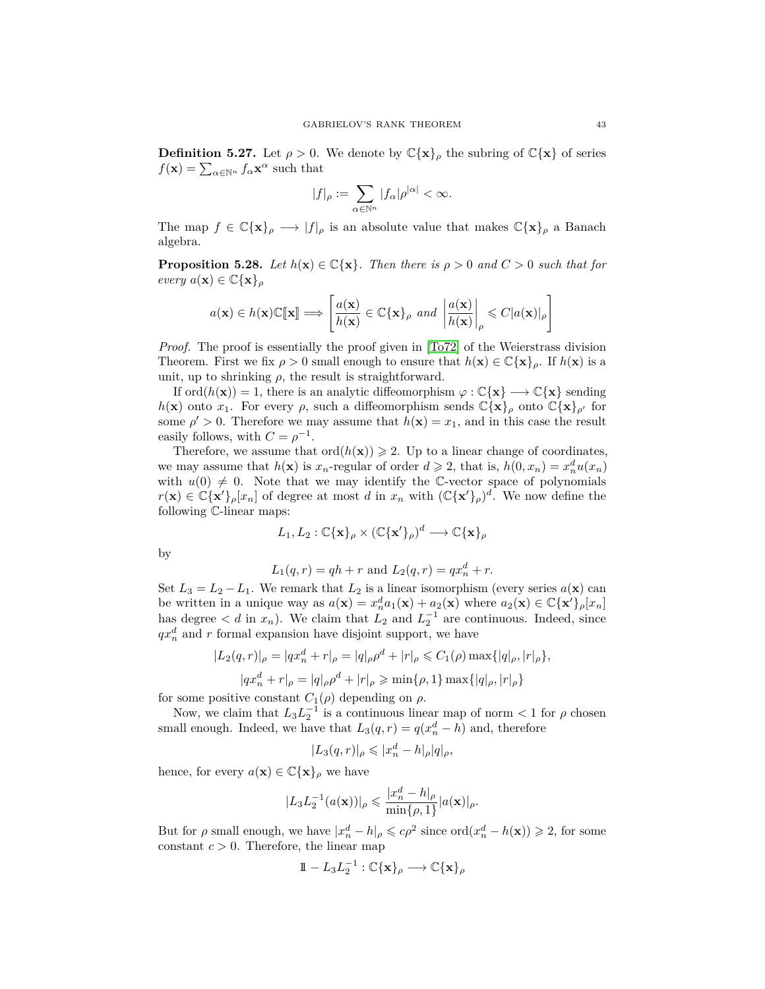**Definition 5.27.** Let  $\rho > 0$ . We denote by  $\mathbb{C}\{\mathbf{x}\}\rho$  the subring of  $\mathbb{C}\{\mathbf{x}\}\$  of series  $f(\mathbf{x}) = \sum_{\alpha \in \mathbb{N}^n} f_{\alpha} \mathbf{x}^{\alpha}$  such that

$$
|f|_\rho:=\sum_{\alpha\in\mathbb{N}^n}|f_\alpha|\rho^{|\alpha|}<\infty.
$$

The map  $f \in \mathbb{C}\{\mathbf{x}\}\rho \longrightarrow |f|_{\rho}$  is an absolute value that makes  $\mathbb{C}\{\mathbf{x}\}\rho$  a Banach algebra.

**Proposition 5.28.** *Let*  $h(\mathbf{x}) \in \mathbb{C}\{\mathbf{x}\}\$ *. Then there is*  $\rho > 0$  *and*  $C > 0$  *such that for*  $every \ a(\mathbf{x}) \in \mathbb{C}\{\mathbf{x}\}_{\rho}$ 

$$
a(\mathbf{x}) \in h(\mathbf{x}) \mathbb{C}[\![\mathbf{x}]\!] \Longrightarrow \left[\frac{a(\mathbf{x})}{h(\mathbf{x})} \in \mathbb{C}\{\mathbf{x}\}_\rho \text{ and } \left|\frac{a(\mathbf{x})}{h(\mathbf{x})}\right|_\rho \leq C|a(\mathbf{x})|_\rho\right]
$$

*Proof.* The proof is essentially the proof given in [\[To72\]](#page-61-14) of the Weierstrass division Theorem. First we fix  $\rho > 0$  small enough to ensure that  $h(\mathbf{x}) \in \mathbb{C}\{\mathbf{x}\}_\rho$ . If  $h(\mathbf{x})$  is a unit, up to shrinking  $\rho$ , the result is straightforward.

If ord $(h(\mathbf{x})) = 1$ , there is an analytic diffeomorphism  $\varphi : \mathbb{C}\{\mathbf{x}\} \longrightarrow \mathbb{C}\{\mathbf{x}\}\$  sending *h*(**x**) onto *x*<sub>1</sub>. For every *ρ*, such a diffeomorphism sends  $\mathbb{C}\{\mathbf{x}\}\rho$  onto  $\mathbb{C}\{\mathbf{x}\}\rho'$  for some  $\rho' > 0$ . Therefore we may assume that  $h(\mathbf{x}) = x_1$ , and in this case the result easily follows, with  $C = \rho^{-1}$ .

Therefore, we assume that  $\text{ord}(h(\mathbf{x})) \geq 2$ . Up to a linear change of coordinates, we may assume that  $h(\mathbf{x})$  is  $x_n$ -regular of order  $d \geq 2$ , that is,  $h(0, x_n) = x_n^d u(x_n)$ with  $u(0) \neq 0$ . Note that we may identify the C-vector space of polynomials  $r(\mathbf{x}) \in \mathbb{C} \{ \mathbf{x}' \}_\rho[x_n]$  of degree at most *d* in  $x_n$  with  $(\mathbb{C} \{ \mathbf{x}' \}_\rho)^d$ . We now define the following C-linear maps:

$$
L_1, L_2: \mathbb{C}\{\mathbf{x}\}_\rho \times (\mathbb{C}\{\mathbf{x}'\}_\rho)^d \longrightarrow \mathbb{C}\{\mathbf{x}\}_\rho
$$

by

$$
L_1(q,r) = qh + r
$$
 and  $L_2(q,r) = qx_n^d + r$ .

Set  $L_3 = L_2 - L_1$ . We remark that  $L_2$  is a linear isomorphism (every series  $a(\mathbf{x})$  can be written in a unique way as  $a(\mathbf{x}) = x_n^d a_1(\mathbf{x}) + a_2(\mathbf{x})$  where  $a_2(\mathbf{x}) \in \mathbb{C}\{\mathbf{x}'\}_\rho[x_n]$ has degree  $\langle d \text{ in } x_n \rangle$ . We claim that  $L_2$  and  $L_2^{-1}$  are continuous. Indeed, since  $qx_n^d$  and *r* formal expansion have disjoint support, we have

$$
|L_2(q,r)|_{\rho} = |qx_n^d + r|_{\rho} = |q|_{\rho}\rho^d + |r|_{\rho} \le C_1(\rho) \max\{|q|_{\rho}, |r|_{\rho}\},
$$

$$
|qx_n^d + r|_{\rho} = |q|_{\rho}\rho^d + |r|_{\rho} \ge \min\{\rho, 1\} \max\{|q|_{\rho}, |r|_{\rho}\}
$$

for some positive constant  $C_1(\rho)$  depending on  $\rho$ .

Now, we claim that  $L_3 L_2^{-1}$  is a continuous linear map of norm  $\lt 1$  for  $\rho$  chosen small enough. Indeed, we have that  $L_3(q, r) = q(x_n^d - h)$  and, therefore

$$
|L_3(q,r)|_{\rho}\leqslant |x_n^d-h|_{\rho}|q|_{\rho},
$$

hence, for every  $a(\mathbf{x}) \in \mathbb{C}\{\mathbf{x}\}\rho$  we have

$$
|L_3 L_2^{-1}(a(\mathbf{x}))|_{\rho} \leq \frac{|x_n^d - h|_{\rho}}{\min\{\rho, 1\}} |a(\mathbf{x})|_{\rho}.
$$

But for  $\rho$  small enough, we have  $|x_n^d - h|_{\rho} \leqslant c\rho^2$  since  $\text{ord}(x_n^d - h(\mathbf{x})) \geqslant 2$ , for some constant  $c > 0$ . Therefore, the linear map

$$
1\!\!1 - L_3L_2^{-1} : \mathbb{C}\{\mathbf{x}\}_\rho \longrightarrow \mathbb{C}\{\mathbf{x}\}_\rho
$$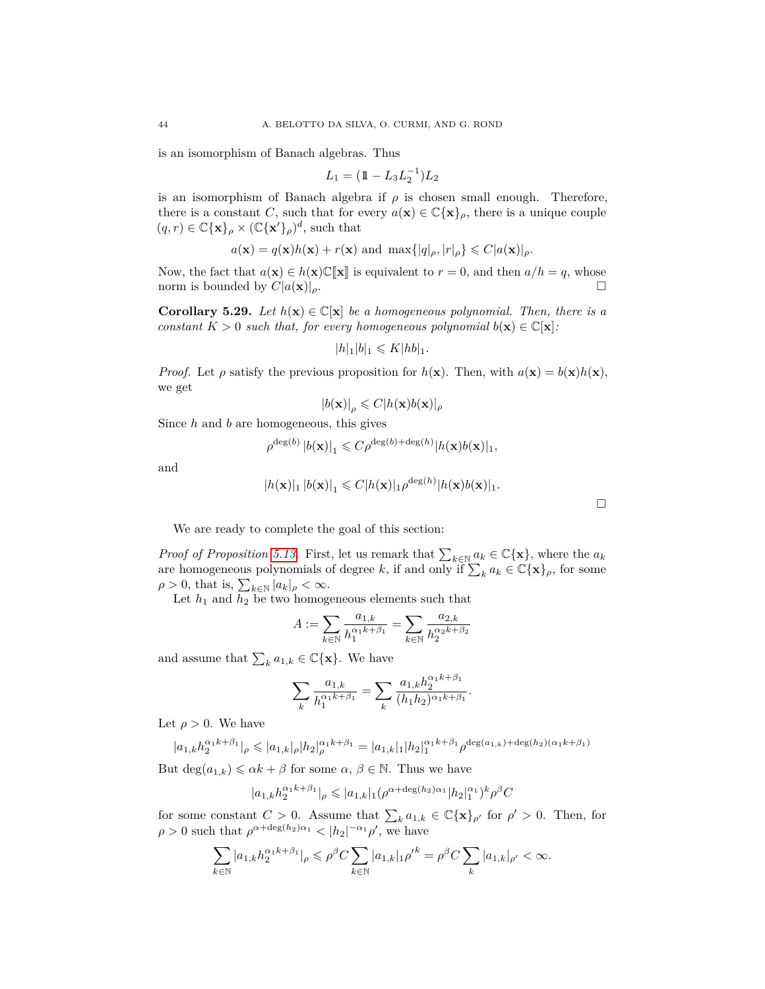is an isomorphism of Banach algebras. Thus

$$
L_1 = (\mathbb{1} - L_3 L_2^{-1}) L_2
$$

is an isomorphism of Banach algebra if  $\rho$  is chosen small enough. Therefore, there is a constant *C*, such that for every  $a(\mathbf{x}) \in \mathbb{C}\{\mathbf{x}\}\rho$ , there is a unique couple  $(q, r) \in \mathbb{C}\{\mathbf{x}\}_\rho \times (\mathbb{C}\{\mathbf{x}'\}_\rho)^d$ , such that

$$
a(\mathbf{x}) = q(\mathbf{x})h(\mathbf{x}) + r(\mathbf{x})
$$
 and  $\max\{|q|_{\rho}, |r|_{\rho}\} \leq C|a(\mathbf{x})|_{\rho}$ .

Now, the fact that  $a(\mathbf{x}) \in h(\mathbf{x})\mathbb{C}[\![\mathbf{x}]\!]$  is equivalent to  $r = 0$ , and then  $a/h = q$ , whose norm is bounded by  $C|a(\mathbf{x})|_{\alpha}$ . norm is bounded by  $C|a(\mathbf{x})|_{\rho}$ .

<span id="page-43-0"></span>**Corollary 5.29.** *Let*  $h(\mathbf{x}) \in \mathbb{C}[\mathbf{x}]$  *be a homogeneous polynomial. Then, there is a constant*  $K > 0$  *such that, for every homogeneous polynomial*  $b(\mathbf{x}) \in \mathbb{C}[\mathbf{x}]$ *:* 

$$
|h|_1|b|_1 \leqslant K |hb|_1.
$$

*Proof.* Let  $\rho$  satisfy the previous proposition for  $h(\mathbf{x})$ . Then, with  $a(\mathbf{x}) = b(\mathbf{x})h(\mathbf{x})$ , we get

$$
|b(\mathbf{x})|_{\rho} \leqslant C |h(\mathbf{x})b(\mathbf{x})|_{\rho}
$$

Since *h* and *b* are homogeneous, this gives

$$
\rho^{\deg(b)} |b(\mathbf{x})|_1 \leqslant C \rho^{\deg(b) + \deg(h)} |h(\mathbf{x})b(\mathbf{x})|_1,
$$

and

$$
|h(\mathbf{x})|_1 |b(\mathbf{x})|_1 \leq C |h(\mathbf{x})|_1 \rho^{\deg(h)} |h(\mathbf{x})b(\mathbf{x})|_1.
$$

We are ready to complete the goal of this section:

*Proof of Proposition [5.13.](#page-33-0)* First, let us remark that  $\sum_{k \in \mathbb{N}} a_k \in \mathbb{C} {\{\mathbf{x}\}}$ , where the  $a_k$ are homogeneous polynomials of degree k, if and only if  $\sum_k a_k \in \mathbb{C}\{\mathbf{x}\}\rho$ , for some  $\rho > 0$ , that is,  $\sum_{k \in \mathbb{N}} |a_k|_{\rho} < \infty$ .

Let  $h_1$  and  $h_2$  be two homogeneous elements such that

$$
A := \sum_{k \in \mathbb{N}} \frac{a_{1,k}}{h_1^{\alpha_1 k + \beta_1}} = \sum_{k \in \mathbb{N}} \frac{a_{2,k}}{h_2^{\alpha_2 k + \beta_2}}
$$

and assume that  $\sum_{k} a_{1,k} \in \mathbb{C} {\{\mathbf{x}\}}$ . We have

$$
\sum_{k} \frac{a_{1,k}}{h_1^{\alpha_1 k + \beta_1}} = \sum_{k} \frac{a_{1,k} h_2^{\alpha_1 k + \beta_1}}{(h_1 h_2)^{\alpha_1 k + \beta_1}}.
$$

Let  $\rho > 0$ . We have

$$
|a_{1,k}h_2^{\alpha_1 k + \beta_1}|_{\rho} \leqslant |a_{1,k}|_{\rho} |h_2|_{\rho}^{\alpha_1 k + \beta_1} = |a_{1,k}|_{1} |h_2|_{1}^{\alpha_1 k + \beta_1} \rho^{\deg(a_{1,k}) + \deg(h_2)(\alpha_1 k + \beta_1)}
$$

But  $\deg(a_{1,k}) \leq \alpha k + \beta$  for some  $\alpha, \beta \in \mathbb{N}$ . Thus we have

$$
|a_{1,k}h_2^{\alpha_1 k + \beta_1}|_{\rho} \leqslant |a_{1,k}|_1 (\rho^{\alpha + \deg(h_2)\alpha_1}|h_2|_1^{\alpha_1})^k \rho^{\beta} C
$$

for some constant  $C > 0$ . Assume that  $\sum_{k} a_{1,k} \in \mathbb{C} {\{\mathbf{x}\}}_{\rho'}$  for  $\rho' > 0$ . Then, for  $\rho > 0$  such that  $\rho^{\alpha + \deg(h_2)\alpha_1} < |h_2|^{-\alpha_1} \rho'$ , we have

$$
\sum_{k\in\mathbb{N}}|a_{1,k}h_2^{\alpha_1k+\beta_1}|_\rho\leqslant\rho^\beta C\sum_{k\in\mathbb{N}}|a_{1,k}|_1{\rho'}^k=\rho^\beta C\sum_k|a_{1,k}|_{\rho'}<\infty.
$$

 $\Box$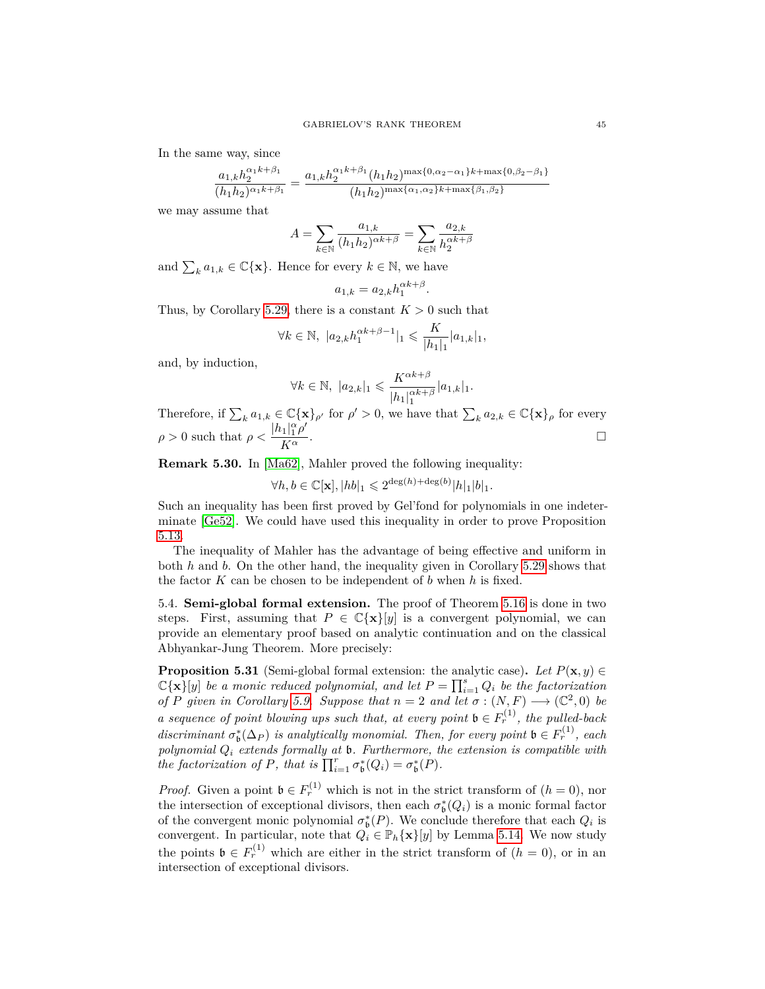In the same way, since

$$
\frac{a_{1,k}h_2^{\alpha_1 k+\beta_1}}{(h_1h_2)^{\alpha_1 k+\beta_1}}=\frac{a_{1,k}h_2^{\alpha_1 k+\beta_1}(h_1h_2)^{\max\{0,\alpha_2-\alpha_1\}k+\max\{0,\beta_2-\beta_1\}}}{(h_1h_2)^{\max\{\alpha_1,\alpha_2\}k+\max\{\beta_1,\beta_2\}}}
$$

we may assume that

$$
A=\sum_{k\in\mathbb{N}}\frac{a_{1,k}}{(h_1h_2)^{\alpha k+\beta}}=\sum_{k\in\mathbb{N}}\frac{a_{2,k}}{h_2^{\alpha k+\beta}}
$$

and  $\sum_{k} a_{1,k} \in \mathbb{C} {\mathbf{x}}$ . Hence for every  $k \in \mathbb{N}$ , we have

$$
a_{1,k} = a_{2,k} h_1^{\alpha k + \beta}.
$$

Thus, by Corollary [5.29,](#page-43-0) there is a constant  $K > 0$  such that

$$
\forall k \in \mathbb{N}, \ |a_{2,k}h_1^{\alpha k + \beta - 1}|_1 \leqslant \frac{K}{|h_1|_1}|a_{1,k}|_1,
$$

and, by induction,

$$
\forall k \in \mathbb{N}, \ |a_{2,k}|_1 \leqslant \frac{K^{\alpha k + \beta}}{|h_1|_1^{\alpha k + \beta}} |a_{1,k}|_1.
$$

Therefore, if  $\sum_{k} a_{1,k} \in \mathbb{C}\{\mathbf{x}\}_{\rho'}$  for  $\rho' > 0$ , we have that  $\sum_{k} a_{2,k} \in \mathbb{C}\{\mathbf{x}\}_{\rho}$  for every  $\rho > 0$  such that  $\rho < \frac{|h_1|_1^{\alpha} \rho'}{K_{\infty}}$ *K<sup>α</sup> .*

**Remark 5.30.** In [\[Ma62\]](#page-60-23), Mahler proved the following inequality:

$$
\forall h, b \in \mathbb{C}[\mathbf{x}], |hb|_1 \leqslant 2^{\deg(h) + \deg(b)} |h|_1 |b|_1.
$$

Such an inequality has been first proved by Gel'fond for polynomials in one indeterminate [\[Ge52\]](#page-60-24). We could have used this inequality in order to prove Proposition [5.13.](#page-33-0)

The inequality of Mahler has the advantage of being effective and uniform in both *h* and *b*. On the other hand, the inequality given in Corollary [5.29](#page-43-0) shows that the factor *K* can be chosen to be independent of *b* when *h* is fixed.

<span id="page-44-0"></span>5.4. **Semi-global formal extension.** The proof of Theorem [5.16](#page-34-0) is done in two steps. First, assuming that  $P \in \mathbb{C}\{\mathbf{x}\}[y]$  is a convergent polynomial, we can provide an elementary proof based on analytic continuation and on the classical Abhyankar-Jung Theorem. More precisely:

<span id="page-44-1"></span>**Proposition 5.31** (Semi-global formal extension: the analytic case). Let  $P(\mathbf{x}, y) \in$  $\mathbb{C}\{\mathbf{x}\}$ [y] be a monic reduced polynomial, and let  $P = \prod_{i=1}^{s} Q_i$  be the factorization *of P given* in Corollary [5.9.](#page-32-2) Suppose that  $n = 2$  *and* let  $\sigma : (N, F) \longrightarrow (\mathbb{C}^2, 0)$  be *a sequence of point blowing ups such that, at every point*  $\mathfrak{b} \in F_r^{(1)}$ , the pulled-back discriminant  $\sigma_{\mathfrak{b}}^*(\Delta_P)$  is analytically monomial. Then, for every point  $\mathfrak{b} \in F_r^{(1)}$ , each *polynomial Q<sup>i</sup> extends formally at* b*. Furthermore, the extension is compatible with the factorization of P, that is*  $\prod_{i=1}^{r} \sigma_{\mathfrak{b}}^{*}(Q_{i}) = \sigma_{\mathfrak{b}}^{*}(P)$ *.* 

*Proof.* Given a point  $\mathfrak{b} \in F_r^{(1)}$  which is not in the strict transform of  $(h = 0)$ , nor the intersection of exceptional divisors, then each  $\sigma_{\mathfrak{b}}^*(Q_i)$  is a monic formal factor of the convergent monic polynomial  $\sigma_{\mathfrak{b}}^*(P)$ . We conclude therefore that each  $Q_i$  is convergent. In particular, note that  $Q_i \in \mathbb{P}_h{\{\mathbf{x}\}}[y]$  by Lemma [5.14.](#page-33-2) We now study the points  $\mathfrak{b} \in F_r^{(1)}$  which are either in the strict transform of  $(h = 0)$ , or in an intersection of exceptional divisors.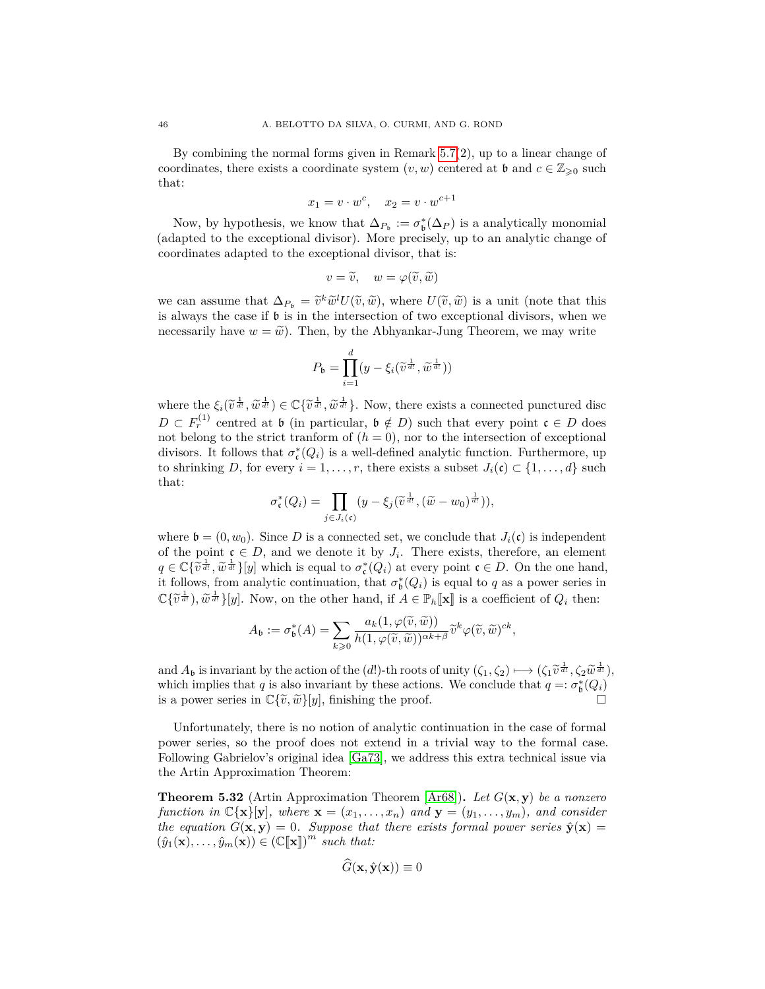By combining the normal forms given in Remark [5.7\(](#page-31-1)2), up to a linear change of coordinates, there exists a coordinate system  $(v, w)$  centered at **b** and  $c \in \mathbb{Z}_{\geq 0}$  such that:

$$
x_1 = v \cdot w^c, \quad x_2 = v \cdot w^{c+1}
$$

Now, by hypothesis, we know that  $\Delta_{P_{\mathfrak{b}}} := \sigma_{\mathfrak{b}}^*(\Delta_P)$  is a analytically monomial (adapted to the exceptional divisor). More precisely, up to an analytic change of coordinates adapted to the exceptional divisor, that is:

$$
v = \widetilde{v}, \quad w = \varphi(\widetilde{v}, \widetilde{w})
$$

we can assume that  $\Delta_{P_b} = \tilde{v}^k \tilde{w}^l U(\tilde{v}, \tilde{w})$ , where  $U(\tilde{v}, \tilde{w})$  is a unit (note that this is always the case if b is in the intersection of two exceptional divisors, when we necessarily have  $w = \tilde{w}$ . Then, by the Abhyankar-Jung Theorem, we may write

$$
P_{\mathfrak{b}} = \prod_{i=1}^{d} (y - \xi_i(\widetilde{v}^{\frac{1}{d!}}, \widetilde{w}^{\frac{1}{d!}}))
$$

where the  $\xi_i(\tilde{v}^{\frac{1}{d}}, \tilde{w}^{\frac{1}{d}}) \in \mathbb{C}\{\tilde{v}^{\frac{1}{d!}}, \tilde{w}^{\frac{1}{d!}}\}$ . Now, there exists a connected punctured disc  $D \subset F_r^{(1)}$  centred at b (in particular,  $\mathfrak{b} \notin D$ ) such that every point  $\mathfrak{c} \in D$  does not belong to the strict tranform of  $(h = 0)$ , nor to the intersection of exceptional divisors. It follows that  $\sigma_{\mathfrak{c}}^*(Q_i)$  is a well-defined analytic function. Furthermore, up to shrinking *D*, for every  $i = 1, \ldots, r$ , there exists a subset  $J_i(\mathfrak{c}) \subset \{1, \ldots, d\}$  such that:

$$
\sigma_{\mathfrak{c}}^*(Q_i) = \prod_{j \in J_i(\mathfrak{c})} (y - \xi_j(\widetilde{v}^{\frac{1}{d!}}, (\widetilde{w} - w_0)^{\frac{1}{d!}})),
$$

where  $\mathfrak{b} = (0, w_0)$ . Since D is a connected set, we conclude that  $J_i(\mathfrak{c})$  is independent of the point  $c \in D$ , and we denote it by  $J_i$ . There exists, therefore, an element  $q \in \mathbb{C} \{ \tilde{v}^{\frac{1}{d}t}, \tilde{w}^{\frac{1}{d}t} \}$ [*y*] which is equal to  $\sigma_{\mathfrak{c}}^*(Q_i)$  at every point  $\mathfrak{c} \in D$ . On the one hand, it follows from analytic continuation, that  $\sigma^*(Q_i)$  is equal to *g* as a power serie it follows, from analytic continuation, that  $\sigma_{\mathfrak{b}}^*(Q_i)$  is equal to *q* as a power series in  $\mathbb{C}\{\tilde{v}^{\frac{1}{d t}}\}, \tilde{w}^{\frac{1}{d t}}\}[y]$ . Now, on the other hand, if  $A \in \mathbb{P}_h[\![\mathbf{x}]\!]$  is a coefficient of  $Q_i$  then:

$$
A_{\mathfrak{b}} := \sigma_{\mathfrak{b}}^*(A) = \sum_{k \geq 0} \frac{a_k(1, \varphi(\widetilde{v}, \widetilde{w}))}{h(1, \varphi(\widetilde{v}, \widetilde{w}))^{\alpha k + \beta}} \widetilde{v}^k \varphi(\widetilde{v}, \widetilde{w})^{ck},
$$

and  $A_b$  is invariant by the action of the (*d*!)-th roots of unity  $(\zeta_1, \zeta_2) \mapsto (\zeta_1 \widetilde{v}^{\frac{1}{d!}}, \zeta_2 \widetilde{w}^{\frac{1}{d!}})$ ,<br>which implies that *a* is also invariant by these actions. We conclude that  $a \mapsto \zeta^*(\Omega)$ , which implies that *q* is also invariant by these actions. We conclude that  $q =: \sigma_{\mathfrak{b}}^*(Q_i)$ is a power series in  $\mathbb{C}\{\tilde{v}, \tilde{w}\}[y]$ , finishing the proof.

Unfortunately, there is no notion of analytic continuation in the case of formal power series, so the proof does not extend in a trivial way to the formal case. Following Gabrielov's original idea [\[Ga73\]](#page-60-3), we address this extra technical issue via the Artin Approximation Theorem:

**Theorem 5.32** (Artin Approximation Theorem [\[Ar68\]](#page-59-13))**.** *Let G*(**x***,* **y**) *be a nonzero function in*  $\mathbb{C}\{\mathbf{x}\}\{\mathbf{y}\}\$ *, where*  $\mathbf{x} = (x_1, \ldots, x_n)$  *and*  $\mathbf{y} = (y_1, \ldots, y_m)$ *, and consider the equation*  $G(\mathbf{x}, \mathbf{y}) = 0$ *. Suppose that there exists formal power series*  $\hat{\mathbf{y}}(\mathbf{x}) =$  $(\hat{y}_1(\mathbf{x}), \dots, \hat{y}_m(\mathbf{x})) \in (\mathbb{C}[\![\mathbf{x}]\!])^m$  *such that:* 

$$
\ddot{G}(\mathbf{x}, \hat{\mathbf{y}}(\mathbf{x})) \equiv 0
$$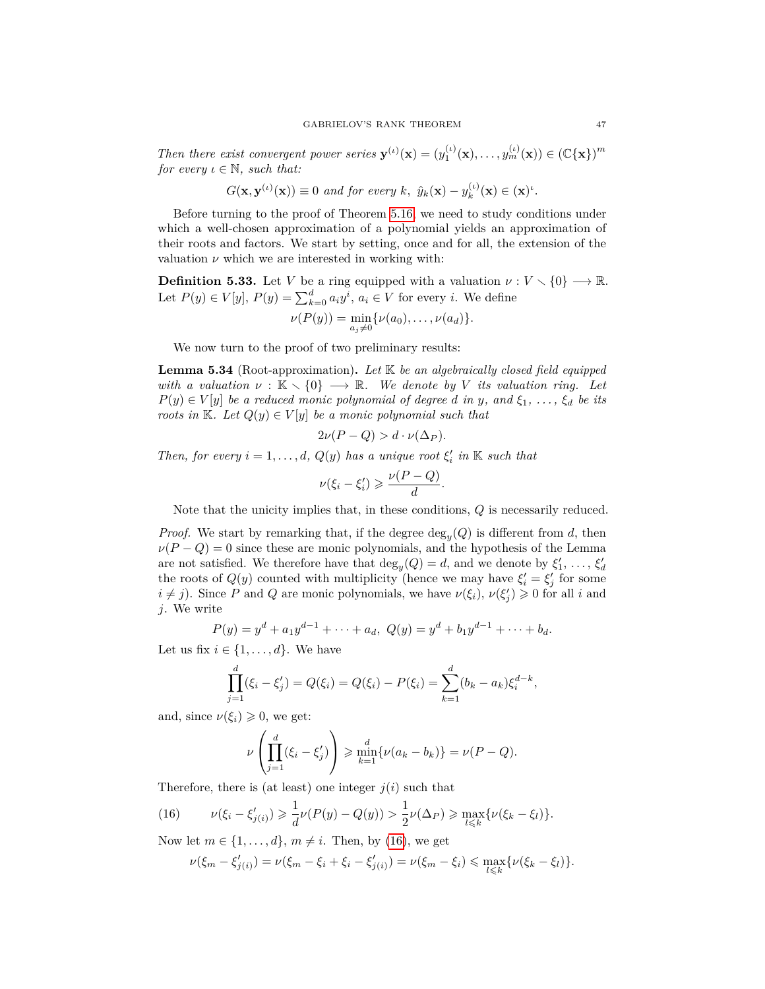*Then there exist convergent power series*  $\mathbf{y}^{(\iota)}(\mathbf{x}) = (y_1^{(\iota)}(\mathbf{x}), \dots, y_m^{(\iota)}(\mathbf{x})) \in (\mathbb{C}\{\mathbf{x}\})^m$ *for every*  $\iota \in \mathbb{N}$ *, such that:* 

$$
G(\mathbf{x}, \mathbf{y}^{(\iota)}(\mathbf{x})) \equiv 0 \text{ and for every } k, \hat{y}_k(\mathbf{x}) - y_k^{(\iota)}(\mathbf{x}) \in (\mathbf{x})^{\iota}.
$$

Before turning to the proof of Theorem [5.16,](#page-34-0) we need to study conditions under which a well-chosen approximation of a polynomial yields an approximation of their roots and factors. We start by setting, once and for all, the extension of the valuation  $\nu$  which we are interested in working with:

**Definition 5.33.** Let *V* be a ring equipped with a valuation  $\nu : V \setminus \{0\} \longrightarrow \mathbb{R}$ . Let  $P(y) \in V[y]$ ,  $P(y) = \sum_{k=0}^{d} a_i y^i$ ,  $a_i \in V$  for every *i*. We define

$$
\nu(P(y)) = \min_{a_j \neq 0} \{\nu(a_0), \ldots, \nu(a_d)\}.
$$

We now turn to the proof of two preliminary results:

<span id="page-46-1"></span>**Lemma 5.34** (Root-approximation)**.** *Let* K *be an algebraically closed field equipped with a valuation*  $\nu : \mathbb{K} \setminus \{0\} \longrightarrow \mathbb{R}$ *. We denote by V its valuation ring. Let*  $P(y) \in V[y]$  *be a reduced monic polynomial of degree <i>d in y,* and  $\xi_1$ , ...,  $\xi_d$  *be its roots in* K*. Let*  $Q(y) \in V[y]$  *be a monic polynomial such that* 

$$
2\nu(P - Q) > d \cdot \nu(\Delta_P).
$$

*Then, for every*  $i = 1, \ldots, d$ ,  $Q(y)$  *has a unique root*  $\xi'_i$  *in* K *such that* 

$$
\nu(\xi_i - \xi'_i) \geqslant \frac{\nu(P - Q)}{d}.
$$

Note that the unicity implies that, in these conditions, *Q* is necessarily reduced.

*Proof.* We start by remarking that, if the degree  $\deg_y(Q)$  is different from *d*, then  $\nu(P - Q) = 0$  since these are monic polynomials, and the hypothesis of the Lemma are not satisfied. We therefore have that  $deg_y(Q) = d$ , and we denote by  $\xi'_1, \ldots, \xi'_d$ the roots of  $Q(y)$  counted with multiplicity (hence we may have  $\xi_i' = \xi_j'$  for some  $i \neq j$ ). Since *P* and *Q* are monic polynomials, we have  $\nu(\xi_i)$ ,  $\nu(\xi'_j) \geq 0$  for all *i* and *j*. We write

$$
P(y) = y^{d} + a_{1}y^{d-1} + \cdots + a_{d}, \ Q(y) = y^{d} + b_{1}y^{d-1} + \cdots + b_{d}.
$$

Let us fix  $i \in \{1, \ldots, d\}$ . We have

$$
\prod_{j=1}^d (\xi_i - \xi'_j) = Q(\xi_i) = Q(\xi_i) - P(\xi_i) = \sum_{k=1}^d (b_k - a_k) \xi_i^{d-k},
$$

and, since  $\nu(\xi_i) \geq 0$ , we get:

$$
\nu\left(\prod_{j=1}^d(\xi_i-\xi'_j)\right)\geqslant\min_{k=1}^d\{\nu(a_k-b_k)\}=\nu(P-Q).
$$

Therefore, there is (at least) one integer  $j(i)$  such that

<span id="page-46-0"></span>(16) 
$$
\nu(\xi_i - \xi'_{j(i)}) \geq \frac{1}{d} \nu(P(y) - Q(y)) > \frac{1}{2} \nu(\Delta_P) \geq \max_{l \leq k} {\{\nu(\xi_k - \xi_l)\}}.
$$

Now let  $m \in \{1, \ldots, d\}$ ,  $m \neq i$ . Then, by [\(16\)](#page-46-0), we get

$$
\nu(\xi_m-\xi_{j(i)}')=\nu(\xi_m-\xi_i+\xi_i-\xi_{j(i)}')=\nu(\xi_m-\xi_i)\leqslant\max_{l\leqslant k}\{\nu(\xi_k-\xi_l)\}.
$$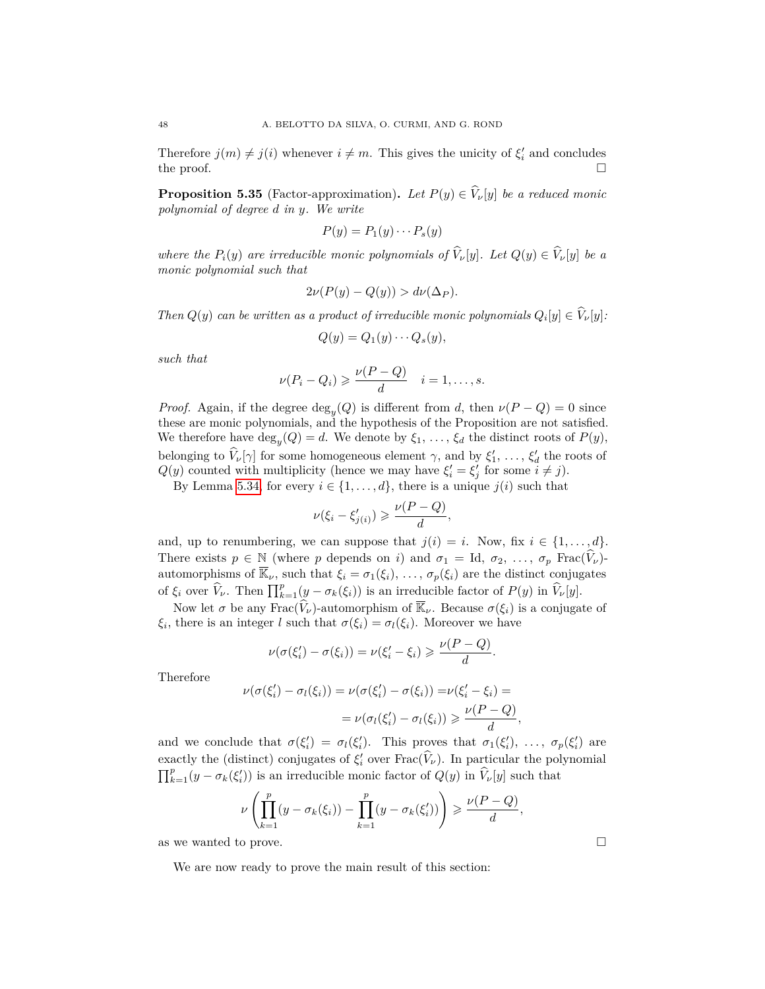Therefore  $j(m) \neq j(i)$  whenever  $i \neq m$ . This gives the unicity of  $\xi'_i$  and concludes the proof.  $\Box$ 

<span id="page-47-0"></span>**Proposition 5.35** (Factor-approximation). Let  $P(y) \in \hat{V}_\nu[y]$  be a reduced monic *polynomial of degree d in y. We write*

$$
P(y) = P_1(y) \cdots P_s(y)
$$

*where the*  $P_i(y)$  *are irreducible monic polynomials of*  $\hat{V}_\nu[y]$ *. Let*  $Q(y) \in \hat{V}_\nu[y]$  *be a monic polynomial such that*

$$
2\nu(P(y) - Q(y)) > d\nu(\Delta_P).
$$

*Then*  $Q(y)$  *can be written as a product of irreducible monic polynomials*  $Q_i[y] \in V_{\nu}[y]$ :

$$
Q(y) = Q_1(y) \cdots Q_s(y),
$$

*such that*

$$
\nu(P_i - Q_i) \geqslant \frac{\nu(P - Q)}{d} \quad i = 1, \dots, s.
$$

*Proof.* Again, if the degree  $\deg_y(Q)$  is different from *d*, then  $\nu(P - Q) = 0$  since these are monic polynomials, and the hypothesis of the Proposition are not satisfied. We therefore have  $\deg_y(Q) = d$ . We denote by  $\xi_1, \ldots, \xi_d$  the distinct roots of  $P(y)$ , belonging to  $\hat{V}_\nu[\gamma]$  for some homogeneous element  $\gamma$ , and by  $\xi'_1, \ldots, \xi'_d$  the roots of *Q*(*y*) counted with multiplicity (hence we may have  $\xi'_i = \xi'_j$  for some  $i \neq j$ ).

By Lemma [5.34,](#page-46-1) for every  $i \in \{1, \ldots, d\}$ , there is a unique  $j(i)$  such that

$$
\nu(\xi_i - \xi'_{j(i)}) \geqslant \frac{\nu(P - Q)}{d},
$$

and, up to renumbering, we can suppose that  $j(i) = i$ . Now, fix  $i \in \{1, ..., d\}$ . There exists  $p \in \mathbb{N}$  (where *p* depends on *i*) and  $\sigma_1 = \text{Id}, \sigma_2, \ldots, \sigma_p$  Frac( $\hat{V}_\nu$ )automorphisms of  $\overline{\mathbb{K}}_\nu$ , such that  $\xi_i = \sigma_1(\xi_i), \ldots, \sigma_p(\xi_i)$  are the distinct conjugates of  $\xi_i$  over  $\widehat{V}_\nu$ . Then  $\prod_{k=1}^p (y - \sigma_k(\xi_i))$  is an irreducible factor of  $P(y)$  in  $\widehat{V}_\nu[y]$ .

Now let  $\sigma$  be any Frac $(\hat{V}_\nu)$ -automorphism of  $\overline{\mathbb{K}}_\nu$ . Because  $\sigma(\xi_i)$  is a conjugate of *ξ*<sup>*i*</sup>, there is an integer *l* such that  $\sigma(\xi_i) = \sigma_l(\xi_i)$ . Moreover we have

$$
\nu(\sigma(\xi_i')-\sigma(\xi_i))=\nu(\xi_i'-\xi_i)\geqslant \frac{\nu(P-Q)}{d}.
$$

Therefore

$$
\nu(\sigma(\xi_i') - \sigma_l(\xi_i)) = \nu(\sigma(\xi_i') - \sigma(\xi_i)) = \nu(\xi_i' - \xi_i) =
$$

$$
= \nu(\sigma_l(\xi_i') - \sigma_l(\xi_i)) \ge \frac{\nu(P - Q)}{d}
$$

and we conclude that  $\sigma(\xi_i') = \sigma_l(\xi_i')$ . This proves that  $\sigma_1(\xi_i'), \ldots, \sigma_p(\xi_i')$  are exactly the (distinct) conjugates of  $\xi'_{i}$  over  $\text{Frac}(\widehat{V}_{\nu})$ . In particular the polynomial  $\prod_{k=1}^{p} (y - \sigma_k(\xi_i))$  is an irreducible monic factor of  $Q(y)$  in  $\widehat{V}_\nu[y]$  such that

$$
\nu\left(\prod_{k=1}^p(y-\sigma_k(\xi_i))-\prod_{k=1}^p(y-\sigma_k(\xi'_i))\right)\geqslant \frac{\nu(P-Q)}{d},
$$

as we wanted to prove.  $\hfill \square$ 

We are now ready to prove the main result of this section:

*,*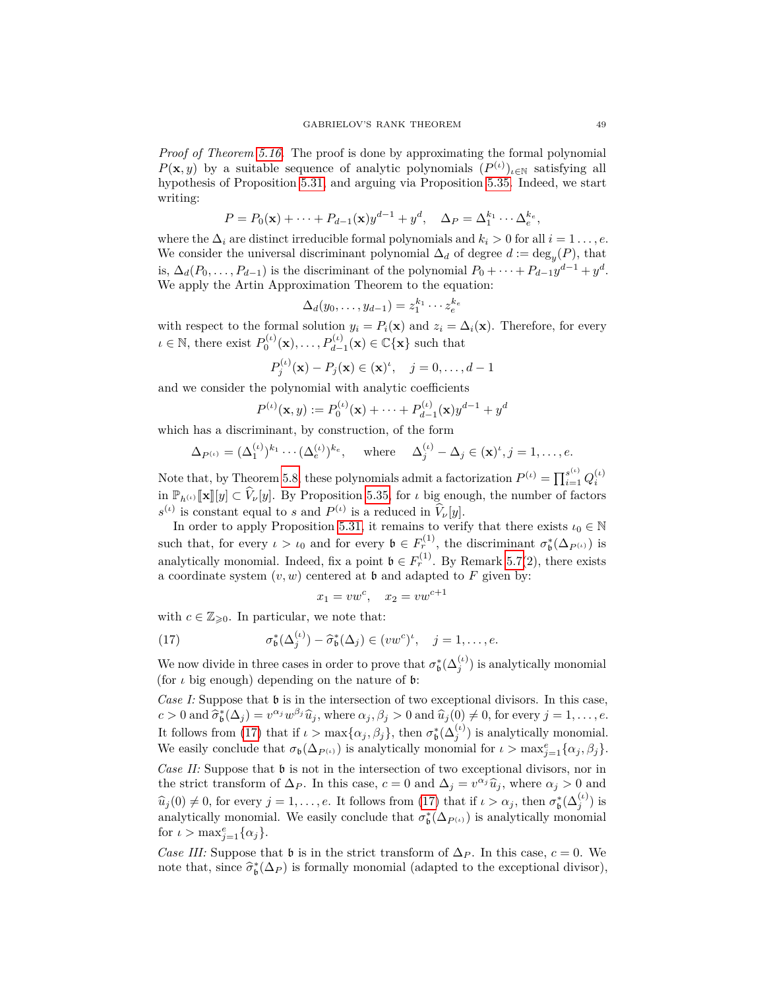*Proof of Theorem [5.16.](#page-34-0)* The proof is done by approximating the formal polynomial *P*(**x**, *y*) by a suitable sequence of analytic polynomials  $(P^{(\iota)})_{\iota \in \mathbb{N}}$  satisfying all hypothesis of Proposition [5.31,](#page-44-1) and arguing via Proposition [5.35.](#page-47-0) Indeed, we start writing:

$$
P = P_0(\mathbf{x}) + \dots + P_{d-1}(\mathbf{x})y^{d-1} + y^d, \quad \Delta_P = \Delta_1^{k_1} \cdots \Delta_e^{k_e},
$$

where the  $\Delta_i$  are distinct irreducible formal polynomials and  $k_i > 0$  for all  $i = 1 \ldots, e$ . We consider the universal discriminant polynomial  $\Delta_d$  of degree  $d := \deg_y(P)$ , that is,  $\Delta_d(P_0, \ldots, P_{d-1})$  is the discriminant of the polynomial  $P_0 + \cdots + P_{d-1}y^{d-1} + y^d$ . We apply the Artin Approximation Theorem to the equation:

$$
\Delta_d(y_0,\ldots,y_{d-1})=z_1^{k_1}\cdots z_e^{k_e}
$$

with respect to the formal solution  $y_i = P_i(\mathbf{x})$  and  $z_i = \Delta_i(\mathbf{x})$ . Therefore, for every  $\iota \in \mathbb{N}$ , there exist  $P_0^{(\iota)}(\mathbf{x}), \ldots, P_{d-1}^{(\iota)}(\mathbf{x}) \in \mathbb{C} {\mathbf{x}}$  such that

$$
P_j^{(\iota)}(\mathbf{x}) - P_j(\mathbf{x}) \in (\mathbf{x})^{\iota}, \quad j = 0, ..., d - 1
$$

and we consider the polynomial with analytic coefficients

$$
P^{(\iota)}(\mathbf{x}, y) := P_0^{(\iota)}(\mathbf{x}) + \dots + P_{d-1}^{(\iota)}(\mathbf{x})y^{d-1} + y^d
$$

which has a discriminant, by construction, of the form

$$
\Delta_{P^{(\iota)}} = (\Delta_1^{(\iota)})^{k_1} \cdots (\Delta_e^{(\iota)})^{k_e}, \quad \text{where} \quad \Delta_j^{(\iota)} - \Delta_j \in (\mathbf{x})^{\iota}, j = 1, \dots, e.
$$

Note that, by Theorem [5.8,](#page-32-0) these polynomials admit a factorization  $P^{(\iota)} = \prod_{i=1}^{s^{(\iota)}} Q_i^{(\iota)}$ in  $\mathbb{P}_{h^{(\iota)}}[\![\mathbf{x}]\!][y]\subset \widehat{V}_{\nu}[y]$ . By Proposition [5.35,](#page-47-0) for  $\iota$  big enough, the number of factors  $s^{(\iota)}$  is constant equal to *s* and  $P^{(\iota)}$  is a reduced in  $\hat{V}_{\nu}[y]$ .

In order to apply Proposition [5.31,](#page-44-1) it remains to verify that there exists  $\iota_0\in\mathbb{N}$ such that, for every  $\iota > \iota_0$  and for every  $\mathfrak{b} \in F_r^{(1)}$ , the discriminant  $\sigma^*_{\mathfrak{b}}(\Delta_{P^{(\iota)}})$  is analytically monomial. Indeed, fix a point  $\mathfrak{b} \in F_r^{(1)}$ . By Remark [5.7\(](#page-31-1)2), there exists a coordinate system  $(v, w)$  centered at  $\mathfrak b$  and adapted to  $F$  given by:

<span id="page-48-0"></span>
$$
x_1 = vw^c, \quad x_2 = vw^{c+1}
$$

with  $c \in \mathbb{Z}_{\geqslant 0}$ . In particular, we note that:

(17) 
$$
\sigma_{\mathfrak{b}}^*(\Delta_j^{(\iota)}) - \widehat{\sigma}_{\mathfrak{b}}^*(\Delta_j) \in (vw^c)^{\iota}, \quad j = 1, \ldots, e.
$$

We now divide in three cases in order to prove that  $\sigma_{\mathfrak{b}}^*(\Delta_j^{(\iota)})$  is analytically monomial (for  $\iota$  big enough) depending on the nature of  $\mathfrak b$ :

*Case I:* Suppose that  $\mathfrak b$  is in the intersection of two exceptional divisors. In this case,  $c > 0$  and  $\hat{\sigma}_b^*(\Delta_j) = v^{\alpha_j} w^{\beta_j} \hat{u}_j$ , where  $\alpha_j, \beta_j > 0$  and  $\hat{u}_j(0) \neq 0$ , for every  $j = 1, \ldots, e$ . It follows from [\(17\)](#page-48-0) that if  $\iota > \max{\{\alpha_j, \beta_j\}}$ , then  $\sigma_b^*(\Delta_j^{(\iota)})$  is analytically monomial. We easily conclude that  $\sigma_{\mathfrak{b}}(\Delta_{P^{(\iota)}})$  is analytically monomial for  $\iota > \max_{j=1}^e {\{\alpha_j, \beta_j\}}$ . *Case II:* Suppose that **b** is not in the intersection of two exceptional divisors, nor in the strict transform of  $\Delta_P$ . In this case,  $c = 0$  and  $\Delta_j = v^{\alpha_j} \hat{u}_j$ , where  $\alpha_j > 0$  and  $\hat{u}_j \in \mathbb{R}$  $\hat{u}_j(0) \neq 0$ , for every  $j = 1, \ldots, e$ . It follows from [\(17\)](#page-48-0) that if  $\iota > \alpha_j$ , then  $\sigma_b^*(\Delta_j^{(\iota)})$  is analytically monomial. We easily conclude that  $\sigma^*_{\mathfrak{b}}(\Delta_{P^{(\iota)}})$  is analytically monomial for  $\iota > \max_{j=1}^e {\{\alpha_j\}}$ .

*Case III:* Suppose that  $\mathfrak b$  is in the strict transform of  $\Delta_P$ . In this case,  $c = 0$ . We note that, since  $\hat{\sigma}_{\mathfrak{b}}^*(\Delta_P)$  is formally monomial (adapted to the exceptional divisor),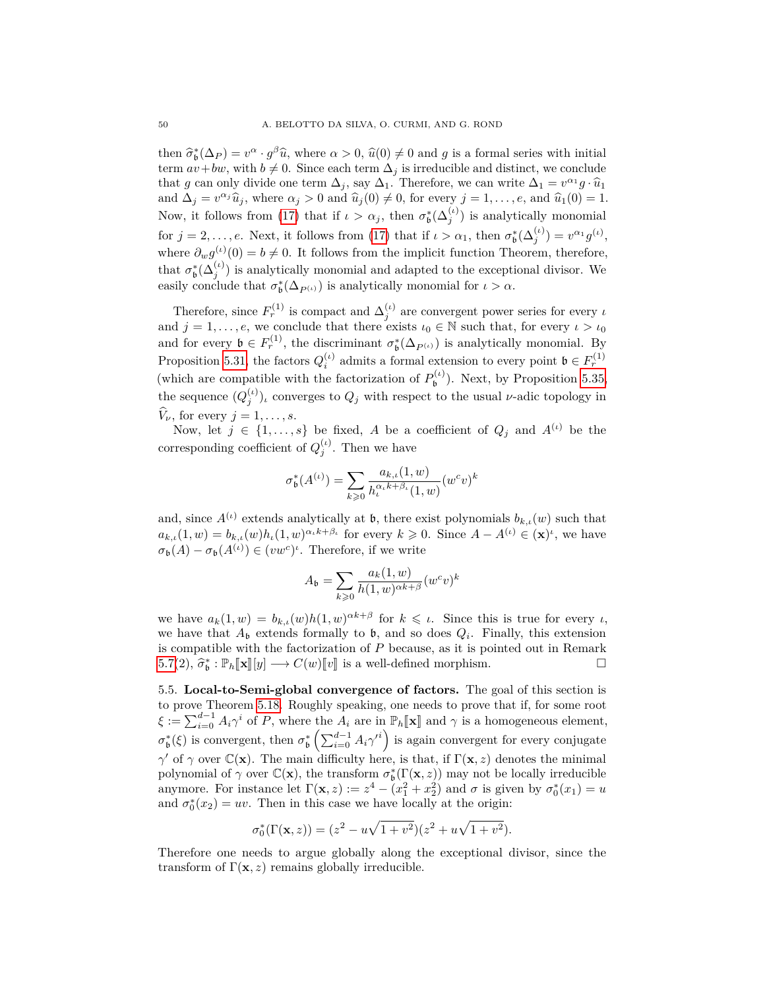then  $\hat{\sigma}_{b}^{*}(\Delta_{P}) = v^{\alpha} \cdot g^{\beta} \hat{u}$ , where  $\alpha > 0$ ,  $\hat{u}(0) \neq 0$  and *g* is a formal series with initial<br>term  $\alpha_{1} + b_{1}u$ , with  $b \neq 0$ . Since each term  $\Delta_{i}$  is irreducible and distinct, we conclude term  $av+bw$ , with  $b \neq 0$ . Since each term  $\Delta_j$  is irreducible and distinct, we conclude that *g* can only divide one term  $\Delta_j$ , say  $\Delta_1$ . Therefore, we can write  $\Delta_1 = v^{\alpha_1}g \cdot \hat{u}_1$ and  $\Delta_j = v^{\alpha_j} \hat{u}_j$ , where  $\alpha_j > 0$  and  $\hat{u}_j(0) \neq 0$ , for every  $j = 1, \ldots, e$ , and  $\hat{u}_1(0) = 1$ . Now, it follows from [\(17\)](#page-48-0) that if  $\iota > \alpha_j$ , then  $\sigma_b^*(\Delta_j^{(\iota)})$  is analytically monomial for  $j = 2, \ldots, e$ . Next, it follows from [\(17\)](#page-48-0) that if  $\iota > \alpha_1$ , then  $\sigma_b^*(\Delta_j^{(\iota)}) = v^{\alpha_1} g^{(\iota)}$ , where  $\partial_w g^{(\iota)}(0) = b \neq 0$ . It follows from the implicit function Theorem, therefore, that  $\sigma_{\mathfrak{b}}^*(\Delta_j^{(\iota)})$  is analytically monomial and adapted to the exceptional divisor. We easily conclude that  $\sigma_{\mathfrak{b}}^*(\Delta_{P^{(\iota)}})$  is analytically monomial for  $\iota > \alpha$ .

Therefore, since  $F_r^{(1)}$  is compact and  $\Delta_j^{(\iota)}$  are convergent power series for every *ι* and  $j = 1, \ldots, e$ , we conclude that there exists  $\iota_0 \in \mathbb{N}$  such that, for every  $\iota > \iota_0$ and for every  $\mathfrak{b} \in F_r^{(1)}$ , the discriminant  $\sigma_{\mathfrak{b}}^*(\Delta_{P^{(\iota)}})$  is analytically monomial. By Proposition [5.31,](#page-44-1) the factors  $Q_i^{(t)}$  admits a formal extension to every point  $\mathfrak{b} \in F_r^{(1)}$ (which are compatible with the factorization of  $P_{\mathbf{h}}^{(\iota)}$  $b^{(l)}_b$ . Next, by Proposition [5.35,](#page-47-0) the sequence  $(Q_j^{(\iota)})$ , converges to  $Q_j$  with respect to the usual *ν*-adic topology in  $\hat{V}_{\nu}$ , for every  $j = 1, \ldots, s$ .

Now, let  $j \in \{1, \ldots, s\}$  be fixed, *A* be a coefficient of  $Q_j$  and  $A^{(\iota)}$  be the corresponding coefficient of  $Q_j^{(\iota)}$ . Then we have

$$
\sigma^*_{\mathfrak{b}}(A^{(\iota)})=\sum_{k\geqslant 0}\frac{a_{k,\iota}(1,w)}{h_{\iota}^{\alpha_{\iota} k+\beta_{\iota}}(1,w)}(w^cv)^k
$$

and, since  $A^{(\iota)}$  extends analytically at **b**, there exist polynomials  $b_{k,\iota}(w)$  such that  $a_{k,\iota}(1,w) = b_{k,\iota}(w)h_{\iota}(1,w)^{\alpha_{\iota}k+\beta_{\iota}}$  for every  $k \geq 0$ . Since  $A - A^{(\iota)} \in (\mathbf{x})^{\iota}$ , we have  $\sigma_{\mathfrak{b}}(A) - \sigma_{\mathfrak{b}}(A^{(\iota)}) \in (vw^c)^{\iota}$ . Therefore, if we write

$$
A_{\mathfrak{b}} = \sum_{k \geq 0} \frac{a_k(1, w)}{h(1, w)^{\alpha k + \beta}} (w^c v)^k
$$

we have  $a_k(1, w) = b_{k,\iota}(w)h(1, w)^{\alpha k + \beta}$  for  $k \leq \iota$ . Since this is true for every  $\iota$ , we have that  $A_{\mathfrak{b}}$  extends formally to  $\mathfrak{b}$ , and so does  $Q_i$ . Finally, this extension is compatible with the factorization of *P* because, as it is pointed out in Remark [5.7\(](#page-31-1)2),  $\hat{\sigma}_{\mathfrak{b}}^* : \mathbb{P}_h[\![\mathbf{x}]\!][y] \longrightarrow C(w)[\![v]\!]$  is a well-defined morphism.

<span id="page-49-0"></span>5.5. **Local-to-Semi-global convergence of factors.** The goal of this section is to prove Theorem [5.18.](#page-35-0) Roughly speaking, one needs to prove that if, for some root  $\xi := \sum_{i=0}^{d-1} A_i \gamma^i$  of *P*, where the  $A_i$  are in  $\mathbb{P}_h[\![\mathbf{x}]\!]$  and  $\gamma$  is a homogeneous element,  $\sigma_{\mathfrak{b}}^{*}(\xi)$  is convergent, then  $\sigma_{\mathfrak{b}}^{*}\left(\sum_{i=0}^{d-1} A_{i} \gamma^{i}\right)$  is again convergent for every conjugate  $γ'$  of  $γ$  over  $\mathbb{C}(\mathbf{x})$ . The main difficulty here, is that, if  $\Gamma(\mathbf{x}, z)$  denotes the minimal polynomial of  $\gamma$  over  $\mathbb{C}(\mathbf{x})$ , the transform  $\sigma^*_{\mathfrak{b}}(\Gamma(\mathbf{x}, z))$  may not be locally irreducible anymore. For instance let  $\Gamma(\mathbf{x}, z) := z^4 - (x_1^2 + x_2^2)$  and  $\sigma$  is given by  $\sigma_0^*(x_1) = u$ and  $\sigma_0^*(x_2) = uv$ . Then in this case we have locally at the origin:

$$
\sigma_0^*(\Gamma(\mathbf{x}, z)) = (z^2 - u\sqrt{1 + v^2})(z^2 + u\sqrt{1 + v^2}).
$$

Therefore one needs to argue globally along the exceptional divisor, since the transform of  $\Gamma(\mathbf{x}, z)$  remains globally irreducible.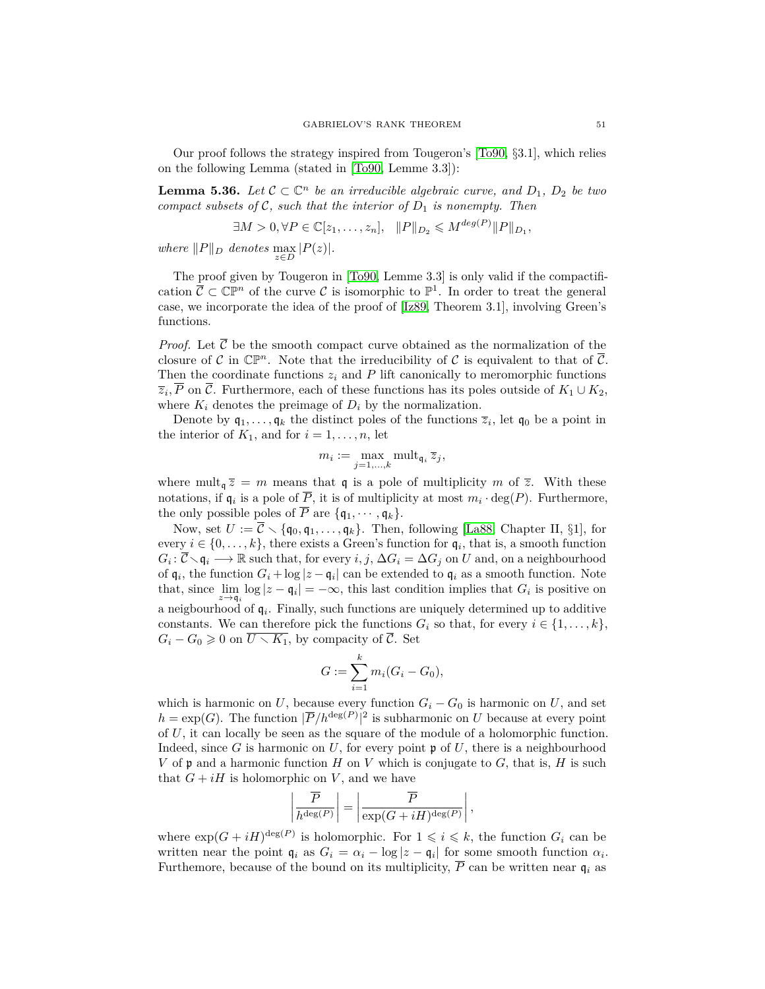Our proof follows the strategy inspired from Tougeron's  $[T<sub>0</sub>90, §3.1]$ , which relies on the following Lemma (stated in [\[To90,](#page-61-7) Lemme 3.3]):

<span id="page-50-0"></span>**Lemma 5.36.** Let  $C \subset \mathbb{C}^n$  be an irreducible algebraic curve, and  $D_1$ ,  $D_2$  be two *compact subsets of* C*, such that the interior of D*<sup>1</sup> *is nonempty. Then*

$$
\exists M > 0, \forall P \in \mathbb{C}[z_1, \dots, z_n], \quad ||P||_{D_2} \leqslant M^{\deg(P)} ||P||_{D_1},
$$
  
where  $||P||_D$  denotes  $\max_{z \in D} |P(z)|$ .

The proof given by Tougeron in [\[To90,](#page-61-7) Lemme 3.3] is only valid if the compactification  $\overline{C} \subset \mathbb{CP}^n$  of the curve C is isomorphic to  $\mathbb{P}^1$ . In order to treat the general case, we incorporate the idea of the proof of [\[Iz89,](#page-60-4) Theorem 3.1], involving Green's functions.

*Proof.* Let  $\overline{\mathcal{C}}$  be the smooth compact curve obtained as the normalization of the closure of C in  $\mathbb{CP}^n$ . Note that the irreducibility of C is equivalent to that of  $\overline{\mathcal{C}}$ . Then the coordinate functions  $z_i$  and  $P$  lift canonically to meromorphic functions  $\overline{z}_i$ , *P* on C. Furthermore, each of these functions has its poles outside of  $K_1 \cup K_2$ , where  $K_i$  denotes the preimage of  $D_i$  by the normalization.

Denote by  $\mathfrak{q}_1, \ldots, \mathfrak{q}_k$  the distinct poles of the functions  $\overline{z}_i$ , let  $\mathfrak{q}_0$  be a point in the interior of  $K_1$ , and for  $i = 1, \ldots, n$ , let

$$
m_i := \max_{j=1,\ldots,k} \mathrm{mult}_{\mathfrak{q}_i} \, \overline{z}_j,
$$

where mult<sub>q</sub>  $\overline{z} = m$  means that q is a pole of multiplicity *m* of  $\overline{z}$ . With these notations, if  $\mathfrak{q}_i$  is a pole of *P*, it is of multiplicity at most  $m_i \cdot \deg(P)$ . Furthermore, the only possible poles of  $\overline{P}$  are  $\{q_1, \dots, q_k\}$ .

Now, set  $U := \overline{C} \setminus \{\mathfrak{q}_0, \mathfrak{q}_1, \ldots, \mathfrak{q}_k\}.$  Then, following [\[La88,](#page-60-25) Chapter II, §1], for every  $i \in \{0, \ldots, k\}$ , there exists a Green's function for  $\mathfrak{q}_i$ , that is, a smooth function  $G_i: \overline{C} \setminus \mathfrak{q}_i \longrightarrow \mathbb{R}$  such that, for every  $i, j, \Delta G_i = \Delta G_j$  on *U* and, on a neighbourhood of  $\mathfrak{q}_i$ , the function  $G_i + \log |z - \mathfrak{q}_i|$  can be extended to  $\mathfrak{q}_i$  as a smooth function. Note that, since  $\lim_{z \to q_i} \log |z - q_i| = -\infty$ , this last condition implies that  $G_i$  is positive on a neigbourhood of q*<sup>i</sup>* . Finally, such functions are uniquely determined up to additive constants. We can therefore pick the functions  $G_i$  so that, for every  $i \in \{1, \ldots, k\}$ ,  $G_i - G_0 \geq 0$  on  $\overline{U \setminus K_1}$ , by compacity of  $\overline{\mathcal{C}}$ . Set

$$
G := \sum_{i=1}^{k} m_i (G_i - G_0),
$$

which is harmonic on *U*, because every function  $G_i - G_0$  is harmonic on *U*, and set  $h = \exp(G)$ . The function  $|\overline{P}/h^{\deg(P)}|^2$  is subharmonic on *U* because at every point of *U*, it can locally be seen as the square of the module of a holomorphic function. Indeed, since  $G$  is harmonic on  $U$ , for every point  $\mathfrak p$  of  $U$ , there is a neighbourhood *V* of p and a harmonic function *H* on *V* which is conjugate to *G*, that is, *H* is such that  $G + iH$  is holomorphic on *V*, and we have

$$
\left| \frac{\overline{P}}{h^{\deg(P)}} \right| = \left| \frac{\overline{P}}{\exp(G + iH)^{\deg(P)}} \right|,
$$

where  $\exp(G + iH)^{\deg(P)}$  is holomorphic. For  $1 \leq i \leq k$ , the function  $G_i$  can be written near the point  $\mathfrak{q}_i$  as  $G_i = \alpha_i - \log|z - \mathfrak{q}_i|$  for some smooth function  $\alpha_i$ . Furthemore, because of the bound on its multiplicity,  $\overline{P}$  can be written near  $\mathfrak{q}_i$  as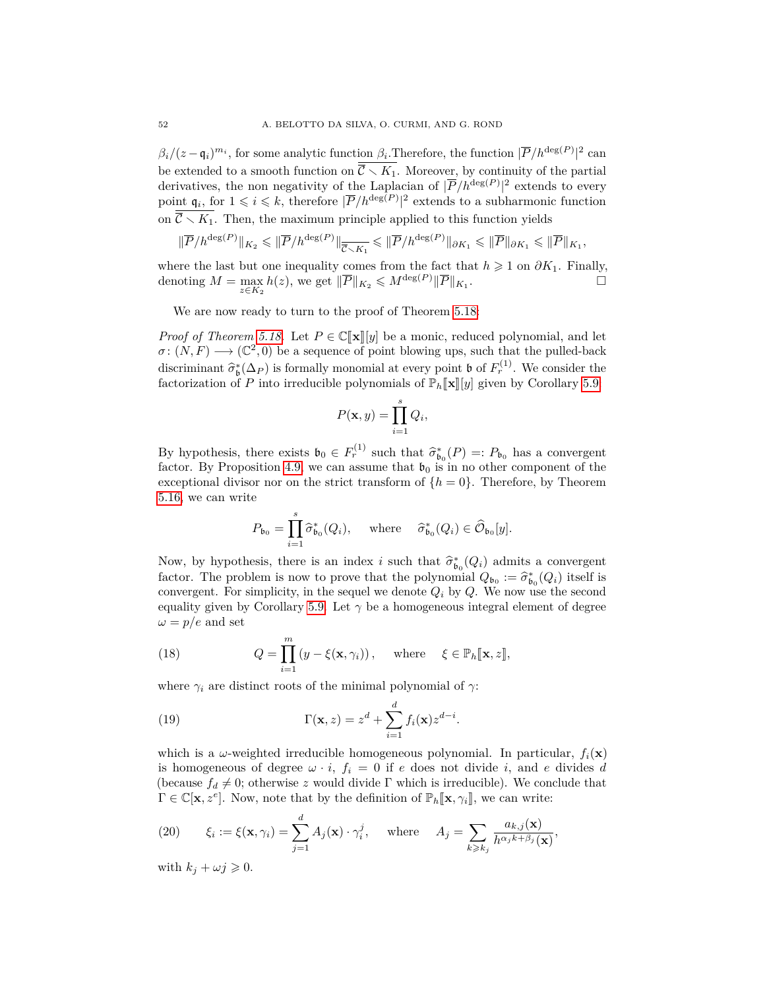$\beta_i/(z-\mathfrak{q}_i)^{m_i}$ , for some analytic function  $\beta_i$ . Therefore, the function  $|\overline{P}/h^{\deg(P)}|^2$  can be extended to a smooth function on  $\overline{C} \setminus K_1$ . Moreover, by continuity of the partial derivatives, the non negativity of the Laplacian of  $|\overline{P}/h^{\deg(P)}|^2$  extends to every point  $\mathfrak{q}_i$ , for  $1 \leq i \leq k$ , therefore  $|\overline{P}/h^{\deg(P)}|^2$  extends to a subharmonic function on  $\overline{\mathcal{C}} \setminus K_1$ . Then, the maximum principle applied to this function yields

$$
\|\overline{P}/h^{\deg(P)}\|_{K_2}\leqslant \|\overline{P}/h^{\deg(P)}\|_{\overline{\overline{\mathcal{C}}\smallsetminus K_1}}\leqslant \|\overline{P}/h^{\deg(P)}\|_{\partial K_1}\leqslant \|\overline{P}\|_{\partial K_1}\leqslant \|\overline{P}\|_{K_1},
$$

where the last but one inequality comes from the fact that  $h \geq 1$  on  $\partial K_1$ . Finally, denoting  $M = \max_{z \in K_2} h(z)$ , we get  $\|\overline{P}\|_{K_2} \leqslant M^{\deg(P)} \|\overline{P}\|_{K_1}$ . — Первый процесс в поставительность в собстании в собстании в собстании в собстании в собстании в собстании <br>В собстании в собстании в собстании в собстании в собстании в собстании в собстании в собстании в собстании в

We are now ready to turn to the proof of Theorem [5.18:](#page-35-0)

*Proof of Theorem [5.18.](#page-35-0)* Let  $P \in \mathbb{C}[\![\mathbf{x}]\!] [y]$  be a monic, reduced polynomial, and let  $\sigma: (N, F) \longrightarrow (\mathbb{C}^2, 0)$  be a sequence of point blowing ups, such that the pulled-back discriminant  $\hat{\sigma}_{\mathfrak{b}}^*(\Delta_P)$  is formally monomial at every point **b** of  $F_r^{(1)}$ . We consider the factorization of *P* into irroducible polynomials of **P**. **For lead** given by Corollary 5.0. factorization of *P* into irreducible polynomials of  $\mathbb{P}_h[\![\mathbf{x}]\!][y]$  given by Corollary [5.9:](#page-32-2)

$$
P(\mathbf{x}, y) = \prod_{i=1}^{s} Q_i,
$$

By hypothesis, there exists  $\mathfrak{b}_0 \in F_r^{(1)}$  such that  $\widehat{\sigma}_{\mathfrak{b}_0}^*(P) =: P_{\mathfrak{b}_0}$  has a convergent factor. By Proposition 4.9, we can assume that  $\mathfrak{b}_0$  is in no other component of the factor. By Proposition [4.9,](#page-24-2) we can assume that  $\mathfrak{b}_0$  is in no other component of the exceptional divisor nor on the strict transform of  $\{h = 0\}$ . Therefore, by Theorem [5.16,](#page-34-0) we can write

$$
P_{\mathfrak{b}_0} = \prod_{i=1}^s \widehat{\sigma}_{\mathfrak{b}_0}^*(Q_i), \quad \text{where} \quad \widehat{\sigma}_{\mathfrak{b}_0}^*(Q_i) \in \widehat{\mathcal{O}}_{\mathfrak{b}_0}[y].
$$

Now, by hypothesis, there is an index *i* such that  $\hat{\sigma}_{b_0}^*(Q_i)$  admits a convergent feator. The problem is now to prove that the polynomial  $Q_i \mapsto \hat{\sigma}_i^*(Q_i)$  itself is factor. The problem is now to prove that the polynomial  $Q_{b_0} := \hat{\sigma}_{b_0}^*(Q_i)$  itself is<br>convergent. For simplicity, in the secuel we denote  $Q_{b_0}$  We now use the second convergent. For simplicity, in the sequel we denote  $Q_i$  by  $Q$ . We now use the second equality given by Corollary [5.9.](#page-32-2) Let  $\gamma$  be a homogeneous integral element of degree  $\omega = p/e$  and set

<span id="page-51-0"></span>(18) 
$$
Q = \prod_{i=1}^{m} (y - \xi(\mathbf{x}, \gamma_i)), \text{ where } \xi \in \mathbb{P}_h[\mathbf{x}, z],
$$

where  $\gamma_i$  are distinct roots of the minimal polynomial of  $\gamma$ :

<span id="page-51-1"></span>(19) 
$$
\Gamma(\mathbf{x}, z) = z^d + \sum_{i=1}^d f_i(\mathbf{x}) z^{d-i}.
$$

which is a  $\omega$ -weighted irreducible homogeneous polynomial. In particular,  $f_i(\mathbf{x})$ is homogeneous of degree  $\omega \cdot i$ ,  $f_i = 0$  if *e* does not divide *i*, and *e* divides *d* (because  $f_d \neq 0$ ; otherwise *z* would divide Γ which is irreducible). We conclude that  $\Gamma \in \mathbb{C}[\mathbf{x}, z^e]$ . Now, note that by the definition of  $\mathbb{P}_h[\mathbf{x}, \gamma_i]$ , we can write:

<span id="page-51-2"></span>(20) 
$$
\xi_i := \xi(\mathbf{x}, \gamma_i) = \sum_{j=1}^d A_j(\mathbf{x}) \cdot \gamma_i^j, \quad \text{where} \quad A_j = \sum_{k \geqslant k_j} \frac{a_{k,j}(\mathbf{x})}{h^{\alpha_j k + \beta_j}(\mathbf{x})},
$$

with  $k_j + \omega j \geqslant 0$ .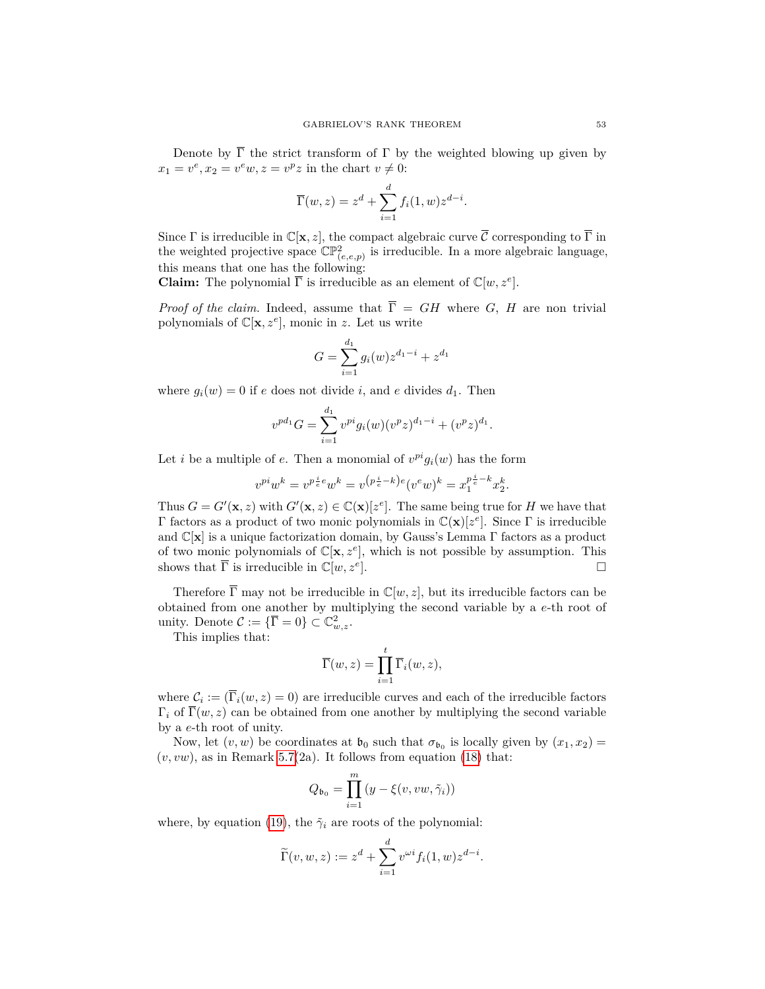Denote by  $\overline{\Gamma}$  the strict transform of  $\Gamma$  by the weighted blowing up given by  $x_1 = v^e, x_2 = v^e w, z = v^p z$  in the chart  $v \neq 0$ :

$$
\overline{\Gamma}(w, z) = z^d + \sum_{i=1}^d f_i(1, w) z^{d-i}.
$$

Since  $\Gamma$  is irreducible in  $\mathbb{C}[\mathbf{x}, z]$ , the compact algebraic curve  $\overline{\mathcal{C}}$  corresponding to  $\overline{\Gamma}$  in the weighted projective space  $\mathbb{CP}^2_{(e,e,p)}$  is irreducible. In a more algebraic language, this means that one has the following:

**Claim:** The polynomial  $\overline{\Gamma}$  is irreducible as an element of  $\mathbb{C}[w, z^e]$ .

*Proof of the claim.* Indeed, assume that  $\overline{\Gamma} = GH$  where *G*, *H* are non trivial polynomials of  $\mathbb{C}[\mathbf{x}, z^e]$ , monic in *z*. Let us write

$$
G = \sum_{i=1}^{d_1} g_i(w) z^{d_1 - i} + z^{d_1}
$$

where  $g_i(w) = 0$  if *e* does not divide *i*, and *e* divides  $d_1$ . Then

$$
v^{pd_1}G = \sum_{i=1}^{d_1} v^{pi} g_i(w) (v^p z)^{d_1-i} + (v^p z)^{d_1}.
$$

Let *i* be a multiple of *e*. Then a monomial of  $v^{pi} g_i(w)$  has the form

$$
v^{pi}w^{k} = v^{p \cdot \frac{i}{e}}w^{k} = v^{(p \cdot \frac{i}{e} - k)e}(v^{e}w)^{k} = x_{1}^{p \cdot \frac{i}{e} - k}x_{2}^{k}.
$$

Thus  $G = G'(\mathbf{x}, z)$  with  $G'(\mathbf{x}, z) \in \mathbb{C}(\mathbf{x})[z^e]$ . The same being true for *H* we have that Γ factors as a product of two monic polynomials in C(**x**)[*z e* ]. Since Γ is irreducible and  $\mathbb{C}[\mathbf{x}]$  is a unique factorization domain, by Gauss's Lemma  $\Gamma$  factors as a product of two monic polynomials of  $\mathbb{C}[\mathbf{x}, z^e]$ , which is not possible by assumption. This shows that  $\overline{\Gamma}$  is irreducible in  $\mathbb{C}[w, z^e]$ . ].

Therefore  $\overline{\Gamma}$  may not be irreducible in  $\mathbb{C}[w,z]$ , but its irreducible factors can be obtained from one another by multiplying the second variable by a *e*-th root of unity. Denote  $\mathcal{C} := {\{\overline{\Gamma} = 0\}} \subset \mathbb{C}^2_{w,z}$ .

This implies that:

$$
\overline{\Gamma}(w, z) = \prod_{i=1}^{t} \overline{\Gamma}_{i}(w, z),
$$

where  $\mathcal{C}_i := (\overline{\Gamma}_i(w, z) = 0)$  are irreducible curves and each of the irreducible factors  $\Gamma_i$  of  $\overline{\Gamma}(w, z)$  can be obtained from one another by multiplying the second variable by a *e*-th root of unity.

Now, let  $(v, w)$  be coordinates at  $\mathfrak{b}_0$  such that  $\sigma_{\mathfrak{b}_0}$  is locally given by  $(x_1, x_2) =$  $(v, vw)$ , as in Remark [5.7\(](#page-31-1)2a). It follows from equation [\(18\)](#page-51-0) that:

$$
Q_{\mathfrak{b}_0} = \prod_{i=1}^m (y - \xi(v, vw, \tilde{\gamma}_i))
$$

where, by equation [\(19\)](#page-51-1), the  $\tilde{\gamma}_i$  are roots of the polynomial:

$$
\widetilde{\Gamma}(v,w,z) := z^d + \sum_{i=1}^d v^{\omega i} f_i(1,w) z^{d-i}.
$$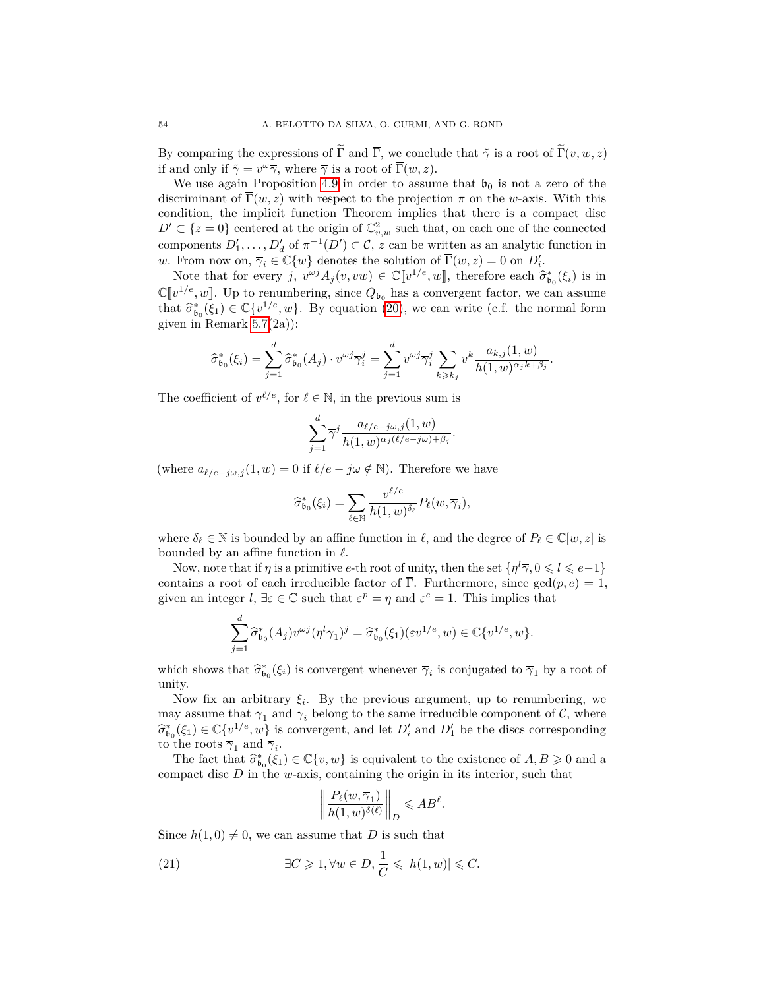By comparing the expressions of  $\tilde{\Gamma}$  and  $\overline{\Gamma}$ , we conclude that  $\tilde{\gamma}$  is a root of  $\tilde{\Gamma}(v, w, z)$ if and only if  $\tilde{\gamma} = v^{\omega} \overline{\gamma}$ , where  $\overline{\gamma}$  is a root of  $\overline{\Gamma}(w, z)$ .

We use again Proposition [4.9](#page-24-2) in order to assume that  $\mathfrak{b}_0$  is not a zero of the discriminant of  $\overline{\Gamma}(w, z)$  with respect to the projection  $\pi$  on the *w*-axis. With this condition, the implicit function Theorem implies that there is a compact disc  $D' \subset \{z=0\}$  centered at the origin of  $\mathbb{C}_{v,w}^2$  such that, on each one of the connected components  $D'_1, \ldots, D'_d$  of  $\pi^{-1}(D') \subset \mathcal{C}$ , *z* can be written as an analytic function in *w*. From now on,  $\overline{\gamma}_i \in \mathbb{C}\{w\}$  denotes the solution of  $\overline{\Gamma}(w, z) = 0$  on  $D'_i$ .

Note that for every *j*,  $v^{wj}A_j(v, vw) \in \mathbb{C}[[v^{1/e}, w]]$ , therefore each  $\hat{\sigma}_{\mathfrak{b}_0}^*(\xi_i)$  is in  $\mathbb{C}[v^{1/e}, w]$ . Up to renumbering, since  $Q_{b_0}$  has a convergent factor, we can assume<br>that  $\hat{\epsilon}^*$  (c)  $\in \mathbb{C}[v^{1/e}, w]$ . By equation (20) we say write (e.f. the narmal form that  $\hat{\sigma}_{b_0}^*(\xi_1) \in \mathbb{C}\{v^{1/e}, w\}$ . By equation [\(20\)](#page-51-2), we can write (c.f. the normal form given in Begaust 5.7(20)). given in Remark  $5.7(2a)$ :

$$
\widehat{\sigma}_{\mathfrak{b}_0}^*(\xi_i) = \sum_{j=1}^d \widehat{\sigma}_{\mathfrak{b}_0}^*(A_j) \cdot v^{\omega j} \overline{\gamma}_i^j = \sum_{j=1}^d v^{\omega j} \overline{\gamma}_i^j \sum_{k \geqslant k_j} v^k \frac{a_{k,j}(1,w)}{h(1,w)^{\alpha_j k + \beta_j}}.
$$

The coefficient of  $v^{\ell/e}$ , for  $\ell \in \mathbb{N}$ , in the previous sum is

$$
\sum_{j=1}^d \overline{\gamma}^j \frac{a_{\ell/e-j\omega,j}(1,w)}{h(1,w)^{\alpha_j(\ell/e-j\omega)+\beta_j}}.
$$

(where  $a_{\ell/e-j\omega,j}(1, w) = 0$  if  $\ell/e - j\omega \notin \mathbb{N}$ ). Therefore we have

$$
\widehat{\sigma}_{\mathfrak{b}_0}^*(\xi_i) = \sum_{\ell \in \mathbb{N}} \frac{v^{\ell/e}}{h(1, w)^{\delta_{\ell}}} P_{\ell}(w, \overline{\gamma}_i),
$$

where  $\delta_\ell \in \mathbb{N}$  is bounded by an affine function in  $\ell$ , and the degree of  $P_\ell \in \mathbb{C}[w, z]$  is bounded by an affine function in  $\ell$ .

Now, note that if  $\eta$  is a primitive *e*-th root of unity, then the set  $\{\eta^l\overline{\gamma}, 0 \leq l \leq e-1\}$ contains a root of each irreducible factor of  $\overline{\Gamma}$ . Furthermore, since  $gcd(p, e) = 1$ , given an integer  $l, \exists \varepsilon \in \mathbb{C}$  such that  $\varepsilon^p = \eta$  and  $\varepsilon^e = 1$ . This implies that

$$
\sum_{j=1}^d \hat{\sigma}_{\mathfrak{b}_0}^*(A_j) v^{\omega j} (\eta^l \overline{\gamma}_1)^j = \hat{\sigma}_{\mathfrak{b}_0}^*(\xi_1) (\varepsilon v^{1/e}, w) \in \mathbb{C} \{v^{1/e}, w\}.
$$

which shows that  $\hat{\sigma}_{\mathfrak{b}_0}^*(\xi_i)$  is convergent whenever  $\overline{\gamma}_i$  is conjugated to  $\overline{\gamma}_1$  by a root of unity.

Now fix an arbitrary  $\xi_i$ . By the previous argument, up to renumbering, we may assume that  $\overline{\gamma}_1$  and  $\overline{\gamma}_i$  belong to the same irreducible component of C, where  $\widehat{\sigma}_{b_0}^*(\xi_1) \in \mathbb{C}\{v^{1/e}, w\}$  is convergent, and let  $D'_i$  and  $D'_1$  be the discs corresponding to the roots  $\overline{z}_i$  and  $\overline{z}_i$ to the roots  $\overline{\gamma}_1$  and  $\overline{\gamma}_i$ .

The fact that  $\hat{\sigma}_{b_0}^*(\xi_1) \in \mathbb{C}\{v, w\}$  is equivalent to the existence of  $A, B \geq 0$  and a monet disc *D* in the *w* syis, containing the evising in its interior, such that compact disc *D* in the *w*-axis, containing the origin in its interior, such that

<span id="page-53-0"></span>
$$
\left\| \frac{P_{\ell}(w, \overline{\gamma}_1)}{h(1, w)^{\delta(\ell)}} \right\|_{D} \leqslant A B^{\ell}.
$$

Since  $h(1,0) \neq 0$ , we can assume that *D* is such that

(21) 
$$
\exists C \geqslant 1, \forall w \in D, \frac{1}{C} \leqslant |h(1, w)| \leqslant C.
$$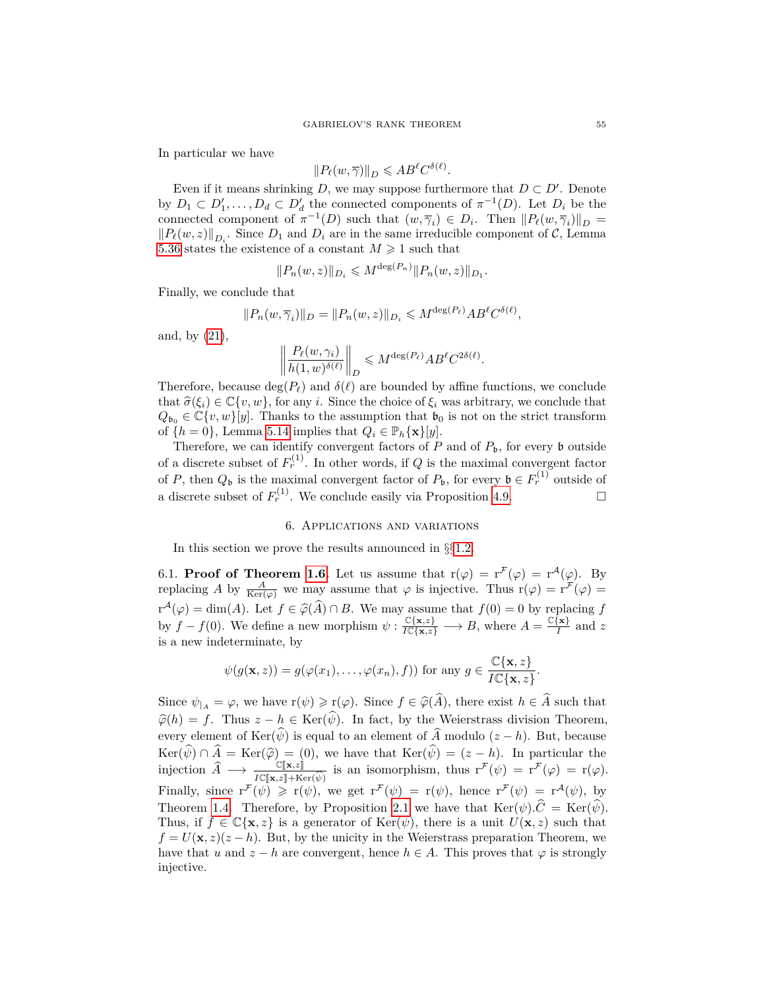In particular we have

$$
||P_{\ell}(w,\overline{\gamma})||_{D} \leqslant AB^{\ell}C^{\delta(\ell)}.
$$

Even if it means shrinking *D*, we may suppose furthermore that  $D \subset D'$ . Denote by  $D_1 \subset D'_1, \ldots, D_d \subset D'_d$  the connected components of  $\pi^{-1}(D)$ . Let  $D_i$  be the connected component of  $\pi^{-1}(D)$  such that  $(w, \overline{\gamma}_i) \in D_i$ . Then  $||P_{\ell}(w, \overline{\gamma}_i)||_D$  =  $||P_{\ell}(w, z)||_{D_i}$ . Since  $D_1$  and  $D_i$  are in the same irreducible component of  $\mathcal{C}$ , Lemma [5.36](#page-50-0) states the existence of a constant  $M \geq 1$  such that

$$
||P_n(w, z)||_{D_i} \leqslant M^{\deg(P_n)} ||P_n(w, z)||_{D_1}.
$$

Finally, we conclude that

$$
||P_n(w, \overline{\gamma}_i)||_D = ||P_n(w, z)||_{D_i} \leqslant M^{\deg(P_\ell)} AB^{\ell} C^{\delta(\ell)},
$$

and, by [\(21\)](#page-53-0),

$$
\left\| \frac{P_{\ell}(w,\gamma_i)}{h(1,w)^{\delta(\ell)}} \right\|_{D} \leqslant M^{\deg(P_{\ell})} AB^{\ell} C^{2\delta(\ell)}.
$$

Therefore, because  $deg(P_\ell)$  and  $\delta(\ell)$  are bounded by affine functions, we conclude that  $\hat{\sigma}(\xi_i) \in \mathbb{C}\{v, w\}$ , for any *i*. Since the choice of  $\xi_i$  was arbitrary, we conclude that  $Q_{\mathfrak{b}_0} \in \mathbb{C}\{v,w\}[y]$ . Thanks to the assumption that  $\mathfrak{b}_0$  is not on the strict transform of  $\{h = 0\}$ , Lemma [5.14](#page-33-2) implies that  $Q_i \in \mathbb{P}_h\{\mathbf{x}\}[y]$ .

Therefore, we can identify convergent factors of  $P$  and of  $P_{\mathfrak{b}}$ , for every  $\mathfrak b$  outside of a discrete subset of  $F_r^{(1)}$ . In other words, if  $Q$  is the maximal convergent factor of *P*, then  $Q_{\mathfrak{b}}$  is the maximal convergent factor of  $P_{\mathfrak{b}}$ , for every  $\mathfrak{b} \in F_r^{(1)}$  outside of a discrete subset of  $F_r^{(1)}$ . We conclude easily via Proposition [4.9.](#page-24-2)

## 6. Applications and variations

In this section we prove the results announced in §§[1.2.](#page-4-1)

<span id="page-54-0"></span>6.1. **Proof of Theorem [1.6.](#page-4-0)** Let us assume that  $r(\varphi) = r^{\mathcal{F}}(\varphi) = r^{\mathcal{A}}(\varphi)$ . By replacing *A* by  $\frac{A}{\text{Ker}(\varphi)}$  we may assume that  $\varphi$  is injective. Thus  $r(\varphi) = r^{\mathcal{F}}(\varphi) =$  $r^{\mathcal{A}}(\varphi) = \dim(A)$ . Let  $f \in \widehat{\varphi}(A) \cap B$ . We may assume that  $f(0) = 0$  by replacing  $f$ by  $f - f(0)$ . We define a new morphism  $\psi : \frac{\mathbb{C}\{\mathbf{x},z\}}{I\mathbb{C}\{\mathbf{x},z\}} \longrightarrow B$ , where  $A = \frac{\mathbb{C}\{\mathbf{x}\}}{I}$  $\frac{d}{I}$  and *z* is a new indeterminate, by

$$
\psi(g(\mathbf{x}, z)) = g(\varphi(x_1), \dots, \varphi(x_n), f)) \text{ for any } g \in \frac{\mathbb{C}\{\mathbf{x}, z\}}{I\mathbb{C}\{\mathbf{x}, z\}}
$$

*.*

Since  $\psi_{|A} = \varphi$ , we have  $r(\psi) \geq r(\varphi)$ . Since  $f \in \widehat{\varphi}(\widehat{A})$ , there exist  $h \in \widehat{A}$  such that  $\widehat{\varphi}(h) = f$ . Thus  $z - h \in \text{Ker}(\widehat{\psi})$ . In fact, by the Weierstrass division Theorem, every element of Ker $(\widehat{\psi})$  is equal to an element of  $\widehat{A}$  modulo ( $z - h$ ). But, because  $Ker(\psi) \cap A = Ker(\widehat{\varphi}) = (0)$ , we have that  $Ker(\psi) = (z - h)$ . In particular the injection  $\widehat{A} \longrightarrow \frac{\mathbb{C}[\mathbf{x}, z] \cdot \mathbb{C}[\mathbf{x}, z]}{I\mathbb{C}[\mathbf{x}, z] + \text{Ker}(\widehat{\psi})}$  is an isomorphism, thus  $\mathbf{r}^{\mathcal{F}}(\psi) = \mathbf{r}^{\mathcal{F}}(\varphi) = \mathbf{r}(\varphi)$ .<br>Finally since  $\mathbf{r}^{\mathcal{F}}(\psi) \geq \mathbf{r}(\psi)$  we get  $\mathbf{r}^{\mathcal{F}}(\psi$ Finally, since  $r^{\mathcal{F}}(\psi) \geq r(\psi)$ , we get  $r^{\mathcal{F}}(\psi) = r(\psi)$ , hence  $r^{\mathcal{F}}(\psi) = r^{\mathcal{A}}(\psi)$ , by Theorem [1.4.](#page-3-1) Therefore, by Proposition [2.1](#page-10-2) we have that  $\text{Ker}(\psi) \cdot \hat{C} = \text{Ker}(\psi)$ . Thus, if  $f \in \mathbb{C}\{\mathbf{x}, z\}$  is a generator of  $\text{Ker}(\psi)$ , there is a unit  $U(\mathbf{x}, z)$  such that  $f = U(\mathbf{x}, z)(z - h)$ . But, by the unicity in the Weierstrass preparation Theorem, we have that *u* and  $z - h$  are convergent, hence  $h \in A$ . This proves that  $\varphi$  is strongly injective.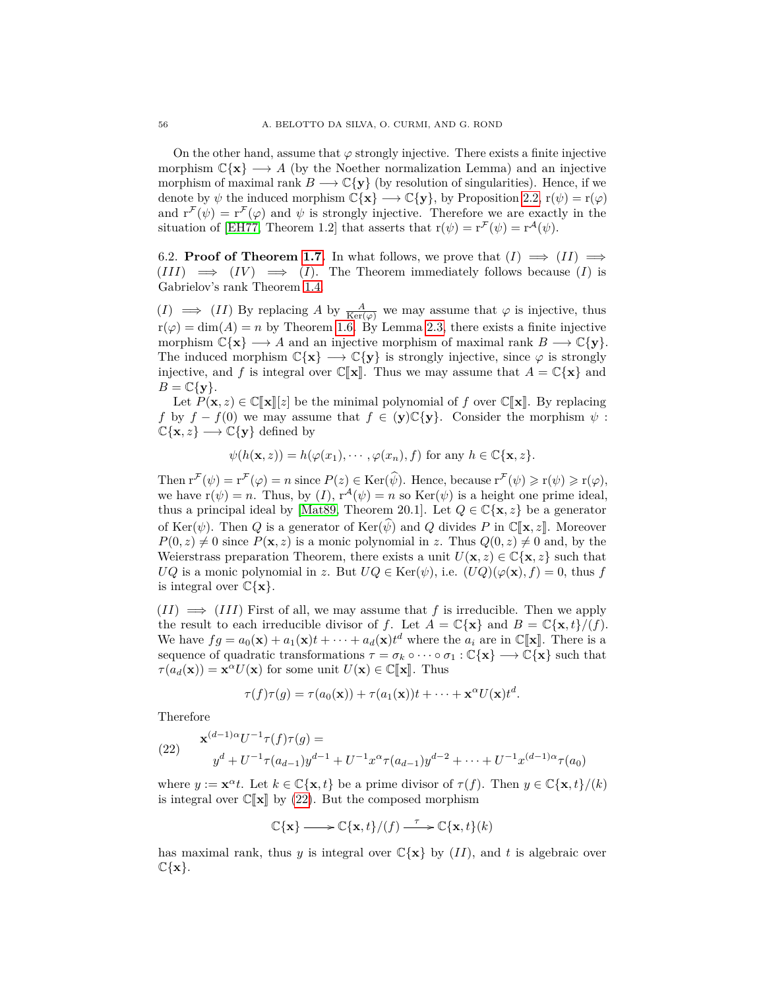On the other hand, assume that  $\varphi$  strongly injective. There exists a finite injective morphism  $\mathbb{C}\{\mathbf{x}\} \longrightarrow A$  (by the Noether normalization Lemma) and an injective morphism of maximal rank  $B \longrightarrow \mathbb{C}\{\mathbf{y}\}\)$  (by resolution of singularities). Hence, if we denote by  $\psi$  the induced morphism  $\mathbb{C}\{\mathbf{x}\} \longrightarrow \mathbb{C}\{\mathbf{y}\}$ , by Proposition [2.2,](#page-11-1)  $\mathbf{r}(\psi) = \mathbf{r}(\varphi)$ and  $r^{\mathcal{F}}(\psi) = r^{\mathcal{F}}(\varphi)$  and  $\psi$  is strongly injective. Therefore we are exactly in the situation of [\[EH77,](#page-60-6) Theorem 1.2] that asserts that  $r(\psi) = r^{\mathcal{F}}(\psi) = r^{\mathcal{A}}(\psi)$ .

<span id="page-55-0"></span>6.2. **Proof of Theorem [1.7.](#page-5-0)** In what follows, we prove that  $(I) \implies (II) \implies$  $(III) \implies (IV) \implies (I)$ . The Theorem immediately follows because  $(I)$  is Gabrielov's rank Theorem [1.4.](#page-3-1)

 $(I) \implies (II)$  By replacing A by  $\frac{A}{\text{Ker}(\varphi)}$  we may assume that  $\varphi$  is injective, thus  $r(\varphi) = \dim(A) = n$  by Theorem [1.6.](#page-4-0) By Lemma [2.3,](#page-11-0) there exists a finite injective morphism  $\mathbb{C}\{\mathbf{x}\} \longrightarrow A$  and an injective morphism of maximal rank  $B \longrightarrow \mathbb{C}\{\mathbf{y}\}.$ The induced morphism  $\mathbb{C}\{\mathbf{x}\} \longrightarrow \mathbb{C}\{\mathbf{y}\}\$ is strongly injective, since  $\varphi$  is strongly injective, and f is integral over  $\mathbb{C}[\mathbf{x}]$ . Thus we may assume that  $A = \mathbb{C}\{\mathbf{x}\}\$  and  $B = \mathbb{C}\{\mathbf{y}\}.$ 

Let  $P(\mathbf{x}, z) \in \mathbb{C}[\![\mathbf{x}]\!][z]$  be the minimal polynomial of f over  $\mathbb{C}[\![\mathbf{x}]\!]$ . By replacing *f* by  $f - f(0)$  we may assume that  $f \in (\mathbf{y}) \mathbb{C} \{ \mathbf{y} \}$ . Consider the morphism  $\psi$ :  $\mathbb{C}\{\mathbf{x},z\} \longrightarrow \mathbb{C}\{\mathbf{y}\}\$  defined by

 $\psi(h(\mathbf{x}, z)) = h(\varphi(x_1), \dots, \varphi(x_n), f)$  for any  $h \in \mathbb{C}\{\mathbf{x}, z\}$ .

Then  $\mathbf{r}^{\mathcal{F}}(\psi) = \mathbf{r}^{\mathcal{F}}(\varphi) = n$  since  $P(z) \in \text{Ker}(\widehat{\psi})$ . Hence, because  $\mathbf{r}^{\mathcal{F}}(\psi) \geqslant \mathbf{r}(\psi) \geqslant \mathbf{r}(\varphi)$ , we have  $r(\psi) = n$ . Thus, by  $(I)$ ,  $r^{\mathcal{A}}(\psi) = n$  so  $Ker(\psi)$  is a height one prime ideal, thus a principal ideal by [\[Mat89,](#page-60-11) Theorem 20.1]. Let  $Q \in \mathbb{C}\{\mathbf{x}, z\}$  be a generator of Ker( $\psi$ ). Then *Q* is a generator of Ker( $\hat{\psi}$ ) and *Q* divides *P* in  $\mathbb{C}[\mathbf{x}, z]$ . Moreover  $P(0, z) \neq 0$  since  $P(\mathbf{x}, z)$  is a monic polynomial in *z*. Thus  $Q(0, z) \neq 0$  and, by the Weierstrass preparation Theorem, there exists a unit  $U(\mathbf{x}, z) \in \mathbb{C}\{\mathbf{x}, z\}$  such that *UQ* is a monic polynomial in *z*. But  $UQ \in \text{Ker}(\psi)$ , i.e.  $(UQ)(\varphi(\mathbf{x}), f) = 0$ , thus *f* is integral over  $\mathbb{C}\{\mathbf{x}\}.$ 

 $(II) \implies (III)$  First of all, we may assume that f is irreducible. Then we apply the result to each irreducible divisor of *f*. Let  $A = \mathbb{C}\{\mathbf{x}\}\$  and  $B = \mathbb{C}\{\mathbf{x},t\}/(f)$ . We have  $fg = a_0(\mathbf{x}) + a_1(\mathbf{x})t + \cdots + a_d(\mathbf{x})t^d$  where the  $a_i$  are in  $\mathbb{C}[\mathbf{x}]$ . There is a sequence of quadratic transformations  $\tau = \tau$ , a contract  $\mathbb{C}[\mathbf{x}]$  with such that sequence of quadratic transformations  $\tau = \sigma_k \circ \cdots \circ \sigma_1 : \mathbb{C}\{\mathbf{x}\} \longrightarrow \mathbb{C}\{\mathbf{x}\}\$  such that  $\tau(a_d(\mathbf{x})) = \mathbf{x}^\alpha U(\mathbf{x})$  for some unit  $U(\mathbf{x}) \in \mathbb{C}[\![\mathbf{x}]\!]$ . Thus

$$
\tau(f)\tau(g) = \tau(a_0(\mathbf{x})) + \tau(a_1(\mathbf{x}))t + \cdots + \mathbf{x}^{\alpha}U(\mathbf{x})t^d.
$$

Therefore

<span id="page-55-1"></span>(22) 
$$
\mathbf{x}^{(d-1)\alpha}U^{-1}\tau(f)\tau(g) =
$$

$$
y^d + U^{-1}\tau(a_{d-1})y^{d-1} + U^{-1}x^{\alpha}\tau(a_{d-1})y^{d-2} + \dots + U^{-1}x^{(d-1)\alpha}\tau(a_0)
$$

where  $y := \mathbf{x}^{\alpha}t$ . Let  $k \in \mathbb{C}\{\mathbf{x},t\}$  be a prime divisor of  $\tau(f)$ . Then  $y \in \mathbb{C}\{\mathbf{x},t\}/(k)$ is integral over  $\mathbb{C}[\![\mathbf{x}]\!]$  by [\(22\)](#page-55-1). But the composed morphism

$$
\mathbb{C}\{\mathbf{x}\} \longrightarrow \mathbb{C}\{\mathbf{x},t\}/(f) \xrightarrow{\tau} \mathbb{C}\{\mathbf{x},t\}(k)
$$

has maximal rank, thus *y* is integral over  $\mathbb{C}\{\mathbf{x}\}\$  by  $(II)$ , and *t* is algebraic over  $\mathbb{C}\{\mathbf{x}\}.$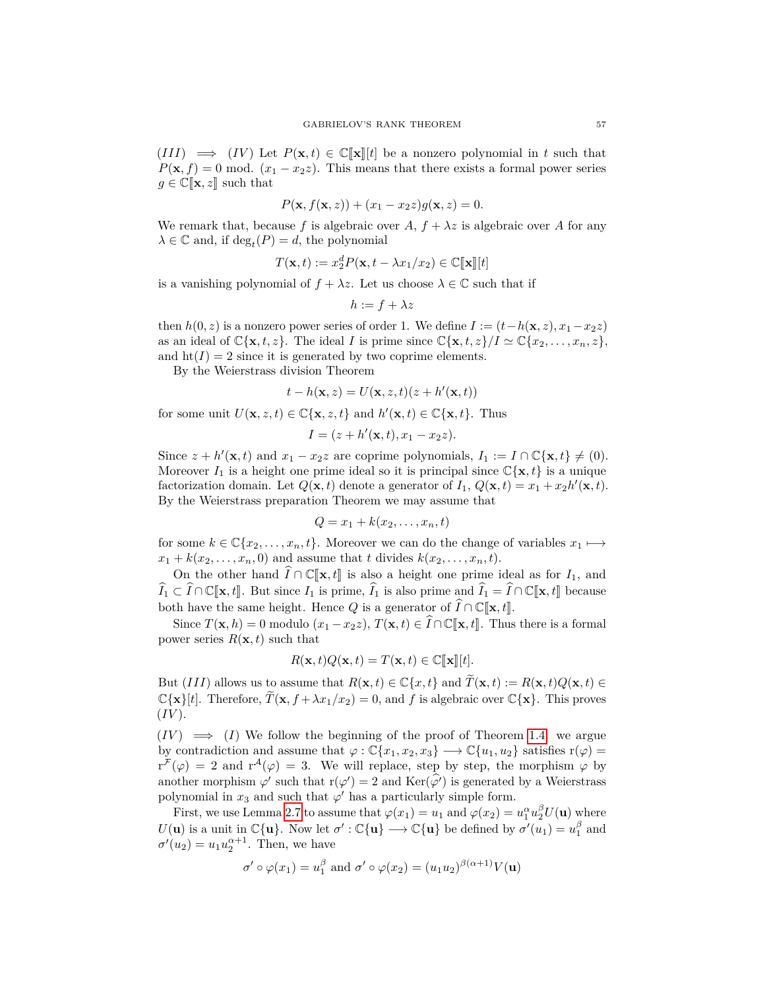$(III) \implies (IV)$  Let  $P(\mathbf{x}, t) \in \mathbb{C}[\mathbf{x}][t]$  be a nonzero polynomial in t such that  $P(\mathbf{x}, f) = 0$  mod.  $(x_1 - x_2z)$ . This means that there exists a formal power series  $g \in \mathbb{C}[\![\mathbf{x}, z]\!]$  such that

$$
P(\mathbf{x}, f(\mathbf{x}, z)) + (x_1 - x_2 z)g(\mathbf{x}, z) = 0.
$$

We remark that, because f is algebraic over  $A, f + \lambda z$  is algebraic over A for any  $\lambda \in \mathbb{C}$  and, if  $\deg_t(P) = d$ , the polynomial

$$
T(\mathbf{x},t) := x_2^d P(\mathbf{x},t - \lambda x_1/x_2) \in \mathbb{C}[\![\mathbf{x}]\!][t]
$$

is a vanishing polynomial of  $f + \lambda z$ . Let us choose  $\lambda \in \mathbb{C}$  such that if

$$
h := f + \lambda z
$$

then  $h(0, z)$  is a nonzero power series of order 1. We define  $I := (t - h(\mathbf{x}, z), x_1 - x_2 z)$ as an ideal of  $\mathbb{C}\{\mathbf{x}, t, z\}$ . The ideal *I* is prime since  $\mathbb{C}\{\mathbf{x}, t, z\}/I \simeq \mathbb{C}\{x_2, \ldots, x_n, z\}$ , and  $\text{ht}(I) = 2$  since it is generated by two coprime elements.

By the Weierstrass division Theorem

$$
t - h(\mathbf{x}, z) = U(\mathbf{x}, z, t)(z + h'(\mathbf{x}, t))
$$

for some unit  $U(\mathbf{x}, z, t) \in \mathbb{C}\{\mathbf{x}, z, t\}$  and  $h'(\mathbf{x}, t) \in \mathbb{C}\{\mathbf{x}, t\}$ . Thus

$$
I = (z + h'(\mathbf{x}, t), x_1 - x_2 z).
$$

Since  $z + h'(\mathbf{x}, t)$  and  $x_1 - x_2z$  are coprime polynomials,  $I_1 := I \cap \mathbb{C}\{\mathbf{x}, t\} \neq (0)$ . Moreover  $I_1$  is a height one prime ideal so it is principal since  $\mathbb{C}\{\mathbf{x},t\}$  is a unique factorization domain. Let  $Q(\mathbf{x}, t)$  denote a generator of  $I_1$ ,  $Q(\mathbf{x}, t) = x_1 + x_2 h'(\mathbf{x}, t)$ . By the Weierstrass preparation Theorem we may assume that

$$
Q = x_1 + k(x_2, \ldots, x_n, t)
$$

for some  $k \in \mathbb{C}\{x_2, \ldots, x_n, t\}$ . Moreover we can do the change of variables  $x_1 \mapsto$  $x_1 + k(x_2, \ldots, x_n, 0)$  and assume that *t* divides  $k(x_2, \ldots, x_n, t)$ .

On the other hand  $\widehat{I} \cap \mathbb{C}[\![\mathbf{x},t]\!]$  is also a height one prime ideal as for  $I_1$ , and  $\widehat{I}_1 \subset \widehat{I} \cap \mathbb{C}[\mathbf{x}, t]$ . But since  $I_1$  is prime,  $\widehat{I}_1$  is also prime and  $\widehat{I}_1 = \widehat{I} \cap \mathbb{C}[\mathbf{x}, t]$  because both have the same height. Hence *Q* is a generator of  $\widehat{I} \cap \mathbb{C}[\mathbf{x}, t]$ .

Since  $T(\mathbf{x}, h) = 0$  modulo  $(x_1 - x_2z)$ ,  $T(\mathbf{x}, t) \in \widehat{I} \cap \mathbb{C}[\![\mathbf{x}, t]\!]$ . Thus there is a formal power series  $R(\mathbf{x}, t)$  such that

$$
R(\mathbf{x},t)Q(\mathbf{x},t) = T(\mathbf{x},t) \in \mathbb{C}[\![\mathbf{x}]\!][t].
$$

But (*III*) allows us to assume that  $R(\mathbf{x}, t) \in \mathbb{C}\{x, t\}$  and  $\widetilde{T}(\mathbf{x}, t) := R(\mathbf{x}, t)Q(\mathbf{x}, t) \in$  $\mathbb{C}\{\mathbf{x}\}\$ [*t*]. Therefore,  $\widetilde{T}(\mathbf{x}, f + \lambda x_1/x_2) = 0$ , and *f* is algebraic over  $\mathbb{C}\{\mathbf{x}\}\$ . This proves  $(IV).$ 

 $(IV) \implies (I)$  We follow the beginning of the proof of Theorem [1.4:](#page-3-1) we argue by contradiction and assume that  $\varphi : \mathbb{C}\{x_1, x_2, x_3\} \longrightarrow \mathbb{C}\{u_1, u_2\}$  satisfies  $r(\varphi) =$  $r^{\mathcal{F}}(\varphi) = 2$  and  $r^{\mathcal{A}}(\varphi) = 3$ . We will replace, step by step, the morphism  $\varphi$  by another morphism  $\varphi'$  such that  $r(\varphi') = 2$  and  $Ker(\varphi')$  is generated by a Weierstrass polynomial in  $x_3$  and such that  $\varphi'$  has a particularly simple form.

First, we use Lemma [2.7](#page-13-0) to assume that  $\varphi(x_1) = u_1$  and  $\varphi(x_2) = u_1^{\alpha} u_2^{\beta} U(\mathbf{u})$  where  $U(\mathbf{u})$  is a unit in  $\mathbb{C}\{\mathbf{u}\}\text{.}$  Now let  $\sigma': \mathbb{C}\{\mathbf{u}\}\longrightarrow \mathbb{C}\{\mathbf{u}\}\text{ be defined by }\sigma'(u_1)=u_1^{\beta}$  and  $\sigma'(u_2) = u_1 u_2^{\alpha+1}$ . Then, we have

$$
\sigma' \circ \varphi(x_1) = u_1^{\beta}
$$
 and  $\sigma' \circ \varphi(x_2) = (u_1 u_2)^{\beta(\alpha+1)} V(\mathbf{u})$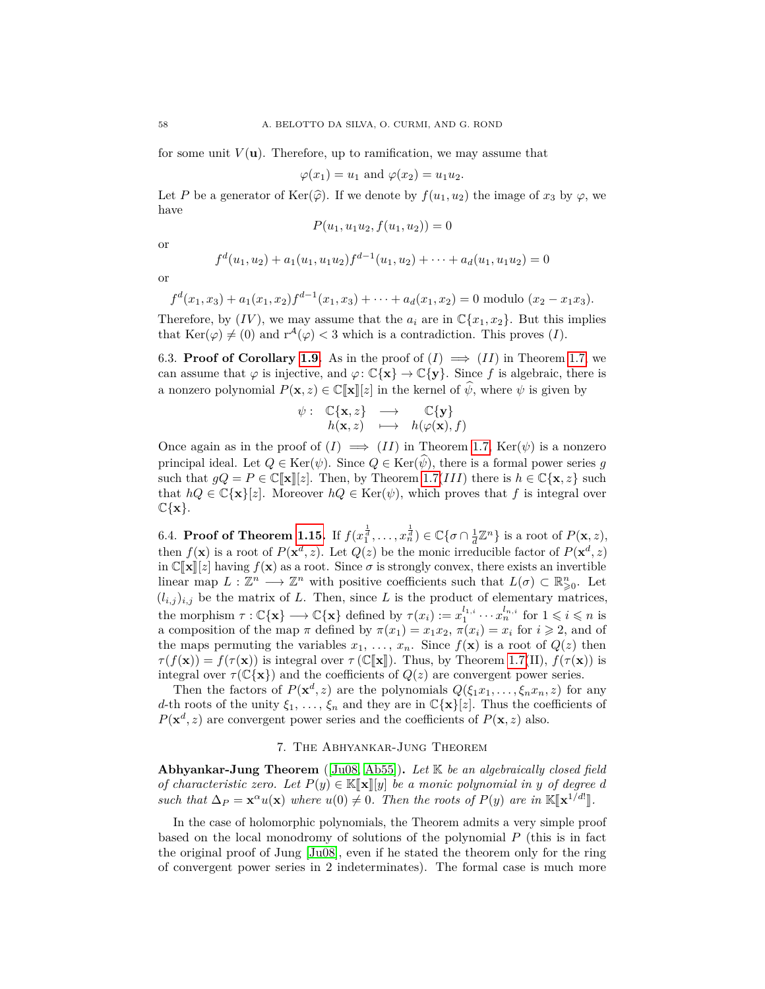for some unit  $V(\mathbf{u})$ . Therefore, up to ramification, we may assume that

$$
\varphi(x_1) = u_1 \text{ and } \varphi(x_2) = u_1 u_2.
$$

Let *P* be a generator of Ker( $\hat{\varphi}$ ). If we denote by  $f(u_1, u_2)$  the image of  $x_3$  by  $\varphi$ , we have

$$
P(u_1, u_1u_2, f(u_1, u_2)) = 0
$$

or

$$
f^{d}(u_1, u_2) + a_1(u_1, u_1u_2)f^{d-1}(u_1, u_2) + \cdots + a_d(u_1, u_1u_2) = 0
$$

or

$$
f^{d}(x_1,x_3)+a_1(x_1,x_2)f^{d-1}(x_1,x_3)+\cdots+a_d(x_1,x_2)=0
$$
 modulo  $(x_2-x_1x_3).$ 

Therefore, by  $(IV)$ , we may assume that the  $a_i$  are in  $\mathbb{C}\lbrace x_1, x_2 \rbrace$ . But this implies that  $\text{Ker}(\varphi) \neq (0)$  and  $r^{\mathcal{A}}(\varphi) < 3$  which is a contradiction. This proves (*I*).

<span id="page-57-1"></span>6.3. **Proof of Corollary [1.9.](#page-5-1)** As in the proof of  $(I) \implies (II)$  in Theorem [1.7,](#page-5-0) we can assume that  $\varphi$  is injective, and  $\varphi: \mathbb{C}\{\mathbf{x}\} \to \mathbb{C}\{\mathbf{y}\}\)$ . Since f is algebraic, there is a nonzero polynomial  $P(\mathbf{x}, z) \in \mathbb{C}[\![\mathbf{x}]\!][z]$  in the kernel of  $\widehat{\psi}$ , where  $\psi$  is given by<br> $\psi : \mathbb{C}\{\mathbf{x}, z\} \longrightarrow \mathbb{C}\{\mathbf{v}\}\$ 

$$
\psi: \begin{array}{ccc} \mathbb{C}\{\mathbf{x},z\} & \longrightarrow & \mathbb{C}\{\mathbf{y}\} \\ h(\mathbf{x},z) & \longmapsto & h(\varphi(\mathbf{x}),f) \end{array}
$$

Once again as in the proof of  $(I) \implies (II)$  in Theorem [1.7,](#page-5-0) Ker( $\psi$ ) is a nonzero principal ideal. Let  $Q \in \text{Ker}(\psi)$ . Since  $Q \in \text{Ker}(\widehat{\psi})$ , there is a formal power series *q* such that  $gQ = P \in \mathbb{C}[\mathbf{x}][z]$ . Then, by Theorem [1.7\(](#page-5-0)*III*) there is  $h \in \mathbb{C}\{\mathbf{x}, z\}$  such that  $hQ \in \mathbb{C}\{\mathbf{x}\}\left[\mathbf{z}\right]$ . Moreover  $hQ \in \text{Ker}(\psi)$ , which proves that f is integral over  $\mathbb{C}\{\mathbf{x}\}.$ 

<span id="page-57-2"></span>6.4. **Proof of Theorem [1.15.](#page-8-0)** If  $f(x_1^{\frac{1}{d}}, \ldots, x_n^{\frac{1}{d}}) \in \mathbb{C} \{\sigma \cap \frac{1}{d} \mathbb{Z}^n\}$  is a root of  $P(\mathbf{x}, z)$ , then  $f(\mathbf{x})$  is a root of  $P(\mathbf{x}^d, z)$ . Let  $Q(z)$  be the monic irreducible factor of  $P(\mathbf{x}^d, z)$ in  $\mathbb{C}[\![\mathbf{x}]\!][z]$  having  $f(\mathbf{x})$  as a root. Since  $\sigma$  is strongly convex, there exists an invertible linear map  $L : \mathbb{Z}^n \longrightarrow \mathbb{Z}^n$  with positive coefficients such that  $L(\sigma) \subset \mathbb{R}^n_{\geq 0}$ . Let  $(l_{i,j})_{i,j}$  be the matrix of *L*. Then, since *L* is the product of elementary matrices, the morphism  $\tau : \mathbb{C}\{\mathbf{x}\} \longrightarrow \mathbb{C}\{\mathbf{x}\}\$  defined by  $\tau(x_i) := x_1^{l_{1,i}} \cdots x_n^{l_{n,i}}$  for  $1 \leqslant i \leqslant n$  is a composition of the map  $\pi$  defined by  $\pi(x_1) = x_1x_2, \pi(x_i) = x_i$  for  $i \geq 2$ , and of the maps permuting the variables  $x_1, \ldots, x_n$ . Since  $f(\mathbf{x})$  is a root of  $Q(z)$  then  $\tau(f(\mathbf{x})) = f(\tau(\mathbf{x}))$  is integral over  $\tau(\mathbb{C}[\![\mathbf{x}]\!])$ . Thus, by Theorem [1.7\(](#page-5-0)II),  $f(\tau(\mathbf{x}))$  is integral over  $\tau(\mathbb{C}\{\mathbf{x}\})$  and the coefficients of  $Q(z)$  are convergent power series.

Then the factors of  $P(\mathbf{x}^d, z)$  are the polynomials  $Q(\xi_1 x_1, \ldots, \xi_n x_n, z)$  for any *d*-th roots of the unity  $\xi_1, \ldots, \xi_n$  and they are in  $\mathbb{C}\{\mathbf{x}\}[z]$ . Thus the coefficients of  $P(\mathbf{x}^d, z)$  are convergent power series and the coefficients of  $P(\mathbf{x}, z)$  also.

# 7. The Abhyankar-Jung Theorem

<span id="page-57-0"></span>**Abhyankar-Jung Theorem** ([\[Ju08,](#page-60-26) [Ab55\]](#page-59-14))**.** *Let* K *be an algebraically closed field of characteristic zero.* Let  $P(y) \in K[\![\mathbf{x}]\!] [y]$  *be a monic polynomial in y of degree d such that*  $\Delta_P = \mathbf{x}^\alpha u(\mathbf{x})$  *where*  $u(0) \neq 0$ *. Then the roots of*  $P(y)$  *are in*  $\mathbb{K}[\mathbf{x}^{1/d}].$ 

In the case of holomorphic polynomials, the Theorem admits a very simple proof based on the local monodromy of solutions of the polynomial *P* (this is in fact the original proof of Jung [\[Ju08\]](#page-60-26), even if he stated the theorem only for the ring of convergent power series in 2 indeterminates). The formal case is much more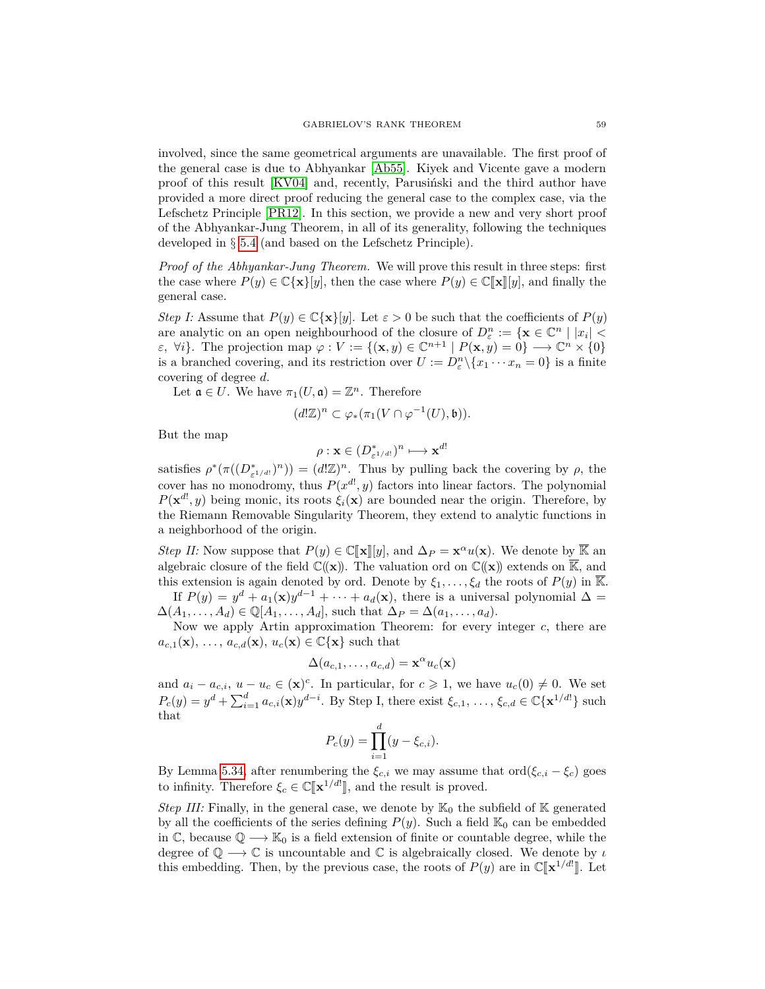involved, since the same geometrical arguments are unavailable. The first proof of the general case is due to Abhyankar [\[Ab55\]](#page-59-14). Kiyek and Vicente gave a modern proof of this result [\[KV04\]](#page-60-27) and, recently, Parusiński and the third author have provided a more direct proof reducing the general case to the complex case, via the Lefschetz Principle [\[PR12\]](#page-61-13). In this section, we provide a new and very short proof of the Abhyankar-Jung Theorem, in all of its generality, following the techniques developed in § [5.4](#page-44-0) (and based on the Lefschetz Principle).

*Proof of the Abhyankar-Jung Theorem.* We will prove this result in three steps: first the case where  $P(y) \in \mathbb{C} \{ \mathbf{x} \} [y]$ , then the case where  $P(y) \in \mathbb{C} [\![\mathbf{x}]\!] [y]$ , and finally the general case.

*Step I:* Assume that  $P(y) \in \mathbb{C}\{\mathbf{x}\}[y]$ . Let  $\varepsilon > 0$  be such that the coefficients of  $P(y)$ are analytic on an open neighbourhood of the closure of  $D_{\varepsilon}^{n} := \{ \mathbf{x} \in \mathbb{C}^{n} \mid |x_{i}| < \varepsilon \}$  $\epsilon$ ,  $\forall i$ . The projection map  $\varphi : V := \{(\mathbf{x}, y) \in \mathbb{C}^{n+1} \mid P(\mathbf{x}, y) = 0\} \longrightarrow \mathbb{C}^n \times \{0\}$ is a branched covering, and its restriction over  $U := D_{\varepsilon}^n \setminus \{x_1 \cdots x_n = 0\}$  is a finite covering of degree *d*.

Let  $\mathfrak{a} \in U$ . We have  $\pi_1(U, \mathfrak{a}) = \mathbb{Z}^n$ . Therefore

$$
(d!{\mathbb Z})^n \subset \varphi_*(\pi_1(V \cap \varphi^{-1}(U), \mathfrak{b})).
$$

But the map

$$
\rho: \mathbf{x} \in (D^*_{\varepsilon^{1/d!}})^n \longmapsto \mathbf{x}^{d!}
$$

satisfies  $\rho^*(\pi((D^*_{\varepsilon^{1/d!}})^n)) = (d! \mathbb{Z})^n$ . Thus by pulling back the covering by  $\rho$ , the cover has no monodromy, thus  $P(x^{d}, y)$  factors into linear factors. The polynomial  $P(\mathbf{x}^{d}, y)$  being monic, its roots  $\xi_i(\mathbf{x})$  are bounded near the origin. Therefore, by the Riemann Removable Singularity Theorem, they extend to analytic functions in a neighborhood of the origin.

*Step II:* Now suppose that  $P(y) \in \mathbb{C}[\![\mathbf{x}]\!][y]$ , and  $\Delta_P = \mathbf{x}^\alpha u(\mathbf{x})$ . We denote by  $\overline{\mathbb{K}}$  and algebraic glocum of the field  $\mathcal{C}(\mathbf{x})$ . The valuation and an  $\mathcal{C}(\mathbf{x})$  artends on  $\overline{\mathbb{K}}$  and algebraic closure of the field  $\mathbb{C}(\mathbf{x})$ . The valuation ord on  $\mathbb{C}(\mathbf{x})$  extends on  $\overline{\mathbb{K}}$ , and this extension is again denoted by ord. Denote by  $\xi_1, \ldots, \xi_d$  the roots of  $P(y)$  in  $\overline{\mathbb{K}}$ . If  $P(y) = y^d + a_1(x)y^{d-1} + \cdots + a_d(x)$ , there is a universal polynomial  $\Delta =$ 

 $\Delta(A_1, \ldots, A_d) \in \mathbb{Q}[A_1, \ldots, A_d]$ , such that  $\Delta_P = \Delta(a_1, \ldots, a_d)$ . Now we apply Artin approximation Theorem: for every integer *c*, there are

 $a_{c,1}(\mathbf{x}), \ldots, a_{c,d}(\mathbf{x}), u_c(\mathbf{x}) \in \mathbb{C} \{\mathbf{x}\}\$  such that

$$
\Delta(a_{c,1},\ldots,a_{c,d}) = \mathbf{x}^{\alpha}u_c(\mathbf{x})
$$

and  $a_i - a_{c,i}$ ,  $u - u_c \in (\mathbf{x})^c$ . In particular, for  $c \geq 1$ , we have  $u_c(0) \neq 0$ . We set  $P_c(y) = y^d + \sum_{i=1}^d a_{c,i}(x) y^{d-i}$ . By Step I, there exist  $\xi_{c,1}, \ldots, \xi_{c,d} \in \mathbb{C} {\{\mathbf{x}^{1/d!}\}}$  such that

$$
P_c(y) = \prod_{i=1}^d (y - \xi_{c,i}).
$$

By Lemma [5.34,](#page-46-1) after renumbering the  $\xi_{c,i}$  we may assume that ord( $\xi_{c,i} - \xi_c$ ) goes to infinity. Therefore  $\xi_c \in \mathbb{C}[\mathbf{x}^{1/d}$ , and the result is proved.

*Step III:* Finally, in the general case, we denote by  $\mathbb{K}_0$  the subfield of  $\mathbb{K}$  generated by all the coefficients of the series defining  $P(y)$ . Such a field  $\mathbb{K}_0$  can be embedded in  $\mathbb{C}$ , because  $\mathbb{Q} \longrightarrow \mathbb{K}_0$  is a field extension of finite or countable degree, while the degree of  $\mathbb{Q} \longrightarrow \mathbb{C}$  is uncountable and  $\mathbb{C}$  is algebraically closed. We denote by *ι* this embedding. Then, by the previous case, the roots of  $P(y)$  are in  $\mathbb{C}[\mathbf{x}^{1/d}]$ . Let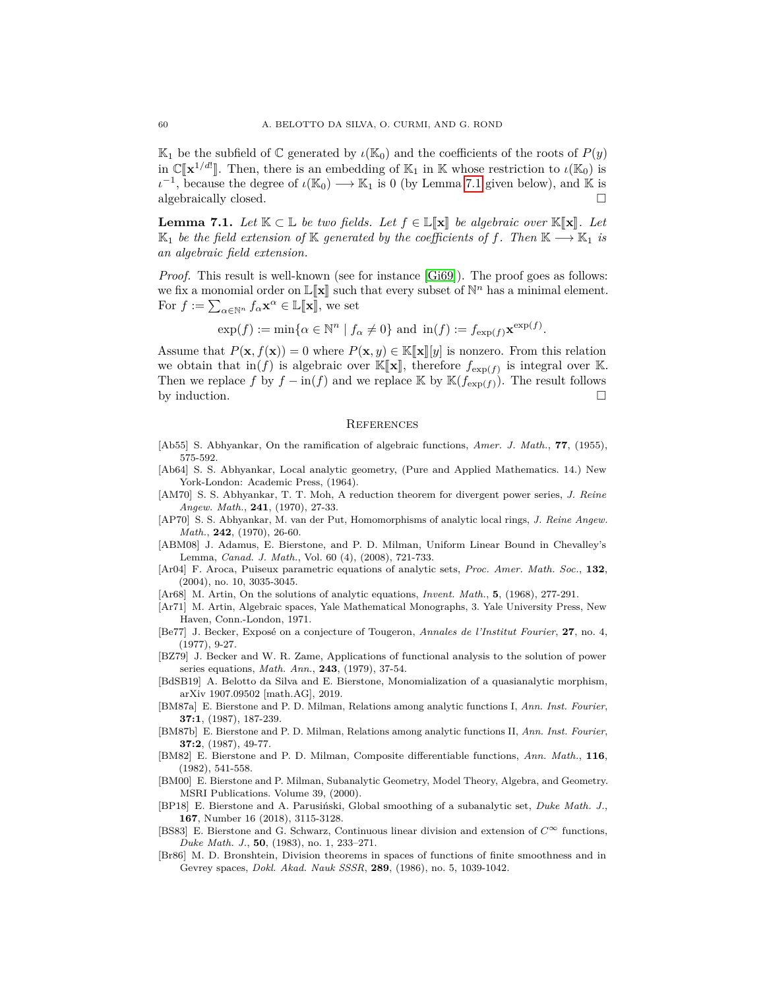$\mathbb{K}_1$  be the subfield of  $\mathbb{C}$  generated by  $\iota(\mathbb{K}_0)$  and the coefficients of the roots of  $P(y)$ in  $\mathbb{C}[\mathbf{x}^{1/d}]$ . Then, there is an embedding of  $\mathbb{K}_1$  in  $\mathbb{K}$  whose restriction to  $\iota(\mathbb{K}_0)$  is  $\iota^{-1}$ , because the degree of  $\iota(\mathbb{K}_0) \longrightarrow \mathbb{K}_1$  is 0 (by Lemma [7.1](#page-59-15) given below), and K is algebraically closed.

<span id="page-59-15"></span>**Lemma 7.1.** *Let*  $K \subset \mathbb{L}$  *be two fields. Let*  $f \in \mathbb{L}[\mathbf{x}]$  *be algebraic over*  $K[\mathbf{x}]$ *. Let*  $\mathbb{K}_1$  *be the field extension of* K *generated by the coefficients of f. Then*  $\mathbb{K} \longrightarrow \mathbb{K}_1$  *is an algebraic field extension.*

*Proof.* This result is well-known (see for instance [\[Gi69\]](#page-60-28)). The proof goes as follows: we fix a monomial order on  $\mathbb{L}[\![\mathbf{x}]\!]$  such that every subset of  $\mathbb{N}^n$  has a minimal element.<br>For  $f := \sum_{\mathbf{r} \in \mathbb{N}} f \mathbf{x}^{\alpha} \in \mathbb{L}[\![\mathbf{x}]\!]$ , we set For  $f := \sum_{\alpha \in \mathbb{N}^n} f_{\alpha} \mathbf{x}^{\alpha} \in \mathbb{L}[\![\mathbf{x}]\!],$  we set

$$
\exp(f) := \min\{\alpha \in \mathbb{N}^n \mid f_\alpha \neq 0\}
$$
 and  $\text{in}(f) := f_{\exp(f)} \mathbf{x}^{\exp(f)}$ .

Assume that  $P(\mathbf{x}, f(\mathbf{x})) = 0$  where  $P(\mathbf{x}, y) \in \mathbb{K}[\![\mathbf{x}]\!][y]$  is nonzero. From this relation we obtain that  $\text{in}(f)$  is algebraic over  $\mathbb{K}[\mathbf{x}]$ , therefore  $f_{\exp(f)}$  is integral over K.<br>Then we replace  $f$  by  $f_{\text{out}}(f)$  and we replace  $\mathbb{K}$  by  $\mathbb{K}(f_{\text{out}})$ . The result follows Then we replace *f* by  $f - \text{in}(f)$  and we replace K by  $\mathbb{K}(f_{\exp(f)})$ . The result follows by induction.  $\Box$ 

### **REFERENCES**

- <span id="page-59-14"></span>[Ab55] S. Abhyankar, On the ramification of algebraic functions, *Amer. J. Math.*, **77**, (1955), 575-592.
- <span id="page-59-0"></span>[Ab64] S. S. Abhyankar, Local analytic geometry, (Pure and Applied Mathematics. 14.) New York-London: Academic Press, (1964).
- <span id="page-59-10"></span>[AM70] S. S. Abhyankar, T. T. Moh, A reduction theorem for divergent power series, *J. Reine Angew. Math.*, **241**, (1970), 27-33.
- <span id="page-59-11"></span>[AP70] S. S. Abhyankar, M. van der Put, Homomorphisms of analytic local rings, *J. Reine Angew. Math.*, **242**, (1970), 26-60.
- <span id="page-59-6"></span>[ABM08] J. Adamus, E. Bierstone, and P. D. Milman, Uniform Linear Bound in Chevalley's Lemma, *Canad. J. Math.*, Vol. 60 (4), (2008), 721-733.
- [Ar04] F. Aroca, Puiseux parametric equations of analytic sets, *Proc. Amer. Math. Soc.*, **132**, (2004), no. 10, 3035-3045.
- <span id="page-59-13"></span>[Ar68] M. Artin, On the solutions of analytic equations, *Invent. Math.*, **5**, (1968), 277-291.
- [Ar71] M. Artin, Algebraic spaces, Yale Mathematical Monographs, 3. Yale University Press, New Haven, Conn.-London, 1971.
- <span id="page-59-12"></span>[Be77] J. Becker, Exposé on a conjecture of Tougeron, *Annales de l'Institut Fourier*, **27**, no. 4, (1977), 9-27.
- <span id="page-59-9"></span>[BZ79] J. Becker and W. R. Zame, Applications of functional analysis to the solution of power series equations, *Math. Ann.*, **243**, (1979), 37-54.
- <span id="page-59-8"></span>[BdSB19] A. Belotto da Silva and E. Bierstone, Monomialization of a quasianalytic morphism, arXiv 1907.09502 [math.AG], 2019.
- <span id="page-59-3"></span>[BM87a] E. Bierstone and P. D. Milman, Relations among analytic functions I, *Ann. Inst. Fourier*, **37:1**, (1987), 187-239.
- <span id="page-59-4"></span>[BM87b] E. Bierstone and P. D. Milman, Relations among analytic functions II, *Ann. Inst. Fourier*, **37:2**, (1987), 49-77.
- <span id="page-59-1"></span>[BM82] E. Bierstone and P. D. Milman, Composite differentiable functions, *Ann. Math.*, **116**, (1982), 541-558.
- <span id="page-59-5"></span>[BM00] E. Bierstone and P. Milman, Subanalytic Geometry, Model Theory, Algebra, and Geometry. MSRI Publications. Volume 39, (2000).
- <span id="page-59-7"></span>[BP18] E. Bierstone and A. Parusiński, Global smoothing of a subanalytic set, *Duke Math. J.*, **167**, Number 16 (2018), 3115-3128.
- <span id="page-59-2"></span>[BS83] E. Bierstone and G. Schwarz, Continuous linear division and extension of *C*<sup>∞</sup> functions, *Duke Math. J.*, **50**, (1983), no. 1, 233–271.
- [Br86] M. D. Bronshtein, Division theorems in spaces of functions of finite smoothness and in Gevrey spaces, *Dokl. Akad. Nauk SSSR*, **289**, (1986), no. 5, 1039-1042.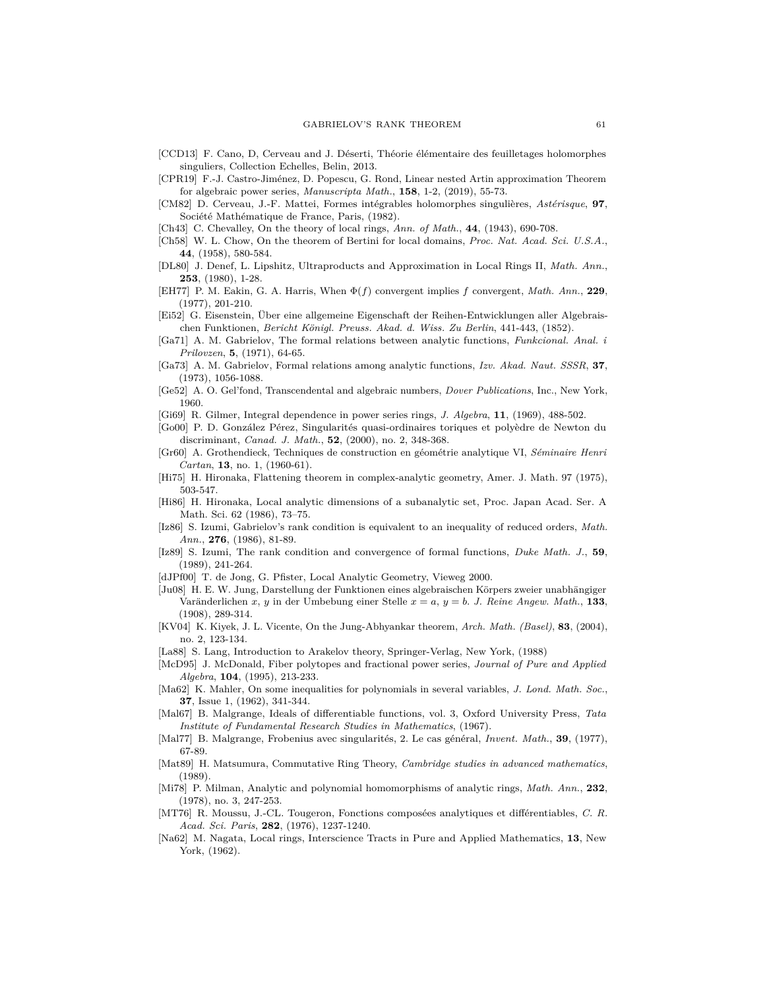- <span id="page-60-10"></span>[CCD13] F. Cano, D, Cerveau and J. Déserti, Théorie élémentaire des feuilletages holomorphes singuliers, Collection Echelles, Belin, 2013.
- <span id="page-60-13"></span>[CPR19] F.-J. Castro-Jiménez, D. Popescu, G. Rond, Linear nested Artin approximation Theorem for algebraic power series, *Manuscripta Math.*, **158**, 1-2, (2019), 55-73.
- <span id="page-60-8"></span>[CM82] D. Cerveau, J.-F. Mattei, Formes intégrables holomorphes singulières, *Astérisque*, **97**, Société Mathématique de France, Paris, (1982).
- <span id="page-60-0"></span>[Ch43] C. Chevalley, On the theory of local rings, *Ann. of Math.*, **44**, (1943), 690-708.
- <span id="page-60-21"></span>[Ch58] W. L. Chow, On the theorem of Bertini for local domains, *Proc. Nat. Acad. Sci. U.S.A.*, **44**, (1958), 580-584.
- [DL80] J. Denef, L. Lipshitz, Ultraproducts and Approximation in Local Rings II, *Math. Ann.*, **253**, (1980), 1-28.
- <span id="page-60-6"></span>[EH77] P. M. Eakin, G. A. Harris, When Φ(*f*) convergent implies *f* convergent, *Math. Ann.*, **229**, (1977), 201-210.
- <span id="page-60-22"></span>[Ei52] G. Eisenstein, Über eine allgemeine Eigenschaft der Reihen-Entwicklungen aller Algebraischen Funktionen, *Bericht Königl. Preuss. Akad. d. Wiss. Zu Berlin*, 441-443, (1852).
- <span id="page-60-2"></span>[Ga71] A. M. Gabrielov, The formal relations between analytic functions, *Funkcional. Anal. i Prilovzen*, **5**, (1971), 64-65.
- <span id="page-60-3"></span>[Ga73] A. M. Gabrielov, Formal relations among analytic functions, *Izv. Akad. Naut. SSSR*, **37**, (1973), 1056-1088.
- <span id="page-60-24"></span>[Ge52] A. O. Gel'fond, Transcendental and algebraic numbers, *Dover Publications*, Inc., New York, 1960.
- <span id="page-60-28"></span>[Gi69] R. Gilmer, Integral dependence in power series rings, *J. Algebra*, **11**, (1969), 488-502.
- <span id="page-60-16"></span>[Go00] P. D. González Pérez, Singularités quasi-ordinaires toriques et polyèdre de Newton du discriminant, *Canad. J. Math.*, **52**, (2000), no. 2, 348-368.
- <span id="page-60-1"></span>[Gr60] A. Grothendieck, Techniques de construction en géométrie analytique VI, *Séminaire Henri Cartan*, **13**, no. 1, (1960-61).
- <span id="page-60-18"></span>[Hi75] H. Hironaka, Flattening theorem in complex-analytic geometry, Amer. J. Math. 97 (1975), 503-547.
- <span id="page-60-17"></span>[Hi86] H. Hironaka, Local analytic dimensions of a subanalytic set, Proc. Japan Acad. Ser. A Math. Sci. 62 (1986), 73–75.
- <span id="page-60-9"></span>[Iz86] S. Izumi, Gabrielov's rank condition is equivalent to an inequality of reduced orders, *Math. Ann.*, **276**, (1986), 81-89.
- <span id="page-60-4"></span>[Iz89] S. Izumi, The rank condition and convergence of formal functions, *Duke Math. J.*, **59**, (1989), 241-264.
- <span id="page-60-20"></span>[dJPf00] T. de Jong, G. Pfister, Local Analytic Geometry, Vieweg 2000.
- <span id="page-60-26"></span>[Ju08] H. E. W. Jung, Darstellung der Funktionen eines algebraischen Körpers zweier unabhängiger Varänderlichen *x*, *y* in der Umbebung einer Stelle *x* = *a*, *y* = *b*. *J. Reine Angew. Math.*, **133**, (1908), 289-314.
- <span id="page-60-27"></span>[KV04] K. Kiyek, J. L. Vicente, On the Jung-Abhyankar theorem, *Arch. Math. (Basel)*, **83**, (2004), no. 2, 123-134.
- <span id="page-60-25"></span>[La88] S. Lang, Introduction to Arakelov theory, Springer-Verlag, New York, (1988)
- <span id="page-60-15"></span>[McD95] J. McDonald, Fiber polytopes and fractional power series, *Journal of Pure and Applied Algebra*, **104**, (1995), 213-233.
- <span id="page-60-23"></span>[Ma62] K. Mahler, On some inequalities for polynomials in several variables, *J. Lond. Math. Soc.*, **37**, Issue 1, (1962), 341-344.
- <span id="page-60-14"></span>[Mal67] B. Malgrange, Ideals of differentiable functions, vol. 3, Oxford University Press, *Tata Institute of Fundamental Research Studies in Mathematics*, (1967).
- <span id="page-60-7"></span>[Mal77] B. Malgrange, Frobenius avec singularités, 2. Le cas général, *Invent. Math.*, **39**, (1977), 67-89.
- <span id="page-60-11"></span>[Mat89] H. Matsumura, Commutative Ring Theory, *Cambridge studies in advanced mathematics*, (1989).
- <span id="page-60-12"></span>[Mi78] P. Milman, Analytic and polynomial homomorphisms of analytic rings, *Math. Ann.*, **232**, (1978), no. 3, 247-253.
- <span id="page-60-5"></span>[MT76] R. Moussu, J.-CL. Tougeron, Fonctions composées analytiques et différentiables, *C. R. Acad. Sci. Paris*, **282**, (1976), 1237-1240.
- <span id="page-60-19"></span>[Na62] M. Nagata, Local rings, Interscience Tracts in Pure and Applied Mathematics, **13**, New York, (1962).